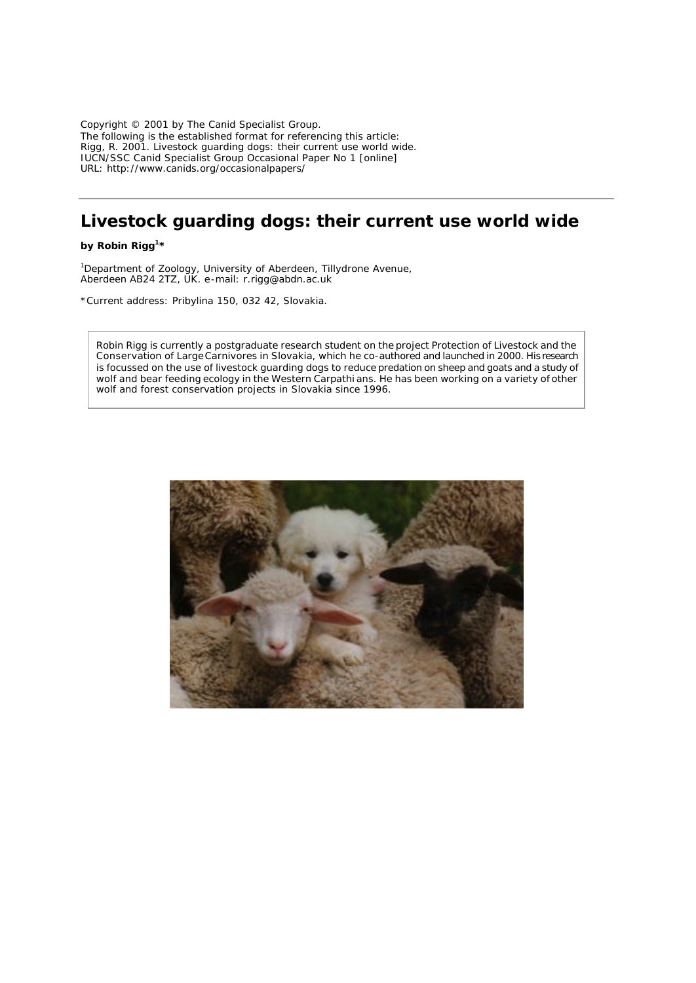Copyright © 2001 by The Canid Specialist Group. The following is the established format for referencing this article: Rigg, R. 2001. Livestock guarding dogs: their current use world wide. IUCN/SSC Canid Specialist Group Occasional Paper No 1 [online] URL: http://www.canids.org/occasionalpapers/

# **Livestock guarding dogs: their current use world wide**

*by* **Robin Rigg1 \***

Ĩ

<sup>1</sup>Department of Zoology, University of Aberdeen, Tillydrone Avenue, Aberdeen AB24 2TZ, UK. e-mail: r.rigg@abdn.ac.uk

\*Current address: Pribylina 150, 032 42, Slovakia.

Robin Rigg is currently a postgraduate research student on the project Protection of Livestock and the Conservation of Large Carnivores in Slovakia, which he co-authored and launched in 2000. His research is focussed on the use of livestock guarding dogs to reduce predation on sheep and goats and a study of wolf and bear feeding ecology in the Western Carpathi ans. He has been working on a variety of other wolf and forest conservation projects in Slovakia since 1996.

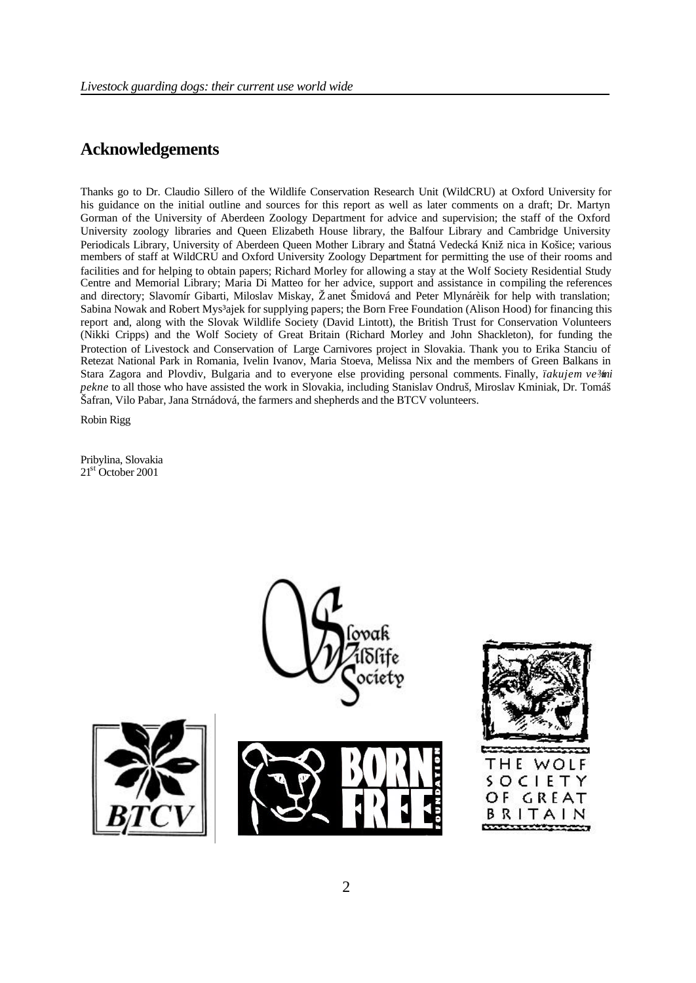### **Acknowledgements**

Thanks go to Dr. Claudio Sillero of the Wildlife Conservation Research Unit (WildCRU) at Oxford University for his guidance on the initial outline and sources for this report as well as later comments on a draft; Dr. Martyn Gorman of the University of Aberdeen Zoology Department for advice and supervision; the staff of the Oxford University zoology libraries and Queen Elizabeth House library, the Balfour Library and Cambridge University Periodicals Library, University of Aberdeen Queen Mother Library and Štatná Vedecká Knižnica in Košice; various members of staff at WildCRU and Oxford University Zoology Department for permitting the use of their rooms and facilities and for helping to obtain papers; Richard Morley for allowing a stay at the Wolf Society Residential Study Centre and Memorial Library; Maria Di Matteo for her advice, support and assistance in compiling the references and directory; Slavomír Gibarti, Miloslav Miskay, Žanet Šmidová and Peter Mlynárèik for help with translation; Sabina Nowak and Robert Mys<sup>3</sup>ajek for supplying papers; the Born Free Foundation (Alison Hood) for financing this report and, along with the Slovak Wildlife Society (David Lintott), the British Trust for Conservation Volunteers (Nikki Cripps) and the Wolf Society of Great Britain (Richard Morley and John Shackleton), for funding the Protection of Livestock and Conservation of Large Carnivores project in Slovakia. Thank you to Erika Stanciu of Retezat National Park in Romania, Ivelin Ivanov, Maria Stoeva, Melissa Nix and the members of Green Balkans in Stara Zagora and Plovdiv, Bulgaria and to everyone else providing personal comments. Finally, *ïakujem ve¾mi pekne* to all those who have assisted the work in Slovakia, including Stanislav Ondruš, Miroslav Kminiak, Dr. Tomáš Šafran, Vilo Pabar, Jana Strnádová, the farmers and shepherds and the BTCV volunteers.

Robin Rigg

Pribylina, Slovakia 21<sup>st</sup> October 2001

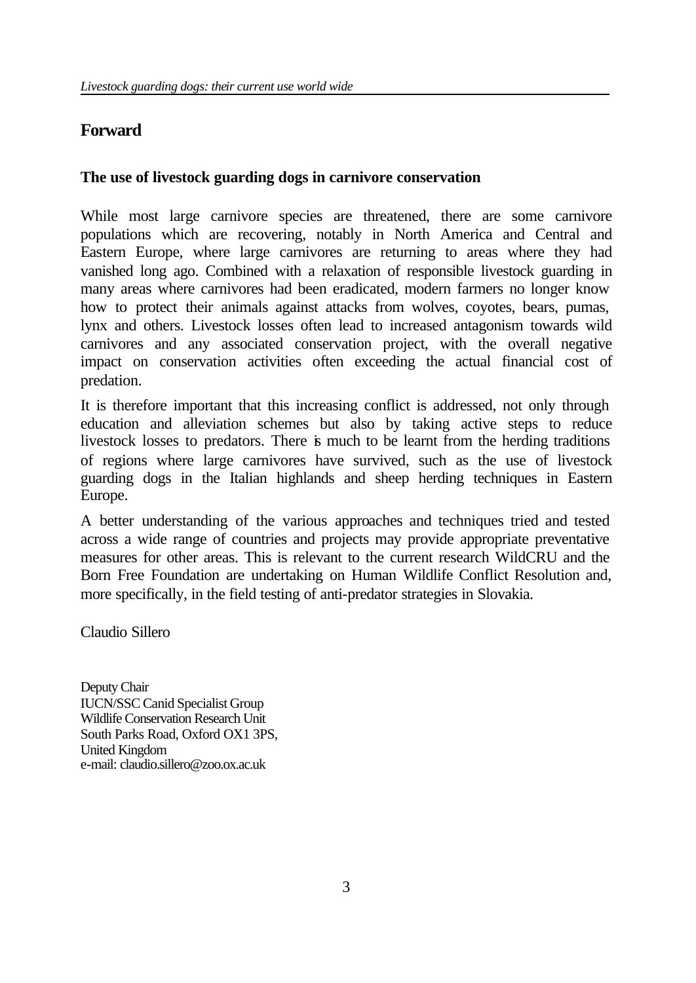# **Forward**

# **The use of livestock guarding dogs in carnivore conservation**

While most large carnivore species are threatened, there are some carnivore populations which are recovering, notably in North America and Central and Eastern Europe, where large carnivores are returning to areas where they had vanished long ago. Combined with a relaxation of responsible livestock guarding in many areas where carnivores had been eradicated, modern farmers no longer know how to protect their animals against attacks from wolves, coyotes, bears, pumas, lynx and others. Livestock losses often lead to increased antagonism towards wild carnivores and any associated conservation project, with the overall negative impact on conservation activities often exceeding the actual financial cost of predation.

It is therefore important that this increasing conflict is addressed, not only through education and alleviation schemes but also by taking active steps to reduce livestock losses to predators. There is much to be learnt from the herding traditions of regions where large carnivores have survived, such as the use of livestock guarding dogs in the Italian highlands and sheep herding techniques in Eastern Europe.

A better understanding of the various approaches and techniques tried and tested across a wide range of countries and projects may provide appropriate preventative measures for other areas. This is relevant to the current research WildCRU and the Born Free Foundation are undertaking on Human Wildlife Conflict Resolution and, more specifically, in the field testing of anti-predator strategies in Slovakia.

Claudio Sillero

Deputy Chair IUCN/SSC Canid Specialist Group Wildlife Conservation Research Unit South Parks Road, Oxford OX1 3PS, United Kingdom e-mail: claudio.sillero@zoo.ox.ac.uk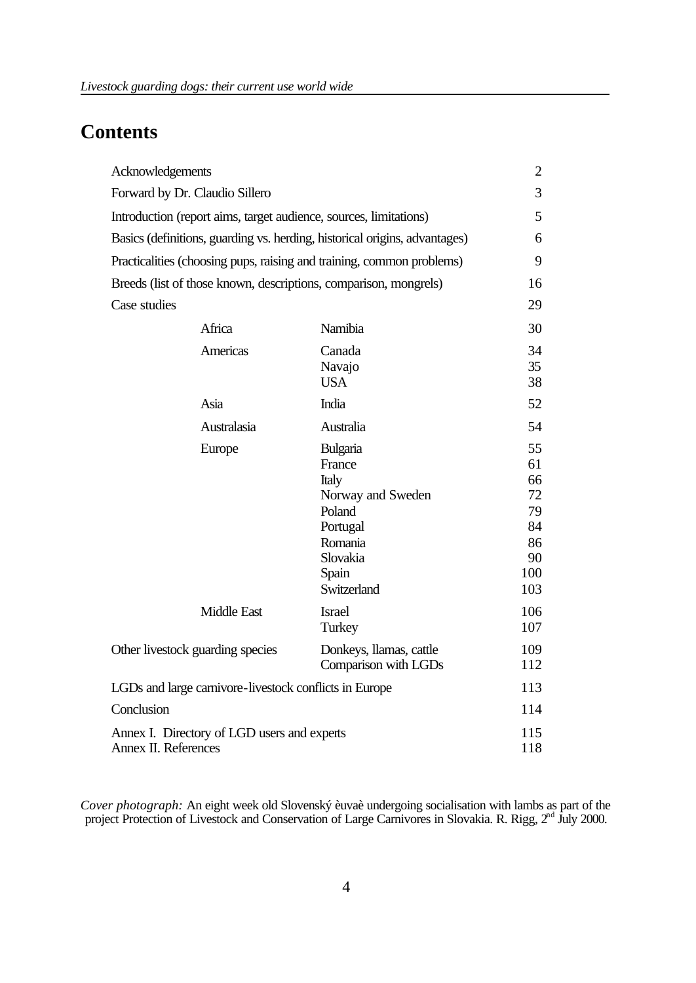# **Contents**

| Acknowledgements                                                           |                    |                                                                                                                       | $\overline{2}$                                             |
|----------------------------------------------------------------------------|--------------------|-----------------------------------------------------------------------------------------------------------------------|------------------------------------------------------------|
| Forward by Dr. Claudio Sillero                                             |                    |                                                                                                                       | 3                                                          |
| Introduction (report aims, target audience, sources, limitations)          |                    |                                                                                                                       | 5                                                          |
| Basics (definitions, guarding vs. herding, historical origins, advantages) |                    |                                                                                                                       | 6                                                          |
| Practicalities (choosing pups, raising and training, common problems)      |                    |                                                                                                                       | 9                                                          |
| Breeds (list of those known, descriptions, comparison, mongrels)           |                    |                                                                                                                       | 16                                                         |
| Case studies                                                               |                    |                                                                                                                       | 29                                                         |
|                                                                            | Africa             | Namibia                                                                                                               | 30                                                         |
|                                                                            | Americas           | Canada<br>Navajo<br><b>USA</b>                                                                                        | 34<br>35<br>38                                             |
|                                                                            | Asia               | India                                                                                                                 | 52                                                         |
|                                                                            | Australasia        | Australia                                                                                                             | 54                                                         |
|                                                                            | Europe             | Bulgaria<br>France<br>Italy<br>Norway and Sweden<br>Poland<br>Portugal<br>Romania<br>Slovakia<br>Spain<br>Switzerland | 55<br>61<br>66<br>72<br>79<br>84<br>86<br>90<br>100<br>103 |
|                                                                            | <b>Middle East</b> | <b>Israel</b><br>Turkey                                                                                               | 106<br>107                                                 |
| Other livestock guarding species                                           |                    | Donkeys, llamas, cattle<br>Comparison with LGDs                                                                       | 109<br>112                                                 |
| LGDs and large carnivore-livestock conflicts in Europe                     |                    |                                                                                                                       | 113                                                        |
| Conclusion                                                                 |                    |                                                                                                                       | 114                                                        |
| Annex I. Directory of LGD users and experts<br>Annex II. References        |                    |                                                                                                                       | 115<br>118                                                 |

*Cover photograph:* An eight week old Slovenský èuvaè undergoing socialisation with lambs as part of the project Protection of Livestock and Conservation of Large Carnivores in Slovakia. R. Rigg, 2<sup>nd</sup> July 2000.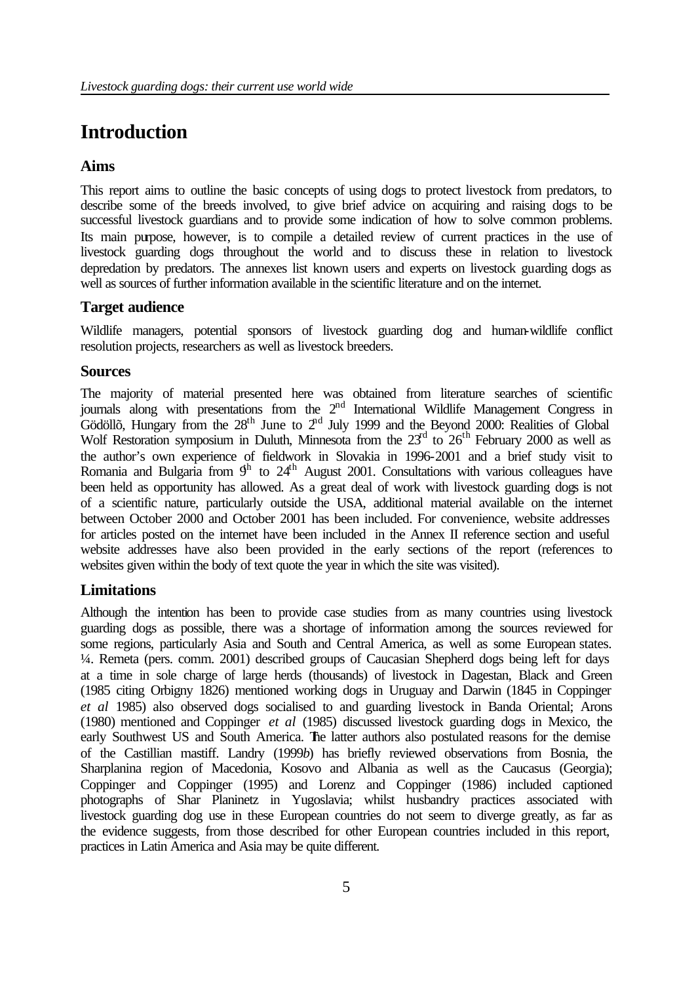# **Introduction**

#### **Aims**

This report aims to outline the basic concepts of using dogs to protect livestock from predators, to describe some of the breeds involved, to give brief advice on acquiring and raising dogs to be successful livestock guardians and to provide some indication of how to solve common problems. Its main purpose, however, is to compile a detailed review of current practices in the use of livestock guarding dogs throughout the world and to discuss these in relation to livestock depredation by predators. The annexes list known users and experts on livestock guarding dogs as well as sources of further information available in the scientific literature and on the internet.

#### **Target audience**

Wildlife managers, potential sponsors of livestock guarding dog and human-wildlife conflict resolution projects, researchers as well as livestock breeders.

#### **Sources**

The majority of material presented here was obtained from literature searches of scientific journals along with presentations from the 2<sup>nd</sup> International Wildlife Management Congress in Gödöllõ, Hungary from the  $28<sup>th</sup>$  June to  $2<sup>nd</sup>$  July 1999 and the Beyond 2000: Realities of Global Wolf Restoration symposium in Duluth, Minnesota from the  $23<sup>rd</sup>$  to  $26<sup>th</sup>$  February 2000 as well as the author's own experience of fieldwork in Slovakia in 1996-2001 and a brief study visit to Romania and Bulgaria from  $9<sup>h</sup>$  to  $24<sup>th</sup>$  August 2001. Consultations with various colleagues have been held as opportunity has allowed. As a great deal of work with livestock guarding dogs is not of a scientific nature, particularly outside the USA, additional material available on the internet between October 2000 and October 2001 has been included. For convenience, website addresses for articles posted on the internet have been included in the Annex II reference section and useful website addresses have also been provided in the early sections of the report (references to websites given within the body of text quote the year in which the site was visited).

#### **Limitations**

Although the intention has been to provide case studies from as many countries using livestock guarding dogs as possible, there was a shortage of information among the sources reviewed for some regions, particularly Asia and South and Central America, as well as some European states. ¼. Remeta (pers. comm. 2001) described groups of Caucasian Shepherd dogs being left for days at a time in sole charge of large herds (thousands) of livestock in Dagestan, Black and Green (1985 citing Orbigny 1826) mentioned working dogs in Uruguay and Darwin (1845 in Coppinger *et al* 1985) also observed dogs socialised to and guarding livestock in Banda Oriental; Arons (1980) mentioned and Coppinger *et al* (1985) discussed livestock guarding dogs in Mexico, the early Southwest US and South America. The latter authors also postulated reasons for the demise of the Castillian mastiff. Landry (1999*b*) has briefly reviewed observations from Bosnia, the Sharplanina region of Macedonia, Kosovo and Albania as well as the Caucasus (Georgia); Coppinger and Coppinger (1995) and Lorenz and Coppinger (1986) included captioned photographs of Shar Planinetz in Yugoslavia; whilst husbandry practices associated with livestock guarding dog use in these European countries do not seem to diverge greatly, as far as the evidence suggests, from those described for other European countries included in this report, practices in Latin America and Asia may be quite different.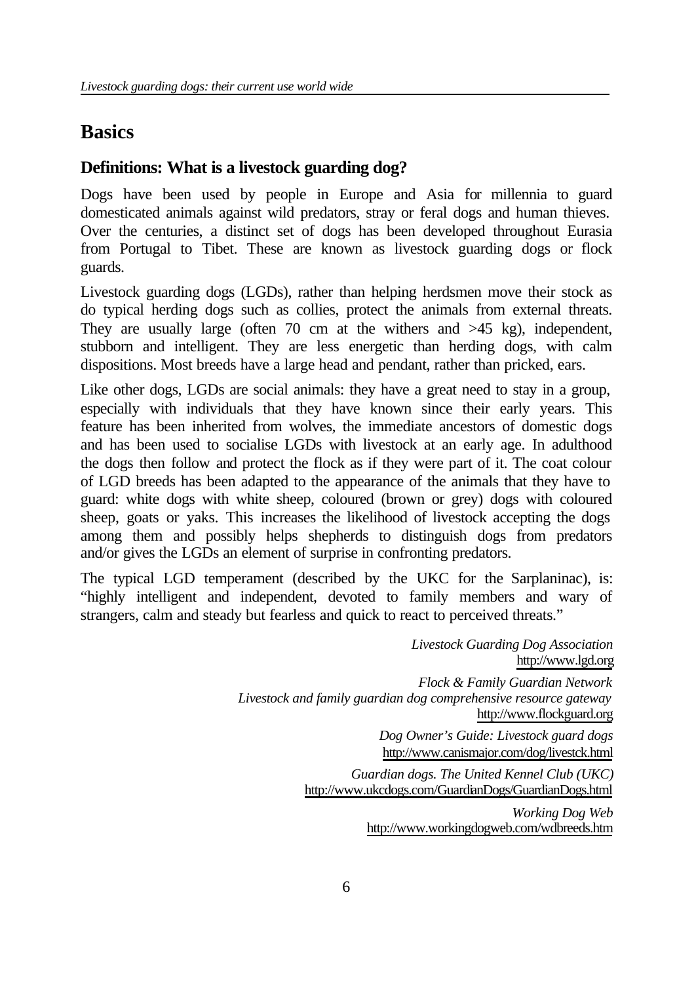# **Basics**

# **Definitions: What is a livestock guarding dog?**

Dogs have been used by people in Europe and Asia for millennia to guard domesticated animals against wild predators, stray or feral dogs and human thieves. Over the centuries, a distinct set of dogs has been developed throughout Eurasia from Portugal to Tibet. These are known as livestock guarding dogs or flock guards.

Livestock guarding dogs (LGDs), rather than helping herdsmen move their stock as do typical herding dogs such as collies, protect the animals from external threats. They are usually large (often 70 cm at the withers and  $>45$  kg), independent, stubborn and intelligent. They are less energetic than herding dogs, with calm dispositions. Most breeds have a large head and pendant, rather than pricked, ears.

Like other dogs, LGDs are social animals: they have a great need to stay in a group, especially with individuals that they have known since their early years. This feature has been inherited from wolves, the immediate ancestors of domestic dogs and has been used to socialise LGDs with livestock at an early age. In adulthood the dogs then follow and protect the flock as if they were part of it. The coat colour of LGD breeds has been adapted to the appearance of the animals that they have to guard: white dogs with white sheep, coloured (brown or grey) dogs with coloured sheep, goats or yaks. This increases the likelihood of livestock accepting the dogs among them and possibly helps shepherds to distinguish dogs from predators and/or gives the LGDs an element of surprise in confronting predators.

The typical LGD temperament (described by the UKC for the Sarplaninac), is: "highly intelligent and independent, devoted to family members and wary of strangers, calm and steady but fearless and quick to react to perceived threats."

> *Livestock Guarding Dog Association* http://www.lgd.org *Flock & Family Guardian Network Livestock and family guardian dog comprehensive resource gateway* http://www.flockguard.org *Dog Owner's Guide: Livestock guard dogs* http://www.canismajor.com/dog/livestck.html

*Guardian dogs. The United Kennel Club (UKC)* http://www.ukcdogs.com/GuardianDogs/GuardianDogs.html

> *Working Dog Web* http://www.workingdogweb.com/wdbreeds.htm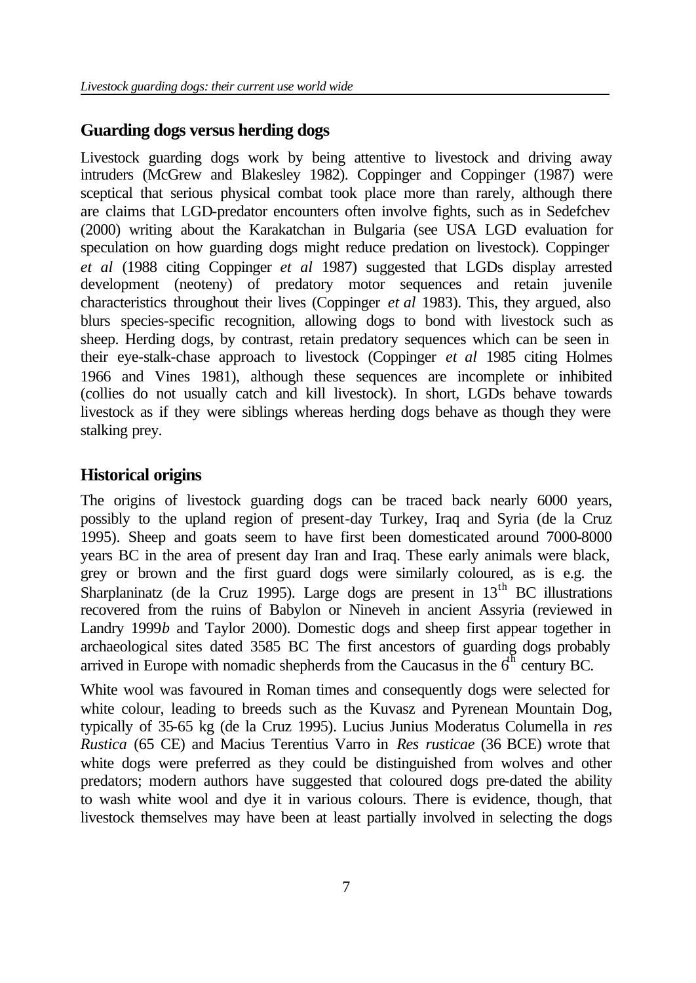# **Guarding dogs versus herding dogs**

Livestock guarding dogs work by being attentive to livestock and driving away intruders (McGrew and Blakesley 1982). Coppinger and Coppinger (1987) were sceptical that serious physical combat took place more than rarely, although there are claims that LGD-predator encounters often involve fights, such as in Sedefchev (2000) writing about the Karakatchan in Bulgaria (see USA LGD evaluation for speculation on how guarding dogs might reduce predation on livestock). Coppinger *et al* (1988 citing Coppinger *et al* 1987) suggested that LGDs display arrested development (neoteny) of predatory motor sequences and retain juvenile characteristics throughout their lives (Coppinger *et al* 1983). This, they argued, also blurs species-specific recognition, allowing dogs to bond with livestock such as sheep. Herding dogs, by contrast, retain predatory sequences which can be seen in their eye-stalk-chase approach to livestock (Coppinger *et al* 1985 citing Holmes 1966 and Vines 1981), although these sequences are incomplete or inhibited (collies do not usually catch and kill livestock). In short, LGDs behave towards livestock as if they were siblings whereas herding dogs behave as though they were stalking prey.

# **Historical origins**

The origins of livestock guarding dogs can be traced back nearly 6000 years, possibly to the upland region of present-day Turkey, Iraq and Syria (de la Cruz 1995). Sheep and goats seem to have first been domesticated around 7000-8000 years BC in the area of present day Iran and Iraq. These early animals were black, grey or brown and the first guard dogs were similarly coloured, as is e.g. the Sharplaninatz (de la Cruz 1995). Large dogs are present in  $13<sup>th</sup>$  BC illustrations recovered from the ruins of Babylon or Nineveh in ancient Assyria (reviewed in Landry 1999*b* and Taylor 2000). Domestic dogs and sheep first appear together in archaeological sites dated 3585 BC The first ancestors of guarding dogs probably arrived in Europe with nomadic shepherds from the Caucasus in the  $6<sup>th</sup>$  century BC.

White wool was favoured in Roman times and consequently dogs were selected for white colour, leading to breeds such as the Kuvasz and Pyrenean Mountain Dog, typically of 35-65 kg (de la Cruz 1995). Lucius Junius Moderatus Columella in *res Rustica* (65 CE) and Macius Terentius Varro in *Res rusticae* (36 BCE) wrote that white dogs were preferred as they could be distinguished from wolves and other predators; modern authors have suggested that coloured dogs pre-dated the ability to wash white wool and dye it in various colours. There is evidence, though, that livestock themselves may have been at least partially involved in selecting the dogs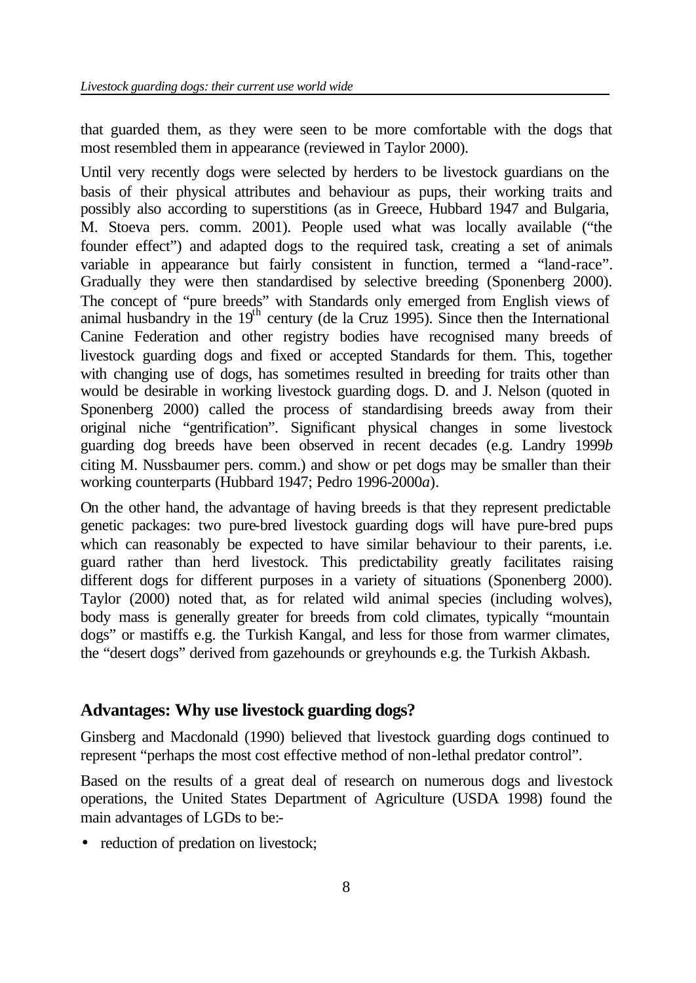that guarded them, as they were seen to be more comfortable with the dogs that most resembled them in appearance (reviewed in Taylor 2000).

Until very recently dogs were selected by herders to be livestock guardians on the basis of their physical attributes and behaviour as pups, their working traits and possibly also according to superstitions (as in Greece, Hubbard 1947 and Bulgaria, M. Stoeva pers. comm. 2001). People used what was locally available ("the founder effect") and adapted dogs to the required task, creating a set of animals variable in appearance but fairly consistent in function, termed a "land-race". Gradually they were then standardised by selective breeding (Sponenberg 2000). The concept of "pure breeds" with Standards only emerged from English views of animal husbandry in the  $19<sup>th</sup>$  century (de la Cruz 1995). Since then the International Canine Federation and other registry bodies have recognised many breeds of livestock guarding dogs and fixed or accepted Standards for them. This, together with changing use of dogs, has sometimes resulted in breeding for traits other than would be desirable in working livestock guarding dogs. D. and J. Nelson (quoted in Sponenberg 2000) called the process of standardising breeds away from their original niche "gentrification". Significant physical changes in some livestock guarding dog breeds have been observed in recent decades (e.g. Landry 1999*b* citing M. Nussbaumer pers. comm.) and show or pet dogs may be smaller than their working counterparts (Hubbard 1947; Pedro 1996-2000*a*).

On the other hand, the advantage of having breeds is that they represent predictable genetic packages: two pure-bred livestock guarding dogs will have pure-bred pups which can reasonably be expected to have similar behaviour to their parents, i.e. guard rather than herd livestock. This predictability greatly facilitates raising different dogs for different purposes in a variety of situations (Sponenberg 2000). Taylor (2000) noted that, as for related wild animal species (including wolves), body mass is generally greater for breeds from cold climates, typically "mountain dogs" or mastiffs e.g. the Turkish Kangal, and less for those from warmer climates, the "desert dogs" derived from gazehounds or greyhounds e.g. the Turkish Akbash.

## **Advantages: Why use livestock guarding dogs?**

Ginsberg and Macdonald (1990) believed that livestock guarding dogs continued to represent "perhaps the most cost effective method of non-lethal predator control".

Based on the results of a great deal of research on numerous dogs and livestock operations, the United States Department of Agriculture (USDA 1998) found the main advantages of LGDs to be:-

• reduction of predation on livestock;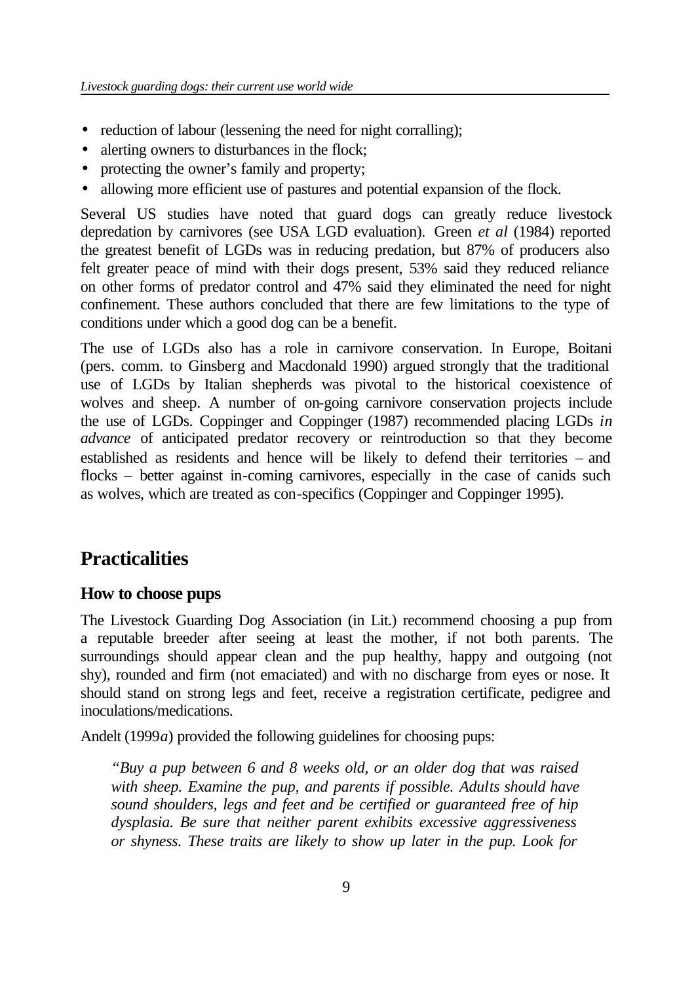- reduction of labour (lessening the need for night corralling);
- alerting owners to disturbances in the flock;
- protecting the owner's family and property;
- allowing more efficient use of pastures and potential expansion of the flock.

Several US studies have noted that guard dogs can greatly reduce livestock depredation by carnivores (see USA LGD evaluation). Green *et al* (1984) reported the greatest benefit of LGDs was in reducing predation, but 87% of producers also felt greater peace of mind with their dogs present, 53% said they reduced reliance on other forms of predator control and 47% said they eliminated the need for night confinement. These authors concluded that there are few limitations to the type of conditions under which a good dog can be a benefit.

The use of LGDs also has a role in carnivore conservation. In Europe, Boitani (pers. comm. to Ginsberg and Macdonald 1990) argued strongly that the traditional use of LGDs by Italian shepherds was pivotal to the historical coexistence of wolves and sheep. A number of on-going carnivore conservation projects include the use of LGDs. Coppinger and Coppinger (1987) recommended placing LGDs *in advance* of anticipated predator recovery or reintroduction so that they become established as residents and hence will be likely to defend their territories – and flocks – better against in-coming carnivores, especially in the case of canids such as wolves, which are treated as con-specifics (Coppinger and Coppinger 1995).

# **Practicalities**

# **How to choose pups**

The Livestock Guarding Dog Association (in Lit.) recommend choosing a pup from a reputable breeder after seeing at least the mother, if not both parents. The surroundings should appear clean and the pup healthy, happy and outgoing (not shy), rounded and firm (not emaciated) and with no discharge from eyes or nose. It should stand on strong legs and feet, receive a registration certificate, pedigree and inoculations/medications.

Andelt (1999*a*) provided the following guidelines for choosing pups:

*"Buy a pup between 6 and 8 weeks old, or an older dog that was raised with sheep. Examine the pup, and parents if possible. Adults should have sound shoulders, legs and feet and be certified or guaranteed free of hip dysplasia. Be sure that neither parent exhibits excessive aggressiveness or shyness. These traits are likely to show up later in the pup. Look for*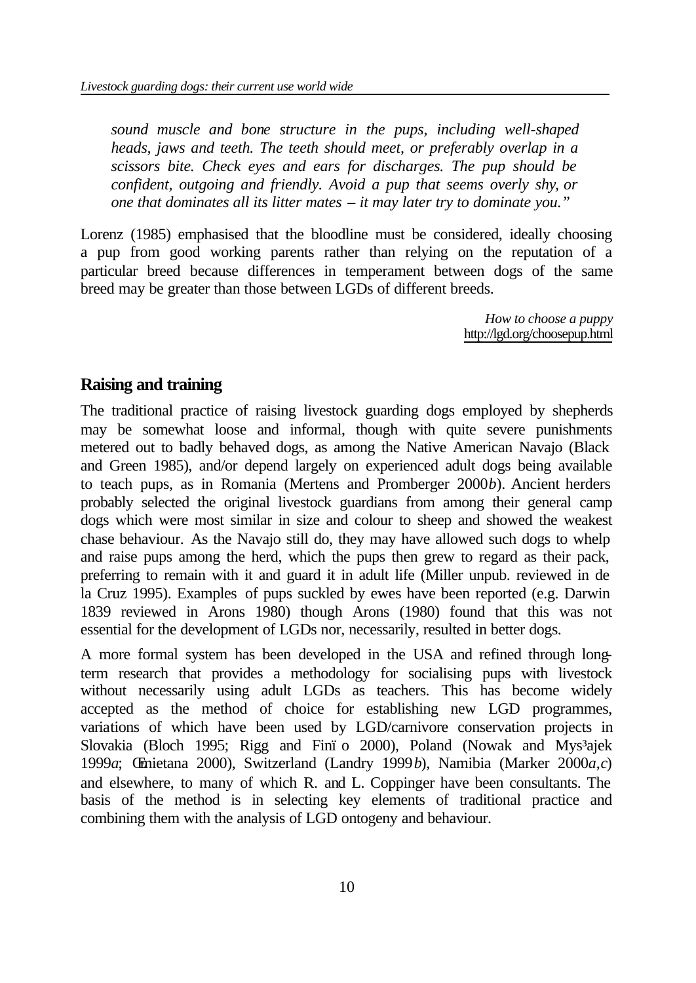*sound muscle and bone structure in the pups, including well-shaped heads, jaws and teeth. The teeth should meet, or preferably overlap in a scissors bite. Check eyes and ears for discharges. The pup should be confident, outgoing and friendly. Avoid a pup that seems overly shy, or one that dominates all its litter mates – it may later try to dominate you."*

Lorenz (1985) emphasised that the bloodline must be considered, ideally choosing a pup from good working parents rather than relying on the reputation of a particular breed because differences in temperament between dogs of the same breed may be greater than those between LGDs of different breeds.

> *How to choose a puppy* http://lgd.org/choosepup.html

### **Raising and training**

The traditional practice of raising livestock guarding dogs employed by shepherds may be somewhat loose and informal, though with quite severe punishments metered out to badly behaved dogs, as among the Native American Navajo (Black and Green 1985), and/or depend largely on experienced adult dogs being available to teach pups, as in Romania (Mertens and Promberger 2000*b*). Ancient herders probably selected the original livestock guardians from among their general camp dogs which were most similar in size and colour to sheep and showed the weakest chase behaviour. As the Navajo still do, they may have allowed such dogs to whelp and raise pups among the herd, which the pups then grew to regard as their pack, preferring to remain with it and guard it in adult life (Miller unpub. reviewed in de la Cruz 1995). Examples of pups suckled by ewes have been reported (e.g. Darwin 1839 reviewed in Arons 1980) though Arons (1980) found that this was not essential for the development of LGDs nor, necessarily, resulted in better dogs.

A more formal system has been developed in the USA and refined through longterm research that provides a methodology for socialising pups with livestock without necessarily using adult LGDs as teachers. This has become widely accepted as the method of choice for establishing new LGD programmes, variations of which have been used by LGD/carnivore conservation projects in Slovakia (Bloch 1995; Rigg and Fini o 2000), Poland (Nowak and Mys<sup>3</sup>ajek 1999*a*; Œmietana 2000), Switzerland (Landry 1999*b*), Namibia (Marker 2000*a*,*c*) and elsewhere, to many of which R. and L. Coppinger have been consultants. The basis of the method is in selecting key elements of traditional practice and combining them with the analysis of LGD ontogeny and behaviour.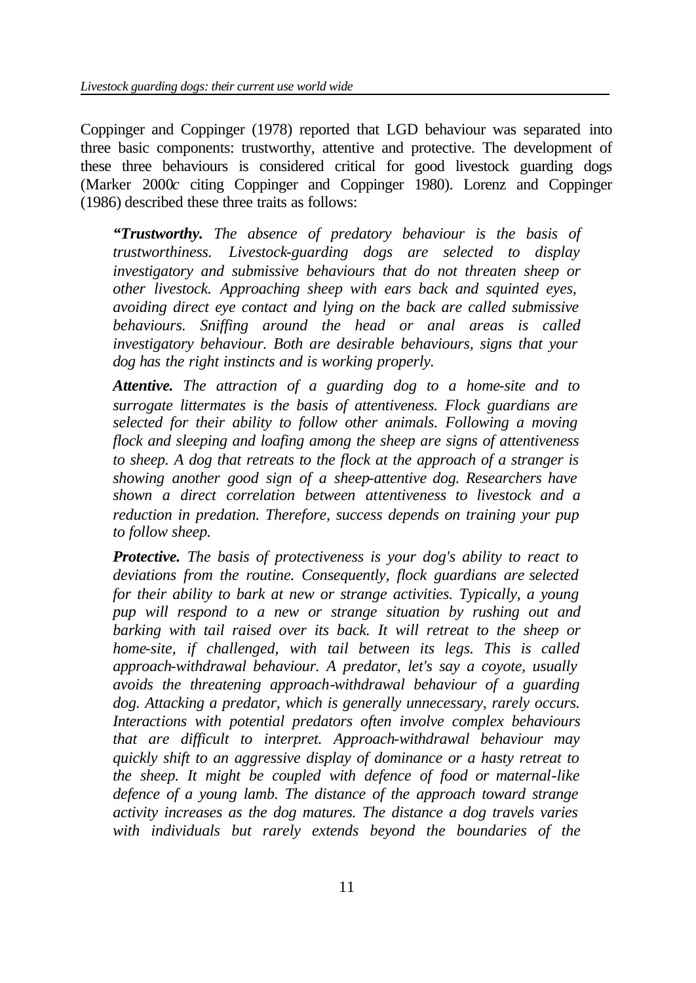Coppinger and Coppinger (1978) reported that LGD behaviour was separated into three basic components: trustworthy, attentive and protective. The development of these three behaviours is considered critical for good livestock guarding dogs (Marker 2000*c* citing Coppinger and Coppinger 1980). Lorenz and Coppinger (1986) described these three traits as follows:

*"Trustworthy. The absence of predatory behaviour is the basis of trustworthiness. Livestock-guarding dogs are selected to display investigatory and submissive behaviours that do not threaten sheep or other livestock. Approaching sheep with ears back and squinted eyes, avoiding direct eye contact and lying on the back are called submissive behaviours. Sniffing around the head or anal areas is called investigatory behaviour. Both are desirable behaviours, signs that your dog has the right instincts and is working properly.*

*Attentive. The attraction of a guarding dog to a home-site and to surrogate littermates is the basis of attentiveness. Flock guardians are selected for their ability to follow other animals. Following a moving flock and sleeping and loafing among the sheep are signs of attentiveness to sheep. A dog that retreats to the flock at the approach of a stranger is showing another good sign of a sheep-attentive dog. Researchers have shown a direct correlation between attentiveness to livestock and a reduction in predation. Therefore, success depends on training your pup to follow sheep.*

*Protective. The basis of protectiveness is your dog's ability to react to deviations from the routine. Consequently, flock guardians are selected for their ability to bark at new or strange activities. Typically, a young pup will respond to a new or strange situation by rushing out and barking with tail raised over its back. It will retreat to the sheep or home-site, if challenged, with tail between its legs. This is called approach-withdrawal behaviour. A predator, let's say a coyote, usually avoids the threatening approach-withdrawal behaviour of a guarding dog. Attacking a predator, which is generally unnecessary, rarely occurs. Interactions with potential predators often involve complex behaviours that are difficult to interpret. Approach-withdrawal behaviour may quickly shift to an aggressive display of dominance or a hasty retreat to the sheep. It might be coupled with defence of food or maternal-like defence of a young lamb. The distance of the approach toward strange activity increases as the dog matures. The distance a dog travels varies with individuals but rarely extends beyond the boundaries of the*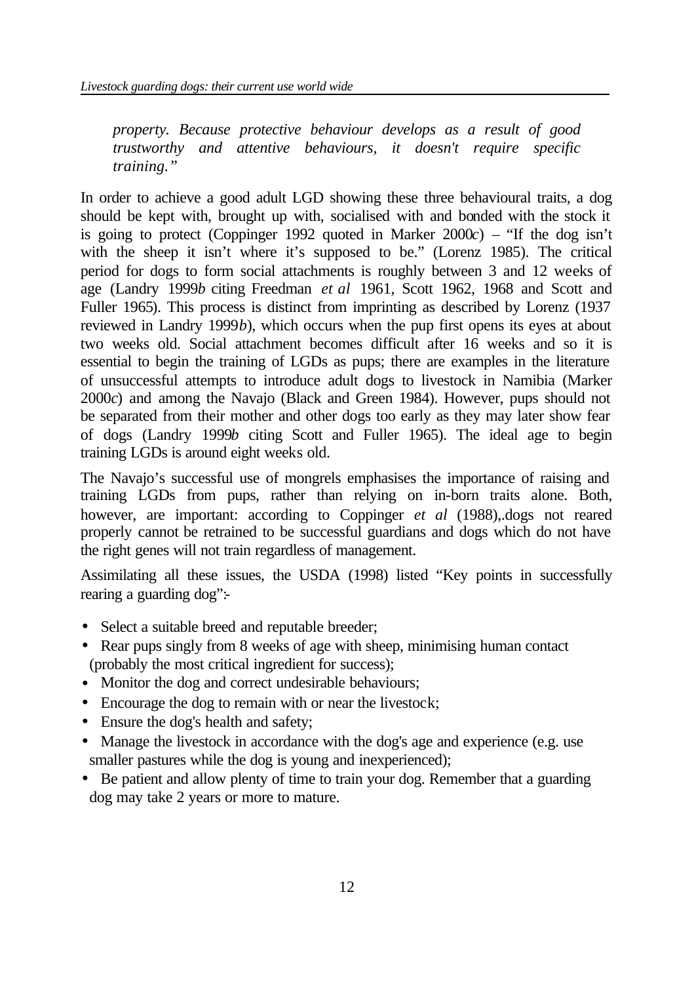*property. Because protective behaviour develops as a result of good trustworthy and attentive behaviours, it doesn't require specific training."*

In order to achieve a good adult LGD showing these three behavioural traits, a dog should be kept with, brought up with, socialised with and bonded with the stock it is going to protect (Coppinger 1992 quoted in Marker 2000*c*) – "If the dog isn't with the sheep it isn't where it's supposed to be." (Lorenz 1985). The critical period for dogs to form social attachments is roughly between 3 and 12 weeks of age (Landry 1999*b* citing Freedman *et al* 1961, Scott 1962, 1968 and Scott and Fuller 1965). This process is distinct from imprinting as described by Lorenz (1937 reviewed in Landry 1999*b*), which occurs when the pup first opens its eyes at about two weeks old. Social attachment becomes difficult after 16 weeks and so it is essential to begin the training of LGDs as pups; there are examples in the literature of unsuccessful attempts to introduce adult dogs to livestock in Namibia (Marker 2000*c*) and among the Navajo (Black and Green 1984). However, pups should not be separated from their mother and other dogs too early as they may later show fear of dogs (Landry 1999*b* citing Scott and Fuller 1965). The ideal age to begin training LGDs is around eight weeks old.

The Navajo's successful use of mongrels emphasises the importance of raising and training LGDs from pups, rather than relying on in-born traits alone. Both, however, are important: according to Coppinger *et al* (1988),.dogs not reared properly cannot be retrained to be successful guardians and dogs which do not have the right genes will not train regardless of management.

Assimilating all these issues, the USDA (1998) listed "Key points in successfully rearing a guarding dog":-

- Select a suitable breed and reputable breeder;
- Rear pups singly from 8 weeks of age with sheep, minimising human contact (probably the most critical ingredient for success);
- Monitor the dog and correct undesirable behaviours;
- Encourage the dog to remain with or near the livestock;
- Ensure the dog's health and safety;
- Manage the livestock in accordance with the dog's age and experience (e.g. use smaller pastures while the dog is young and inexperienced);
- Be patient and allow plenty of time to train your dog. Remember that a guarding dog may take 2 years or more to mature.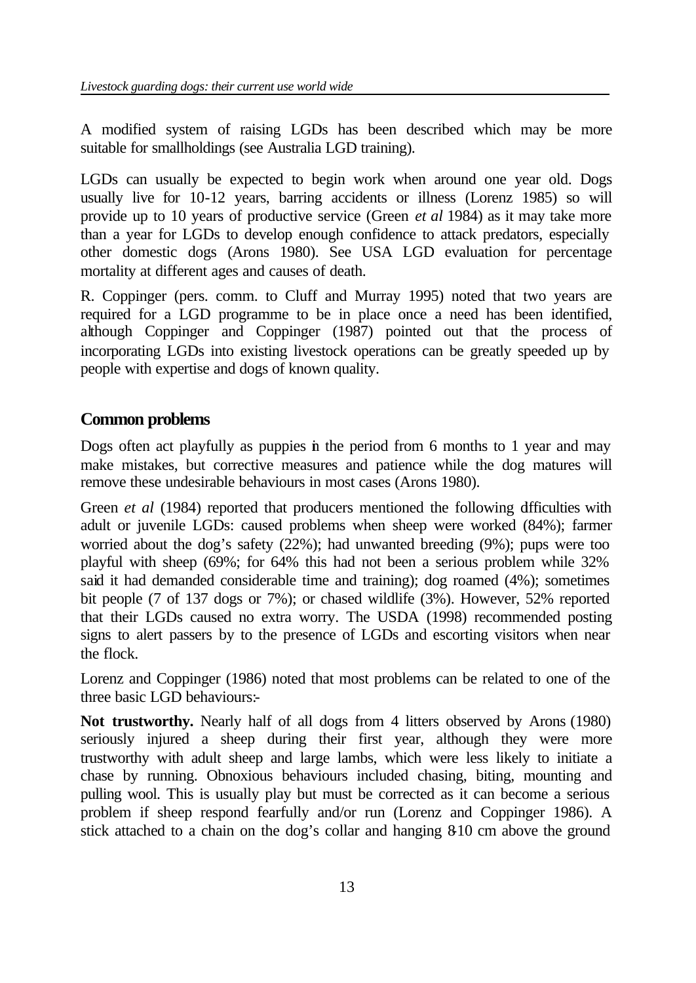A modified system of raising LGDs has been described which may be more suitable for smallholdings (see Australia LGD training).

LGDs can usually be expected to begin work when around one year old. Dogs usually live for 10-12 years, barring accidents or illness (Lorenz 1985) so will provide up to 10 years of productive service (Green *et al* 1984) as it may take more than a year for LGDs to develop enough confidence to attack predators, especially other domestic dogs (Arons 1980). See USA LGD evaluation for percentage mortality at different ages and causes of death.

R. Coppinger (pers. comm. to Cluff and Murray 1995) noted that two years are required for a LGD programme to be in place once a need has been identified, although Coppinger and Coppinger (1987) pointed out that the process of incorporating LGDs into existing livestock operations can be greatly speeded up by people with expertise and dogs of known quality.

# **Common problems**

Dogs often act playfully as puppies in the period from 6 months to 1 year and may make mistakes, but corrective measures and patience while the dog matures will remove these undesirable behaviours in most cases (Arons 1980).

Green *et al* (1984) reported that producers mentioned the following difficulties with adult or juvenile LGDs: caused problems when sheep were worked (84%); farmer worried about the dog's safety (22%); had unwanted breeding (9%); pups were too playful with sheep (69%; for 64% this had not been a serious problem while 32% said it had demanded considerable time and training); dog roamed (4%); sometimes bit people (7 of 137 dogs or 7%); or chased wildlife (3%). However, 52% reported that their LGDs caused no extra worry. The USDA (1998) recommended posting signs to alert passers by to the presence of LGDs and escorting visitors when near the flock.

Lorenz and Coppinger (1986) noted that most problems can be related to one of the three basic LGD behaviours:-

Not trustworthy. Nearly half of all dogs from 4 litters observed by Arons (1980) seriously injured a sheep during their first year, although they were more trustworthy with adult sheep and large lambs, which were less likely to initiate a chase by running. Obnoxious behaviours included chasing, biting, mounting and pulling wool. This is usually play but must be corrected as it can become a serious problem if sheep respond fearfully and/or run (Lorenz and Coppinger 1986). A stick attached to a chain on the dog's collar and hanging 8-10 cm above the ground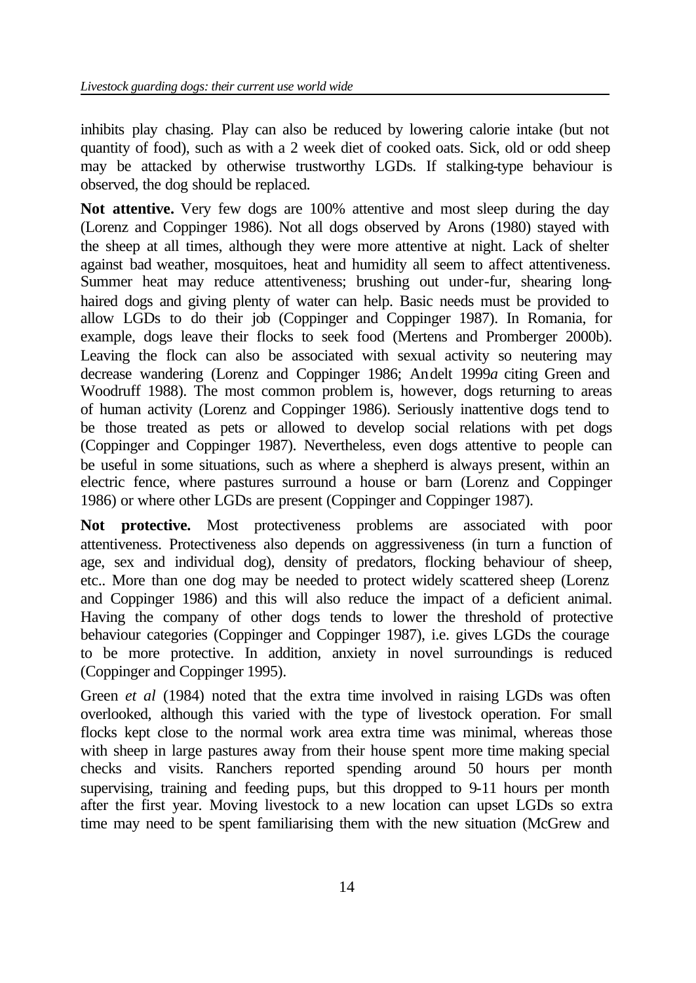inhibits play chasing. Play can also be reduced by lowering calorie intake (but not quantity of food), such as with a 2 week diet of cooked oats. Sick, old or odd sheep may be attacked by otherwise trustworthy LGDs. If stalking-type behaviour is observed, the dog should be replaced.

**Not attentive.** Very few dogs are 100% attentive and most sleep during the day (Lorenz and Coppinger 1986). Not all dogs observed by Arons (1980) stayed with the sheep at all times, although they were more attentive at night. Lack of shelter against bad weather, mosquitoes, heat and humidity all seem to affect attentiveness. Summer heat may reduce attentiveness; brushing out under-fur, shearing longhaired dogs and giving plenty of water can help. Basic needs must be provided to allow LGDs to do their job (Coppinger and Coppinger 1987). In Romania, for example, dogs leave their flocks to seek food (Mertens and Promberger 2000b). Leaving the flock can also be associated with sexual activity so neutering may decrease wandering (Lorenz and Coppinger 1986; Andelt 1999*a* citing Green and Woodruff 1988). The most common problem is, however, dogs returning to areas of human activity (Lorenz and Coppinger 1986). Seriously inattentive dogs tend to be those treated as pets or allowed to develop social relations with pet dogs (Coppinger and Coppinger 1987). Nevertheless, even dogs attentive to people can be useful in some situations, such as where a shepherd is always present, within an electric fence, where pastures surround a house or barn (Lorenz and Coppinger 1986) or where other LGDs are present (Coppinger and Coppinger 1987).

**Not protective.** Most protectiveness problems are associated with poor attentiveness. Protectiveness also depends on aggressiveness (in turn a function of age, sex and individual dog), density of predators, flocking behaviour of sheep, etc.. More than one dog may be needed to protect widely scattered sheep (Lorenz and Coppinger 1986) and this will also reduce the impact of a deficient animal. Having the company of other dogs tends to lower the threshold of protective behaviour categories (Coppinger and Coppinger 1987), i.e. gives LGDs the courage to be more protective. In addition, anxiety in novel surroundings is reduced (Coppinger and Coppinger 1995).

Green *et al* (1984) noted that the extra time involved in raising LGDs was often overlooked, although this varied with the type of livestock operation. For small flocks kept close to the normal work area extra time was minimal, whereas those with sheep in large pastures away from their house spent more time making special checks and visits. Ranchers reported spending around 50 hours per month supervising, training and feeding pups, but this dropped to 9-11 hours per month after the first year. Moving livestock to a new location can upset LGDs so extra time may need to be spent familiarising them with the new situation (McGrew and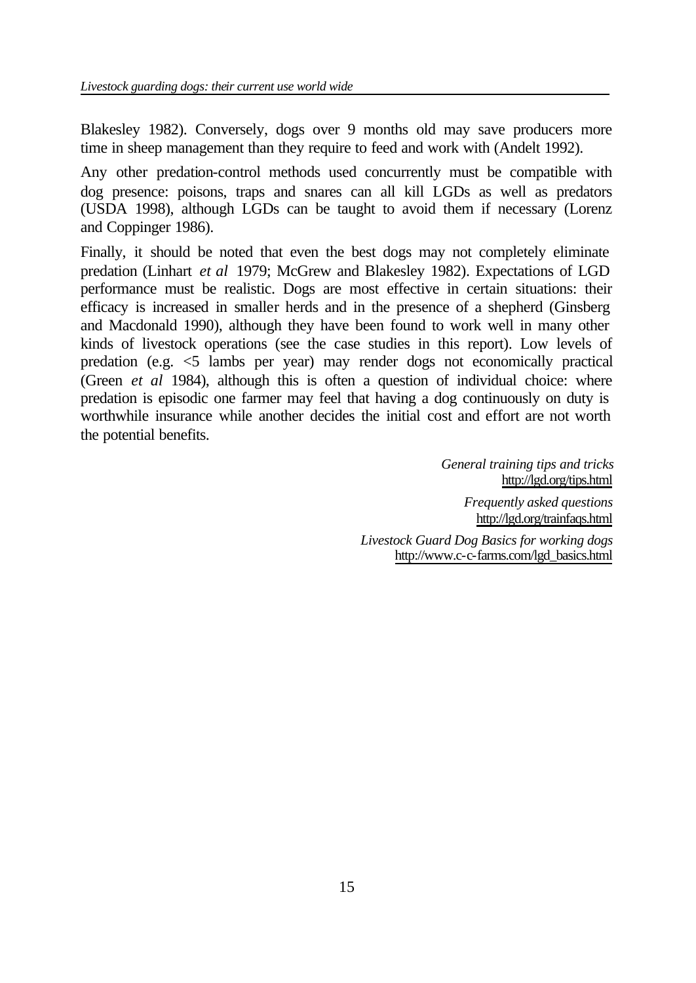Blakesley 1982). Conversely, dogs over 9 months old may save producers more time in sheep management than they require to feed and work with (Andelt 1992).

Any other predation-control methods used concurrently must be compatible with dog presence: poisons, traps and snares can all kill LGDs as well as predators (USDA 1998), although LGDs can be taught to avoid them if necessary (Lorenz and Coppinger 1986).

Finally, it should be noted that even the best dogs may not completely eliminate predation (Linhart *et al* 1979; McGrew and Blakesley 1982). Expectations of LGD performance must be realistic. Dogs are most effective in certain situations: their efficacy is increased in smaller herds and in the presence of a shepherd (Ginsberg and Macdonald 1990), although they have been found to work well in many other kinds of livestock operations (see the case studies in this report). Low levels of predation (e.g. <5 lambs per year) may render dogs not economically practical (Green *et al* 1984), although this is often a question of individual choice: where predation is episodic one farmer may feel that having a dog continuously on duty is worthwhile insurance while another decides the initial cost and effort are not worth the potential benefits.

> *General training tips and tricks* http://lgd.org/tips.html *Frequently asked questions* http://lgd.org/trainfaqs.html *Livestock Guard Dog Basics for working dogs* http://www.c-c-farms.com/lgd\_basics.html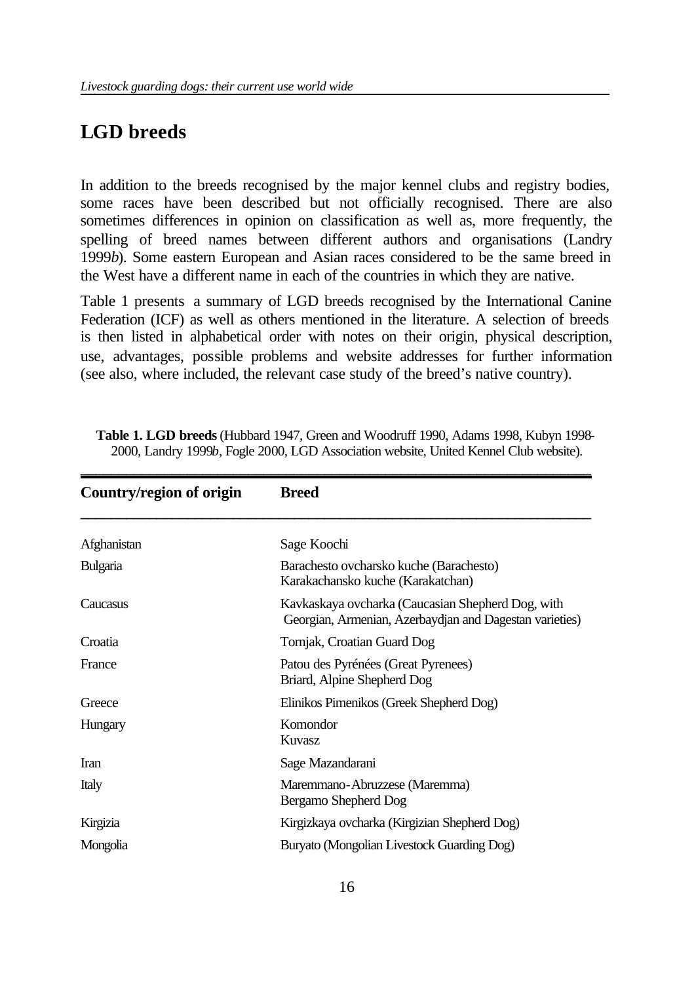# **LGD breeds**

In addition to the breeds recognised by the major kennel clubs and registry bodies, some races have been described but not officially recognised. There are also sometimes differences in opinion on classification as well as, more frequently, the spelling of breed names between different authors and organisations (Landry 1999*b*). Some eastern European and Asian races considered to be the same breed in the West have a different name in each of the countries in which they are native.

Table 1 presents a summary of LGD breeds recognised by the International Canine Federation (ICF) as well as others mentioned in the literature. A selection of breeds is then listed in alphabetical order with notes on their origin, physical description, use, advantages, possible problems and website addresses for further information (see also, where included, the relevant case study of the breed's native country).

| Country/region of origin | <b>Breed</b>                                                                                                 |  |  |
|--------------------------|--------------------------------------------------------------------------------------------------------------|--|--|
| Afghanistan              | Sage Koochi                                                                                                  |  |  |
| Bulgaria                 | Barachesto ovcharsko kuche (Barachesto)<br>Karakachansko kuche (Karakatchan)                                 |  |  |
| Caucasus                 | Kavkaskaya ovcharka (Caucasian Shepherd Dog, with<br>Georgian, Armenian, Azerbaydjan and Dagestan varieties) |  |  |
| Croatia                  | Tornjak, Croatian Guard Dog                                                                                  |  |  |
| France                   | Patou des Pyrénées (Great Pyrenees)<br>Briard, Alpine Shepherd Dog                                           |  |  |
| Greece                   | Elinikos Pimenikos (Greek Shepherd Dog)                                                                      |  |  |
| Hungary                  | Komondor<br><b>Kuvasz</b>                                                                                    |  |  |
| <b>Iran</b>              | Sage Mazandarani                                                                                             |  |  |
| Italy                    | Maremmano-Abruzzese (Maremma)<br>Bergamo Shepherd Dog                                                        |  |  |
| Kirgizia                 | Kirgizkaya ovcharka (Kirgizian Shepherd Dog)                                                                 |  |  |
| Mongolia                 | Buryato (Mongolian Livestock Guarding Dog)                                                                   |  |  |

**Table 1. LGD breeds** (Hubbard 1947, Green and Woodruff 1990, Adams 1998, Kubyn 1998- 2000, Landry 1999*b*, Fogle 2000, LGD Association website, United Kennel Club website).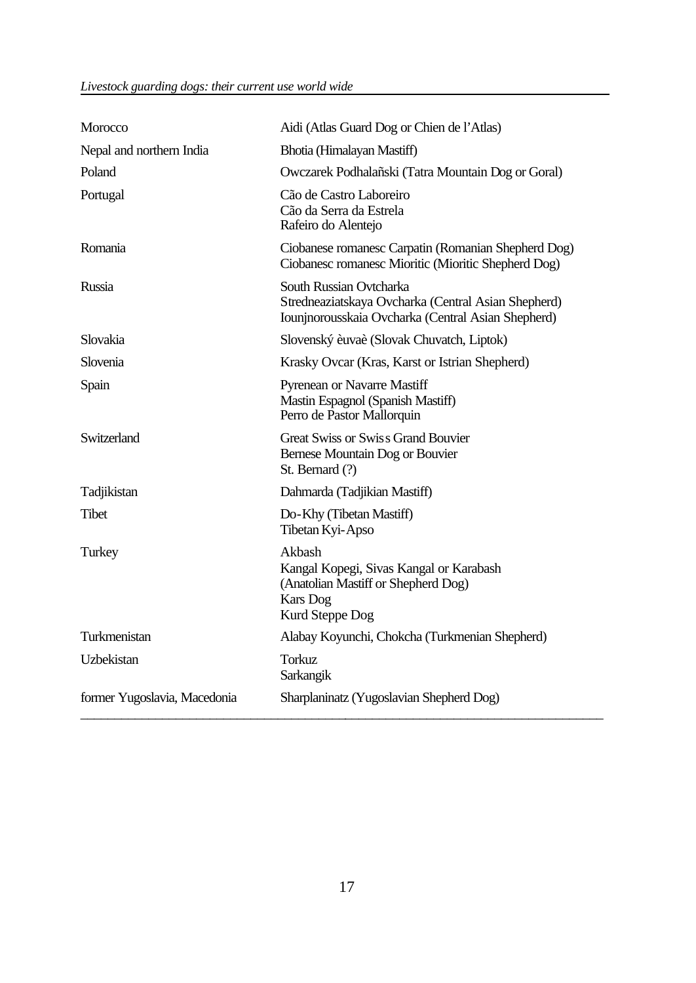| Morocco                      | Aidi (Atlas Guard Dog or Chien de l'Atlas)                                                                                            |
|------------------------------|---------------------------------------------------------------------------------------------------------------------------------------|
| Nepal and northern India     | Bhotia (Himalayan Mastiff)                                                                                                            |
| Poland                       | Owczarek Podhalañski (Tatra Mountain Dog or Goral)                                                                                    |
| Portugal                     | Cão de Castro Laboreiro<br>Cão da Serra da Estrela<br>Rafeiro do Alentejo                                                             |
| Romania                      | Ciobanese romanesc Carpatin (Romanian Shepherd Dog)<br>Ciobanesc romanesc Mioritic (Mioritic Shepherd Dog)                            |
| <b>Russia</b>                | South Russian Ovtcharka<br>Stredneaziatskaya Ovcharka (Central Asian Shepherd)<br>Iounjnorousskaia Ovcharka (Central Asian Shepherd)  |
| Slovakia                     | Slovenský èuvaè (Slovak Chuvatch, Liptok)                                                                                             |
| Slovenia                     | Krasky Ovcar (Kras, Karst or Istrian Shepherd)                                                                                        |
| Spain                        | <b>Pyrenean or Navarre Mastiff</b><br>Mastin Espagnol (Spanish Mastiff)<br>Perro de Pastor Mallorquin                                 |
| Switzerland                  | <b>Great Swiss or Swiss Grand Bouvier</b><br>Bernese Mountain Dog or Bouvier<br>St. Bernard (?)                                       |
| Tadjikistan                  | Dahmarda (Tadjikian Mastiff)                                                                                                          |
| Tibet                        | Do-Khy (Tibetan Mastiff)<br>Tibetan Kyi-Apso                                                                                          |
| Turkey                       | Akbash<br>Kangal Kopegi, Sivas Kangal or Karabash<br>(Anatolian Mastiff or Shepherd Dog)<br><b>Kars</b> Dog<br><b>Kurd Steppe Dog</b> |
| Turkmenistan                 | Alabay Koyunchi, Chokcha (Turkmenian Shepherd)                                                                                        |
| Uzbekistan                   | <b>Torkuz</b><br>Sarkangik                                                                                                            |
| former Yugoslavia, Macedonia | Sharplaninatz (Yugoslavian Shepherd Dog)                                                                                              |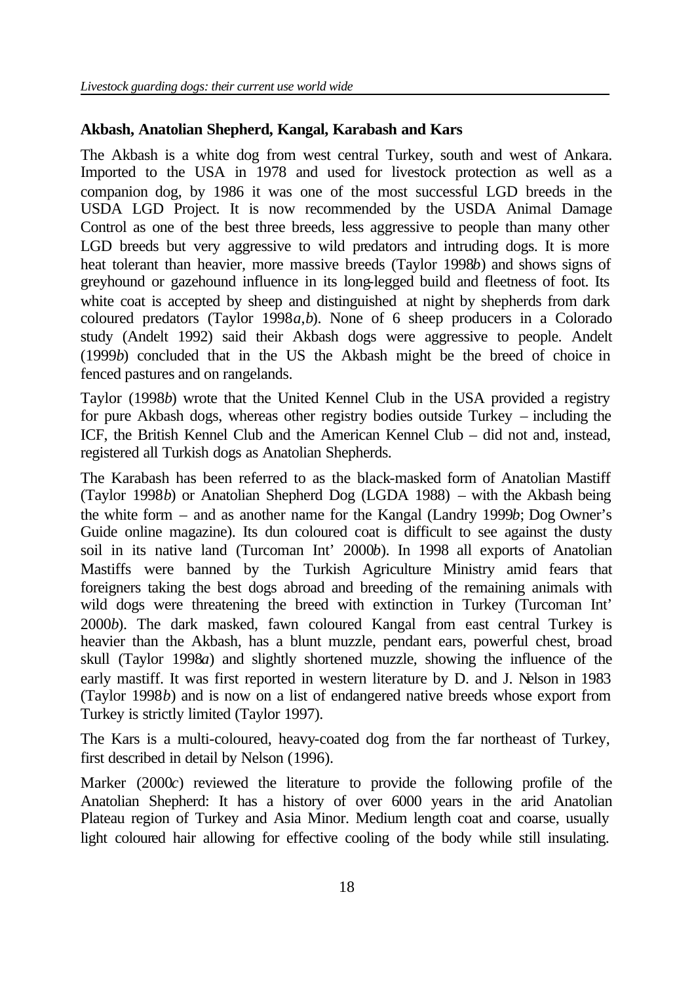### **Akbash, Anatolian Shepherd, Kangal, Karabash and Kars**

The Akbash is a white dog from west central Turkey, south and west of Ankara. Imported to the USA in 1978 and used for livestock protection as well as a companion dog, by 1986 it was one of the most successful LGD breeds in the USDA LGD Project. It is now recommended by the USDA Animal Damage Control as one of the best three breeds, less aggressive to people than many other LGD breeds but very aggressive to wild predators and intruding dogs. It is more heat tolerant than heavier, more massive breeds (Taylor 1998*b*) and shows signs of greyhound or gazehound influence in its long-legged build and fleetness of foot. Its white coat is accepted by sheep and distinguished at night by shepherds from dark coloured predators (Taylor 1998*a*,*b*). None of 6 sheep producers in a Colorado study (Andelt 1992) said their Akbash dogs were aggressive to people. Andelt (1999*b*) concluded that in the US the Akbash might be the breed of choice in fenced pastures and on rangelands.

Taylor (1998*b*) wrote that the United Kennel Club in the USA provided a registry for pure Akbash dogs, whereas other registry bodies outside Turkey – including the ICF, the British Kennel Club and the American Kennel Club – did not and, instead, registered all Turkish dogs as Anatolian Shepherds.

The Karabash has been referred to as the black-masked form of Anatolian Mastiff (Taylor 1998*b*) or Anatolian Shepherd Dog (LGDA 1988) – with the Akbash being the white form – and as another name for the Kangal (Landry 1999*b*; Dog Owner's Guide online magazine). Its dun coloured coat is difficult to see against the dusty soil in its native land (Turcoman Int' 2000*b*). In 1998 all exports of Anatolian Mastiffs were banned by the Turkish Agriculture Ministry amid fears that foreigners taking the best dogs abroad and breeding of the remaining animals with wild dogs were threatening the breed with extinction in Turkey (Turcoman Int' 2000*b*). The dark masked, fawn coloured Kangal from east central Turkey is heavier than the Akbash, has a blunt muzzle, pendant ears, powerful chest, broad skull (Taylor 1998*a*) and slightly shortened muzzle, showing the influence of the early mastiff. It was first reported in western literature by D. and J. Nelson in 1983 (Taylor 1998*b*) and is now on a list of endangered native breeds whose export from Turkey is strictly limited (Taylor 1997).

The Kars is a multi-coloured, heavy-coated dog from the far northeast of Turkey, first described in detail by Nelson (1996).

Marker (2000*c*) reviewed the literature to provide the following profile of the Anatolian Shepherd: It has a history of over 6000 years in the arid Anatolian Plateau region of Turkey and Asia Minor. Medium length coat and coarse, usually light coloured hair allowing for effective cooling of the body while still insulating.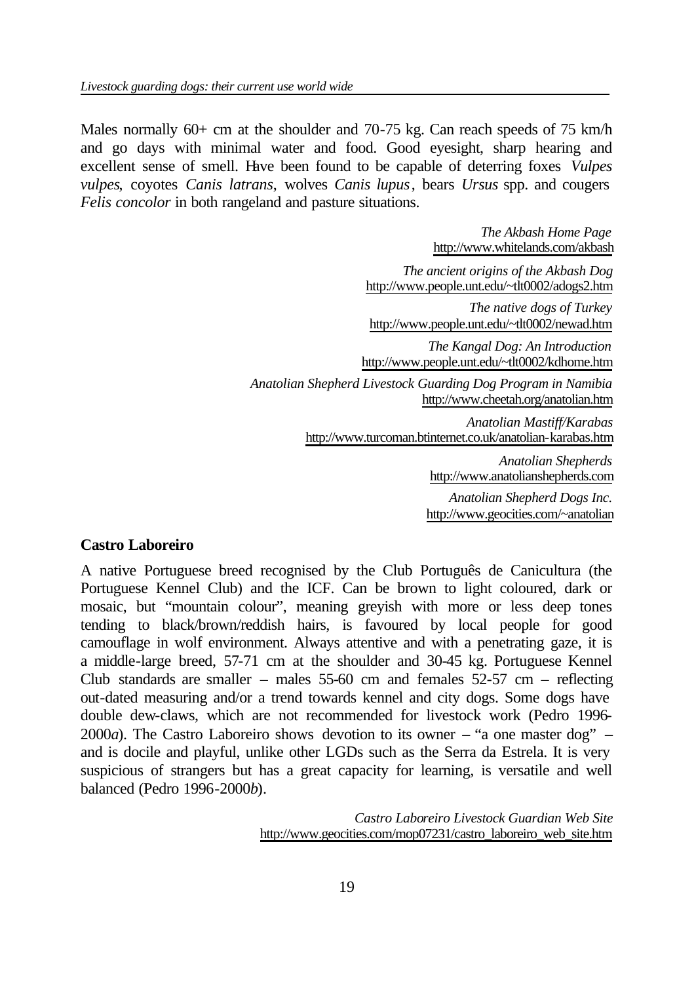Males normally 60+ cm at the shoulder and 70-75 kg. Can reach speeds of 75 km/h and go days with minimal water and food. Good eyesight, sharp hearing and excellent sense of smell. Have been found to be capable of deterring foxes *Vulpes vulpes*, coyotes *Canis latrans*, wolves *Canis lupus*, bears *Ursus* spp. and cougers *Felis concolor* in both rangeland and pasture situations.

> *The Akbash Home Page* http://www.whitelands.com/akbash *The ancient origins of the Akbash Dog* http://www.people.unt.edu/~tlt0002/adogs2.htm *The native dogs of Turkey* http://www.people.unt.edu/~tlt0002/newad.htm *The Kangal Dog: An Introduction* http://www.people.unt.edu/~tlt0002/kdhome.htm *Anatolian Shepherd Livestock Guarding Dog Program in Namibia* http://www.cheetah.org/anatolian.htm *Anatolian Mastiff/Karabas* http://www.turcoman.btinternet.co.uk/anatolian-karabas.htm *Anatolian Shepherds* http://www.anatolianshepherds.com

*Anatolian Shepherd Dogs Inc.* http://www.geocities.com/~anatolian

## **Castro Laboreiro**

A native Portuguese breed recognised by the Club Português de Canicultura (the Portuguese Kennel Club) and the ICF. Can be brown to light coloured, dark or mosaic, but "mountain colour", meaning greyish with more or less deep tones tending to black/brown/reddish hairs, is favoured by local people for good camouflage in wolf environment. Always attentive and with a penetrating gaze, it is a middle-large breed, 57-71 cm at the shoulder and 30-45 kg. Portuguese Kennel Club standards are smaller – males  $55-60$  cm and females  $52-57$  cm – reflecting out-dated measuring and/or a trend towards kennel and city dogs. Some dogs have double dew-claws, which are not recommended for livestock work (Pedro 1996- 2000*a*). The Castro Laboreiro shows devotion to its owner – "a one master dog" – and is docile and playful, unlike other LGDs such as the Serra da Estrela. It is very suspicious of strangers but has a great capacity for learning, is versatile and well balanced (Pedro 1996-2000*b*).

> *Castro Laboreiro Livestock Guardian Web Site* http://www.geocities.com/mop07231/castro\_laboreiro\_web\_site.htm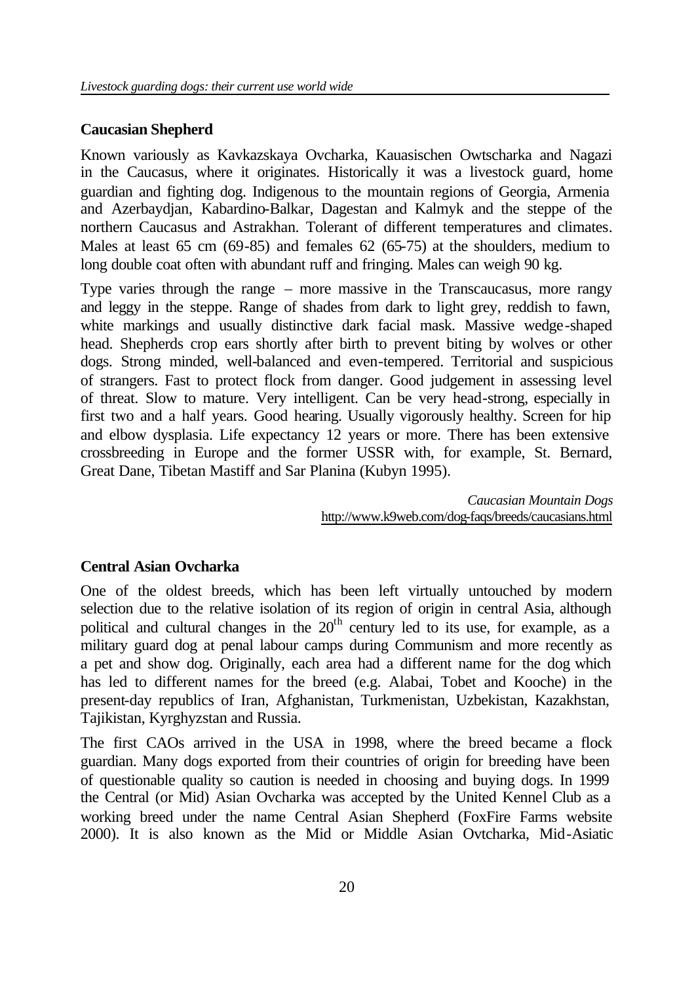### **Caucasian Shepherd**

Known variously as Kavkazskaya Ovcharka, Kauasischen Owtscharka and Nagazi in the Caucasus, where it originates. Historically it was a livestock guard, home guardian and fighting dog. Indigenous to the mountain regions of Georgia, Armenia and Azerbaydjan, Kabardino-Balkar, Dagestan and Kalmyk and the steppe of the northern Caucasus and Astrakhan. Tolerant of different temperatures and climates. Males at least 65 cm (69-85) and females 62 (65-75) at the shoulders, medium to long double coat often with abundant ruff and fringing. Males can weigh 90 kg.

Type varies through the range – more massive in the Transcaucasus, more rangy and leggy in the steppe. Range of shades from dark to light grey, reddish to fawn, white markings and usually distinctive dark facial mask. Massive wedge-shaped head. Shepherds crop ears shortly after birth to prevent biting by wolves or other dogs. Strong minded, well-balanced and even-tempered. Territorial and suspicious of strangers. Fast to protect flock from danger. Good judgement in assessing level of threat. Slow to mature. Very intelligent. Can be very head-strong, especially in first two and a half years. Good hearing. Usually vigorously healthy. Screen for hip and elbow dysplasia. Life expectancy 12 years or more. There has been extensive crossbreeding in Europe and the former USSR with, for example, St. Bernard, Great Dane, Tibetan Mastiff and Sar Planina (Kubyn 1995).

> *Caucasian Mountain Dogs* http://www.k9web.com/dog-faqs/breeds/caucasians.html

#### **Central Asian Ovcharka**

One of the oldest breeds, which has been left virtually untouched by modern selection due to the relative isolation of its region of origin in central Asia, although political and cultural changes in the  $20<sup>th</sup>$  century led to its use, for example, as a military guard dog at penal labour camps during Communism and more recently as a pet and show dog. Originally, each area had a different name for the dog which has led to different names for the breed (e.g. Alabai, Tobet and Kooche) in the present-day republics of Iran, Afghanistan, Turkmenistan, Uzbekistan, Kazakhstan, Tajikistan, Kyrghyzstan and Russia.

The first CAOs arrived in the USA in 1998, where the breed became a flock guardian. Many dogs exported from their countries of origin for breeding have been of questionable quality so caution is needed in choosing and buying dogs. In 1999 the Central (or Mid) Asian Ovcharka was accepted by the United Kennel Club as a working breed under the name Central Asian Shepherd (FoxFire Farms website 2000). It is also known as the Mid or Middle Asian Ovtcharka, Mid-Asiatic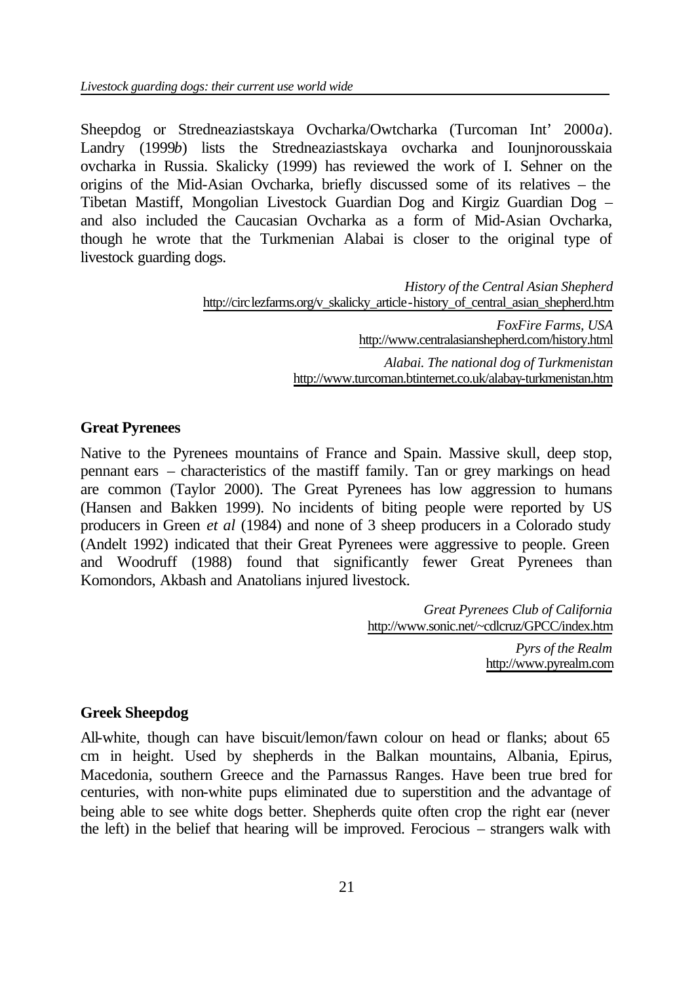Sheepdog or Stredneaziastskaya Ovcharka/Owtcharka (Turcoman Int' 2000*a*). Landry (1999*b*) lists the Stredneaziastskaya ovcharka and Iounjnorousskaia ovcharka in Russia. Skalicky (1999) has reviewed the work of I. Sehner on the origins of the Mid-Asian Ovcharka, briefly discussed some of its relatives – the Tibetan Mastiff, Mongolian Livestock Guardian Dog and Kirgiz Guardian Dog – and also included the Caucasian Ovcharka as a form of Mid-Asian Ovcharka, though he wrote that the Turkmenian Alabai is closer to the original type of livestock guarding dogs.

> *History of the Central Asian Shepherd* http://circlezfarms.org/v\_skalicky\_article-history\_of\_central\_asian\_shepherd.htm *FoxFire Farms, USA* http://www.centralasianshepherd.com/history.html *Alabai. The national dog of Turkmenistan* http://www.turcoman.btinternet.co.uk/alabay-turkmenistan.htm

#### **Great Pyrenees**

Native to the Pyrenees mountains of France and Spain. Massive skull, deep stop, pennant ears – characteristics of the mastiff family. Tan or grey markings on head are common (Taylor 2000). The Great Pyrenees has low aggression to humans (Hansen and Bakken 1999). No incidents of biting people were reported by US producers in Green *et al* (1984) and none of 3 sheep producers in a Colorado study (Andelt 1992) indicated that their Great Pyrenees were aggressive to people. Green and Woodruff (1988) found that significantly fewer Great Pyrenees than Komondors, Akbash and Anatolians injured livestock.

> *Great Pyrenees Club of California* http://www.sonic.net/~cdlcruz/GPCC/index.htm

*Pyrs of the Realm* http://www.pyrealm.com

#### **Greek Sheepdog**

All-white, though can have biscuit/lemon/fawn colour on head or flanks; about 65 cm in height. Used by shepherds in the Balkan mountains, Albania, Epirus, Macedonia, southern Greece and the Parnassus Ranges. Have been true bred for centuries, with non-white pups eliminated due to superstition and the advantage of being able to see white dogs better. Shepherds quite often crop the right ear (never the left) in the belief that hearing will be improved. Ferocious – strangers walk with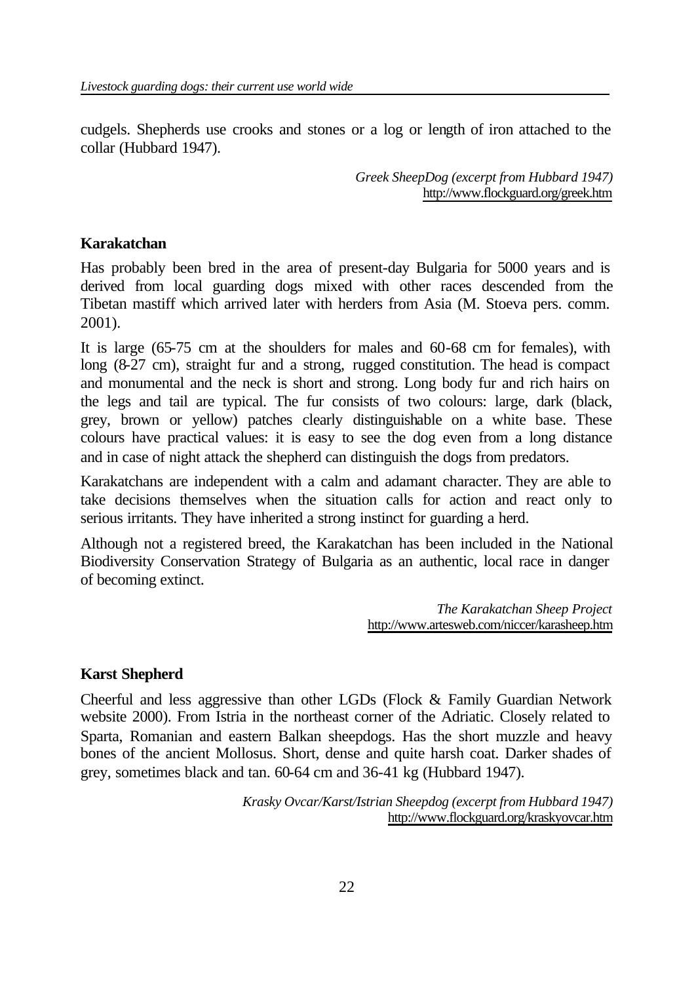cudgels. Shepherds use crooks and stones or a log or length of iron attached to the collar (Hubbard 1947).

> *Greek SheepDog (excerpt from Hubbard 1947)* http://www.flockguard.org/greek.htm

### **Karakatchan**

Has probably been bred in the area of present-day Bulgaria for 5000 years and is derived from local guarding dogs mixed with other races descended from the Tibetan mastiff which arrived later with herders from Asia (M. Stoeva pers. comm. 2001).

It is large (65-75 cm at the shoulders for males and 60-68 cm for females), with long (8-27 cm), straight fur and a strong, rugged constitution. The head is compact and monumental and the neck is short and strong. Long body fur and rich hairs on the legs and tail are typical. The fur consists of two colours: large, dark (black, grey, brown or yellow) patches clearly distinguishable on a white base. These colours have practical values: it is easy to see the dog even from a long distance and in case of night attack the shepherd can distinguish the dogs from predators.

Karakatchans are independent with a calm and adamant character. They are able to take decisions themselves when the situation calls for action and react only to serious irritants. They have inherited a strong instinct for guarding a herd.

Although not a registered breed, the Karakatchan has been included in the National Biodiversity Conservation Strategy of Bulgaria as an authentic, local race in danger of becoming extinct.

> *The Karakatchan Sheep Project* http://www.artesweb.com/niccer/karasheep.htm

## **Karst Shepherd**

Cheerful and less aggressive than other LGDs (Flock & Family Guardian Network website 2000). From Istria in the northeast corner of the Adriatic. Closely related to Sparta, Romanian and eastern Balkan sheepdogs. Has the short muzzle and heavy bones of the ancient Mollosus. Short, dense and quite harsh coat. Darker shades of grey, sometimes black and tan. 60-64 cm and 36-41 kg (Hubbard 1947).

> *Krasky Ovcar/Karst/Istrian Sheepdog (excerpt from Hubbard 1947)* http://www.flockguard.org/kraskyovcar.htm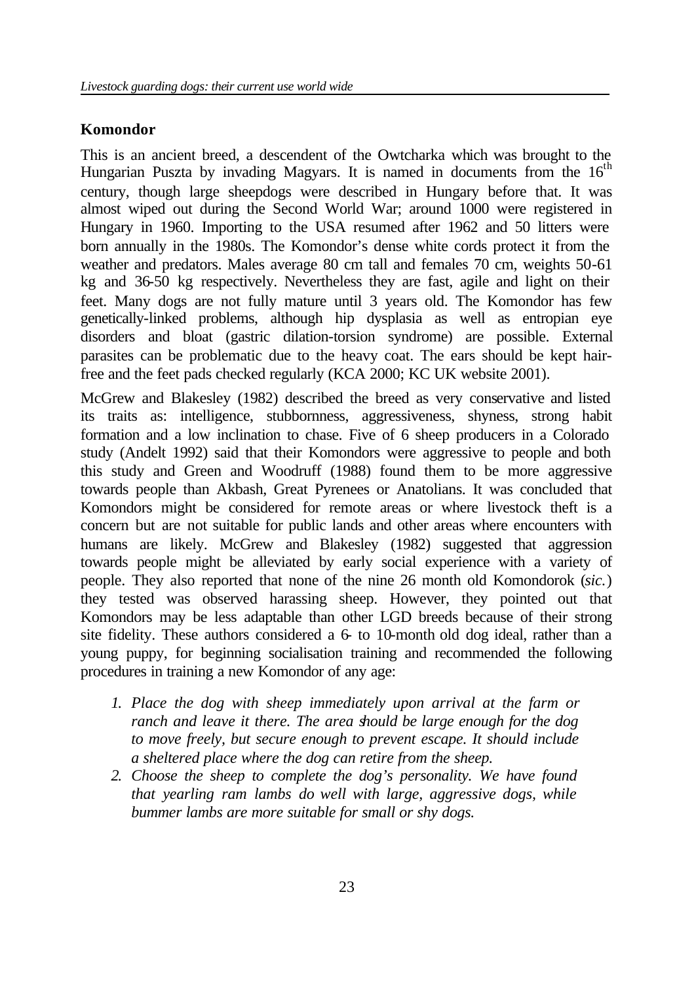### **Komondor**

This is an ancient breed, a descendent of the Owtcharka which was brought to the Hungarian Puszta by invading Magyars. It is named in documents from the  $16<sup>th</sup>$ century, though large sheepdogs were described in Hungary before that. It was almost wiped out during the Second World War; around 1000 were registered in Hungary in 1960. Importing to the USA resumed after 1962 and 50 litters were born annually in the 1980s. The Komondor's dense white cords protect it from the weather and predators. Males average 80 cm tall and females 70 cm, weights 50-61 kg and 36-50 kg respectively. Nevertheless they are fast, agile and light on their feet. Many dogs are not fully mature until 3 years old. The Komondor has few genetically-linked problems, although hip dysplasia as well as entropian eye disorders and bloat (gastric dilation-torsion syndrome) are possible. External parasites can be problematic due to the heavy coat. The ears should be kept hairfree and the feet pads checked regularly (KCA 2000; KC UK website 2001).

McGrew and Blakesley (1982) described the breed as very conservative and listed its traits as: intelligence, stubbornness, aggressiveness, shyness, strong habit formation and a low inclination to chase. Five of 6 sheep producers in a Colorado study (Andelt 1992) said that their Komondors were aggressive to people and both this study and Green and Woodruff (1988) found them to be more aggressive towards people than Akbash, Great Pyrenees or Anatolians. It was concluded that Komondors might be considered for remote areas or where livestock theft is a concern but are not suitable for public lands and other areas where encounters with humans are likely. McGrew and Blakesley (1982) suggested that aggression towards people might be alleviated by early social experience with a variety of people. They also reported that none of the nine 26 month old Komondorok (*sic.*) they tested was observed harassing sheep. However, they pointed out that Komondors may be less adaptable than other LGD breeds because of their strong site fidelity. These authors considered a 6- to 10-month old dog ideal, rather than a young puppy, for beginning socialisation training and recommended the following procedures in training a new Komondor of any age:

- *1. Place the dog with sheep immediately upon arrival at the farm or ranch and leave it there. The area should be large enough for the dog to move freely, but secure enough to prevent escape. It should include a sheltered place where the dog can retire from the sheep.*
- *2. Choose the sheep to complete the dog's personality. We have found that yearling ram lambs do well with large, aggressive dogs, while bummer lambs are more suitable for small or shy dogs.*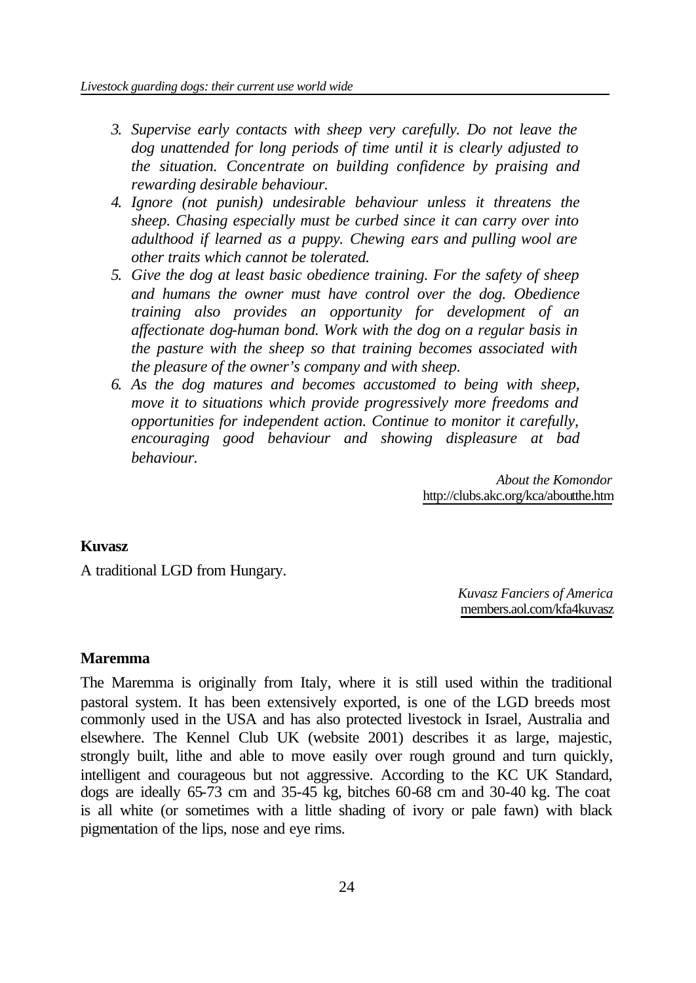- *3. Supervise early contacts with sheep very carefully. Do not leave the dog unattended for long periods of time until it is clearly adjusted to the situation. Concentrate on building confidence by praising and rewarding desirable behaviour.*
- *4. Ignore (not punish) undesirable behaviour unless it threatens the sheep. Chasing especially must be curbed since it can carry over into adulthood if learned as a puppy. Chewing ears and pulling wool are other traits which cannot be tolerated.*
- *5. Give the dog at least basic obedience training. For the safety of sheep and humans the owner must have control over the dog. Obedience training also provides an opportunity for development of an affectionate dog-human bond. Work with the dog on a regular basis in the pasture with the sheep so that training becomes associated with the pleasure of the owner's company and with sheep.*
- *6. As the dog matures and becomes accustomed to being with sheep, move it to situations which provide progressively more freedoms and opportunities for independent action. Continue to monitor it carefully, encouraging good behaviour and showing displeasure at bad behaviour.*

*About the Komondor* http://clubs.akc.org/kca/aboutthe.htm

#### **Kuvasz**

A traditional LGD from Hungary.

*Kuvasz Fanciers of America* members.aol.com/kfa4kuvasz

#### **Maremma**

The Maremma is originally from Italy, where it is still used within the traditional pastoral system. It has been extensively exported, is one of the LGD breeds most commonly used in the USA and has also protected livestock in Israel, Australia and elsewhere. The Kennel Club UK (website 2001) describes it as large, majestic, strongly built, lithe and able to move easily over rough ground and turn quickly, intelligent and courageous but not aggressive. According to the KC UK Standard, dogs are ideally 65-73 cm and 35-45 kg, bitches 60-68 cm and 30-40 kg. The coat is all white (or sometimes with a little shading of ivory or pale fawn) with black pigmentation of the lips, nose and eye rims.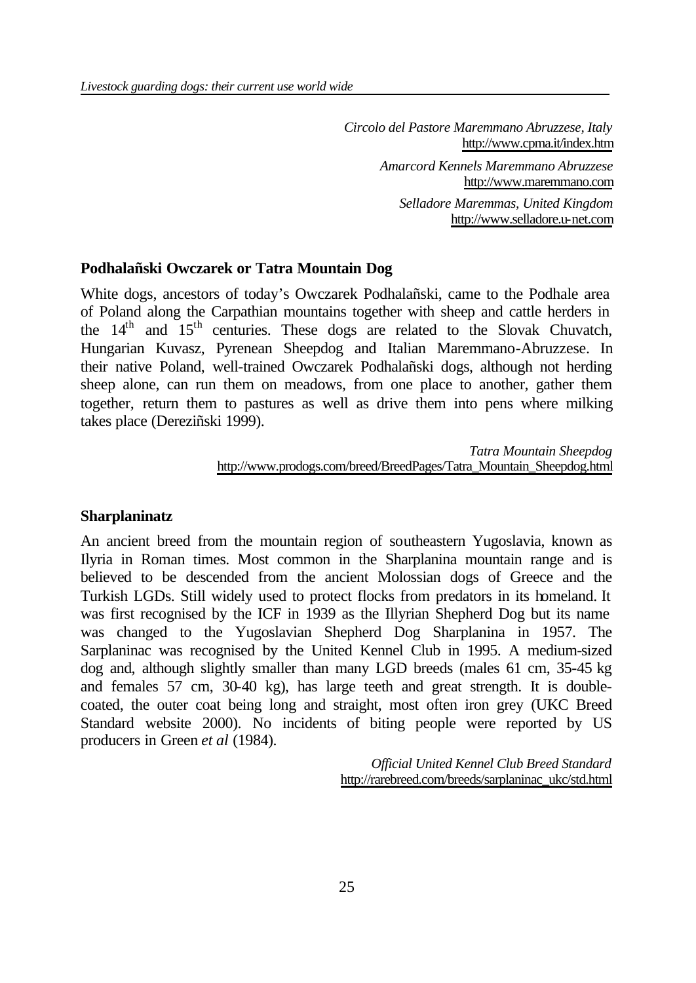*Circolo del Pastore Maremmano Abruzzese, Italy* http://www.cpma.it/index.htm *Amarcord Kennels Maremmano Abruzzese* http://www.maremmano.com *Selladore Maremmas, United Kingdom* http://www.selladore.u-net.com

#### **Podhalañski Owczarek or Tatra Mountain Dog**

White dogs, ancestors of today's Owczarek Podhalañski, came to the Podhale area of Poland along the Carpathian mountains together with sheep and cattle herders in the 14<sup>th</sup> and 15<sup>th</sup> centuries. These dogs are related to the Slovak Chuvatch, Hungarian Kuvasz, Pyrenean Sheepdog and Italian Maremmano-Abruzzese. In their native Poland, well-trained Owczarek Podhalañski dogs, although not herding sheep alone, can run them on meadows, from one place to another, gather them together, return them to pastures as well as drive them into pens where milking takes place (Dereziñski 1999).

> *Tatra Mountain Sheepdog* http://www.prodogs.com/breed/BreedPages/Tatra\_Mountain\_Sheepdog.html

#### **Sharplaninatz**

An ancient breed from the mountain region of southeastern Yugoslavia, known as Ilyria in Roman times. Most common in the Sharplanina mountain range and is believed to be descended from the ancient Molossian dogs of Greece and the Turkish LGDs. Still widely used to protect flocks from predators in its homeland. It was first recognised by the ICF in 1939 as the Illyrian Shepherd Dog but its name was changed to the Yugoslavian Shepherd Dog Sharplanina in 1957. The Sarplaninac was recognised by the United Kennel Club in 1995. A medium-sized dog and, although slightly smaller than many LGD breeds (males 61 cm, 35-45 kg and females 57 cm, 30-40 kg), has large teeth and great strength. It is doublecoated, the outer coat being long and straight, most often iron grey (UKC Breed Standard website 2000). No incidents of biting people were reported by US producers in Green *et al* (1984).

> *Official United Kennel Club Breed Standard* http://rarebreed.com/breeds/sarplaninac\_ukc/std.html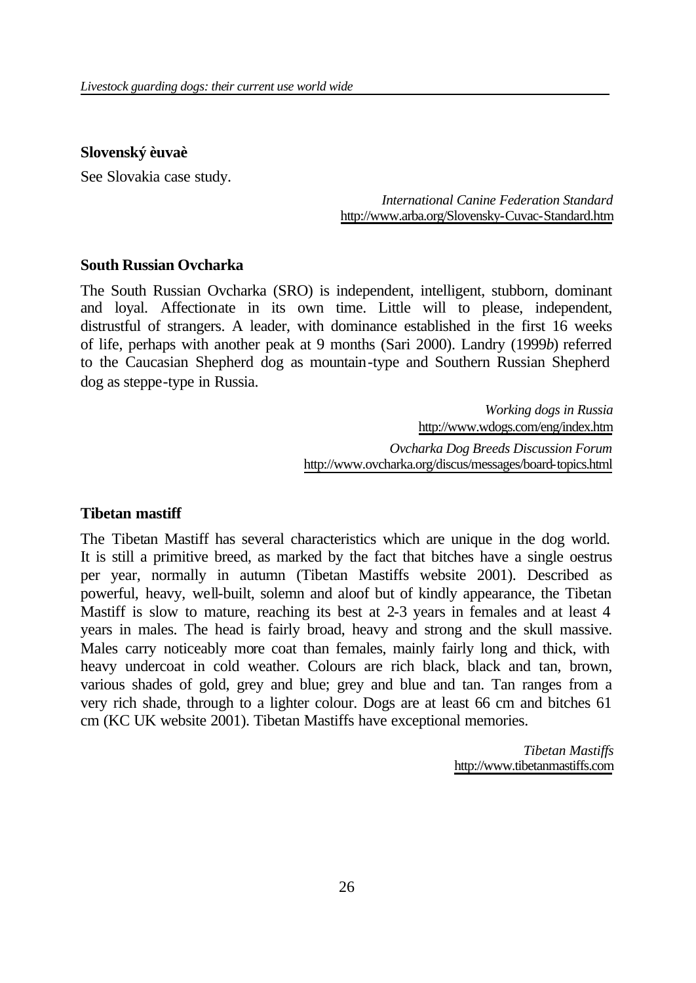#### **Slovenský èuvaè**

See Slovakia case study.

*International Canine Federation Standard* http://www.arba.org/Slovensky-Cuvac-Standard.htm

#### **South Russian Ovcharka**

The South Russian Ovcharka (SRO) is independent, intelligent, stubborn, dominant and loyal. Affectionate in its own time. Little will to please, independent, distrustful of strangers. A leader, with dominance established in the first 16 weeks of life, perhaps with another peak at 9 months (Sari 2000). Landry (1999*b*) referred to the Caucasian Shepherd dog as mountain-type and Southern Russian Shepherd dog as steppe-type in Russia.

> *Working dogs in Russia* http://www.wdogs.com/eng/index.htm *Ovcharka Dog Breeds Discussion Forum* http://www.ovcharka.org/discus/messages/board-topics.html

#### **Tibetan mastiff**

The Tibetan Mastiff has several characteristics which are unique in the dog world. It is still a primitive breed, as marked by the fact that bitches have a single oestrus per year, normally in autumn (Tibetan Mastiffs website 2001). Described as powerful, heavy, well-built, solemn and aloof but of kindly appearance, the Tibetan Mastiff is slow to mature, reaching its best at 2-3 years in females and at least 4 years in males. The head is fairly broad, heavy and strong and the skull massive. Males carry noticeably more coat than females, mainly fairly long and thick, with heavy undercoat in cold weather. Colours are rich black, black and tan, brown, various shades of gold, grey and blue; grey and blue and tan. Tan ranges from a very rich shade, through to a lighter colour. Dogs are at least 66 cm and bitches 61 cm (KC UK website 2001). Tibetan Mastiffs have exceptional memories.

> *Tibetan Mastiffs* http://www.tibetanmastiffs.com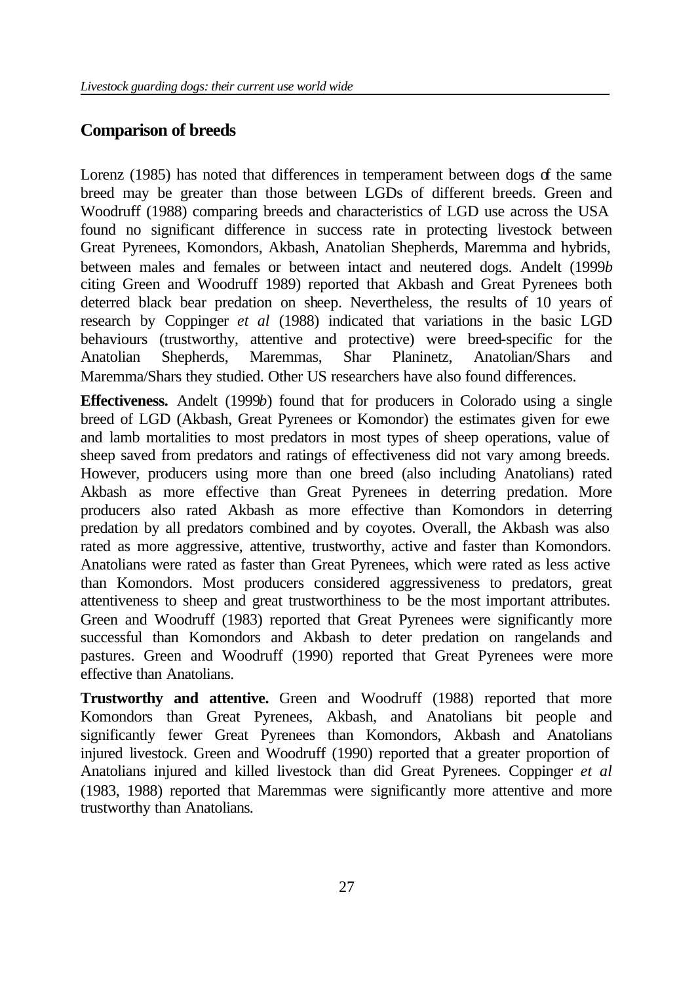# **Comparison of breeds**

Lorenz (1985) has noted that differences in temperament between dogs of the same breed may be greater than those between LGDs of different breeds. Green and Woodruff (1988) comparing breeds and characteristics of LGD use across the USA found no significant difference in success rate in protecting livestock between Great Pyrenees, Komondors, Akbash, Anatolian Shepherds, Maremma and hybrids, between males and females or between intact and neutered dogs. Andelt (1999*b*  citing Green and Woodruff 1989) reported that Akbash and Great Pyrenees both deterred black bear predation on sheep. Nevertheless, the results of 10 years of research by Coppinger *et al* (1988) indicated that variations in the basic LGD behaviours (trustworthy, attentive and protective) were breed-specific for the Anatolian Shepherds, Maremmas, Shar Planinetz, Anatolian/Shars and Maremma/Shars they studied. Other US researchers have also found differences.

**Effectiveness.** Andelt (1999*b*) found that for producers in Colorado using a single breed of LGD (Akbash, Great Pyrenees or Komondor) the estimates given for ewe and lamb mortalities to most predators in most types of sheep operations, value of sheep saved from predators and ratings of effectiveness did not vary among breeds. However, producers using more than one breed (also including Anatolians) rated Akbash as more effective than Great Pyrenees in deterring predation. More producers also rated Akbash as more effective than Komondors in deterring predation by all predators combined and by coyotes. Overall, the Akbash was also rated as more aggressive, attentive, trustworthy, active and faster than Komondors. Anatolians were rated as faster than Great Pyrenees, which were rated as less active than Komondors. Most producers considered aggressiveness to predators, great attentiveness to sheep and great trustworthiness to be the most important attributes. Green and Woodruff (1983) reported that Great Pyrenees were significantly more successful than Komondors and Akbash to deter predation on rangelands and pastures. Green and Woodruff (1990) reported that Great Pyrenees were more effective than Anatolians.

**Trustworthy and attentive.** Green and Woodruff (1988) reported that more Komondors than Great Pyrenees, Akbash, and Anatolians bit people and significantly fewer Great Pyrenees than Komondors, Akbash and Anatolians injured livestock. Green and Woodruff (1990) reported that a greater proportion of Anatolians injured and killed livestock than did Great Pyrenees. Coppinger *et al* (1983, 1988) reported that Maremmas were significantly more attentive and more trustworthy than Anatolians.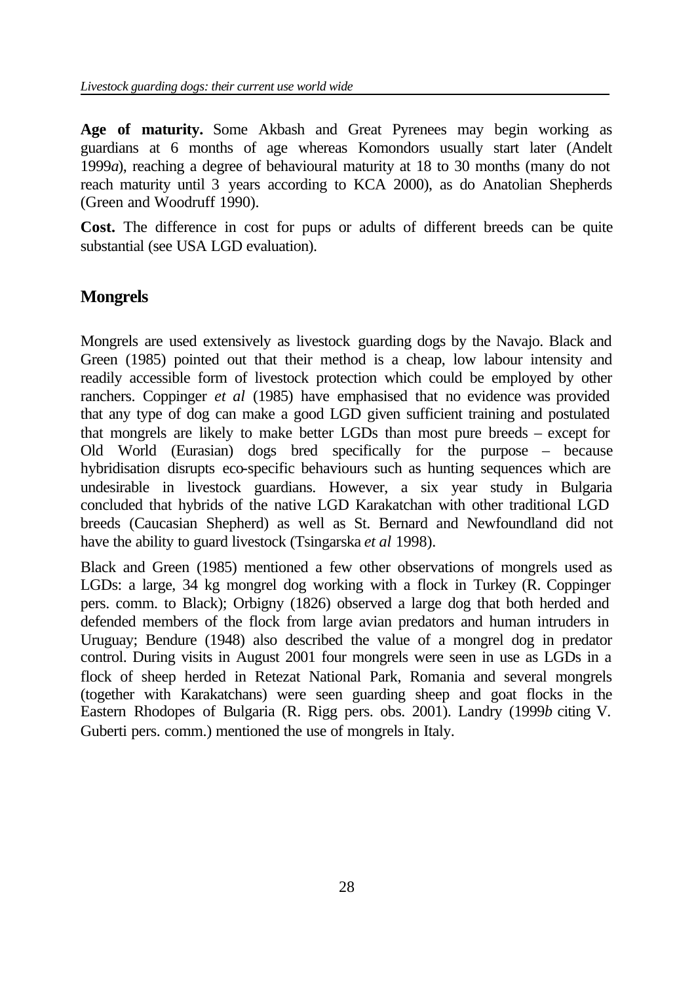**Age of maturity.** Some Akbash and Great Pyrenees may begin working as guardians at 6 months of age whereas Komondors usually start later (Andelt 1999*a*), reaching a degree of behavioural maturity at 18 to 30 months (many do not reach maturity until 3 years according to KCA 2000), as do Anatolian Shepherds (Green and Woodruff 1990).

**Cost.** The difference in cost for pups or adults of different breeds can be quite substantial (see USA LGD evaluation).

# **Mongrels**

Mongrels are used extensively as livestock guarding dogs by the Navajo. Black and Green (1985) pointed out that their method is a cheap, low labour intensity and readily accessible form of livestock protection which could be employed by other ranchers. Coppinger *et al* (1985) have emphasised that no evidence was provided that any type of dog can make a good LGD given sufficient training and postulated that mongrels are likely to make better LGDs than most pure breeds – except for Old World (Eurasian) dogs bred specifically for the purpose – because hybridisation disrupts eco-specific behaviours such as hunting sequences which are undesirable in livestock guardians. However, a six year study in Bulgaria concluded that hybrids of the native LGD Karakatchan with other traditional LGD breeds (Caucasian Shepherd) as well as St. Bernard and Newfoundland did not have the ability to guard livestock (Tsingarska *et al* 1998).

Black and Green (1985) mentioned a few other observations of mongrels used as LGDs: a large, 34 kg mongrel dog working with a flock in Turkey (R. Coppinger pers. comm. to Black); Orbigny (1826) observed a large dog that both herded and defended members of the flock from large avian predators and human intruders in Uruguay; Bendure (1948) also described the value of a mongrel dog in predator control. During visits in August 2001 four mongrels were seen in use as LGDs in a flock of sheep herded in Retezat National Park, Romania and several mongrels (together with Karakatchans) were seen guarding sheep and goat flocks in the Eastern Rhodopes of Bulgaria (R. Rigg pers. obs. 2001). Landry (1999*b* citing V. Guberti pers. comm.) mentioned the use of mongrels in Italy.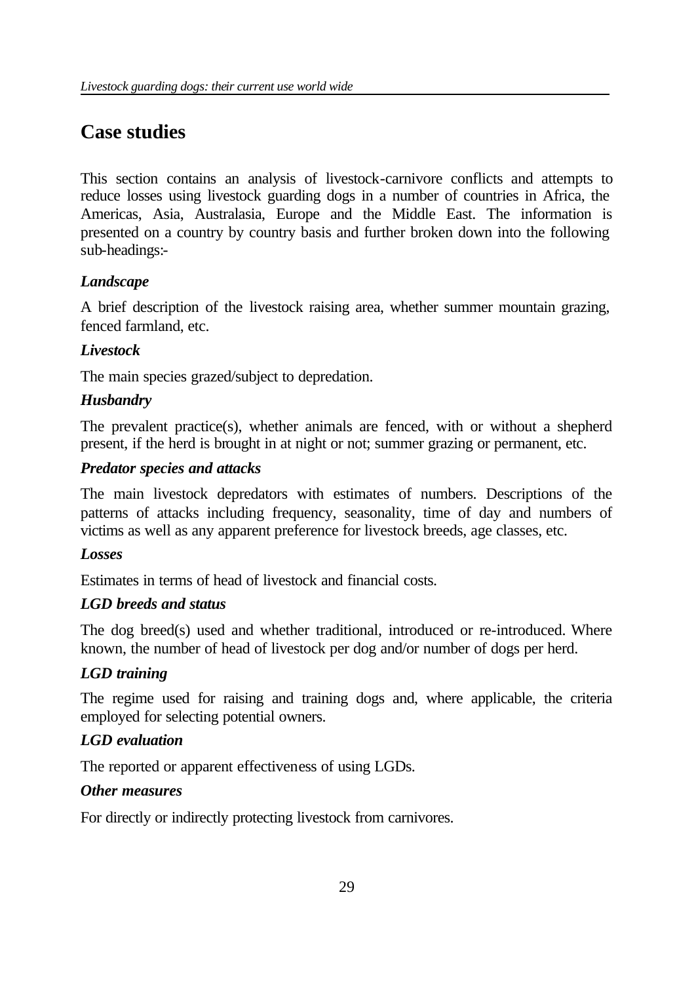# **Case studies**

This section contains an analysis of livestock-carnivore conflicts and attempts to reduce losses using livestock guarding dogs in a number of countries in Africa, the Americas, Asia, Australasia, Europe and the Middle East. The information is presented on a country by country basis and further broken down into the following sub-headings:-

# *Landscape*

A brief description of the livestock raising area, whether summer mountain grazing, fenced farmland, etc.

# *Livestock*

The main species grazed/subject to depredation.

# *Husbandry*

The prevalent practice(s), whether animals are fenced, with or without a shepherd present, if the herd is brought in at night or not; summer grazing or permanent, etc.

# *Predator species and attacks*

The main livestock depredators with estimates of numbers. Descriptions of the patterns of attacks including frequency, seasonality, time of day and numbers of victims as well as any apparent preference for livestock breeds, age classes, etc.

## *Losses*

Estimates in terms of head of livestock and financial costs.

# *LGD breeds and status*

The dog breed(s) used and whether traditional, introduced or re-introduced. Where known, the number of head of livestock per dog and/or number of dogs per herd.

# *LGD training*

The regime used for raising and training dogs and, where applicable, the criteria employed for selecting potential owners.

# *LGD evaluation*

The reported or apparent effectiveness of using LGDs.

## *Other measures*

For directly or indirectly protecting livestock from carnivores.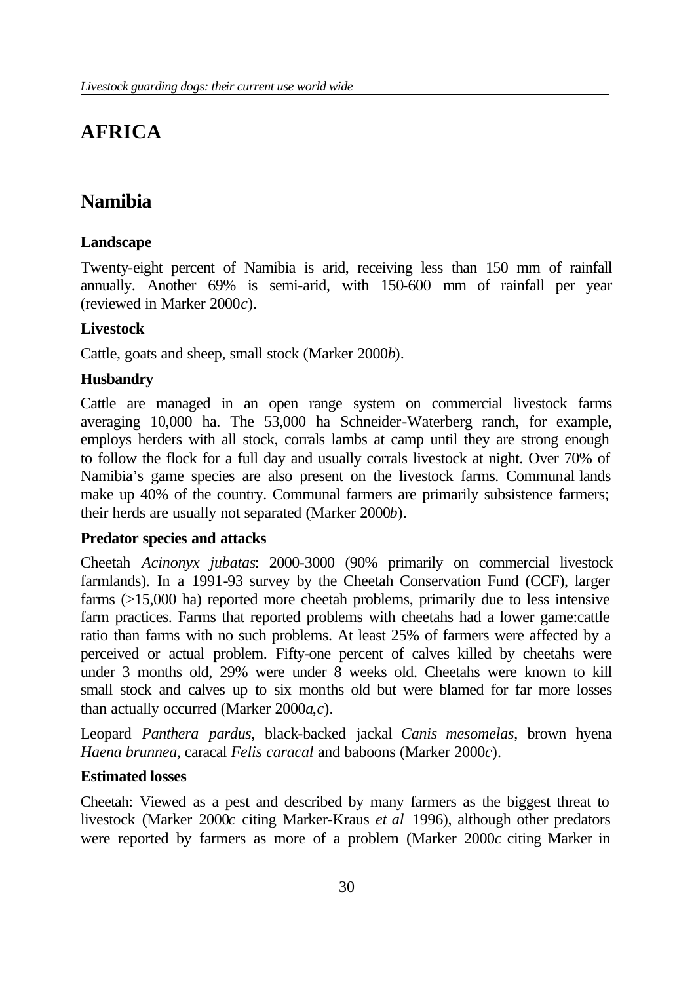# **AFRICA**

# **Namibia**

## **Landscape**

Twenty-eight percent of Namibia is arid, receiving less than 150 mm of rainfall annually. Another 69% is semi-arid, with 150-600 mm of rainfall per year (reviewed in Marker 2000*c*).

## **Livestock**

Cattle, goats and sheep, small stock (Marker 2000*b*).

# **Husbandry**

Cattle are managed in an open range system on commercial livestock farms averaging 10,000 ha. The 53,000 ha Schneider-Waterberg ranch, for example, employs herders with all stock, corrals lambs at camp until they are strong enough to follow the flock for a full day and usually corrals livestock at night. Over 70% of Namibia's game species are also present on the livestock farms. Communal lands make up 40% of the country. Communal farmers are primarily subsistence farmers; their herds are usually not separated (Marker 2000*b*).

## **Predator species and attacks**

Cheetah *Acinonyx jubatas*: 2000-3000 (90% primarily on commercial livestock farmlands). In a 1991-93 survey by the Cheetah Conservation Fund (CCF), larger farms (>15,000 ha) reported more cheetah problems, primarily due to less intensive farm practices. Farms that reported problems with cheetahs had a lower game:cattle ratio than farms with no such problems. At least 25% of farmers were affected by a perceived or actual problem. Fifty-one percent of calves killed by cheetahs were under 3 months old, 29% were under 8 weeks old. Cheetahs were known to kill small stock and calves up to six months old but were blamed for far more losses than actually occurred (Marker 2000*a*,*c*).

Leopard *Panthera pardus*, black-backed jackal *Canis mesomelas*, brown hyena *Haena brunnea,* caracal *Felis caracal* and baboons (Marker 2000*c*).

## **Estimated losses**

Cheetah: Viewed as a pest and described by many farmers as the biggest threat to livestock (Marker 2000*c* citing Marker-Kraus *et al* 1996), although other predators were reported by farmers as more of a problem (Marker 2000*c* citing Marker in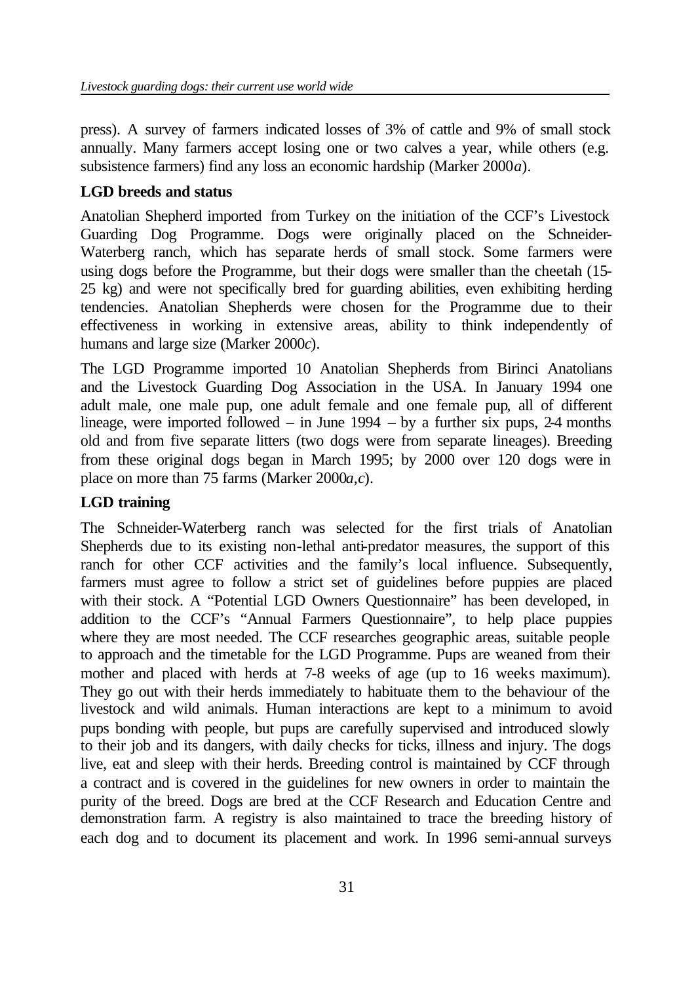press). A survey of farmers indicated losses of 3% of cattle and 9% of small stock annually. Many farmers accept losing one or two calves a year, while others (e.g. subsistence farmers) find any loss an economic hardship (Marker 2000*a*).

# **LGD breeds and status**

Anatolian Shepherd imported from Turkey on the initiation of the CCF's Livestock Guarding Dog Programme. Dogs were originally placed on the Schneider-Waterberg ranch, which has separate herds of small stock. Some farmers were using dogs before the Programme, but their dogs were smaller than the cheetah (15- 25 kg) and were not specifically bred for guarding abilities, even exhibiting herding tendencies. Anatolian Shepherds were chosen for the Programme due to their effectiveness in working in extensive areas, ability to think independently of humans and large size (Marker 2000*c*).

The LGD Programme imported 10 Anatolian Shepherds from Birinci Anatolians and the Livestock Guarding Dog Association in the USA. In January 1994 one adult male, one male pup, one adult female and one female pup, all of different lineage, were imported followed – in June  $1994 - by$  a further six pups, 2-4 months old and from five separate litters (two dogs were from separate lineages). Breeding from these original dogs began in March 1995; by 2000 over 120 dogs were in place on more than 75 farms (Marker 2000*a*,*c*).

# **LGD training**

The Schneider-Waterberg ranch was selected for the first trials of Anatolian Shepherds due to its existing non-lethal anti-predator measures, the support of this ranch for other CCF activities and the family's local influence. Subsequently, farmers must agree to follow a strict set of guidelines before puppies are placed with their stock. A "Potential LGD Owners Questionnaire" has been developed, in addition to the CCF's "Annual Farmers Questionnaire", to help place puppies where they are most needed. The CCF researches geographic areas, suitable people to approach and the timetable for the LGD Programme. Pups are weaned from their mother and placed with herds at 7-8 weeks of age (up to 16 weeks maximum). They go out with their herds immediately to habituate them to the behaviour of the livestock and wild animals. Human interactions are kept to a minimum to avoid pups bonding with people, but pups are carefully supervised and introduced slowly to their job and its dangers, with daily checks for ticks, illness and injury. The dogs live, eat and sleep with their herds. Breeding control is maintained by CCF through a contract and is covered in the guidelines for new owners in order to maintain the purity of the breed. Dogs are bred at the CCF Research and Education Centre and demonstration farm. A registry is also maintained to trace the breeding history of each dog and to document its placement and work. In 1996 semi-annual surveys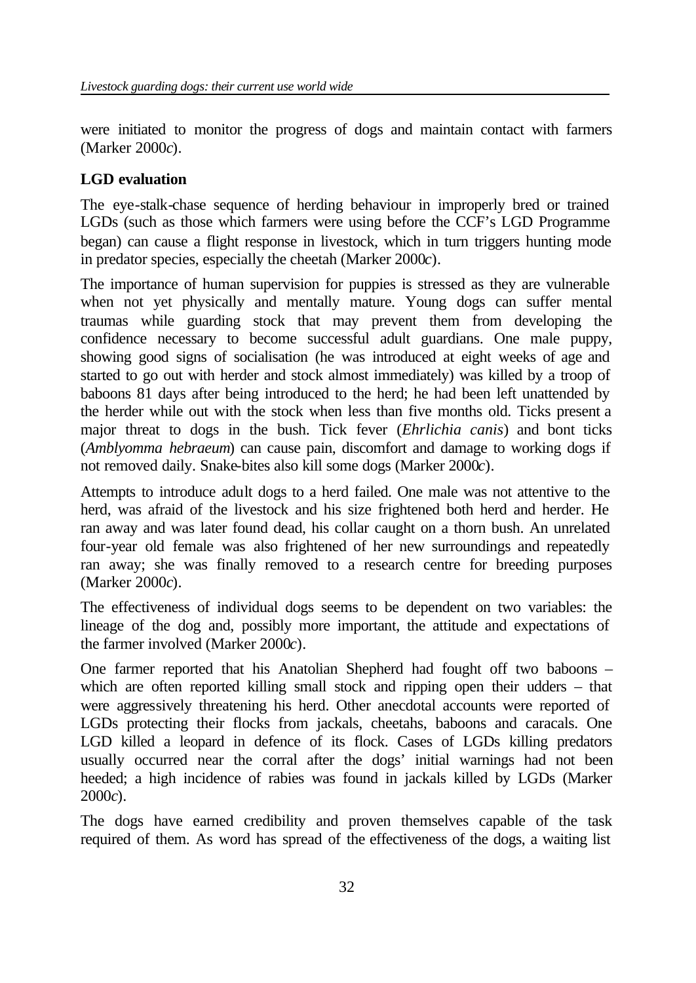were initiated to monitor the progress of dogs and maintain contact with farmers (Marker 2000*c*).

# **LGD evaluation**

The eye-stalk-chase sequence of herding behaviour in improperly bred or trained LGDs (such as those which farmers were using before the CCF's LGD Programme began) can cause a flight response in livestock, which in turn triggers hunting mode in predator species, especially the cheetah (Marker 2000*c*).

The importance of human supervision for puppies is stressed as they are vulnerable when not yet physically and mentally mature. Young dogs can suffer mental traumas while guarding stock that may prevent them from developing the confidence necessary to become successful adult guardians. One male puppy, showing good signs of socialisation (he was introduced at eight weeks of age and started to go out with herder and stock almost immediately) was killed by a troop of baboons 81 days after being introduced to the herd; he had been left unattended by the herder while out with the stock when less than five months old. Ticks present a major threat to dogs in the bush. Tick fever (*Ehrlichia canis*) and bont ticks (*Amblyomma hebraeum*) can cause pain, discomfort and damage to working dogs if not removed daily. Snake-bites also kill some dogs (Marker 2000*c*).

Attempts to introduce adult dogs to a herd failed. One male was not attentive to the herd, was afraid of the livestock and his size frightened both herd and herder. He ran away and was later found dead, his collar caught on a thorn bush. An unrelated four-year old female was also frightened of her new surroundings and repeatedly ran away; she was finally removed to a research centre for breeding purposes (Marker 2000*c*).

The effectiveness of individual dogs seems to be dependent on two variables: the lineage of the dog and, possibly more important, the attitude and expectations of the farmer involved (Marker 2000*c*).

One farmer reported that his Anatolian Shepherd had fought off two baboons – which are often reported killing small stock and ripping open their udders – that were aggressively threatening his herd. Other anecdotal accounts were reported of LGDs protecting their flocks from jackals, cheetahs, baboons and caracals. One LGD killed a leopard in defence of its flock. Cases of LGDs killing predators usually occurred near the corral after the dogs' initial warnings had not been heeded; a high incidence of rabies was found in jackals killed by LGDs (Marker 2000*c*).

The dogs have earned credibility and proven themselves capable of the task required of them. As word has spread of the effectiveness of the dogs, a waiting list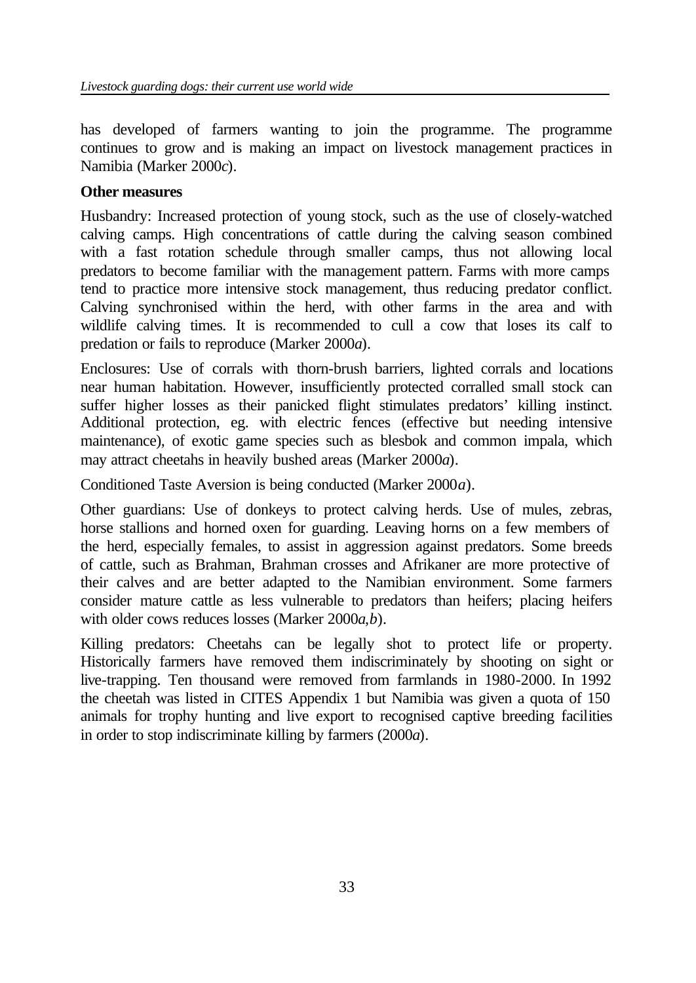has developed of farmers wanting to join the programme. The programme continues to grow and is making an impact on livestock management practices in Namibia (Marker 2000*c*).

## **Other measures**

Husbandry: Increased protection of young stock, such as the use of closely-watched calving camps. High concentrations of cattle during the calving season combined with a fast rotation schedule through smaller camps, thus not allowing local predators to become familiar with the management pattern. Farms with more camps tend to practice more intensive stock management, thus reducing predator conflict. Calving synchronised within the herd, with other farms in the area and with wildlife calving times. It is recommended to cull a cow that loses its calf to predation or fails to reproduce (Marker 2000*a*).

Enclosures: Use of corrals with thorn-brush barriers, lighted corrals and locations near human habitation. However, insufficiently protected corralled small stock can suffer higher losses as their panicked flight stimulates predators' killing instinct. Additional protection, eg. with electric fences (effective but needing intensive maintenance), of exotic game species such as blesbok and common impala, which may attract cheetahs in heavily bushed areas (Marker 2000*a*).

Conditioned Taste Aversion is being conducted (Marker 2000*a*).

Other guardians: Use of donkeys to protect calving herds. Use of mules, zebras, horse stallions and horned oxen for guarding. Leaving horns on a few members of the herd, especially females, to assist in aggression against predators. Some breeds of cattle, such as Brahman, Brahman crosses and Afrikaner are more protective of their calves and are better adapted to the Namibian environment. Some farmers consider mature cattle as less vulnerable to predators than heifers; placing heifers with older cows reduces losses (Marker 2000*a*,*b*).

Killing predators: Cheetahs can be legally shot to protect life or property. Historically farmers have removed them indiscriminately by shooting on sight or live-trapping. Ten thousand were removed from farmlands in 1980-2000. In 1992 the cheetah was listed in CITES Appendix 1 but Namibia was given a quota of 150 animals for trophy hunting and live export to recognised captive breeding facilities in order to stop indiscriminate killing by farmers (2000*a*).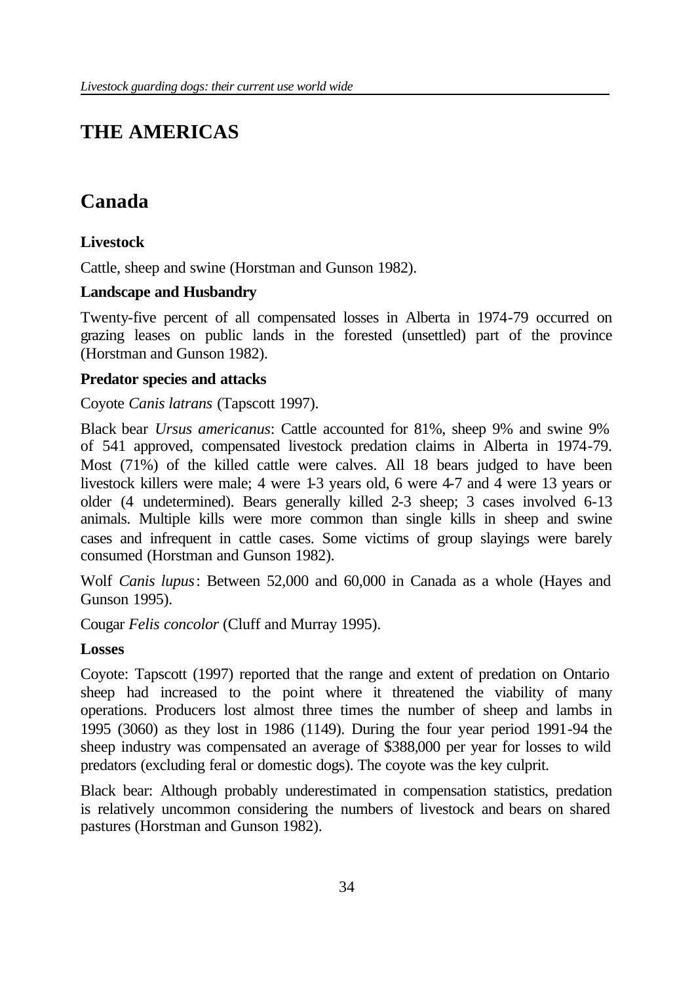# **THE AMERICAS**

# **Canada**

# **Livestock**

Cattle, sheep and swine (Horstman and Gunson 1982).

## **Landscape and Husbandry**

Twenty-five percent of all compensated losses in Alberta in 1974-79 occurred on grazing leases on public lands in the forested (unsettled) part of the province (Horstman and Gunson 1982).

## **Predator species and attacks**

Coyote *Canis latrans* (Tapscott 1997).

Black bear *Ursus americanus*: Cattle accounted for 81%, sheep 9% and swine 9% of 541 approved, compensated livestock predation claims in Alberta in 1974-79. Most (71%) of the killed cattle were calves. All 18 bears judged to have been livestock killers were male; 4 were 1-3 years old, 6 were 4-7 and 4 were 13 years or older (4 undetermined). Bears generally killed 2-3 sheep; 3 cases involved 6-13 animals. Multiple kills were more common than single kills in sheep and swine cases and infrequent in cattle cases. Some victims of group slayings were barely consumed (Horstman and Gunson 1982).

Wolf *Canis lupus*: Between 52,000 and 60,000 in Canada as a whole (Hayes and Gunson 1995).

Cougar *Felis concolor* (Cluff and Murray 1995).

## **Losses**

Coyote: Tapscott (1997) reported that the range and extent of predation on Ontario sheep had increased to the point where it threatened the viability of many operations. Producers lost almost three times the number of sheep and lambs in 1995 (3060) as they lost in 1986 (1149). During the four year period 1991-94 the sheep industry was compensated an average of \$388,000 per year for losses to wild predators (excluding feral or domestic dogs). The coyote was the key culprit.

Black bear: Although probably underestimated in compensation statistics, predation is relatively uncommon considering the numbers of livestock and bears on shared pastures (Horstman and Gunson 1982).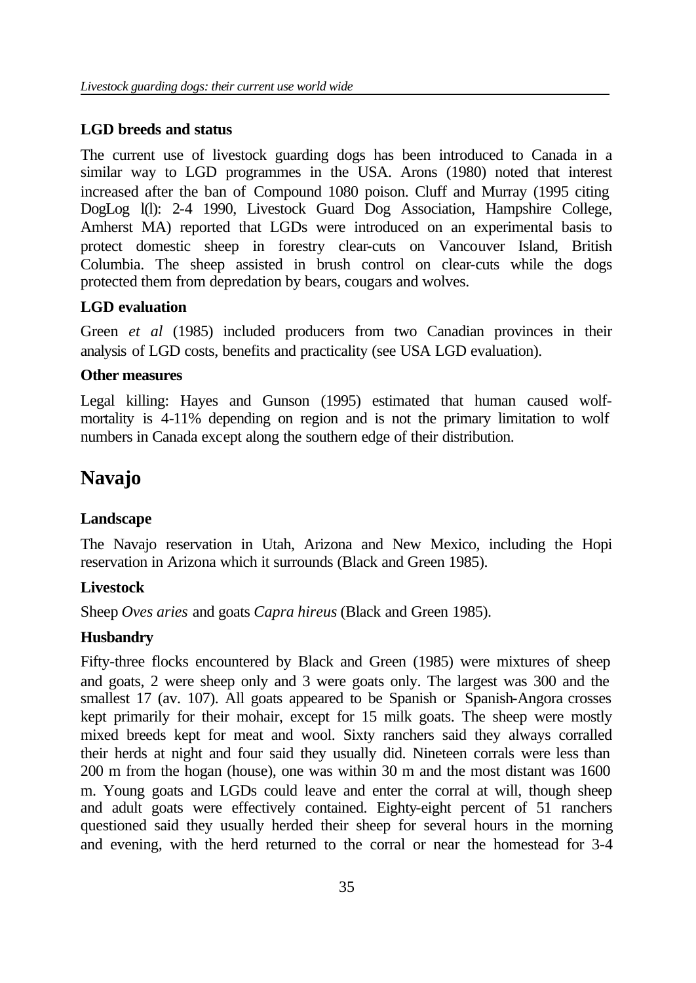## **LGD breeds and status**

The current use of livestock guarding dogs has been introduced to Canada in a similar way to LGD programmes in the USA. Arons (1980) noted that interest increased after the ban of Compound 1080 poison. Cluff and Murray (1995 citing DogLog l(l): 2-4 1990, Livestock Guard Dog Association, Hampshire College, Amherst MA) reported that LGDs were introduced on an experimental basis to protect domestic sheep in forestry clear-cuts on Vancouver Island, British Columbia. The sheep assisted in brush control on clear-cuts while the dogs protected them from depredation by bears, cougars and wolves.

# **LGD evaluation**

Green *et al* (1985) included producers from two Canadian provinces in their analysis of LGD costs, benefits and practicality (see USA LGD evaluation).

## **Other measures**

Legal killing: Hayes and Gunson (1995) estimated that human caused wolfmortality is 4-11% depending on region and is not the primary limitation to wolf numbers in Canada except along the southern edge of their distribution.

# **Navajo**

## **Landscape**

The Navajo reservation in Utah, Arizona and New Mexico, including the Hopi reservation in Arizona which it surrounds (Black and Green 1985).

## **Livestock**

Sheep *Oves aries* and goats *Capra hireus* (Black and Green 1985).

## **Husbandry**

Fifty-three flocks encountered by Black and Green (1985) were mixtures of sheep and goats, 2 were sheep only and 3 were goats only. The largest was 300 and the smallest 17 (av. 107). All goats appeared to be Spanish or Spanish-Angora crosses kept primarily for their mohair, except for 15 milk goats. The sheep were mostly mixed breeds kept for meat and wool. Sixty ranchers said they always corralled their herds at night and four said they usually did. Nineteen corrals were less than 200 m from the hogan (house), one was within 30 m and the most distant was 1600 m. Young goats and LGDs could leave and enter the corral at will, though sheep and adult goats were effectively contained. Eighty-eight percent of 51 ranchers questioned said they usually herded their sheep for several hours in the morning and evening, with the herd returned to the corral or near the homestead for 3-4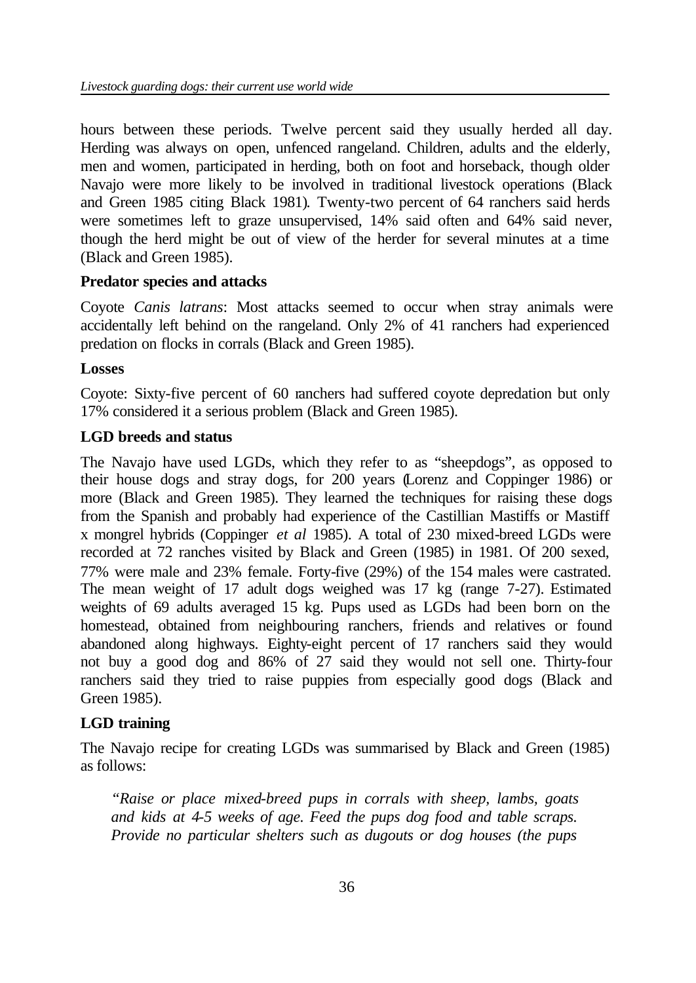hours between these periods. Twelve percent said they usually herded all day. Herding was always on open, unfenced rangeland. Children, adults and the elderly, men and women, participated in herding, both on foot and horseback, though older Navajo were more likely to be involved in traditional livestock operations (Black and Green 1985 citing Black 1981). Twenty-two percent of 64 ranchers said herds were sometimes left to graze unsupervised, 14% said often and 64% said never, though the herd might be out of view of the herder for several minutes at a time (Black and Green 1985).

### **Predator species and attacks**

Coyote *Canis latrans*: Most attacks seemed to occur when stray animals were accidentally left behind on the rangeland. Only 2% of 41 ranchers had experienced predation on flocks in corrals (Black and Green 1985).

#### **Losses**

Coyote: Sixty-five percent of 60 ranchers had suffered coyote depredation but only 17% considered it a serious problem (Black and Green 1985).

## **LGD breeds and status**

The Navajo have used LGDs, which they refer to as "sheepdogs", as opposed to their house dogs and stray dogs, for 200 years (Lorenz and Coppinger 1986) or more (Black and Green 1985). They learned the techniques for raising these dogs from the Spanish and probably had experience of the Castillian Mastiffs or Mastiff x mongrel hybrids (Coppinger *et al* 1985). A total of 230 mixed-breed LGDs were recorded at 72 ranches visited by Black and Green (1985) in 1981. Of 200 sexed, 77% were male and 23% female. Forty-five (29%) of the 154 males were castrated. The mean weight of 17 adult dogs weighed was 17 kg (range 7-27). Estimated weights of 69 adults averaged 15 kg. Pups used as LGDs had been born on the homestead, obtained from neighbouring ranchers, friends and relatives or found abandoned along highways. Eighty-eight percent of 17 ranchers said they would not buy a good dog and 86% of 27 said they would not sell one. Thirty-four ranchers said they tried to raise puppies from especially good dogs (Black and Green 1985).

## **LGD training**

The Navajo recipe for creating LGDs was summarised by Black and Green (1985) as follows:

*"Raise or place mixed-breed pups in corrals with sheep, lambs, goats and kids at 4-5 weeks of age. Feed the pups dog food and table scraps. Provide no particular shelters such as dugouts or dog houses (the pups*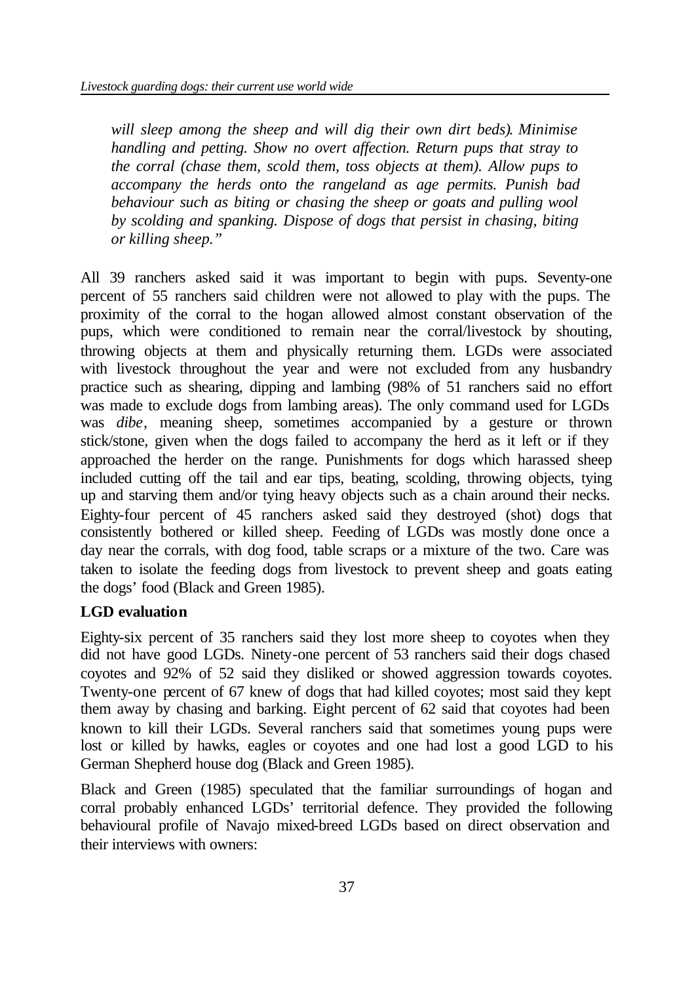*will sleep among the sheep and will dig their own dirt beds). Minimise handling and petting. Show no overt affection. Return pups that stray to the corral (chase them, scold them, toss objects at them). Allow pups to accompany the herds onto the rangeland as age permits. Punish bad behaviour such as biting or chasing the sheep or goats and pulling wool by scolding and spanking. Dispose of dogs that persist in chasing, biting or killing sheep."*

All 39 ranchers asked said it was important to begin with pups. Seventy-one percent of 55 ranchers said children were not allowed to play with the pups. The proximity of the corral to the hogan allowed almost constant observation of the pups, which were conditioned to remain near the corral/livestock by shouting, throwing objects at them and physically returning them. LGDs were associated with livestock throughout the year and were not excluded from any husbandry practice such as shearing, dipping and lambing (98% of 51 ranchers said no effort was made to exclude dogs from lambing areas). The only command used for LGDs was *dibe*, meaning sheep, sometimes accompanied by a gesture or thrown stick/stone, given when the dogs failed to accompany the herd as it left or if they approached the herder on the range. Punishments for dogs which harassed sheep included cutting off the tail and ear tips, beating, scolding, throwing objects, tying up and starving them and/or tying heavy objects such as a chain around their necks. Eighty-four percent of 45 ranchers asked said they destroyed (shot) dogs that consistently bothered or killed sheep. Feeding of LGDs was mostly done once a day near the corrals, with dog food, table scraps or a mixture of the two. Care was taken to isolate the feeding dogs from livestock to prevent sheep and goats eating the dogs' food (Black and Green 1985).

### **LGD evaluation**

Eighty-six percent of 35 ranchers said they lost more sheep to coyotes when they did not have good LGDs. Ninety-one percent of 53 ranchers said their dogs chased coyotes and 92% of 52 said they disliked or showed aggression towards coyotes. Twenty-one percent of 67 knew of dogs that had killed coyotes; most said they kept them away by chasing and barking. Eight percent of 62 said that coyotes had been known to kill their LGDs. Several ranchers said that sometimes young pups were lost or killed by hawks, eagles or coyotes and one had lost a good LGD to his German Shepherd house dog (Black and Green 1985).

Black and Green (1985) speculated that the familiar surroundings of hogan and corral probably enhanced LGDs' territorial defence. They provided the following behavioural profile of Navajo mixed-breed LGDs based on direct observation and their interviews with owners: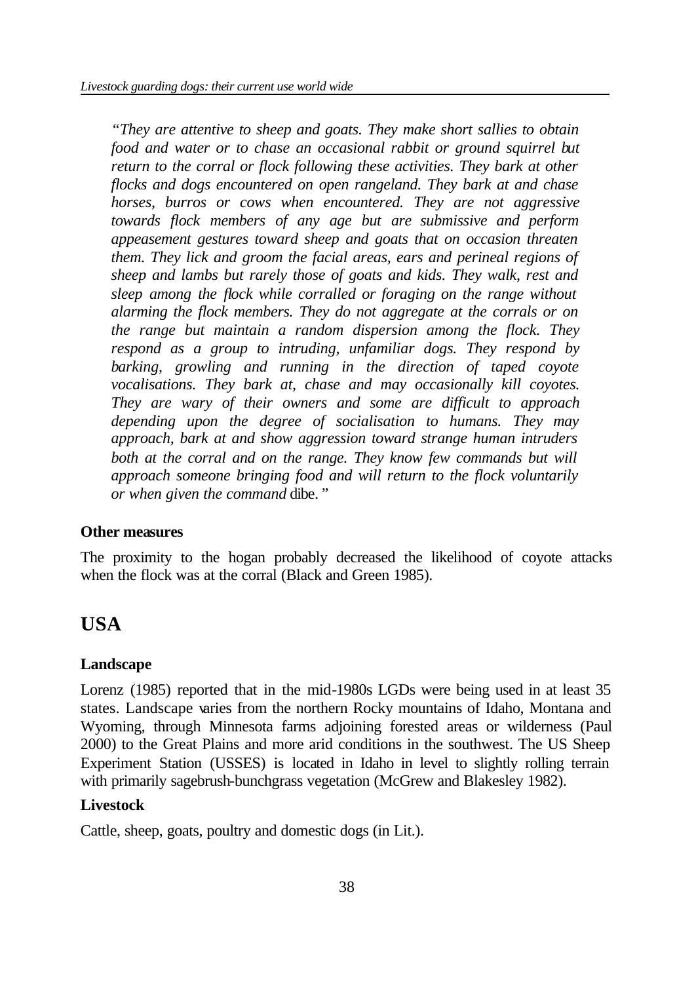*"They are attentive to sheep and goats. They make short sallies to obtain food and water or to chase an occasional rabbit or ground squirrel but return to the corral or flock following these activities. They bark at other flocks and dogs encountered on open rangeland. They bark at and chase horses, burros or cows when encountered. They are not aggressive towards flock members of any age but are submissive and perform appeasement gestures toward sheep and goats that on occasion threaten them. They lick and groom the facial areas, ears and perineal regions of sheep and lambs but rarely those of goats and kids. They walk, rest and sleep among the flock while corralled or foraging on the range without alarming the flock members. They do not aggregate at the corrals or on the range but maintain a random dispersion among the flock. They respond as a group to intruding, unfamiliar dogs. They respond by barking, growling and running in the direction of taped coyote vocalisations. They bark at, chase and may occasionally kill coyotes. They are wary of their owners and some are difficult to approach depending upon the degree of socialisation to humans. They may approach, bark at and show aggression toward strange human intruders*  both at the corral and on the range. They know few commands but will *approach someone bringing food and will return to the flock voluntarily or when given the command* dibe*."*

### **Other measures**

The proximity to the hogan probably decreased the likelihood of coyote attacks when the flock was at the corral (Black and Green 1985).

# **USA**

#### **Landscape**

Lorenz (1985) reported that in the mid-1980s LGDs were being used in at least 35 states. Landscape varies from the northern Rocky mountains of Idaho, Montana and Wyoming, through Minnesota farms adjoining forested areas or wilderness (Paul 2000) to the Great Plains and more arid conditions in the southwest. The US Sheep Experiment Station (USSES) is located in Idaho in level to slightly rolling terrain with primarily sagebrush-bunchgrass vegetation (McGrew and Blakesley 1982).

### **Livestock**

Cattle, sheep, goats, poultry and domestic dogs (in Lit.).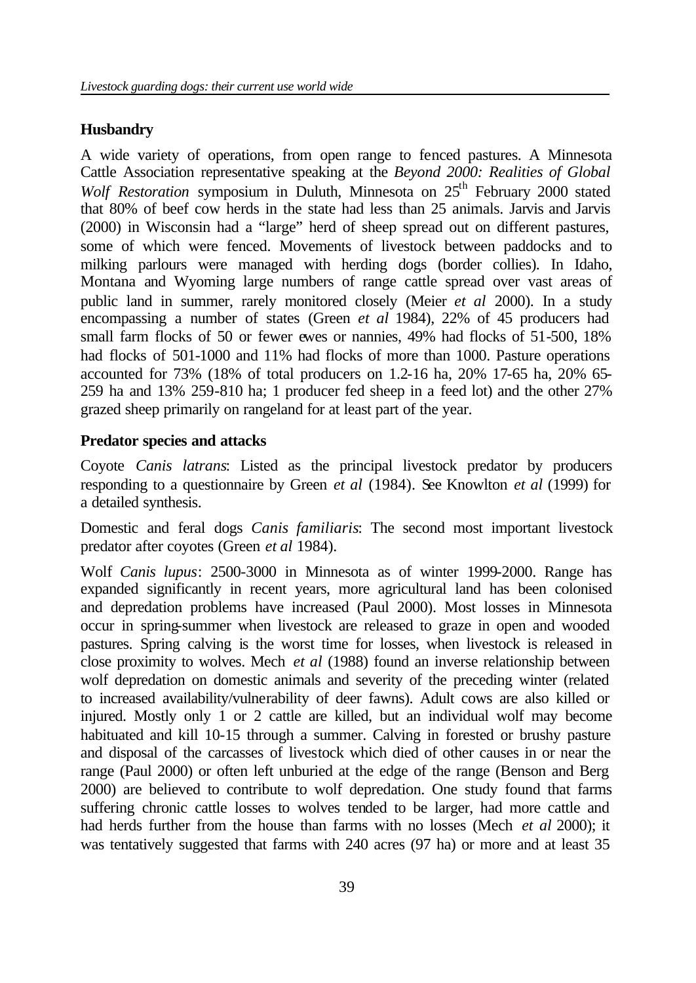#### **Husbandry**

A wide variety of operations, from open range to fenced pastures. A Minnesota Cattle Association representative speaking at the *Beyond 2000: Realities of Global Wolf Restoration* symposium in Duluth, Minnesota on 25<sup>th</sup> February 2000 stated that 80% of beef cow herds in the state had less than 25 animals. Jarvis and Jarvis (2000) in Wisconsin had a "large" herd of sheep spread out on different pastures, some of which were fenced. Movements of livestock between paddocks and to milking parlours were managed with herding dogs (border collies). In Idaho, Montana and Wyoming large numbers of range cattle spread over vast areas of public land in summer, rarely monitored closely (Meier *et al* 2000). In a study encompassing a number of states (Green *et al* 1984), 22% of 45 producers had small farm flocks of 50 or fewer ewes or nannies, 49% had flocks of 51-500, 18% had flocks of 501-1000 and 11% had flocks of more than 1000. Pasture operations accounted for 73% (18% of total producers on 1.2-16 ha, 20% 17-65 ha, 20% 65- 259 ha and 13% 259-810 ha; 1 producer fed sheep in a feed lot) and the other 27% grazed sheep primarily on rangeland for at least part of the year.

#### **Predator species and attacks**

Coyote *Canis latrans*: Listed as the principal livestock predator by producers responding to a questionnaire by Green *et al* (1984). See Knowlton *et al* (1999) for a detailed synthesis.

Domestic and feral dogs *Canis familiaris*: The second most important livestock predator after coyotes (Green *et al* 1984).

Wolf *Canis lupus*: 2500-3000 in Minnesota as of winter 1999-2000. Range has expanded significantly in recent years, more agricultural land has been colonised and depredation problems have increased (Paul 2000). Most losses in Minnesota occur in spring-summer when livestock are released to graze in open and wooded pastures. Spring calving is the worst time for losses, when livestock is released in close proximity to wolves. Mech *et al* (1988) found an inverse relationship between wolf depredation on domestic animals and severity of the preceding winter (related to increased availability/vulnerability of deer fawns). Adult cows are also killed or injured. Mostly only 1 or 2 cattle are killed, but an individual wolf may become habituated and kill 10-15 through a summer. Calving in forested or brushy pasture and disposal of the carcasses of livestock which died of other causes in or near the range (Paul 2000) or often left unburied at the edge of the range (Benson and Berg 2000) are believed to contribute to wolf depredation. One study found that farms suffering chronic cattle losses to wolves tended to be larger, had more cattle and had herds further from the house than farms with no losses (Mech *et al* 2000); it was tentatively suggested that farms with 240 acres (97 ha) or more and at least 35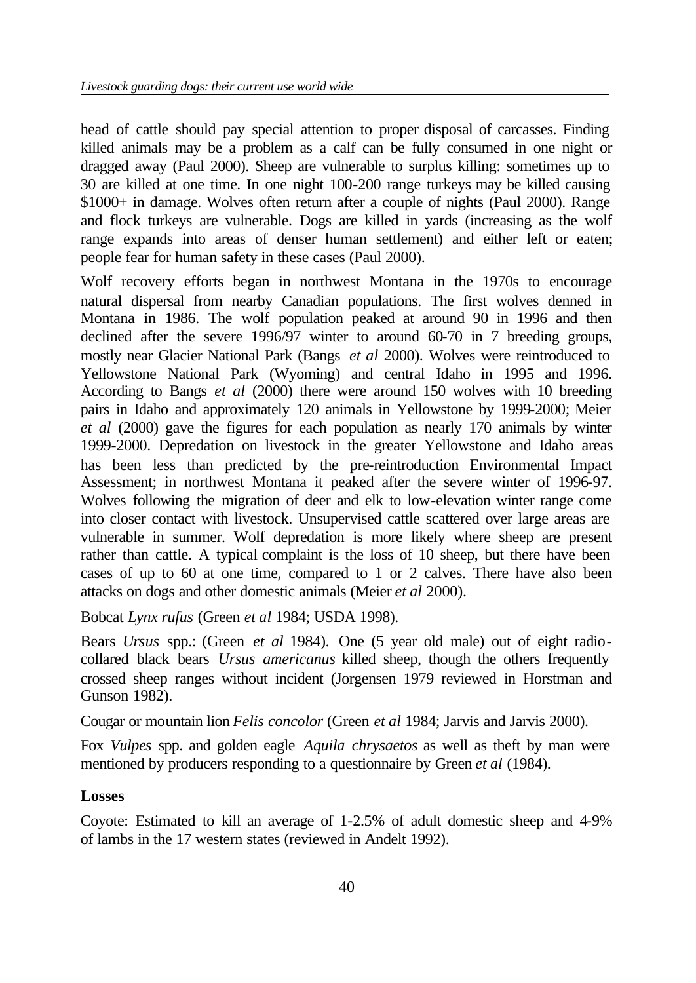head of cattle should pay special attention to proper disposal of carcasses. Finding killed animals may be a problem as a calf can be fully consumed in one night or dragged away (Paul 2000). Sheep are vulnerable to surplus killing: sometimes up to 30 are killed at one time. In one night 100-200 range turkeys may be killed causing \$1000+ in damage. Wolves often return after a couple of nights (Paul 2000). Range and flock turkeys are vulnerable. Dogs are killed in yards (increasing as the wolf range expands into areas of denser human settlement) and either left or eaten; people fear for human safety in these cases (Paul 2000).

Wolf recovery efforts began in northwest Montana in the 1970s to encourage natural dispersal from nearby Canadian populations. The first wolves denned in Montana in 1986. The wolf population peaked at around 90 in 1996 and then declined after the severe 1996/97 winter to around 60-70 in 7 breeding groups, mostly near Glacier National Park (Bangs *et al* 2000). Wolves were reintroduced to Yellowstone National Park (Wyoming) and central Idaho in 1995 and 1996. According to Bangs *et al* (2000) there were around 150 wolves with 10 breeding pairs in Idaho and approximately 120 animals in Yellowstone by 1999-2000; Meier *et al* (2000) gave the figures for each population as nearly 170 animals by winter 1999-2000. Depredation on livestock in the greater Yellowstone and Idaho areas has been less than predicted by the pre-reintroduction Environmental Impact Assessment; in northwest Montana it peaked after the severe winter of 1996-97. Wolves following the migration of deer and elk to low-elevation winter range come into closer contact with livestock. Unsupervised cattle scattered over large areas are vulnerable in summer. Wolf depredation is more likely where sheep are present rather than cattle. A typical complaint is the loss of 10 sheep, but there have been cases of up to 60 at one time, compared to 1 or 2 calves. There have also been attacks on dogs and other domestic animals (Meier *et al* 2000).

Bobcat *Lynx rufus* (Green *et al* 1984; USDA 1998).

Bears *Ursus* spp.: (Green *et al* 1984). One (5 year old male) out of eight radiocollared black bears *Ursus americanus* killed sheep, though the others frequently crossed sheep ranges without incident (Jorgensen 1979 reviewed in Horstman and Gunson 1982).

Cougar or mountain lion *Felis concolor* (Green *et al* 1984; Jarvis and Jarvis 2000).

Fox *Vulpes* spp. and golden eagle *Aquila chrysaetos* as well as theft by man were mentioned by producers responding to a questionnaire by Green *et al* (1984).

#### **Losses**

Coyote: Estimated to kill an average of 1-2.5% of adult domestic sheep and 4-9% of lambs in the 17 western states (reviewed in Andelt 1992).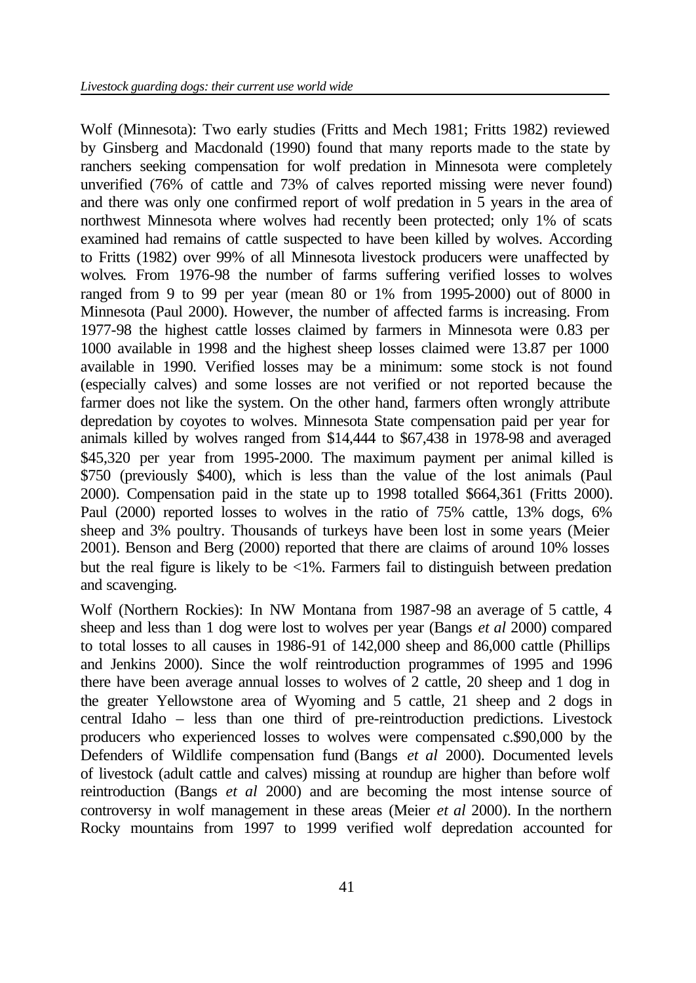Wolf (Minnesota): Two early studies (Fritts and Mech 1981; Fritts 1982) reviewed by Ginsberg and Macdonald (1990) found that many reports made to the state by ranchers seeking compensation for wolf predation in Minnesota were completely unverified (76% of cattle and 73% of calves reported missing were never found) and there was only one confirmed report of wolf predation in 5 years in the area of northwest Minnesota where wolves had recently been protected; only 1% of scats examined had remains of cattle suspected to have been killed by wolves. According to Fritts (1982) over 99% of all Minnesota livestock producers were unaffected by wolves. From 1976-98 the number of farms suffering verified losses to wolves ranged from 9 to 99 per year (mean 80 or 1% from 1995-2000) out of 8000 in Minnesota (Paul 2000). However, the number of affected farms is increasing. From 1977-98 the highest cattle losses claimed by farmers in Minnesota were 0.83 per 1000 available in 1998 and the highest sheep losses claimed were 13.87 per 1000 available in 1990. Verified losses may be a minimum: some stock is not found (especially calves) and some losses are not verified or not reported because the farmer does not like the system. On the other hand, farmers often wrongly attribute depredation by coyotes to wolves. Minnesota State compensation paid per year for animals killed by wolves ranged from \$14,444 to \$67,438 in 1978-98 and averaged \$45,320 per year from 1995-2000. The maximum payment per animal killed is \$750 (previously \$400), which is less than the value of the lost animals (Paul 2000). Compensation paid in the state up to 1998 totalled \$664,361 (Fritts 2000). Paul (2000) reported losses to wolves in the ratio of 75% cattle, 13% dogs, 6% sheep and 3% poultry. Thousands of turkeys have been lost in some years (Meier 2001). Benson and Berg (2000) reported that there are claims of around 10% losses but the real figure is likely to be <1%. Farmers fail to distinguish between predation and scavenging.

Wolf (Northern Rockies): In NW Montana from 1987-98 an average of 5 cattle, 4 sheep and less than 1 dog were lost to wolves per year (Bangs *et al* 2000) compared to total losses to all causes in 1986-91 of 142,000 sheep and 86,000 cattle (Phillips and Jenkins 2000). Since the wolf reintroduction programmes of 1995 and 1996 there have been average annual losses to wolves of 2 cattle, 20 sheep and 1 dog in the greater Yellowstone area of Wyoming and 5 cattle, 21 sheep and 2 dogs in central Idaho – less than one third of pre-reintroduction predictions. Livestock producers who experienced losses to wolves were compensated c.\$90,000 by the Defenders of Wildlife compensation fund (Bangs *et al* 2000). Documented levels of livestock (adult cattle and calves) missing at roundup are higher than before wolf reintroduction (Bangs *et al* 2000) and are becoming the most intense source of controversy in wolf management in these areas (Meier *et al* 2000). In the northern Rocky mountains from 1997 to 1999 verified wolf depredation accounted for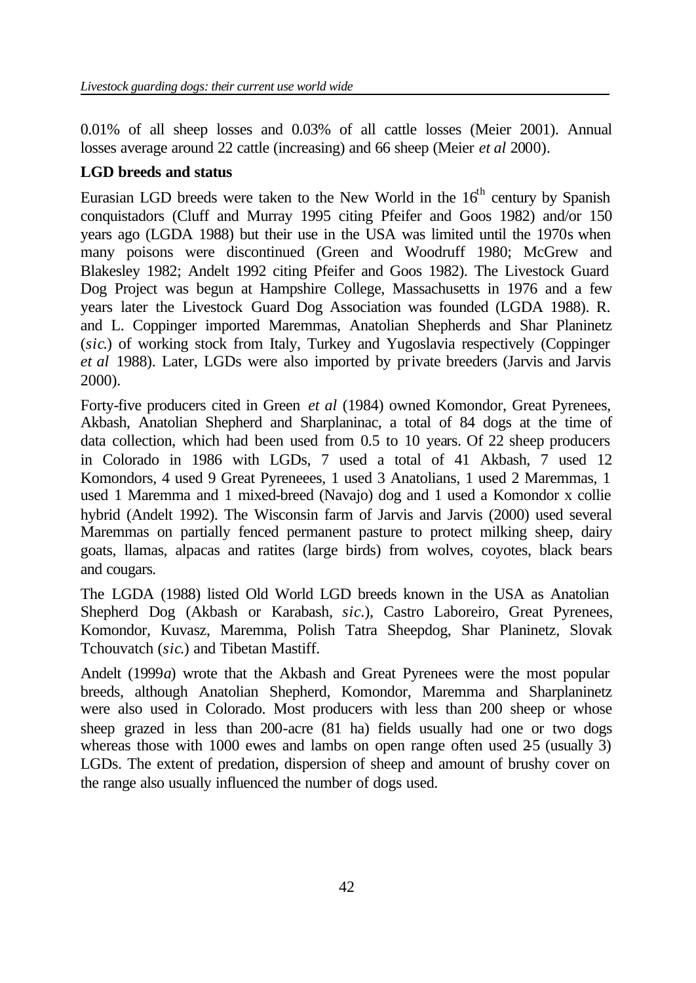0.01% of all sheep losses and 0.03% of all cattle losses (Meier 2001). Annual losses average around 22 cattle (increasing) and 66 sheep (Meier *et al* 2000).

# **LGD breeds and status**

Eurasian LGD breeds were taken to the New World in the  $16<sup>th</sup>$  century by Spanish conquistadors (Cluff and Murray 1995 citing Pfeifer and Goos 1982) and/or 150 years ago (LGDA 1988) but their use in the USA was limited until the 1970s when many poisons were discontinued (Green and Woodruff 1980; McGrew and Blakesley 1982; Andelt 1992 citing Pfeifer and Goos 1982). The Livestock Guard Dog Project was begun at Hampshire College, Massachusetts in 1976 and a few years later the Livestock Guard Dog Association was founded (LGDA 1988). R. and L. Coppinger imported Maremmas, Anatolian Shepherds and Shar Planinetz (*sic*.) of working stock from Italy, Turkey and Yugoslavia respectively (Coppinger *et al* 1988). Later, LGDs were also imported by private breeders (Jarvis and Jarvis 2000).

Forty-five producers cited in Green *et al* (1984) owned Komondor, Great Pyrenees, Akbash, Anatolian Shepherd and Sharplaninac, a total of 84 dogs at the time of data collection, which had been used from 0.5 to 10 years. Of 22 sheep producers in Colorado in 1986 with LGDs, 7 used a total of 41 Akbash, 7 used 12 Komondors, 4 used 9 Great Pyreneees, 1 used 3 Anatolians, 1 used 2 Maremmas, 1 used 1 Maremma and 1 mixed-breed (Navajo) dog and 1 used a Komondor x collie hybrid (Andelt 1992). The Wisconsin farm of Jarvis and Jarvis (2000) used several Maremmas on partially fenced permanent pasture to protect milking sheep, dairy goats, llamas, alpacas and ratites (large birds) from wolves, coyotes, black bears and cougars.

The LGDA (1988) listed Old World LGD breeds known in the USA as Anatolian Shepherd Dog (Akbash or Karabash, *sic*.), Castro Laboreiro, Great Pyrenees, Komondor, Kuvasz, Maremma, Polish Tatra Sheepdog, Shar Planinetz, Slovak Tchouvatch (*sic*.) and Tibetan Mastiff.

Andelt (1999*a*) wrote that the Akbash and Great Pyrenees were the most popular breeds, although Anatolian Shepherd, Komondor, Maremma and Sharplaninetz were also used in Colorado. Most producers with less than 200 sheep or whose sheep grazed in less than 200-acre (81 ha) fields usually had one or two dogs whereas those with  $1000$  ewes and lambs on open range often used  $25$  (usually 3) LGDs. The extent of predation, dispersion of sheep and amount of brushy cover on the range also usually influenced the number of dogs used.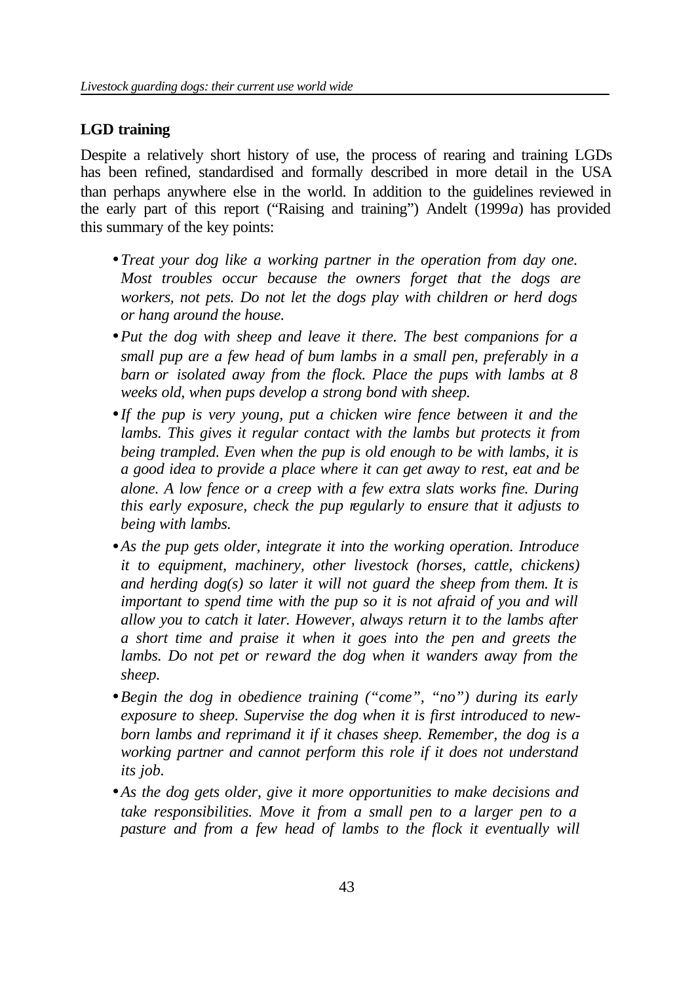#### **LGD training**

Despite a relatively short history of use, the process of rearing and training LGDs has been refined, standardised and formally described in more detail in the USA than perhaps anywhere else in the world. In addition to the guidelines reviewed in the early part of this report ("Raising and training") Andelt (1999*a*) has provided this summary of the key points:

- *Treat your dog like a working partner in the operation from day one. Most troubles occur because the owners forget that the dogs are workers, not pets. Do not let the dogs play with children or herd dogs or hang around the house.*
- •*Put the dog with sheep and leave it there. The best companions for a small pup are a few head of bum lambs in a small pen, preferably in a barn or isolated away from the flock. Place the pups with lambs at 8 weeks old, when pups develop a strong bond with sheep.*
- *If the pup is very young, put a chicken wire fence between it and the*  lambs. This gives it regular contact with the lambs but protects it from *being trampled. Even when the pup is old enough to be with lambs, it is a good idea to provide a place where it can get away to rest, eat and be alone. A low fence or a creep with a few extra slats works fine. During this early exposure, check the pup regularly to ensure that it adjusts to being with lambs.*
- •*As the pup gets older, integrate it into the working operation. Introduce it to equipment, machinery, other livestock (horses, cattle, chickens) and herding dog(s) so later it will not guard the sheep from them. It is important to spend time with the pup so it is not afraid of you and will allow you to catch it later. However, always return it to the lambs after a short time and praise it when it goes into the pen and greets the lambs. Do not pet or reward the dog when it wanders away from the sheep.*
- •*Begin the dog in obedience training ("come", "no") during its early exposure to sheep. Supervise the dog when it is first introduced to newborn lambs and reprimand it if it chases sheep. Remember, the dog is a working partner and cannot perform this role if it does not understand its job.*
- •*As the dog gets older, give it more opportunities to make decisions and take responsibilities. Move it from a small pen to a larger pen to a pasture and from a few head of lambs to the flock it eventually will*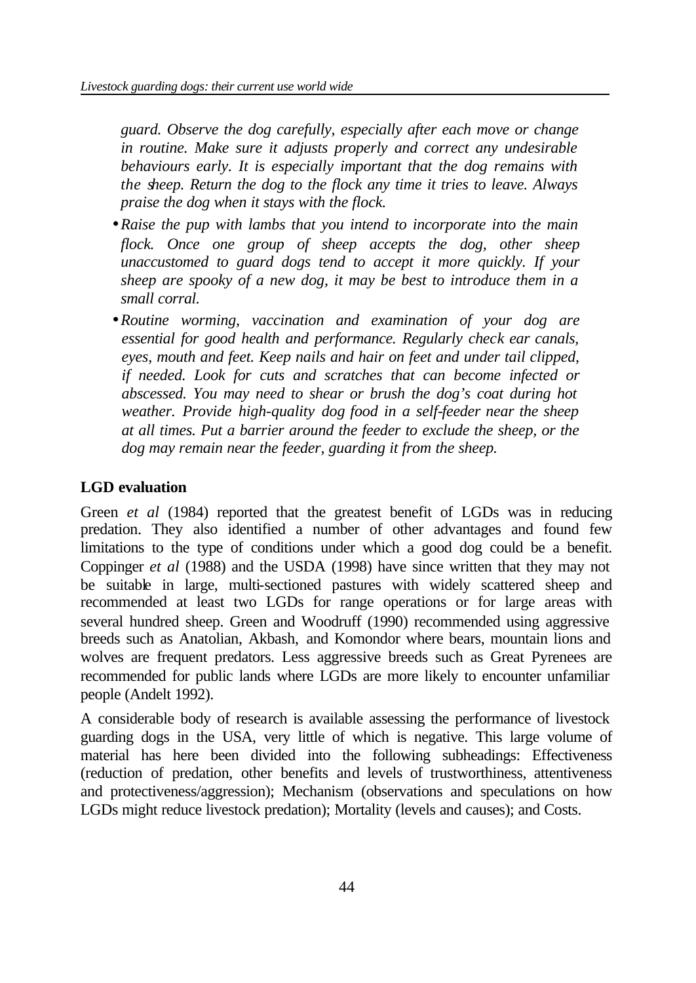*guard. Observe the dog carefully, especially after each move or change in routine. Make sure it adjusts properly and correct any undesirable behaviours early. It is especially important that the dog remains with the sheep. Return the dog to the flock any time it tries to leave. Always praise the dog when it stays with the flock.*

- •*Raise the pup with lambs that you intend to incorporate into the main flock. Once one group of sheep accepts the dog, other sheep unaccustomed to guard dogs tend to accept it more quickly. If your sheep are spooky of a new dog, it may be best to introduce them in a small corral.*
- •*Routine worming, vaccination and examination of your dog are essential for good health and performance. Regularly check ear canals, eyes, mouth and feet. Keep nails and hair on feet and under tail clipped, if needed. Look for cuts and scratches that can become infected or abscessed. You may need to shear or brush the dog's coat during hot weather. Provide high-quality dog food in a self-feeder near the sheep at all times. Put a barrier around the feeder to exclude the sheep, or the dog may remain near the feeder, guarding it from the sheep.*

### **LGD evaluation**

Green *et al* (1984) reported that the greatest benefit of LGDs was in reducing predation. They also identified a number of other advantages and found few limitations to the type of conditions under which a good dog could be a benefit. Coppinger *et al* (1988) and the USDA (1998) have since written that they may not be suitable in large, multi-sectioned pastures with widely scattered sheep and recommended at least two LGDs for range operations or for large areas with several hundred sheep. Green and Woodruff (1990) recommended using aggressive breeds such as Anatolian, Akbash, and Komondor where bears, mountain lions and wolves are frequent predators. Less aggressive breeds such as Great Pyrenees are recommended for public lands where LGDs are more likely to encounter unfamiliar people (Andelt 1992).

A considerable body of research is available assessing the performance of livestock guarding dogs in the USA, very little of which is negative. This large volume of material has here been divided into the following subheadings: Effectiveness (reduction of predation, other benefits and levels of trustworthiness, attentiveness and protectiveness/aggression); Mechanism (observations and speculations on how LGDs might reduce livestock predation); Mortality (levels and causes); and Costs.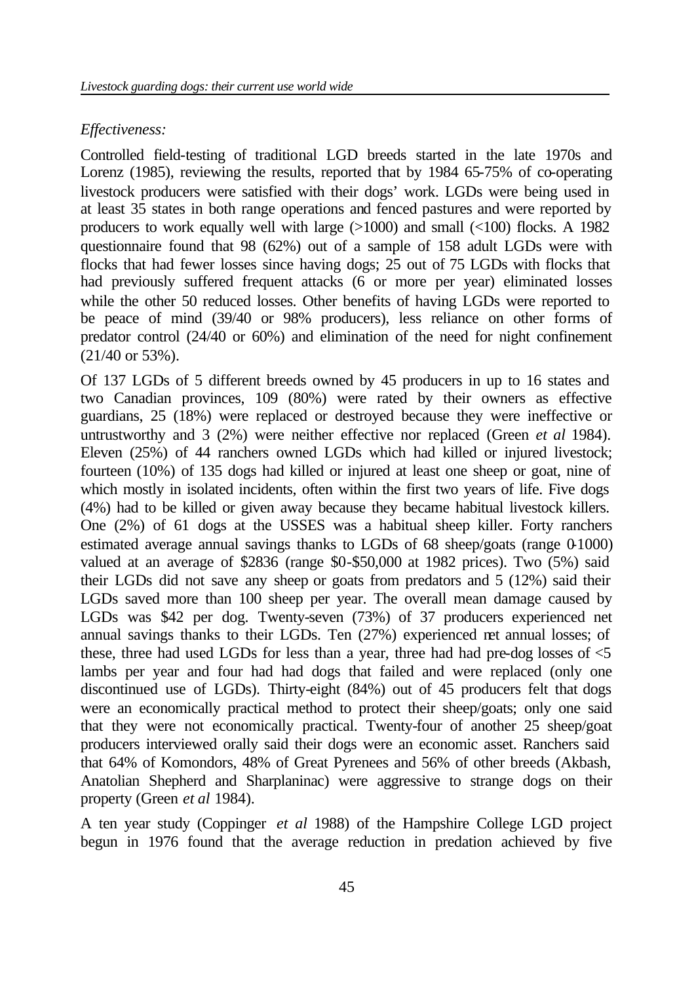#### *Effectiveness:*

Controlled field-testing of traditional LGD breeds started in the late 1970s and Lorenz (1985), reviewing the results, reported that by 1984 65-75% of co-operating livestock producers were satisfied with their dogs' work. LGDs were being used in at least 35 states in both range operations and fenced pastures and were reported by producers to work equally well with large (>1000) and small (<100) flocks. A 1982 questionnaire found that 98 (62%) out of a sample of 158 adult LGDs were with flocks that had fewer losses since having dogs; 25 out of 75 LGDs with flocks that had previously suffered frequent attacks (6 or more per year) eliminated losses while the other 50 reduced losses. Other benefits of having LGDs were reported to be peace of mind (39/40 or 98% producers), less reliance on other forms of predator control (24/40 or 60%) and elimination of the need for night confinement (21/40 or 53%).

Of 137 LGDs of 5 different breeds owned by 45 producers in up to 16 states and two Canadian provinces, 109 (80%) were rated by their owners as effective guardians, 25 (18%) were replaced or destroyed because they were ineffective or untrustworthy and 3 (2%) were neither effective nor replaced (Green *et al* 1984). Eleven (25%) of 44 ranchers owned LGDs which had killed or injured livestock; fourteen (10%) of 135 dogs had killed or injured at least one sheep or goat, nine of which mostly in isolated incidents, often within the first two years of life. Five dogs (4%) had to be killed or given away because they became habitual livestock killers. One (2%) of 61 dogs at the USSES was a habitual sheep killer. Forty ranchers estimated average annual savings thanks to LGDs of  $68$  sheep/goats (range  $0.1000$ ) valued at an average of \$2836 (range \$0-\$50,000 at 1982 prices). Two (5%) said their LGDs did not save any sheep or goats from predators and 5 (12%) said their LGDs saved more than 100 sheep per year. The overall mean damage caused by LGDs was \$42 per dog. Twenty-seven (73%) of 37 producers experienced net annual savings thanks to their LGDs. Ten (27%) experienced net annual losses; of these, three had used LGDs for less than a year, three had had pre-dog losses of <5 lambs per year and four had had dogs that failed and were replaced (only one discontinued use of LGDs). Thirty-eight (84%) out of 45 producers felt that dogs were an economically practical method to protect their sheep/goats; only one said that they were not economically practical. Twenty-four of another 25 sheep/goat producers interviewed orally said their dogs were an economic asset. Ranchers said that 64% of Komondors, 48% of Great Pyrenees and 56% of other breeds (Akbash, Anatolian Shepherd and Sharplaninac) were aggressive to strange dogs on their property (Green *et al* 1984).

A ten year study (Coppinger *et al* 1988) of the Hampshire College LGD project begun in 1976 found that the average reduction in predation achieved by five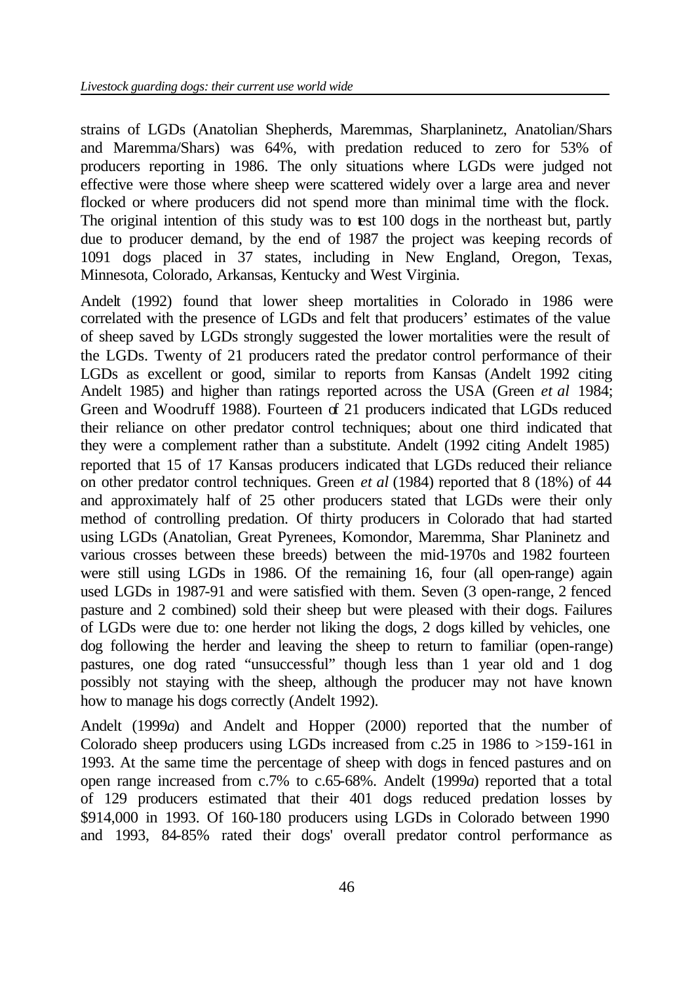strains of LGDs (Anatolian Shepherds, Maremmas, Sharplaninetz, Anatolian/Shars and Maremma/Shars) was 64%, with predation reduced to zero for 53% of producers reporting in 1986. The only situations where LGDs were judged not effective were those where sheep were scattered widely over a large area and never flocked or where producers did not spend more than minimal time with the flock. The original intention of this study was to test 100 dogs in the northeast but, partly due to producer demand, by the end of 1987 the project was keeping records of 1091 dogs placed in 37 states, including in New England, Oregon, Texas, Minnesota, Colorado, Arkansas, Kentucky and West Virginia.

Andelt (1992) found that lower sheep mortalities in Colorado in 1986 were correlated with the presence of LGDs and felt that producers' estimates of the value of sheep saved by LGDs strongly suggested the lower mortalities were the result of the LGDs. Twenty of 21 producers rated the predator control performance of their LGDs as excellent or good, similar to reports from Kansas (Andelt 1992 citing Andelt 1985) and higher than ratings reported across the USA (Green *et al* 1984; Green and Woodruff 1988). Fourteen of 21 producers indicated that LGDs reduced their reliance on other predator control techniques; about one third indicated that they were a complement rather than a substitute. Andelt (1992 citing Andelt 1985) reported that 15 of 17 Kansas producers indicated that LGDs reduced their reliance on other predator control techniques. Green *et al* (1984) reported that 8 (18%) of 44 and approximately half of 25 other producers stated that LGDs were their only method of controlling predation. Of thirty producers in Colorado that had started using LGDs (Anatolian, Great Pyrenees, Komondor, Maremma, Shar Planinetz and various crosses between these breeds) between the mid-1970s and 1982 fourteen were still using LGDs in 1986. Of the remaining 16, four (all open-range) again used LGDs in 1987-91 and were satisfied with them. Seven (3 open-range, 2 fenced pasture and 2 combined) sold their sheep but were pleased with their dogs. Failures of LGDs were due to: one herder not liking the dogs, 2 dogs killed by vehicles, one dog following the herder and leaving the sheep to return to familiar (open-range) pastures, one dog rated "unsuccessful" though less than 1 year old and 1 dog possibly not staying with the sheep, although the producer may not have known how to manage his dogs correctly (Andelt 1992).

Andelt (1999*a*) and Andelt and Hopper (2000) reported that the number of Colorado sheep producers using LGDs increased from c.25 in 1986 to >159-161 in 1993. At the same time the percentage of sheep with dogs in fenced pastures and on open range increased from c.7% to c.65-68%. Andelt (1999*a*) reported that a total of 129 producers estimated that their 401 dogs reduced predation losses by \$914,000 in 1993. Of 160-180 producers using LGDs in Colorado between 1990 and 1993, 84-85% rated their dogs' overall predator control performance as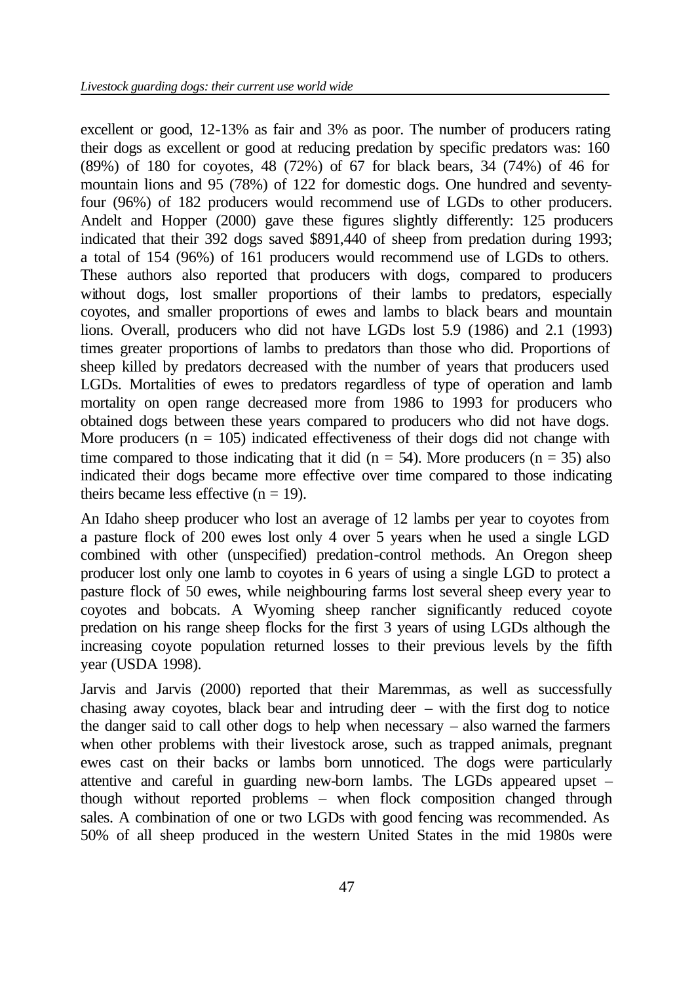excellent or good, 12-13% as fair and 3% as poor. The number of producers rating their dogs as excellent or good at reducing predation by specific predators was: 160 (89%) of 180 for coyotes, 48 (72%) of 67 for black bears, 34 (74%) of 46 for mountain lions and 95 (78%) of 122 for domestic dogs. One hundred and seventyfour (96%) of 182 producers would recommend use of LGDs to other producers. Andelt and Hopper (2000) gave these figures slightly differently: 125 producers indicated that their 392 dogs saved \$891,440 of sheep from predation during 1993; a total of 154 (96%) of 161 producers would recommend use of LGDs to others. These authors also reported that producers with dogs, compared to producers without dogs, lost smaller proportions of their lambs to predators, especially coyotes, and smaller proportions of ewes and lambs to black bears and mountain lions. Overall, producers who did not have LGDs lost 5.9 (1986) and 2.1 (1993) times greater proportions of lambs to predators than those who did. Proportions of sheep killed by predators decreased with the number of years that producers used LGDs. Mortalities of ewes to predators regardless of type of operation and lamb mortality on open range decreased more from 1986 to 1993 for producers who obtained dogs between these years compared to producers who did not have dogs. More producers  $(n = 105)$  indicated effectiveness of their dogs did not change with time compared to those indicating that it did ( $n = 54$ ). More producers ( $n = 35$ ) also indicated their dogs became more effective over time compared to those indicating theirs became less effective  $(n = 19)$ .

An Idaho sheep producer who lost an average of 12 lambs per year to coyotes from a pasture flock of 200 ewes lost only 4 over 5 years when he used a single LGD combined with other (unspecified) predation-control methods. An Oregon sheep producer lost only one lamb to coyotes in 6 years of using a single LGD to protect a pasture flock of 50 ewes, while neighbouring farms lost several sheep every year to coyotes and bobcats. A Wyoming sheep rancher significantly reduced coyote predation on his range sheep flocks for the first 3 years of using LGDs although the increasing coyote population returned losses to their previous levels by the fifth year (USDA 1998).

Jarvis and Jarvis (2000) reported that their Maremmas, as well as successfully chasing away coyotes, black bear and intruding deer – with the first dog to notice the danger said to call other dogs to help when necessary – also warned the farmers when other problems with their livestock arose, such as trapped animals, pregnant ewes cast on their backs or lambs born unnoticed. The dogs were particularly attentive and careful in guarding new-born lambs. The LGDs appeared upset – though without reported problems – when flock composition changed through sales. A combination of one or two LGDs with good fencing was recommended. As 50% of all sheep produced in the western United States in the mid 1980s were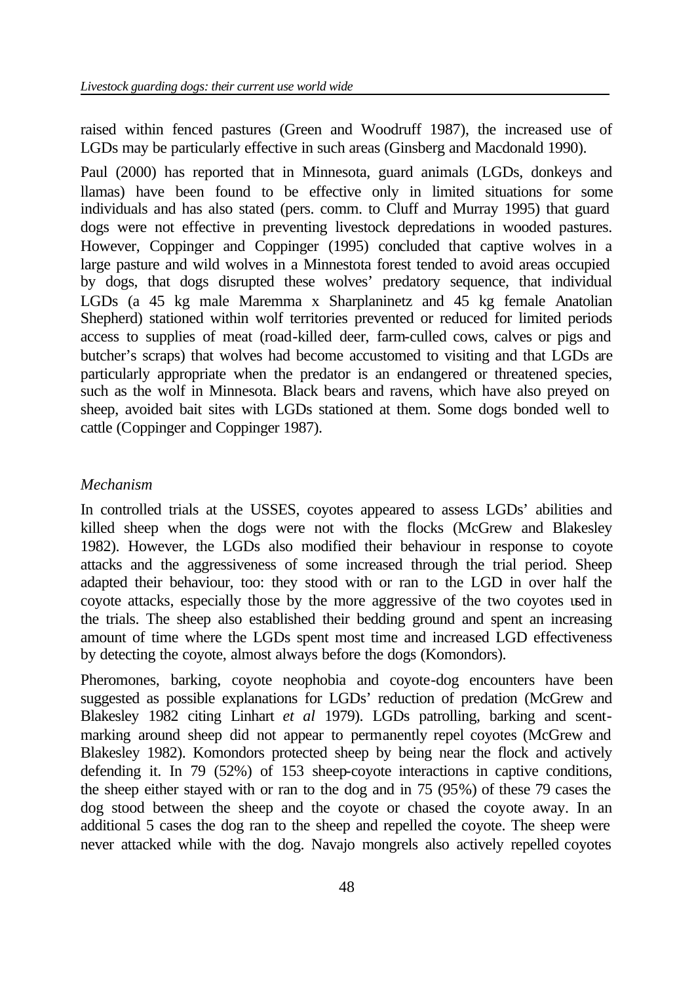raised within fenced pastures (Green and Woodruff 1987), the increased use of LGDs may be particularly effective in such areas (Ginsberg and Macdonald 1990).

Paul (2000) has reported that in Minnesota, guard animals (LGDs, donkeys and llamas) have been found to be effective only in limited situations for some individuals and has also stated (pers. comm. to Cluff and Murray 1995) that guard dogs were not effective in preventing livestock depredations in wooded pastures. However, Coppinger and Coppinger (1995) concluded that captive wolves in a large pasture and wild wolves in a Minnestota forest tended to avoid areas occupied by dogs, that dogs disrupted these wolves' predatory sequence, that individual LGDs (a 45 kg male Maremma x Sharplaninetz and 45 kg female Anatolian Shepherd) stationed within wolf territories prevented or reduced for limited periods access to supplies of meat (road-killed deer, farm-culled cows, calves or pigs and butcher's scraps) that wolves had become accustomed to visiting and that LGDs are particularly appropriate when the predator is an endangered or threatened species, such as the wolf in Minnesota. Black bears and ravens, which have also preyed on sheep, avoided bait sites with LGDs stationed at them. Some dogs bonded well to cattle (Coppinger and Coppinger 1987).

#### *Mechanism*

In controlled trials at the USSES, coyotes appeared to assess LGDs' abilities and killed sheep when the dogs were not with the flocks (McGrew and Blakesley 1982). However, the LGDs also modified their behaviour in response to coyote attacks and the aggressiveness of some increased through the trial period. Sheep adapted their behaviour, too: they stood with or ran to the LGD in over half the coyote attacks, especially those by the more aggressive of the two coyotes used in the trials. The sheep also established their bedding ground and spent an increasing amount of time where the LGDs spent most time and increased LGD effectiveness by detecting the coyote, almost always before the dogs (Komondors).

Pheromones, barking, coyote neophobia and coyote-dog encounters have been suggested as possible explanations for LGDs' reduction of predation (McGrew and Blakesley 1982 citing Linhart *et al* 1979). LGDs patrolling, barking and scentmarking around sheep did not appear to permanently repel coyotes (McGrew and Blakesley 1982). Komondors protected sheep by being near the flock and actively defending it. In 79 (52%) of 153 sheep-coyote interactions in captive conditions, the sheep either stayed with or ran to the dog and in 75 (95%) of these 79 cases the dog stood between the sheep and the coyote or chased the coyote away. In an additional 5 cases the dog ran to the sheep and repelled the coyote. The sheep were never attacked while with the dog. Navajo mongrels also actively repelled coyotes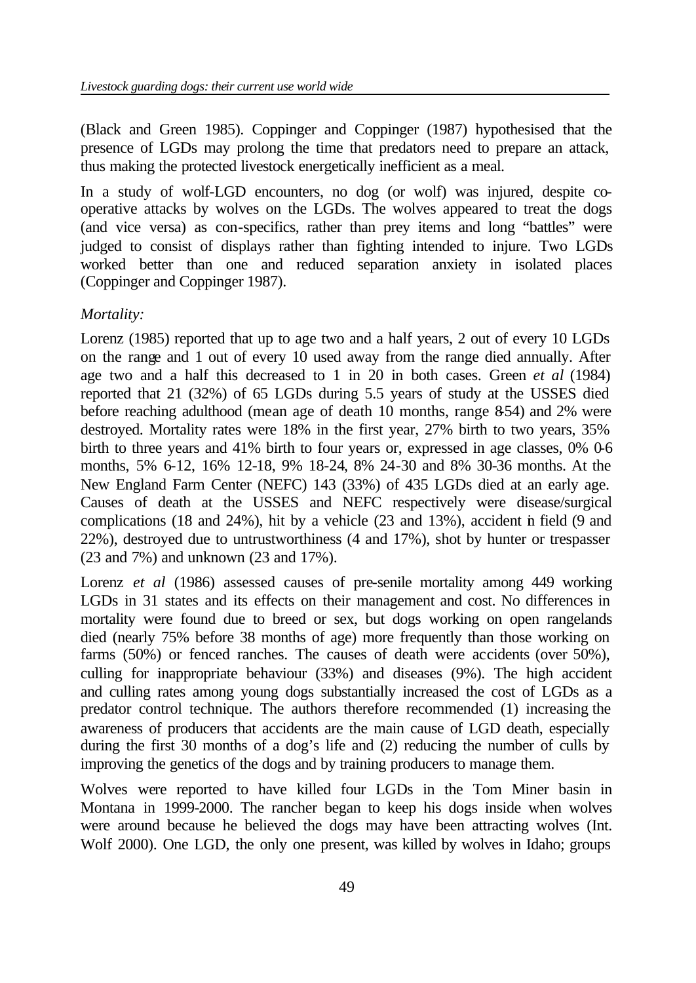(Black and Green 1985). Coppinger and Coppinger (1987) hypothesised that the presence of LGDs may prolong the time that predators need to prepare an attack, thus making the protected livestock energetically inefficient as a meal.

In a study of wolf-LGD encounters, no dog (or wolf) was injured, despite cooperative attacks by wolves on the LGDs. The wolves appeared to treat the dogs (and vice versa) as con-specifics, rather than prey items and long "battles" were judged to consist of displays rather than fighting intended to injure. Two LGDs worked better than one and reduced separation anxiety in isolated places (Coppinger and Coppinger 1987).

### *Mortality:*

Lorenz (1985) reported that up to age two and a half years, 2 out of every 10 LGDs on the range and 1 out of every 10 used away from the range died annually. After age two and a half this decreased to 1 in 20 in both cases. Green *et al* (1984) reported that 21 (32%) of 65 LGDs during 5.5 years of study at the USSES died before reaching adulthood (mean age of death 10 months, range 854) and 2% were destroyed. Mortality rates were 18% in the first year, 27% birth to two years, 35% birth to three years and 41% birth to four years or, expressed in age classes, 0% 0-6 months, 5% 6-12, 16% 12-18, 9% 18-24, 8% 24-30 and 8% 30-36 months. At the New England Farm Center (NEFC) 143 (33%) of 435 LGDs died at an early age. Causes of death at the USSES and NEFC respectively were disease/surgical complications (18 and 24%), hit by a vehicle (23 and 13%), accident in field (9 and 22%), destroyed due to untrustworthiness (4 and 17%), shot by hunter or trespasser (23 and 7%) and unknown (23 and 17%).

Lorenz *et al* (1986) assessed causes of pre-senile mortality among 449 working LGDs in 31 states and its effects on their management and cost. No differences in mortality were found due to breed or sex, but dogs working on open rangelands died (nearly 75% before 38 months of age) more frequently than those working on farms (50%) or fenced ranches. The causes of death were accidents (over 50%), culling for inappropriate behaviour (33%) and diseases (9%). The high accident and culling rates among young dogs substantially increased the cost of LGDs as a predator control technique. The authors therefore recommended (1) increasing the awareness of producers that accidents are the main cause of LGD death, especially during the first 30 months of a dog's life and (2) reducing the number of culls by improving the genetics of the dogs and by training producers to manage them.

Wolves were reported to have killed four LGDs in the Tom Miner basin in Montana in 1999-2000. The rancher began to keep his dogs inside when wolves were around because he believed the dogs may have been attracting wolves (Int. Wolf 2000). One LGD, the only one present, was killed by wolves in Idaho; groups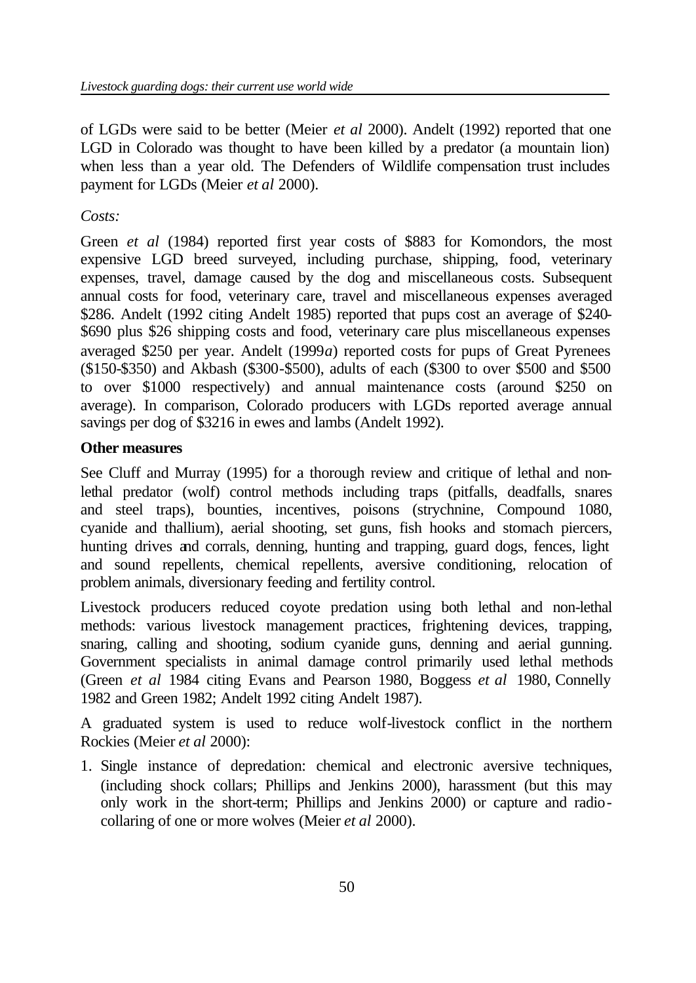of LGDs were said to be better (Meier *et al* 2000). Andelt (1992) reported that one LGD in Colorado was thought to have been killed by a predator (a mountain lion) when less than a year old. The Defenders of Wildlife compensation trust includes payment for LGDs (Meier *et al* 2000).

### *Costs:*

Green *et al* (1984) reported first year costs of \$883 for Komondors, the most expensive LGD breed surveyed, including purchase, shipping, food, veterinary expenses, travel, damage caused by the dog and miscellaneous costs. Subsequent annual costs for food, veterinary care, travel and miscellaneous expenses averaged \$286. Andelt (1992 citing Andelt 1985) reported that pups cost an average of \$240- \$690 plus \$26 shipping costs and food, veterinary care plus miscellaneous expenses averaged \$250 per year. Andelt (1999*a*) reported costs for pups of Great Pyrenees (\$150-\$350) and Akbash (\$300-\$500), adults of each (\$300 to over \$500 and \$500 to over \$1000 respectively) and annual maintenance costs (around \$250 on average). In comparison, Colorado producers with LGDs reported average annual savings per dog of \$3216 in ewes and lambs (Andelt 1992).

### **Other measures**

See Cluff and Murray (1995) for a thorough review and critique of lethal and nonlethal predator (wolf) control methods including traps (pitfalls, deadfalls, snares and steel traps), bounties, incentives, poisons (strychnine, Compound 1080, cyanide and thallium), aerial shooting, set guns, fish hooks and stomach piercers, hunting drives and corrals, denning, hunting and trapping, guard dogs, fences, light and sound repellents, chemical repellents, aversive conditioning, relocation of problem animals, diversionary feeding and fertility control.

Livestock producers reduced coyote predation using both lethal and non-lethal methods: various livestock management practices, frightening devices, trapping, snaring, calling and shooting, sodium cyanide guns, denning and aerial gunning. Government specialists in animal damage control primarily used lethal methods (Green *et al* 1984 citing Evans and Pearson 1980, Boggess *et al* 1980, Connelly 1982 and Green 1982; Andelt 1992 citing Andelt 1987).

A graduated system is used to reduce wolf-livestock conflict in the northern Rockies (Meier *et al* 2000):

1. Single instance of depredation: chemical and electronic aversive techniques, (including shock collars; Phillips and Jenkins 2000), harassment (but this may only work in the short-term; Phillips and Jenkins 2000) or capture and radiocollaring of one or more wolves (Meier *et al* 2000).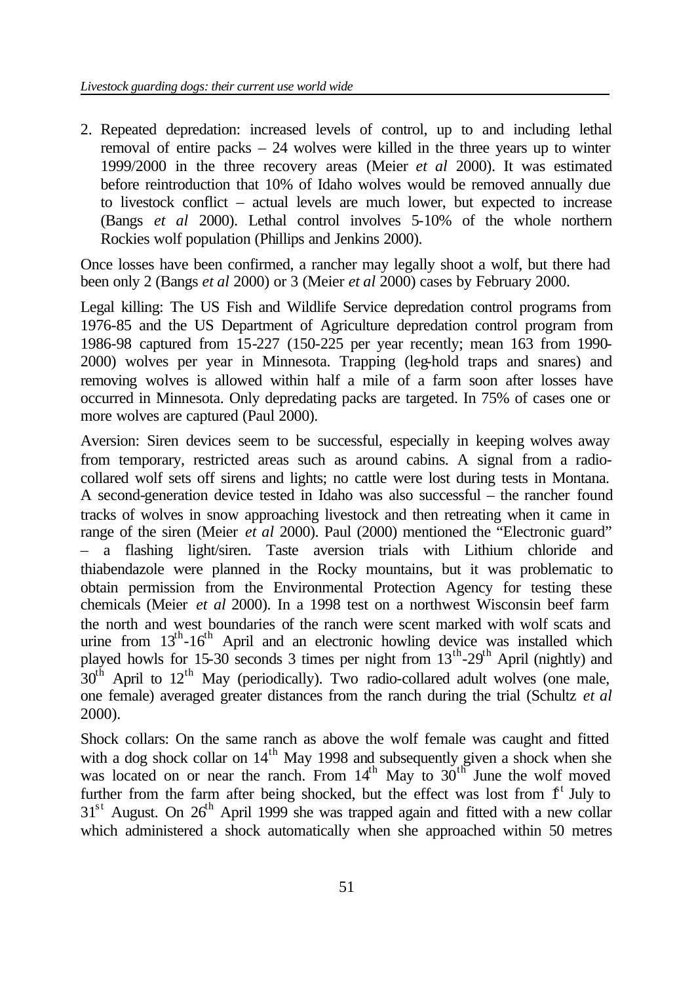2. Repeated depredation: increased levels of control, up to and including lethal removal of entire packs – 24 wolves were killed in the three years up to winter 1999/2000 in the three recovery areas (Meier *et al* 2000). It was estimated before reintroduction that 10% of Idaho wolves would be removed annually due to livestock conflict – actual levels are much lower, but expected to increase (Bangs *et al* 2000). Lethal control involves 5-10% of the whole northern Rockies wolf population (Phillips and Jenkins 2000).

Once losses have been confirmed, a rancher may legally shoot a wolf, but there had been only 2 (Bangs *et al* 2000) or 3 (Meier *et al* 2000) cases by February 2000.

Legal killing: The US Fish and Wildlife Service depredation control programs from 1976-85 and the US Department of Agriculture depredation control program from 1986-98 captured from 15-227 (150-225 per year recently; mean 163 from 1990- 2000) wolves per year in Minnesota. Trapping (leg-hold traps and snares) and removing wolves is allowed within half a mile of a farm soon after losses have occurred in Minnesota. Only depredating packs are targeted. In 75% of cases one or more wolves are captured (Paul 2000).

Aversion: Siren devices seem to be successful, especially in keeping wolves away from temporary, restricted areas such as around cabins. A signal from a radiocollared wolf sets off sirens and lights; no cattle were lost during tests in Montana. A second-generation device tested in Idaho was also successful – the rancher found tracks of wolves in snow approaching livestock and then retreating when it came in range of the siren (Meier *et al* 2000). Paul (2000) mentioned the "Electronic guard" – a flashing light/siren. Taste aversion trials with Lithium chloride and thiabendazole were planned in the Rocky mountains, but it was problematic to obtain permission from the Environmental Protection Agency for testing these chemicals (Meier *et al* 2000). In a 1998 test on a northwest Wisconsin beef farm the north and west boundaries of the ranch were scent marked with wolf scats and urine from  $13^{th}$ -16<sup>th</sup> April and an electronic howling device was installed which played howls for 15-30 seconds 3 times per night from  $13^{th}$ -29<sup>th</sup> April (nightly) and  $30<sup>th</sup>$  April to  $12<sup>th</sup>$  May (periodically). Two radio-collared adult wolves (one male, one female) averaged greater distances from the ranch during the trial (Schultz *et al* 2000).

Shock collars: On the same ranch as above the wolf female was caught and fitted with a dog shock collar on  $14<sup>th</sup>$  May 1998 and subsequently given a shock when she was located on or near the ranch. From  $14<sup>th</sup>$  May to  $30<sup>th</sup>$  June the wolf moved further from the farm after being shocked, but the effect was lost from  $f<sup>t</sup>$  July to  $31<sup>st</sup>$  August. On  $26<sup>th</sup>$  April 1999 she was trapped again and fitted with a new collar which administered a shock automatically when she approached within 50 metres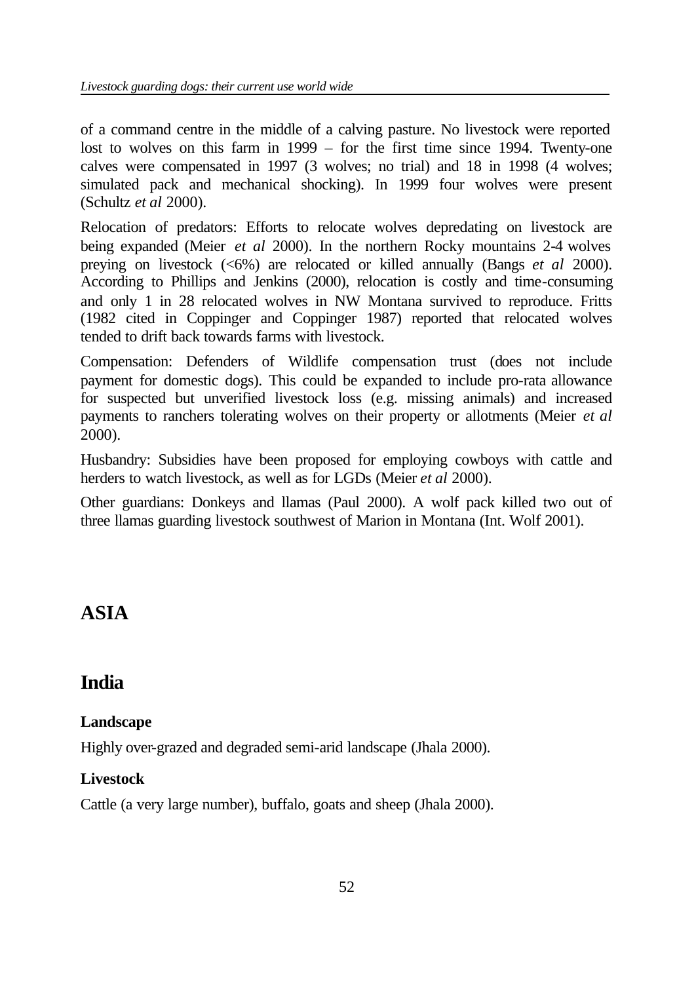of a command centre in the middle of a calving pasture. No livestock were reported lost to wolves on this farm in 1999 – for the first time since 1994. Twenty-one calves were compensated in 1997 (3 wolves; no trial) and 18 in 1998 (4 wolves; simulated pack and mechanical shocking). In 1999 four wolves were present (Schultz *et al* 2000).

Relocation of predators: Efforts to relocate wolves depredating on livestock are being expanded (Meier *et al* 2000). In the northern Rocky mountains 2-4 wolves preying on livestock (<6%) are relocated or killed annually (Bangs *et al* 2000). According to Phillips and Jenkins (2000), relocation is costly and time-consuming and only 1 in 28 relocated wolves in NW Montana survived to reproduce. Fritts (1982 cited in Coppinger and Coppinger 1987) reported that relocated wolves tended to drift back towards farms with livestock.

Compensation: Defenders of Wildlife compensation trust (does not include payment for domestic dogs). This could be expanded to include pro-rata allowance for suspected but unverified livestock loss (e.g. missing animals) and increased payments to ranchers tolerating wolves on their property or allotments (Meier *et al* 2000).

Husbandry: Subsidies have been proposed for employing cowboys with cattle and herders to watch livestock, as well as for LGDs (Meier *et al* 2000).

Other guardians: Donkeys and llamas (Paul 2000). A wolf pack killed two out of three llamas guarding livestock southwest of Marion in Montana (Int. Wolf 2001).

# **ASIA**

# **India**

# **Landscape**

Highly over-grazed and degraded semi-arid landscape (Jhala 2000).

# **Livestock**

Cattle (a very large number), buffalo, goats and sheep (Jhala 2000).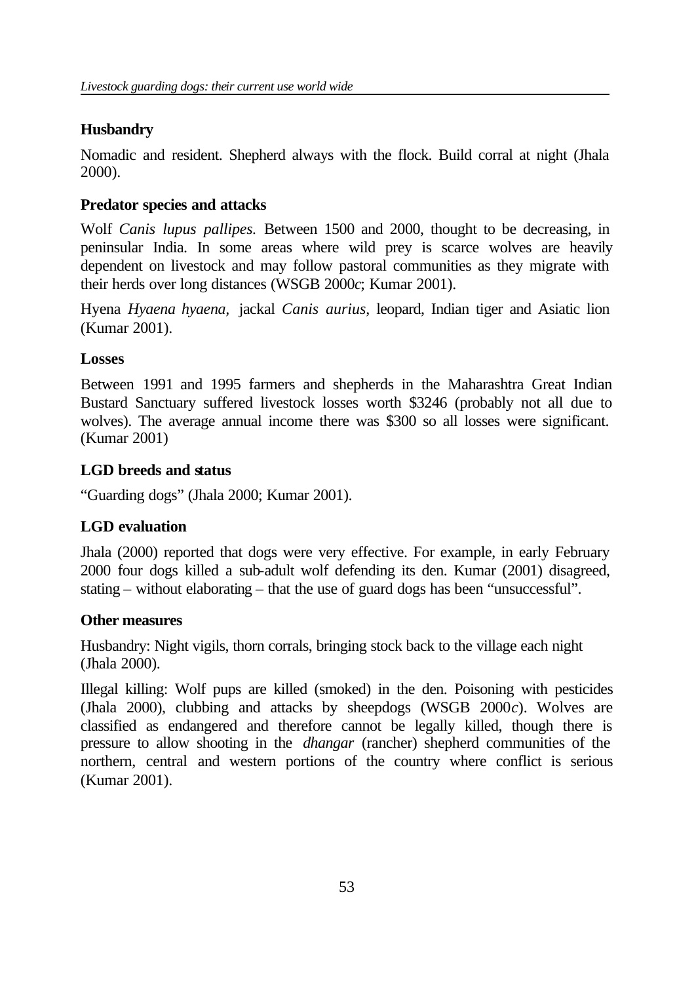## **Husbandry**

Nomadic and resident. Shepherd always with the flock. Build corral at night (Jhala 2000).

### **Predator species and attacks**

Wolf *Canis lupus pallipes.* Between 1500 and 2000, thought to be decreasing, in peninsular India. In some areas where wild prey is scarce wolves are heavily dependent on livestock and may follow pastoral communities as they migrate with their herds over long distances (WSGB 2000*c*; Kumar 2001).

Hyena *Hyaena hyaena,* jackal *Canis aurius*, leopard, Indian tiger and Asiatic lion (Kumar 2001).

### **Losses**

Between 1991 and 1995 farmers and shepherds in the Maharashtra Great Indian Bustard Sanctuary suffered livestock losses worth \$3246 (probably not all due to wolves). The average annual income there was \$300 so all losses were significant. (Kumar 2001)

### **LGD breeds and status**

"Guarding dogs" (Jhala 2000; Kumar 2001).

# **LGD evaluation**

Jhala (2000) reported that dogs were very effective. For example, in early February 2000 four dogs killed a sub-adult wolf defending its den. Kumar (2001) disagreed, stating – without elaborating – that the use of guard dogs has been "unsuccessful".

### **Other measures**

Husbandry: Night vigils, thorn corrals, bringing stock back to the village each night (Jhala 2000).

Illegal killing: Wolf pups are killed (smoked) in the den. Poisoning with pesticides (Jhala 2000), clubbing and attacks by sheepdogs (WSGB 2000*c*). Wolves are classified as endangered and therefore cannot be legally killed, though there is pressure to allow shooting in the *dhangar* (rancher) shepherd communities of the northern, central and western portions of the country where conflict is serious (Kumar 2001).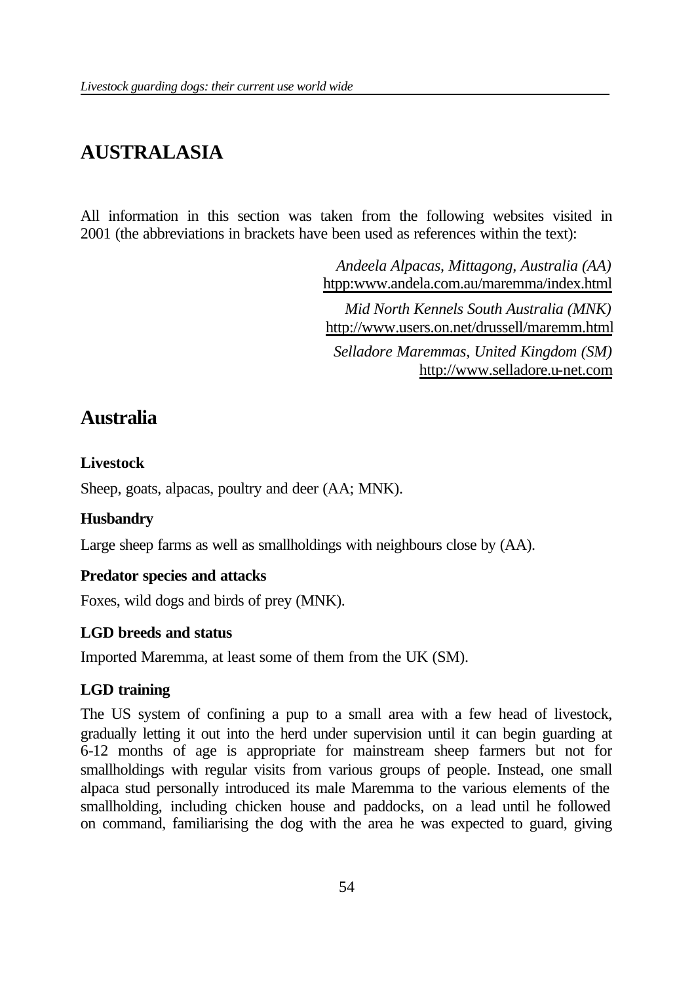# **AUSTRALASIA**

All information in this section was taken from the following websites visited in 2001 (the abbreviations in brackets have been used as references within the text):

> *Andeela Alpacas, Mittagong, Australia (AA)* htpp:www.andela.com.au/maremma/index.html

> *Mid North Kennels South Australia (MNK)* http://www.users.on.net/drussell/maremm.html

*Selladore Maremmas, United Kingdom (SM)* http://www.selladore.u-net.com

# **Australia**

# **Livestock**

Sheep, goats, alpacas, poultry and deer (AA; MNK).

# **Husbandry**

Large sheep farms as well as smallholdings with neighbours close by (AA).

### **Predator species and attacks**

Foxes, wild dogs and birds of prey (MNK).

# **LGD breeds and status**

Imported Maremma, at least some of them from the UK (SM).

# **LGD training**

The US system of confining a pup to a small area with a few head of livestock, gradually letting it out into the herd under supervision until it can begin guarding at 6-12 months of age is appropriate for mainstream sheep farmers but not for smallholdings with regular visits from various groups of people. Instead, one small alpaca stud personally introduced its male Maremma to the various elements of the smallholding, including chicken house and paddocks, on a lead until he followed on command, familiarising the dog with the area he was expected to guard, giving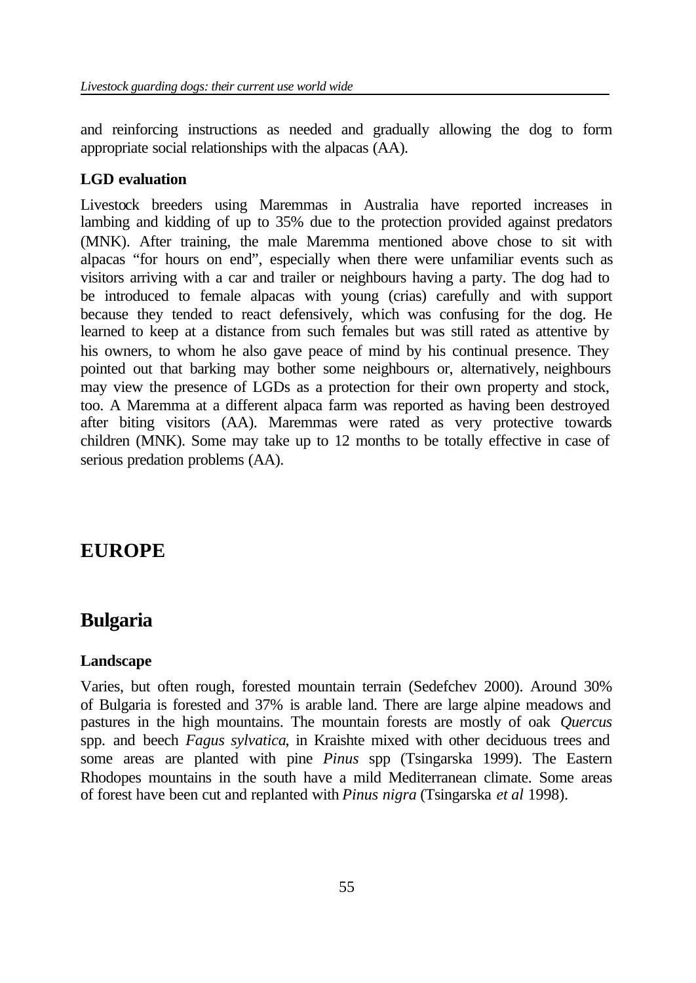and reinforcing instructions as needed and gradually allowing the dog to form appropriate social relationships with the alpacas (AA).

#### **LGD evaluation**

Livestock breeders using Maremmas in Australia have reported increases in lambing and kidding of up to 35% due to the protection provided against predators (MNK). After training, the male Maremma mentioned above chose to sit with alpacas "for hours on end", especially when there were unfamiliar events such as visitors arriving with a car and trailer or neighbours having a party. The dog had to be introduced to female alpacas with young (crias) carefully and with support because they tended to react defensively, which was confusing for the dog. He learned to keep at a distance from such females but was still rated as attentive by his owners, to whom he also gave peace of mind by his continual presence. They pointed out that barking may bother some neighbours or, alternatively, neighbours may view the presence of LGDs as a protection for their own property and stock, too. A Maremma at a different alpaca farm was reported as having been destroyed after biting visitors (AA). Maremmas were rated as very protective towards children (MNK). Some may take up to 12 months to be totally effective in case of serious predation problems (AA).

# **EUROPE**

# **Bulgaria**

#### **Landscape**

Varies, but often rough, forested mountain terrain (Sedefchev 2000). Around 30% of Bulgaria is forested and 37% is arable land. There are large alpine meadows and pastures in the high mountains. The mountain forests are mostly of oak *Quercus*  spp. and beech *Fagus sylvatica*, in Kraishte mixed with other deciduous trees and some areas are planted with pine *Pinus* spp (Tsingarska 1999). The Eastern Rhodopes mountains in the south have a mild Mediterranean climate. Some areas of forest have been cut and replanted with *Pinus nigra* (Tsingarska *et al* 1998).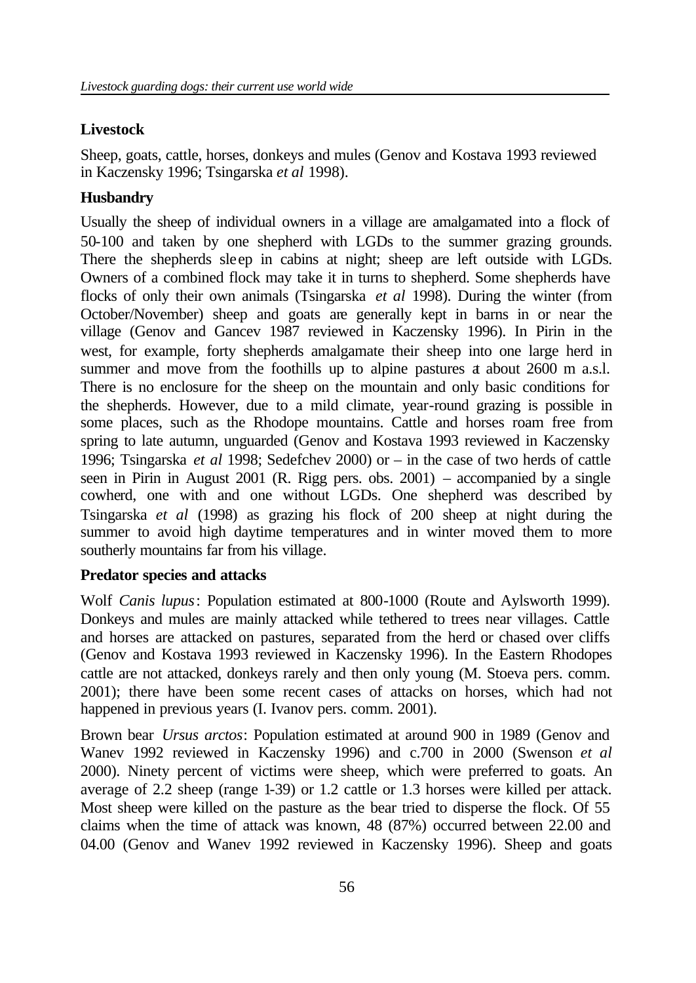## **Livestock**

Sheep, goats, cattle, horses, donkeys and mules (Genov and Kostava 1993 reviewed in Kaczensky 1996; Tsingarska *et al* 1998).

## **Husbandry**

Usually the sheep of individual owners in a village are amalgamated into a flock of 50-100 and taken by one shepherd with LGDs to the summer grazing grounds. There the shepherds sleep in cabins at night; sheep are left outside with LGDs. Owners of a combined flock may take it in turns to shepherd. Some shepherds have flocks of only their own animals (Tsingarska *et al* 1998). During the winter (from October/November) sheep and goats are generally kept in barns in or near the village (Genov and Gancev 1987 reviewed in Kaczensky 1996). In Pirin in the west, for example, forty shepherds amalgamate their sheep into one large herd in summer and move from the foothills up to alpine pastures a about 2600 m a.s.l. There is no enclosure for the sheep on the mountain and only basic conditions for the shepherds. However, due to a mild climate, year-round grazing is possible in some places, such as the Rhodope mountains. Cattle and horses roam free from spring to late autumn, unguarded (Genov and Kostava 1993 reviewed in Kaczensky 1996; Tsingarska *et al* 1998; Sedefchev 2000) or – in the case of two herds of cattle seen in Pirin in August 2001 (R. Rigg pers. obs. 2001) – accompanied by a single cowherd, one with and one without LGDs. One shepherd was described by Tsingarska *et al* (1998) as grazing his flock of 200 sheep at night during the summer to avoid high daytime temperatures and in winter moved them to more southerly mountains far from his village.

### **Predator species and attacks**

Wolf *Canis lupus*: Population estimated at 800-1000 (Route and Aylsworth 1999). Donkeys and mules are mainly attacked while tethered to trees near villages. Cattle and horses are attacked on pastures, separated from the herd or chased over cliffs (Genov and Kostava 1993 reviewed in Kaczensky 1996). In the Eastern Rhodopes cattle are not attacked, donkeys rarely and then only young (M. Stoeva pers. comm. 2001); there have been some recent cases of attacks on horses, which had not happened in previous years (I. Ivanov pers. comm. 2001).

Brown bear *Ursus arctos*: Population estimated at around 900 in 1989 (Genov and Wanev 1992 reviewed in Kaczensky 1996) and c.700 in 2000 (Swenson *et al* 2000). Ninety percent of victims were sheep, which were preferred to goats. An average of 2.2 sheep (range 1-39) or 1.2 cattle or 1.3 horses were killed per attack. Most sheep were killed on the pasture as the bear tried to disperse the flock. Of 55 claims when the time of attack was known, 48 (87%) occurred between 22.00 and 04.00 (Genov and Wanev 1992 reviewed in Kaczensky 1996). Sheep and goats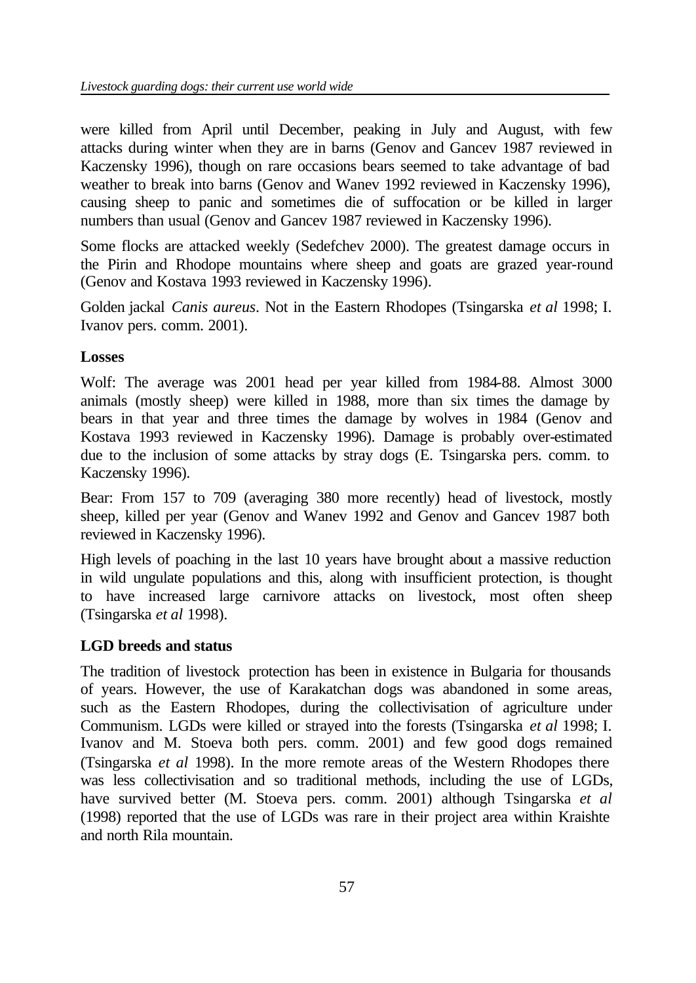were killed from April until December, peaking in July and August, with few attacks during winter when they are in barns (Genov and Gancev 1987 reviewed in Kaczensky 1996), though on rare occasions bears seemed to take advantage of bad weather to break into barns (Genov and Wanev 1992 reviewed in Kaczensky 1996), causing sheep to panic and sometimes die of suffocation or be killed in larger numbers than usual (Genov and Gancev 1987 reviewed in Kaczensky 1996).

Some flocks are attacked weekly (Sedefchev 2000). The greatest damage occurs in the Pirin and Rhodope mountains where sheep and goats are grazed year-round (Genov and Kostava 1993 reviewed in Kaczensky 1996).

Golden jackal *Canis aureus*. Not in the Eastern Rhodopes (Tsingarska *et al* 1998; I. Ivanov pers. comm. 2001).

### **Losses**

Wolf: The average was 2001 head per year killed from 1984-88. Almost 3000 animals (mostly sheep) were killed in 1988, more than six times the damage by bears in that year and three times the damage by wolves in 1984 (Genov and Kostava 1993 reviewed in Kaczensky 1996). Damage is probably over-estimated due to the inclusion of some attacks by stray dogs (E. Tsingarska pers. comm. to Kaczensky 1996).

Bear: From 157 to 709 (averaging 380 more recently) head of livestock, mostly sheep, killed per year (Genov and Wanev 1992 and Genov and Gancev 1987 both reviewed in Kaczensky 1996).

High levels of poaching in the last 10 years have brought about a massive reduction in wild ungulate populations and this, along with insufficient protection, is thought to have increased large carnivore attacks on livestock, most often sheep (Tsingarska *et al* 1998).

# **LGD breeds and status**

The tradition of livestock protection has been in existence in Bulgaria for thousands of years. However, the use of Karakatchan dogs was abandoned in some areas, such as the Eastern Rhodopes, during the collectivisation of agriculture under Communism. LGDs were killed or strayed into the forests (Tsingarska *et al* 1998; I. Ivanov and M. Stoeva both pers. comm. 2001) and few good dogs remained (Tsingarska *et al* 1998). In the more remote areas of the Western Rhodopes there was less collectivisation and so traditional methods, including the use of LGDs, have survived better (M. Stoeva pers. comm. 2001) although Tsingarska *et al* (1998) reported that the use of LGDs was rare in their project area within Kraishte and north Rila mountain.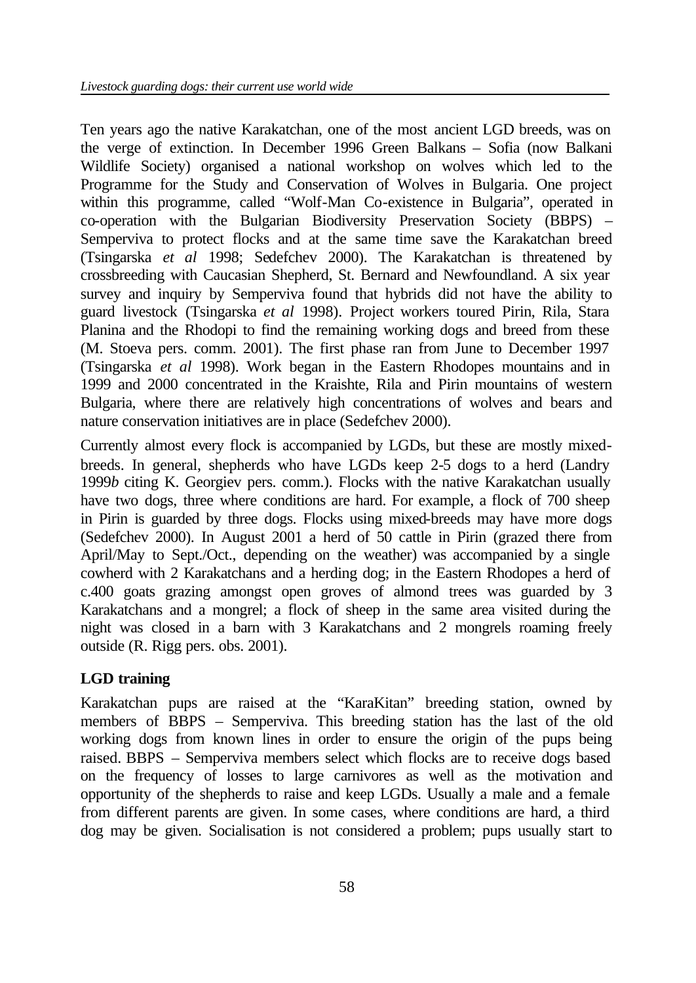Ten years ago the native Karakatchan, one of the most ancient LGD breeds, was on the verge of extinction. In December 1996 Green Balkans – Sofia (now Balkani Wildlife Society) organised a national workshop on wolves which led to the Programme for the Study and Conservation of Wolves in Bulgaria. One project within this programme, called "Wolf-Man Co-existence in Bulgaria", operated in co-operation with the Bulgarian Biodiversity Preservation Society (BBPS) – Semperviva to protect flocks and at the same time save the Karakatchan breed (Tsingarska *et al* 1998; Sedefchev 2000). The Karakatchan is threatened by crossbreeding with Caucasian Shepherd, St. Bernard and Newfoundland. A six year survey and inquiry by Semperviva found that hybrids did not have the ability to guard livestock (Tsingarska *et al* 1998). Project workers toured Pirin, Rila, Stara Planina and the Rhodopi to find the remaining working dogs and breed from these (M. Stoeva pers. comm. 2001). The first phase ran from June to December 1997 (Tsingarska *et al* 1998). Work began in the Eastern Rhodopes mountains and in 1999 and 2000 concentrated in the Kraishte, Rila and Pirin mountains of western Bulgaria, where there are relatively high concentrations of wolves and bears and nature conservation initiatives are in place (Sedefchev 2000).

Currently almost every flock is accompanied by LGDs, but these are mostly mixedbreeds. In general, shepherds who have LGDs keep 2-5 dogs to a herd (Landry 1999*b* citing K. Georgiev pers. comm.). Flocks with the native Karakatchan usually have two dogs, three where conditions are hard. For example, a flock of 700 sheep in Pirin is guarded by three dogs. Flocks using mixed-breeds may have more dogs (Sedefchev 2000). In August 2001 a herd of 50 cattle in Pirin (grazed there from April/May to Sept./Oct., depending on the weather) was accompanied by a single cowherd with 2 Karakatchans and a herding dog; in the Eastern Rhodopes a herd of c.400 goats grazing amongst open groves of almond trees was guarded by 3 Karakatchans and a mongrel; a flock of sheep in the same area visited during the night was closed in a barn with 3 Karakatchans and 2 mongrels roaming freely outside (R. Rigg pers. obs. 2001).

### **LGD training**

Karakatchan pups are raised at the "KaraKitan" breeding station, owned by members of BBPS – Semperviva. This breeding station has the last of the old working dogs from known lines in order to ensure the origin of the pups being raised. BBPS – Semperviva members select which flocks are to receive dogs based on the frequency of losses to large carnivores as well as the motivation and opportunity of the shepherds to raise and keep LGDs. Usually a male and a female from different parents are given. In some cases, where conditions are hard, a third dog may be given. Socialisation is not considered a problem; pups usually start to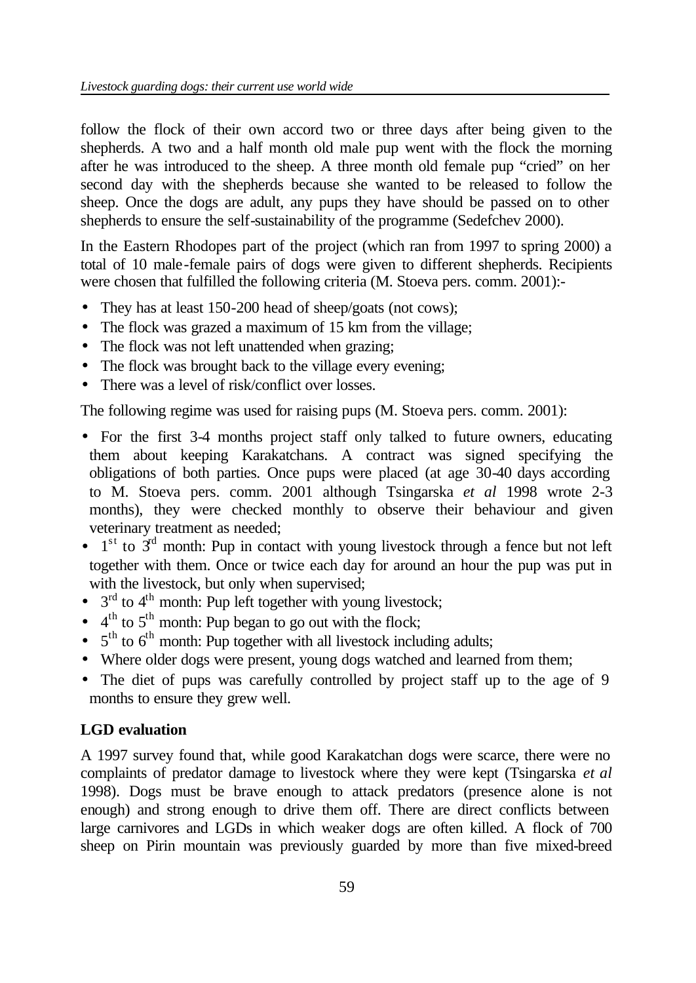follow the flock of their own accord two or three days after being given to the shepherds. A two and a half month old male pup went with the flock the morning after he was introduced to the sheep. A three month old female pup "cried" on her second day with the shepherds because she wanted to be released to follow the sheep. Once the dogs are adult, any pups they have should be passed on to other shepherds to ensure the self-sustainability of the programme (Sedefchev 2000).

In the Eastern Rhodopes part of the project (which ran from 1997 to spring 2000) a total of 10 male-female pairs of dogs were given to different shepherds. Recipients were chosen that fulfilled the following criteria (M. Stoeva pers. comm. 2001):-

- They has at least 150-200 head of sheep/goats (not cows);
- The flock was grazed a maximum of 15 km from the village;
- The flock was not left unattended when grazing;
- The flock was brought back to the village every evening;
- There was a level of risk/conflict over losses.

The following regime was used for raising pups (M. Stoeva pers. comm. 2001):

- For the first 3-4 months project staff only talked to future owners, educating them about keeping Karakatchans. A contract was signed specifying the obligations of both parties. Once pups were placed (at age 30-40 days according to M. Stoeva pers. comm. 2001 although Tsingarska *et al* 1998 wrote 2-3 months), they were checked monthly to observe their behaviour and given veterinary treatment as needed;
- $\bullet$  1<sup>st</sup> to  $3<sup>rd</sup>$  month: Pup in contact with young livestock through a fence but not left together with them. Once or twice each day for around an hour the pup was put in with the livestock, but only when supervised;
- $\bullet$  3<sup>rd</sup> to 4<sup>th</sup> month: Pup left together with young livestock;
- $\bullet$  4<sup>th</sup> to 5<sup>th</sup> month: Pup began to go out with the flock;
- $\bullet$  5<sup>th</sup> to 6<sup>th</sup> month: Pup together with all livestock including adults;
- Where older dogs were present, young dogs watched and learned from them;
- The diet of pups was carefully controlled by project staff up to the age of 9 months to ensure they grew well.

# **LGD evaluation**

A 1997 survey found that, while good Karakatchan dogs were scarce, there were no complaints of predator damage to livestock where they were kept (Tsingarska *et al* 1998). Dogs must be brave enough to attack predators (presence alone is not enough) and strong enough to drive them off. There are direct conflicts between large carnivores and LGDs in which weaker dogs are often killed. A flock of 700 sheep on Pirin mountain was previously guarded by more than five mixed-breed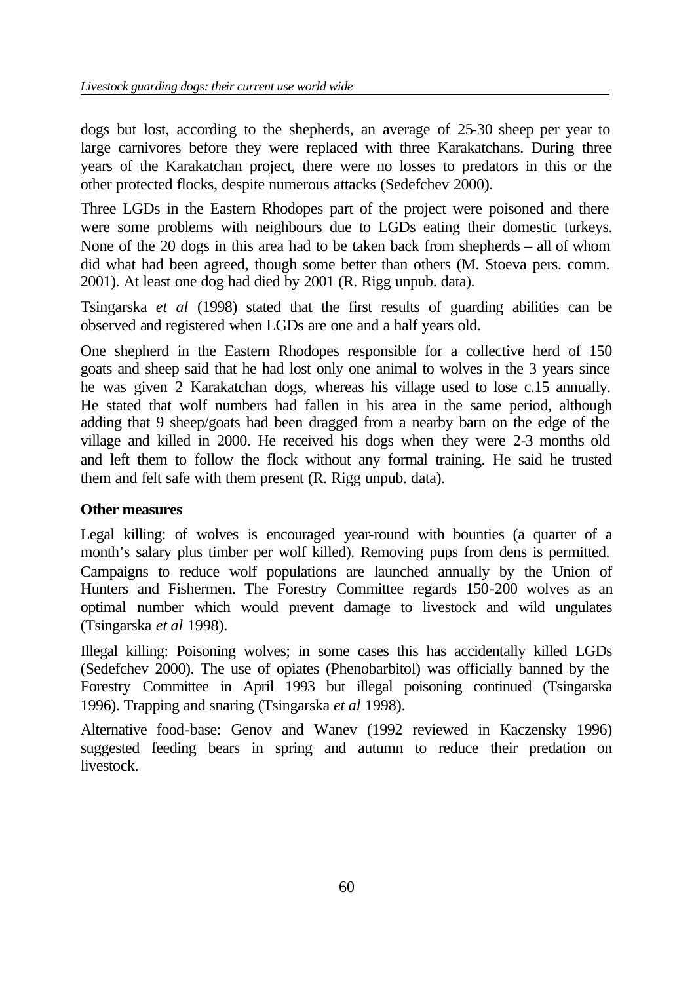dogs but lost, according to the shepherds, an average of 25-30 sheep per year to large carnivores before they were replaced with three Karakatchans. During three years of the Karakatchan project, there were no losses to predators in this or the other protected flocks, despite numerous attacks (Sedefchev 2000).

Three LGDs in the Eastern Rhodopes part of the project were poisoned and there were some problems with neighbours due to LGDs eating their domestic turkeys. None of the 20 dogs in this area had to be taken back from shepherds – all of whom did what had been agreed, though some better than others (M. Stoeva pers. comm. 2001). At least one dog had died by 2001 (R. Rigg unpub. data).

Tsingarska *et al* (1998) stated that the first results of guarding abilities can be observed and registered when LGDs are one and a half years old.

One shepherd in the Eastern Rhodopes responsible for a collective herd of 150 goats and sheep said that he had lost only one animal to wolves in the 3 years since he was given 2 Karakatchan dogs, whereas his village used to lose c.15 annually. He stated that wolf numbers had fallen in his area in the same period, although adding that 9 sheep/goats had been dragged from a nearby barn on the edge of the village and killed in 2000. He received his dogs when they were 2-3 months old and left them to follow the flock without any formal training. He said he trusted them and felt safe with them present (R. Rigg unpub. data).

### **Other measures**

Legal killing: of wolves is encouraged year-round with bounties (a quarter of a month's salary plus timber per wolf killed). Removing pups from dens is permitted. Campaigns to reduce wolf populations are launched annually by the Union of Hunters and Fishermen. The Forestry Committee regards 150-200 wolves as an optimal number which would prevent damage to livestock and wild ungulates (Tsingarska *et al* 1998).

Illegal killing: Poisoning wolves; in some cases this has accidentally killed LGDs (Sedefchev 2000). The use of opiates (Phenobarbitol) was officially banned by the Forestry Committee in April 1993 but illegal poisoning continued (Tsingarska 1996). Trapping and snaring (Tsingarska *et al* 1998).

Alternative food-base: Genov and Wanev (1992 reviewed in Kaczensky 1996) suggested feeding bears in spring and autumn to reduce their predation on livestock.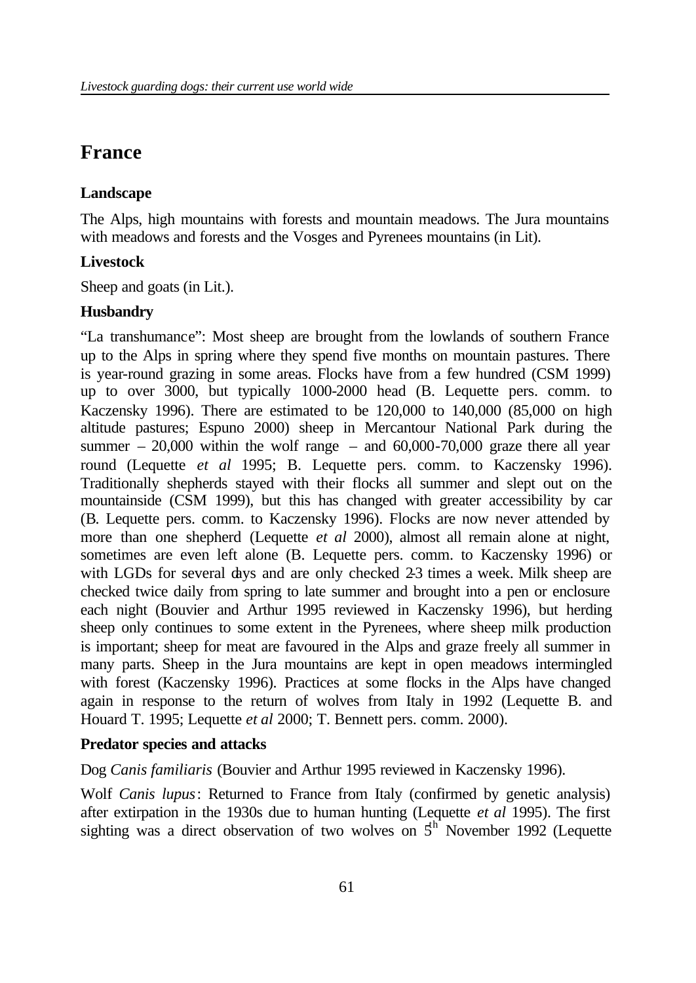# **France**

### **Landscape**

The Alps, high mountains with forests and mountain meadows. The Jura mountains with meadows and forests and the Vosges and Pyrenees mountains (in Lit).

### **Livestock**

Sheep and goats (in Lit.).

### **Husbandry**

"La transhumance": Most sheep are brought from the lowlands of southern France up to the Alps in spring where they spend five months on mountain pastures. There is year-round grazing in some areas. Flocks have from a few hundred (CSM 1999) up to over 3000, but typically 1000-2000 head (B. Lequette pers. comm. to Kaczensky 1996). There are estimated to be 120,000 to 140,000 (85,000 on high altitude pastures; Espuno 2000) sheep in Mercantour National Park during the summer  $-20,000$  within the wolf range – and 60,000-70,000 graze there all year round (Lequette *et al* 1995; B. Lequette pers. comm. to Kaczensky 1996). Traditionally shepherds stayed with their flocks all summer and slept out on the mountainside (CSM 1999), but this has changed with greater accessibility by car (B. Lequette pers. comm. to Kaczensky 1996). Flocks are now never attended by more than one shepherd (Lequette *et al* 2000), almost all remain alone at night, sometimes are even left alone (B. Lequette pers. comm. to Kaczensky 1996) or with LGDs for several days and are only checked 2-3 times a week. Milk sheep are checked twice daily from spring to late summer and brought into a pen or enclosure each night (Bouvier and Arthur 1995 reviewed in Kaczensky 1996), but herding sheep only continues to some extent in the Pyrenees, where sheep milk production is important; sheep for meat are favoured in the Alps and graze freely all summer in many parts. Sheep in the Jura mountains are kept in open meadows intermingled with forest (Kaczensky 1996). Practices at some flocks in the Alps have changed again in response to the return of wolves from Italy in 1992 (Lequette B. and Houard T. 1995; Lequette *et al* 2000; T. Bennett pers. comm. 2000).

#### **Predator species and attacks**

Dog *Canis familiaris* (Bouvier and Arthur 1995 reviewed in Kaczensky 1996).

Wolf *Canis lupus*: Returned to France from Italy (confirmed by genetic analysis) after extirpation in the 1930s due to human hunting (Lequette *et al* 1995). The first sighting was a direct observation of two wolves on  $5<sup>th</sup>$  November 1992 (Lequette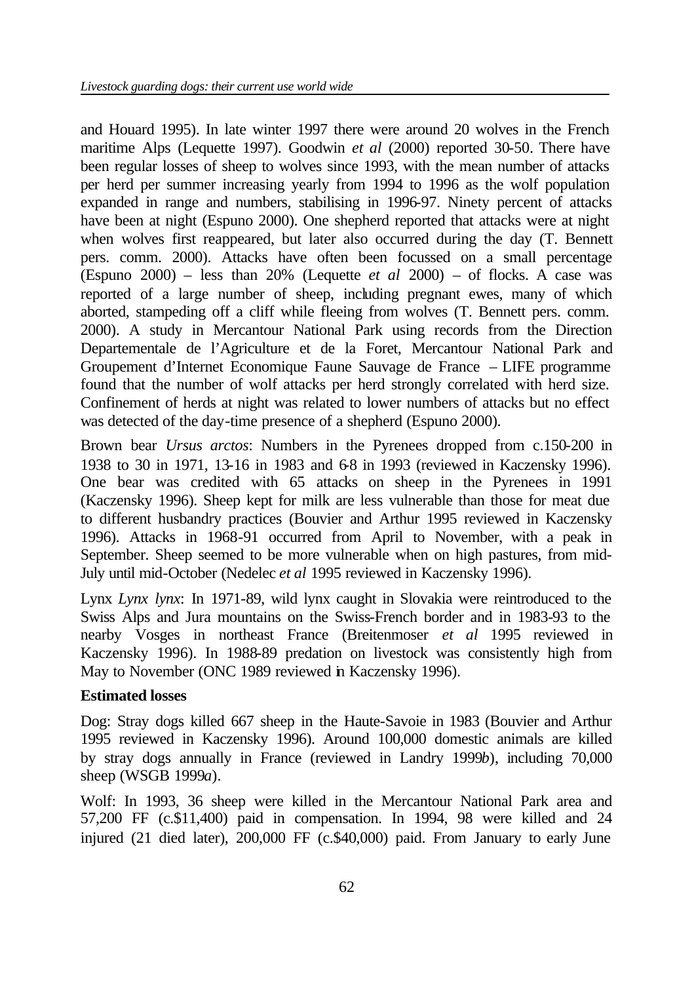and Houard 1995). In late winter 1997 there were around 20 wolves in the French maritime Alps (Lequette 1997). Goodwin *et al* (2000) reported 30-50. There have been regular losses of sheep to wolves since 1993, with the mean number of attacks per herd per summer increasing yearly from 1994 to 1996 as the wolf population expanded in range and numbers, stabilising in 1996-97. Ninety percent of attacks have been at night (Espuno 2000). One shepherd reported that attacks were at night when wolves first reappeared, but later also occurred during the day (T. Bennett pers. comm. 2000). Attacks have often been focussed on a small percentage (Espuno 2000) – less than 20% (Lequette *et al* 2000) – of flocks. A case was reported of a large number of sheep, including pregnant ewes, many of which aborted, stampeding off a cliff while fleeing from wolves (T. Bennett pers. comm. 2000). A study in Mercantour National Park using records from the Direction Departementale de l'Agriculture et de la Foret, Mercantour National Park and Groupement d'Internet Economique Faune Sauvage de France – LIFE programme found that the number of wolf attacks per herd strongly correlated with herd size. Confinement of herds at night was related to lower numbers of attacks but no effect was detected of the day-time presence of a shepherd (Espuno 2000).

Brown bear *Ursus arctos*: Numbers in the Pyrenees dropped from c.150-200 in 1938 to 30 in 1971, 13-16 in 1983 and 6-8 in 1993 (reviewed in Kaczensky 1996). One bear was credited with 65 attacks on sheep in the Pyrenees in 1991 (Kaczensky 1996). Sheep kept for milk are less vulnerable than those for meat due to different husbandry practices (Bouvier and Arthur 1995 reviewed in Kaczensky 1996). Attacks in 1968-91 occurred from April to November, with a peak in September. Sheep seemed to be more vulnerable when on high pastures, from mid-July until mid-October (Nedelec *et al* 1995 reviewed in Kaczensky 1996).

Lynx *Lynx lynx*: In 1971-89, wild lynx caught in Slovakia were reintroduced to the Swiss Alps and Jura mountains on the Swiss-French border and in 1983-93 to the nearby Vosges in northeast France (Breitenmoser *et al* 1995 reviewed in Kaczensky 1996). In 1988-89 predation on livestock was consistently high from May to November (ONC 1989 reviewed in Kaczensky 1996).

### **Estimated losses**

Dog: Stray dogs killed 667 sheep in the Haute-Savoie in 1983 (Bouvier and Arthur 1995 reviewed in Kaczensky 1996). Around 100,000 domestic animals are killed by stray dogs annually in France (reviewed in Landry 1999*b*), including 70,000 sheep (WSGB 1999*a*).

Wolf: In 1993, 36 sheep were killed in the Mercantour National Park area and 57,200 FF (c.\$11,400) paid in compensation. In 1994, 98 were killed and 24 injured (21 died later), 200,000 FF (c.\$40,000) paid. From January to early June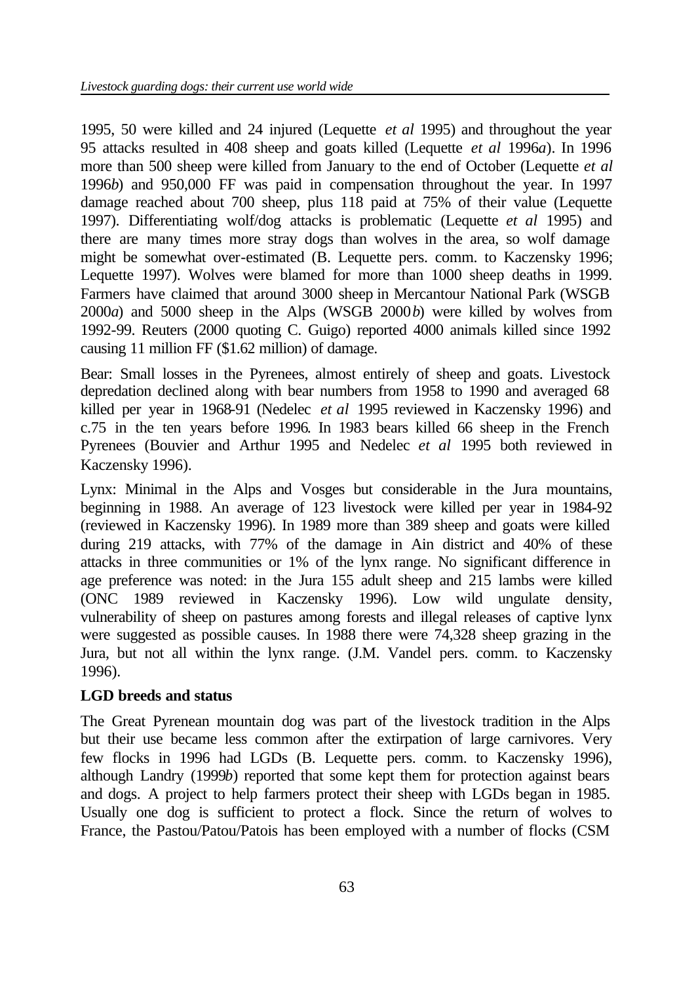1995, 50 were killed and 24 injured (Lequette *et al* 1995) and throughout the year 95 attacks resulted in 408 sheep and goats killed (Lequette *et al* 1996*a*). In 1996 more than 500 sheep were killed from January to the end of October (Lequette *et al* 1996*b*) and 950,000 FF was paid in compensation throughout the year. In 1997 damage reached about 700 sheep, plus 118 paid at 75% of their value (Lequette 1997). Differentiating wolf/dog attacks is problematic (Lequette *et al* 1995) and there are many times more stray dogs than wolves in the area, so wolf damage might be somewhat over-estimated (B. Lequette pers. comm. to Kaczensky 1996; Lequette 1997). Wolves were blamed for more than 1000 sheep deaths in 1999. Farmers have claimed that around 3000 sheep in Mercantour National Park (WSGB 2000*a*) and 5000 sheep in the Alps (WSGB 2000*b*) were killed by wolves from 1992-99. Reuters (2000 quoting C. Guigo) reported 4000 animals killed since 1992 causing 11 million FF (\$1.62 million) of damage.

Bear: Small losses in the Pyrenees, almost entirely of sheep and goats. Livestock depredation declined along with bear numbers from 1958 to 1990 and averaged 68 killed per year in 1968-91 (Nedelec *et al* 1995 reviewed in Kaczensky 1996) and c.75 in the ten years before 1996. In 1983 bears killed 66 sheep in the French Pyrenees (Bouvier and Arthur 1995 and Nedelec *et al* 1995 both reviewed in Kaczensky 1996).

Lynx: Minimal in the Alps and Vosges but considerable in the Jura mountains, beginning in 1988. An average of 123 livestock were killed per year in 1984-92 (reviewed in Kaczensky 1996). In 1989 more than 389 sheep and goats were killed during 219 attacks, with 77% of the damage in Ain district and 40% of these attacks in three communities or 1% of the lynx range. No significant difference in age preference was noted: in the Jura 155 adult sheep and 215 lambs were killed (ONC 1989 reviewed in Kaczensky 1996). Low wild ungulate density, vulnerability of sheep on pastures among forests and illegal releases of captive lynx were suggested as possible causes. In 1988 there were 74,328 sheep grazing in the Jura, but not all within the lynx range. (J.M. Vandel pers. comm. to Kaczensky 1996).

### **LGD breeds and status**

The Great Pyrenean mountain dog was part of the livestock tradition in the Alps but their use became less common after the extirpation of large carnivores. Very few flocks in 1996 had LGDs (B. Lequette pers. comm. to Kaczensky 1996), although Landry (1999*b*) reported that some kept them for protection against bears and dogs. A project to help farmers protect their sheep with LGDs began in 1985. Usually one dog is sufficient to protect a flock. Since the return of wolves to France, the Pastou/Patou/Patois has been employed with a number of flocks (CSM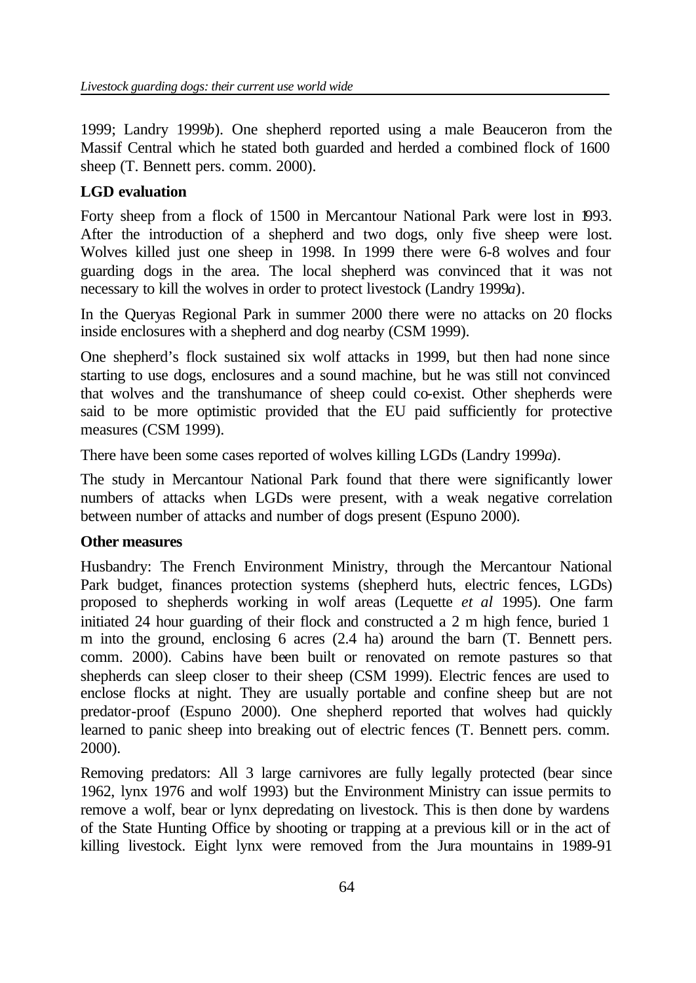1999; Landry 1999*b*). One shepherd reported using a male Beauceron from the Massif Central which he stated both guarded and herded a combined flock of 1600 sheep (T. Bennett pers. comm. 2000).

# **LGD evaluation**

Forty sheep from a flock of 1500 in Mercantour National Park were lost in 1993. After the introduction of a shepherd and two dogs, only five sheep were lost. Wolves killed just one sheep in 1998. In 1999 there were 6-8 wolves and four guarding dogs in the area. The local shepherd was convinced that it was not necessary to kill the wolves in order to protect livestock (Landry 1999*a*).

In the Queryas Regional Park in summer 2000 there were no attacks on 20 flocks inside enclosures with a shepherd and dog nearby (CSM 1999).

One shepherd's flock sustained six wolf attacks in 1999, but then had none since starting to use dogs, enclosures and a sound machine, but he was still not convinced that wolves and the transhumance of sheep could co-exist. Other shepherds were said to be more optimistic provided that the EU paid sufficiently for protective measures (CSM 1999).

There have been some cases reported of wolves killing LGDs (Landry 1999*a*).

The study in Mercantour National Park found that there were significantly lower numbers of attacks when LGDs were present, with a weak negative correlation between number of attacks and number of dogs present (Espuno 2000).

### **Other measures**

Husbandry: The French Environment Ministry, through the Mercantour National Park budget, finances protection systems (shepherd huts, electric fences, LGDs) proposed to shepherds working in wolf areas (Lequette *et al* 1995). One farm initiated 24 hour guarding of their flock and constructed a 2 m high fence, buried 1 m into the ground, enclosing 6 acres (2.4 ha) around the barn (T. Bennett pers. comm. 2000). Cabins have been built or renovated on remote pastures so that shepherds can sleep closer to their sheep (CSM 1999). Electric fences are used to enclose flocks at night. They are usually portable and confine sheep but are not predator-proof (Espuno 2000). One shepherd reported that wolves had quickly learned to panic sheep into breaking out of electric fences (T. Bennett pers. comm. 2000).

Removing predators: All 3 large carnivores are fully legally protected (bear since 1962, lynx 1976 and wolf 1993) but the Environment Ministry can issue permits to remove a wolf, bear or lynx depredating on livestock. This is then done by wardens of the State Hunting Office by shooting or trapping at a previous kill or in the act of killing livestock. Eight lynx were removed from the Jura mountains in 1989-91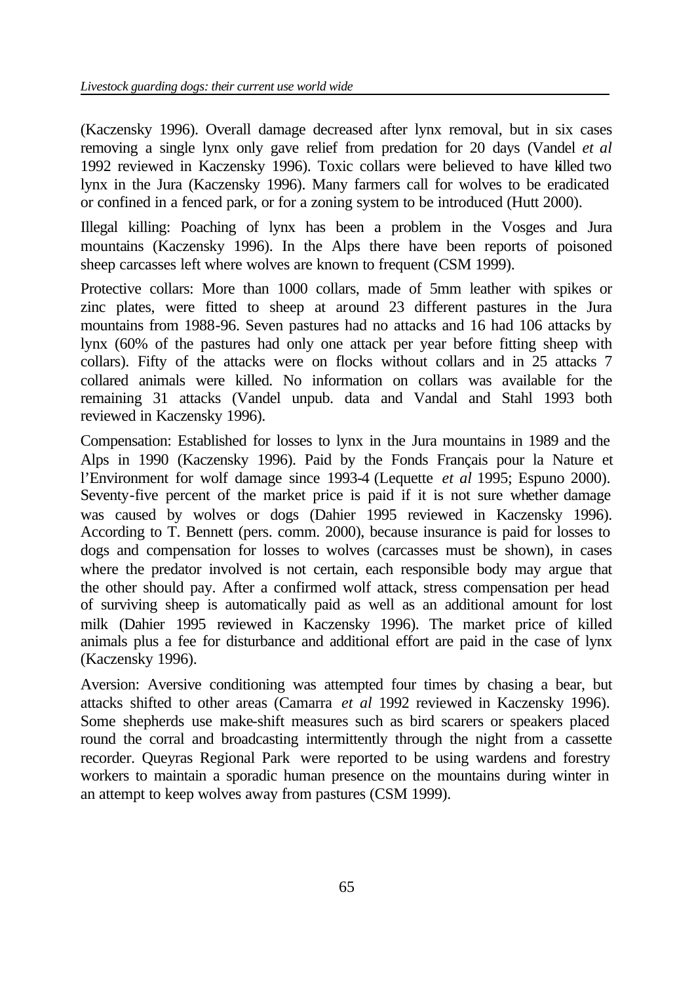(Kaczensky 1996). Overall damage decreased after lynx removal, but in six cases removing a single lynx only gave relief from predation for 20 days (Vandel *et al* 1992 reviewed in Kaczensky 1996). Toxic collars were believed to have killed two lynx in the Jura (Kaczensky 1996). Many farmers call for wolves to be eradicated or confined in a fenced park, or for a zoning system to be introduced (Hutt 2000).

Illegal killing: Poaching of lynx has been a problem in the Vosges and Jura mountains (Kaczensky 1996). In the Alps there have been reports of poisoned sheep carcasses left where wolves are known to frequent (CSM 1999).

Protective collars: More than 1000 collars, made of 5mm leather with spikes or zinc plates, were fitted to sheep at around 23 different pastures in the Jura mountains from 1988-96. Seven pastures had no attacks and 16 had 106 attacks by lynx (60% of the pastures had only one attack per year before fitting sheep with collars). Fifty of the attacks were on flocks without collars and in 25 attacks 7 collared animals were killed. No information on collars was available for the remaining 31 attacks (Vandel unpub. data and Vandal and Stahl 1993 both reviewed in Kaczensky 1996).

Compensation: Established for losses to lynx in the Jura mountains in 1989 and the Alps in 1990 (Kaczensky 1996). Paid by the Fonds Français pour la Nature et l'Environment for wolf damage since 1993-4 (Lequette *et al* 1995; Espuno 2000). Seventy-five percent of the market price is paid if it is not sure whether damage was caused by wolves or dogs (Dahier 1995 reviewed in Kaczensky 1996). According to T. Bennett (pers. comm. 2000), because insurance is paid for losses to dogs and compensation for losses to wolves (carcasses must be shown), in cases where the predator involved is not certain, each responsible body may argue that the other should pay. After a confirmed wolf attack, stress compensation per head of surviving sheep is automatically paid as well as an additional amount for lost milk (Dahier 1995 reviewed in Kaczensky 1996). The market price of killed animals plus a fee for disturbance and additional effort are paid in the case of lynx (Kaczensky 1996).

Aversion: Aversive conditioning was attempted four times by chasing a bear, but attacks shifted to other areas (Camarra *et al* 1992 reviewed in Kaczensky 1996). Some shepherds use make-shift measures such as bird scarers or speakers placed round the corral and broadcasting intermittently through the night from a cassette recorder. Queyras Regional Park were reported to be using wardens and forestry workers to maintain a sporadic human presence on the mountains during winter in an attempt to keep wolves away from pastures (CSM 1999).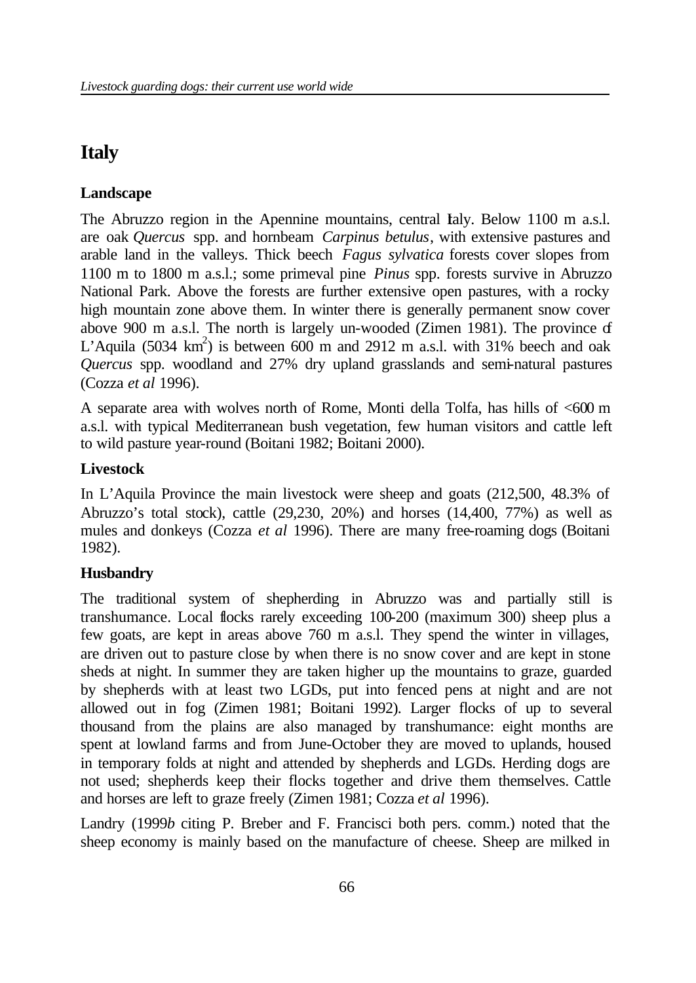# **Italy**

# **Landscape**

The Abruzzo region in the Apennine mountains, central Ialy. Below 1100 m a.s.l. are oak *Quercus* spp. and hornbeam *Carpinus betulus*, with extensive pastures and arable land in the valleys. Thick beech *Fagus sylvatica* forests cover slopes from 1100 m to 1800 m a.s.l.; some primeval pine *Pinus* spp. forests survive in Abruzzo National Park. Above the forests are further extensive open pastures, with a rocky high mountain zone above them. In winter there is generally permanent snow cover above 900 m a.s.l. The north is largely un-wooded (Zimen 1981). The province of L'Aquila (5034 km<sup>2</sup>) is between 600 m and 2912 m a.s.l. with 31% beech and oak *Quercus* spp. woodland and 27% dry upland grasslands and semi-natural pastures (Cozza *et al* 1996).

A separate area with wolves north of Rome, Monti della Tolfa, has hills of <600 m a.s.l. with typical Mediterranean bush vegetation, few human visitors and cattle left to wild pasture year-round (Boitani 1982; Boitani 2000).

# **Livestock**

In L'Aquila Province the main livestock were sheep and goats (212,500, 48.3% of Abruzzo's total stock), cattle (29,230, 20%) and horses (14,400, 77%) as well as mules and donkeys (Cozza *et al* 1996). There are many free-roaming dogs (Boitani 1982).

# **Husbandry**

The traditional system of shepherding in Abruzzo was and partially still is transhumance. Local flocks rarely exceeding 100-200 (maximum 300) sheep plus a few goats, are kept in areas above 760 m a.s.l. They spend the winter in villages, are driven out to pasture close by when there is no snow cover and are kept in stone sheds at night. In summer they are taken higher up the mountains to graze, guarded by shepherds with at least two LGDs, put into fenced pens at night and are not allowed out in fog (Zimen 1981; Boitani 1992). Larger flocks of up to several thousand from the plains are also managed by transhumance: eight months are spent at lowland farms and from June-October they are moved to uplands, housed in temporary folds at night and attended by shepherds and LGDs. Herding dogs are not used; shepherds keep their flocks together and drive them themselves. Cattle and horses are left to graze freely (Zimen 1981; Cozza *et al* 1996).

Landry (1999*b* citing P. Breber and F. Francisci both pers. comm.) noted that the sheep economy is mainly based on the manufacture of cheese. Sheep are milked in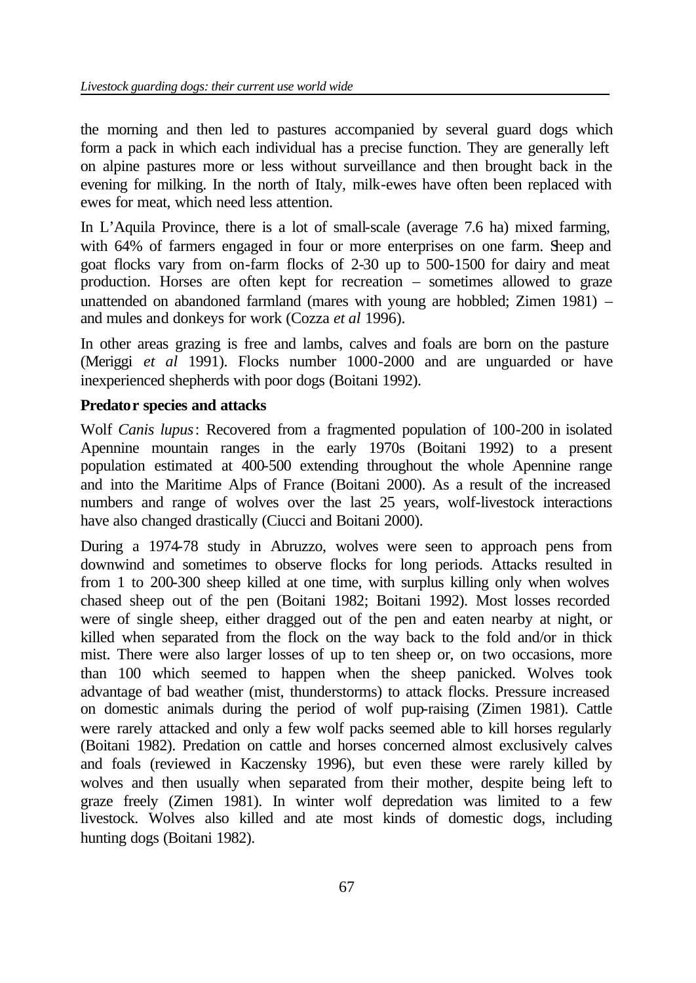the morning and then led to pastures accompanied by several guard dogs which form a pack in which each individual has a precise function. They are generally left on alpine pastures more or less without surveillance and then brought back in the evening for milking. In the north of Italy, milk-ewes have often been replaced with ewes for meat, which need less attention.

In L'Aquila Province, there is a lot of small-scale (average 7.6 ha) mixed farming, with 64% of farmers engaged in four or more enterprises on one farm. Sheep and goat flocks vary from on-farm flocks of 2-30 up to 500-1500 for dairy and meat production. Horses are often kept for recreation – sometimes allowed to graze unattended on abandoned farmland (mares with young are hobbled; Zimen 1981) – and mules and donkeys for work (Cozza *et al* 1996).

In other areas grazing is free and lambs, calves and foals are born on the pasture (Meriggi *et al* 1991). Flocks number 1000-2000 and are unguarded or have inexperienced shepherds with poor dogs (Boitani 1992).

### **Predator species and attacks**

Wolf *Canis lupus*: Recovered from a fragmented population of 100-200 in isolated Apennine mountain ranges in the early 1970s (Boitani 1992) to a present population estimated at 400-500 extending throughout the whole Apennine range and into the Maritime Alps of France (Boitani 2000). As a result of the increased numbers and range of wolves over the last 25 years, wolf-livestock interactions have also changed drastically (Ciucci and Boitani 2000).

During a 1974-78 study in Abruzzo, wolves were seen to approach pens from downwind and sometimes to observe flocks for long periods. Attacks resulted in from 1 to 200-300 sheep killed at one time, with surplus killing only when wolves chased sheep out of the pen (Boitani 1982; Boitani 1992). Most losses recorded were of single sheep, either dragged out of the pen and eaten nearby at night, or killed when separated from the flock on the way back to the fold and/or in thick mist. There were also larger losses of up to ten sheep or, on two occasions, more than 100 which seemed to happen when the sheep panicked. Wolves took advantage of bad weather (mist, thunderstorms) to attack flocks. Pressure increased on domestic animals during the period of wolf pup-raising (Zimen 1981). Cattle were rarely attacked and only a few wolf packs seemed able to kill horses regularly (Boitani 1982). Predation on cattle and horses concerned almost exclusively calves and foals (reviewed in Kaczensky 1996), but even these were rarely killed by wolves and then usually when separated from their mother, despite being left to graze freely (Zimen 1981). In winter wolf depredation was limited to a few livestock. Wolves also killed and ate most kinds of domestic dogs, including hunting dogs (Boitani 1982).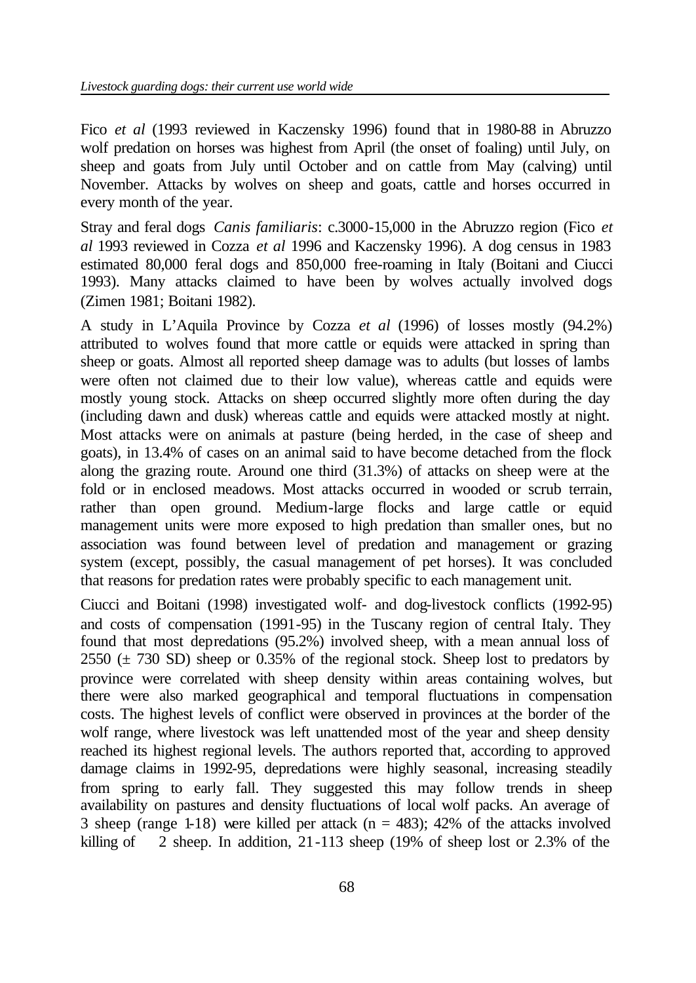Fico *et al* (1993 reviewed in Kaczensky 1996) found that in 1980-88 in Abruzzo wolf predation on horses was highest from April (the onset of foaling) until July, on sheep and goats from July until October and on cattle from May (calving) until November. Attacks by wolves on sheep and goats, cattle and horses occurred in every month of the year.

Stray and feral dogs *Canis familiaris*: c.3000-15,000 in the Abruzzo region (Fico *et al* 1993 reviewed in Cozza *et al* 1996 and Kaczensky 1996). A dog census in 1983 estimated 80,000 feral dogs and 850,000 free-roaming in Italy (Boitani and Ciucci 1993). Many attacks claimed to have been by wolves actually involved dogs (Zimen 1981; Boitani 1982).

A study in L'Aquila Province by Cozza *et al* (1996) of losses mostly (94.2%) attributed to wolves found that more cattle or equids were attacked in spring than sheep or goats. Almost all reported sheep damage was to adults (but losses of lambs were often not claimed due to their low value), whereas cattle and equids were mostly young stock. Attacks on sheep occurred slightly more often during the day (including dawn and dusk) whereas cattle and equids were attacked mostly at night. Most attacks were on animals at pasture (being herded, in the case of sheep and goats), in 13.4% of cases on an animal said to have become detached from the flock along the grazing route. Around one third (31.3%) of attacks on sheep were at the fold or in enclosed meadows. Most attacks occurred in wooded or scrub terrain, rather than open ground. Medium-large flocks and large cattle or equid management units were more exposed to high predation than smaller ones, but no association was found between level of predation and management or grazing system (except, possibly, the casual management of pet horses). It was concluded that reasons for predation rates were probably specific to each management unit.

Ciucci and Boitani (1998) investigated wolf- and dog-livestock conflicts (1992-95) and costs of compensation (1991-95) in the Tuscany region of central Italy. They found that most depredations (95.2%) involved sheep, with a mean annual loss of 2550  $(\pm 730 \text{ SD})$  sheep or 0.35% of the regional stock. Sheep lost to predators by province were correlated with sheep density within areas containing wolves, but there were also marked geographical and temporal fluctuations in compensation costs. The highest levels of conflict were observed in provinces at the border of the wolf range, where livestock was left unattended most of the year and sheep density reached its highest regional levels. The authors reported that, according to approved damage claims in 1992-95, depredations were highly seasonal, increasing steadily from spring to early fall. They suggested this may follow trends in sheep availability on pastures and density fluctuations of local wolf packs. An average of 3 sheep (range 1-18) were killed per attack ( $n = 483$ ); 42% of the attacks involved killing of 2 sheep. In addition, 21-113 sheep (19% of sheep lost or 2.3% of the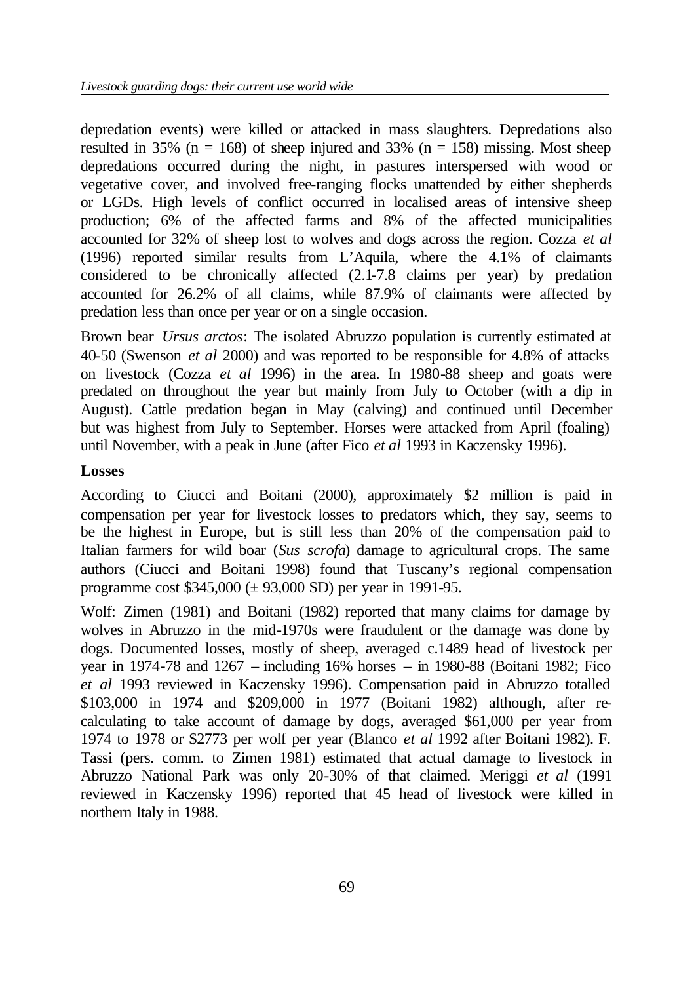depredation events) were killed or attacked in mass slaughters. Depredations also resulted in 35% ( $n = 168$ ) of sheep injured and 33% ( $n = 158$ ) missing. Most sheep depredations occurred during the night, in pastures interspersed with wood or vegetative cover, and involved free-ranging flocks unattended by either shepherds or LGDs. High levels of conflict occurred in localised areas of intensive sheep production; 6% of the affected farms and 8% of the affected municipalities accounted for 32% of sheep lost to wolves and dogs across the region. Cozza *et al* (1996) reported similar results from L'Aquila, where the 4.1% of claimants considered to be chronically affected (2.1-7.8 claims per year) by predation accounted for 26.2% of all claims, while 87.9% of claimants were affected by predation less than once per year or on a single occasion.

Brown bear *Ursus arctos*: The isolated Abruzzo population is currently estimated at 40-50 (Swenson *et al* 2000) and was reported to be responsible for 4.8% of attacks on livestock (Cozza *et al* 1996) in the area. In 1980-88 sheep and goats were predated on throughout the year but mainly from July to October (with a dip in August). Cattle predation began in May (calving) and continued until December but was highest from July to September. Horses were attacked from April (foaling) until November, with a peak in June (after Fico *et al* 1993 in Kaczensky 1996).

### **Losses**

According to Ciucci and Boitani (2000), approximately \$2 million is paid in compensation per year for livestock losses to predators which, they say, seems to be the highest in Europe, but is still less than 20% of the compensation paid to Italian farmers for wild boar (*Sus scrofa*) damage to agricultural crops. The same authors (Ciucci and Boitani 1998) found that Tuscany's regional compensation programme cost \$345,000 (± 93,000 SD) per year in 1991-95.

Wolf: Zimen (1981) and Boitani (1982) reported that many claims for damage by wolves in Abruzzo in the mid-1970s were fraudulent or the damage was done by dogs. Documented losses, mostly of sheep, averaged c.1489 head of livestock per year in 1974-78 and 1267 – including 16% horses – in 1980-88 (Boitani 1982; Fico *et al* 1993 reviewed in Kaczensky 1996). Compensation paid in Abruzzo totalled \$103,000 in 1974 and \$209,000 in 1977 (Boitani 1982) although, after recalculating to take account of damage by dogs, averaged \$61,000 per year from 1974 to 1978 or \$2773 per wolf per year (Blanco *et al* 1992 after Boitani 1982). F. Tassi (pers. comm. to Zimen 1981) estimated that actual damage to livestock in Abruzzo National Park was only 20-30% of that claimed. Meriggi *et al* (1991 reviewed in Kaczensky 1996) reported that 45 head of livestock were killed in northern Italy in 1988.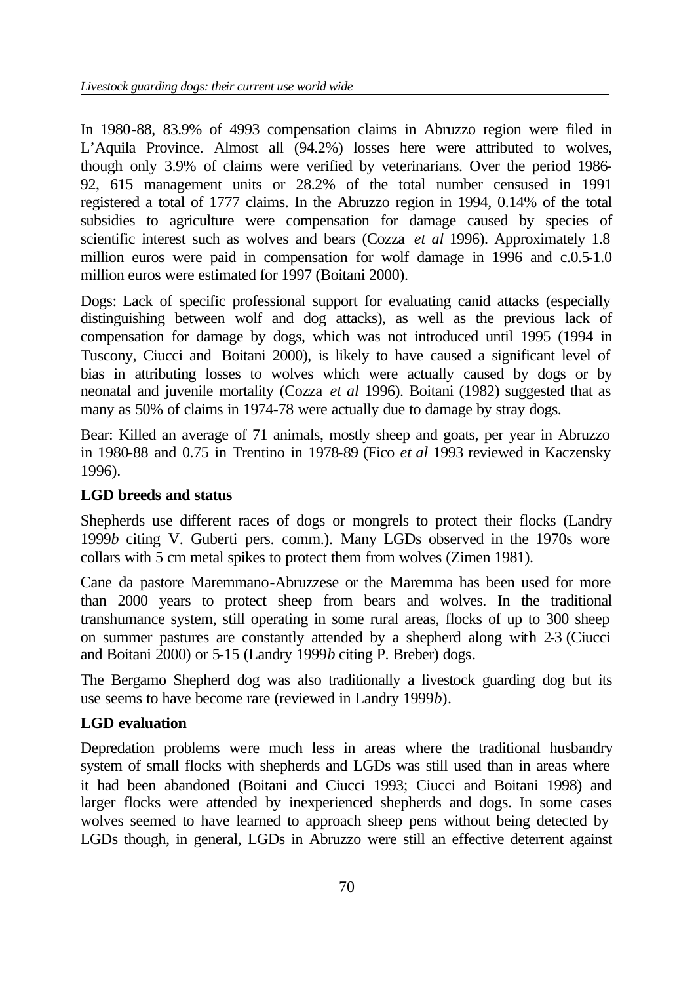In 1980-88, 83.9% of 4993 compensation claims in Abruzzo region were filed in L'Aquila Province. Almost all (94.2%) losses here were attributed to wolves, though only 3.9% of claims were verified by veterinarians. Over the period 1986- 92, 615 management units or 28.2% of the total number censused in 1991 registered a total of 1777 claims. In the Abruzzo region in 1994, 0.14% of the total subsidies to agriculture were compensation for damage caused by species of scientific interest such as wolves and bears (Cozza *et al* 1996). Approximately 1.8 million euros were paid in compensation for wolf damage in 1996 and c.0.5-1.0 million euros were estimated for 1997 (Boitani 2000).

Dogs: Lack of specific professional support for evaluating canid attacks (especially distinguishing between wolf and dog attacks), as well as the previous lack of compensation for damage by dogs, which was not introduced until 1995 (1994 in Tuscony, Ciucci and Boitani 2000), is likely to have caused a significant level of bias in attributing losses to wolves which were actually caused by dogs or by neonatal and juvenile mortality (Cozza *et al* 1996). Boitani (1982) suggested that as many as 50% of claims in 1974-78 were actually due to damage by stray dogs.

Bear: Killed an average of 71 animals, mostly sheep and goats, per year in Abruzzo in 1980-88 and 0.75 in Trentino in 1978-89 (Fico *et al* 1993 reviewed in Kaczensky 1996).

### **LGD breeds and status**

Shepherds use different races of dogs or mongrels to protect their flocks (Landry 1999*b* citing V. Guberti pers. comm.). Many LGDs observed in the 1970s wore collars with 5 cm metal spikes to protect them from wolves (Zimen 1981).

Cane da pastore Maremmano-Abruzzese or the Maremma has been used for more than 2000 years to protect sheep from bears and wolves. In the traditional transhumance system, still operating in some rural areas, flocks of up to 300 sheep on summer pastures are constantly attended by a shepherd along with 2-3 (Ciucci and Boitani 2000) or 5-15 (Landry 1999*b* citing P. Breber) dogs.

The Bergamo Shepherd dog was also traditionally a livestock guarding dog but its use seems to have become rare (reviewed in Landry 1999*b*).

### **LGD evaluation**

Depredation problems were much less in areas where the traditional husbandry system of small flocks with shepherds and LGDs was still used than in areas where it had been abandoned (Boitani and Ciucci 1993; Ciucci and Boitani 1998) and larger flocks were attended by inexperienced shepherds and dogs. In some cases wolves seemed to have learned to approach sheep pens without being detected by LGDs though, in general, LGDs in Abruzzo were still an effective deterrent against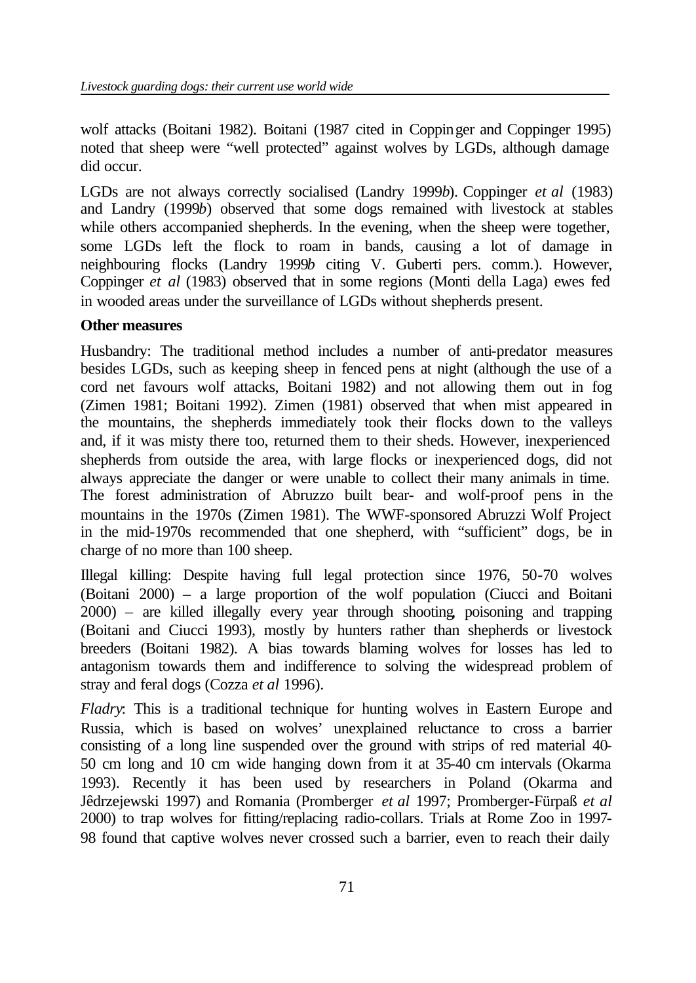wolf attacks (Boitani 1982). Boitani (1987 cited in Coppinger and Coppinger 1995) noted that sheep were "well protected" against wolves by LGDs, although damage did occur.

LGDs are not always correctly socialised (Landry 1999*b*). Coppinger *et al* (1983) and Landry (1999*b*) observed that some dogs remained with livestock at stables while others accompanied shepherds. In the evening, when the sheep were together, some LGDs left the flock to roam in bands, causing a lot of damage in neighbouring flocks (Landry 1999*b* citing V. Guberti pers. comm.). However, Coppinger *et al* (1983) observed that in some regions (Monti della Laga) ewes fed in wooded areas under the surveillance of LGDs without shepherds present.

### **Other measures**

Husbandry: The traditional method includes a number of anti-predator measures besides LGDs, such as keeping sheep in fenced pens at night (although the use of a cord net favours wolf attacks, Boitani 1982) and not allowing them out in fog (Zimen 1981; Boitani 1992). Zimen (1981) observed that when mist appeared in the mountains, the shepherds immediately took their flocks down to the valleys and, if it was misty there too, returned them to their sheds. However, inexperienced shepherds from outside the area, with large flocks or inexperienced dogs, did not always appreciate the danger or were unable to collect their many animals in time. The forest administration of Abruzzo built bear- and wolf-proof pens in the mountains in the 1970s (Zimen 1981). The WWF-sponsored Abruzzi Wolf Project in the mid-1970s recommended that one shepherd, with "sufficient" dogs, be in charge of no more than 100 sheep.

Illegal killing: Despite having full legal protection since 1976, 50-70 wolves (Boitani 2000) – a large proportion of the wolf population (Ciucci and Boitani 2000) – are killed illegally every year through shooting, poisoning and trapping (Boitani and Ciucci 1993), mostly by hunters rather than shepherds or livestock breeders (Boitani 1982). A bias towards blaming wolves for losses has led to antagonism towards them and indifference to solving the widespread problem of stray and feral dogs (Cozza *et al* 1996).

*Fladry*: This is a traditional technique for hunting wolves in Eastern Europe and Russia, which is based on wolves' unexplained reluctance to cross a barrier consisting of a long line suspended over the ground with strips of red material 40- 50 cm long and 10 cm wide hanging down from it at 35-40 cm intervals (Okarma 1993). Recently it has been used by researchers in Poland (Okarma and Jêdrzejewski 1997) and Romania (Promberger *et al* 1997; Promberger-Fürpaß *et al* 2000) to trap wolves for fitting/replacing radio-collars. Trials at Rome Zoo in 1997- 98 found that captive wolves never crossed such a barrier, even to reach their daily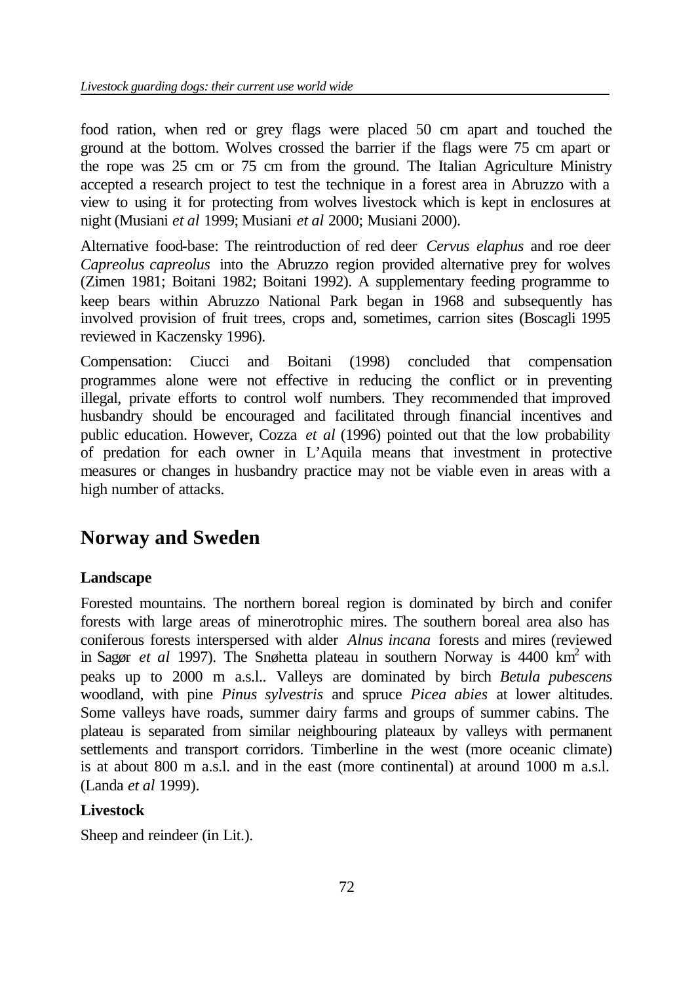food ration, when red or grey flags were placed 50 cm apart and touched the ground at the bottom. Wolves crossed the barrier if the flags were 75 cm apart or the rope was 25 cm or 75 cm from the ground. The Italian Agriculture Ministry accepted a research project to test the technique in a forest area in Abruzzo with a view to using it for protecting from wolves livestock which is kept in enclosures at night (Musiani *et al* 1999; Musiani *et al* 2000; Musiani 2000).

Alternative food-base: The reintroduction of red deer *Cervus elaphus* and roe deer *Capreolus capreolus* into the Abruzzo region provided alternative prey for wolves (Zimen 1981; Boitani 1982; Boitani 1992). A supplementary feeding programme to keep bears within Abruzzo National Park began in 1968 and subsequently has involved provision of fruit trees, crops and, sometimes, carrion sites (Boscagli 1995 reviewed in Kaczensky 1996).

Compensation: Ciucci and Boitani (1998) concluded that compensation programmes alone were not effective in reducing the conflict or in preventing illegal, private efforts to control wolf numbers. They recommended that improved husbandry should be encouraged and facilitated through financial incentives and public education. However, Cozza *et al* (1996) pointed out that the low probability of predation for each owner in L'Aquila means that investment in protective measures or changes in husbandry practice may not be viable even in areas with a high number of attacks.

# **Norway and Sweden**

# **Landscape**

Forested mountains. The northern boreal region is dominated by birch and conifer forests with large areas of minerotrophic mires. The southern boreal area also has coniferous forests interspersed with alder *Alnus incana* forests and mires (reviewed in Sagør *et al* 1997). The Snøhetta plateau in southern Norway is 4400 km<sup>2</sup> with peaks up to 2000 m a.s.l.. Valleys are dominated by birch *Betula pubescens* woodland, with pine *Pinus sylvestris* and spruce *Picea abies* at lower altitudes. Some valleys have roads, summer dairy farms and groups of summer cabins. The plateau is separated from similar neighbouring plateaux by valleys with permanent settlements and transport corridors. Timberline in the west (more oceanic climate) is at about 800 m a.s.l. and in the east (more continental) at around 1000 m a.s.l. (Landa *et al* 1999).

# **Livestock**

Sheep and reindeer (in Lit.).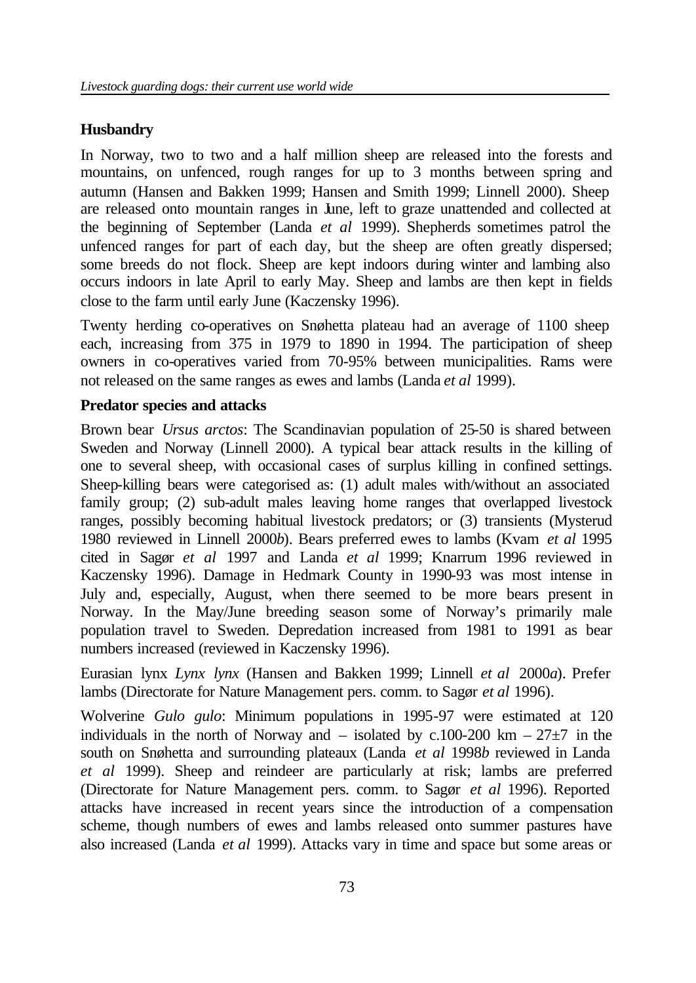#### **Husbandry**

In Norway, two to two and a half million sheep are released into the forests and mountains, on unfenced, rough ranges for up to 3 months between spring and autumn (Hansen and Bakken 1999; Hansen and Smith 1999; Linnell 2000). Sheep are released onto mountain ranges in June, left to graze unattended and collected at the beginning of September (Landa *et al* 1999). Shepherds sometimes patrol the unfenced ranges for part of each day, but the sheep are often greatly dispersed; some breeds do not flock. Sheep are kept indoors during winter and lambing also occurs indoors in late April to early May. Sheep and lambs are then kept in fields close to the farm until early June (Kaczensky 1996).

Twenty herding co-operatives on Snøhetta plateau had an average of 1100 sheep each, increasing from 375 in 1979 to 1890 in 1994. The participation of sheep owners in co-operatives varied from 70-95% between municipalities. Rams were not released on the same ranges as ewes and lambs (Landa *et al* 1999).

#### **Predator species and attacks**

Brown bear *Ursus arctos*: The Scandinavian population of 25-50 is shared between Sweden and Norway (Linnell 2000). A typical bear attack results in the killing of one to several sheep, with occasional cases of surplus killing in confined settings. Sheep-killing bears were categorised as: (1) adult males with/without an associated family group; (2) sub-adult males leaving home ranges that overlapped livestock ranges, possibly becoming habitual livestock predators; or (3) transients (Mysterud 1980 reviewed in Linnell 2000*b*). Bears preferred ewes to lambs (Kvam *et al* 1995 cited in Sagør *et al* 1997 and Landa *et al* 1999; Knarrum 1996 reviewed in Kaczensky 1996). Damage in Hedmark County in 1990-93 was most intense in July and, especially, August, when there seemed to be more bears present in Norway. In the May/June breeding season some of Norway's primarily male population travel to Sweden. Depredation increased from 1981 to 1991 as bear numbers increased (reviewed in Kaczensky 1996).

Eurasian lynx *Lynx lynx* (Hansen and Bakken 1999; Linnell *et al* 2000*a*). Prefer lambs (Directorate for Nature Management pers. comm. to Sagør *et al* 1996).

Wolverine *Gulo gulo*: Minimum populations in 1995-97 were estimated at 120 individuals in the north of Norway and – isolated by c.100-200 km –  $27\pm7$  in the south on Snøhetta and surrounding plateaux (Landa *et al* 1998*b* reviewed in Landa *et al* 1999). Sheep and reindeer are particularly at risk; lambs are preferred (Directorate for Nature Management pers. comm. to Sagør *et al* 1996). Reported attacks have increased in recent years since the introduction of a compensation scheme, though numbers of ewes and lambs released onto summer pastures have also increased (Landa *et al* 1999). Attacks vary in time and space but some areas or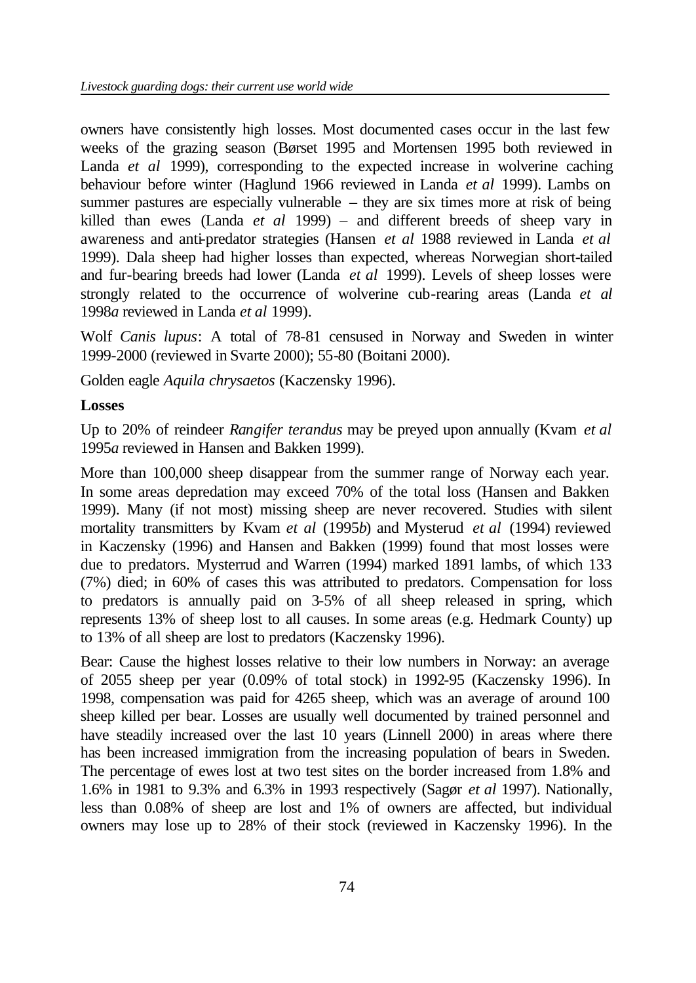owners have consistently high losses. Most documented cases occur in the last few weeks of the grazing season (Børset 1995 and Mortensen 1995 both reviewed in Landa *et al* 1999), corresponding to the expected increase in wolverine caching behaviour before winter (Haglund 1966 reviewed in Landa *et al* 1999). Lambs on summer pastures are especially vulnerable – they are six times more at risk of being killed than ewes (Landa *et al* 1999) – and different breeds of sheep vary in awareness and anti-predator strategies (Hansen *et al* 1988 reviewed in Landa *et al*  1999). Dala sheep had higher losses than expected, whereas Norwegian short-tailed and fur-bearing breeds had lower (Landa *et al* 1999). Levels of sheep losses were strongly related to the occurrence of wolverine cub-rearing areas (Landa *et al* 1998*a* reviewed in Landa *et al* 1999).

Wolf *Canis lupus*: A total of 78-81 censused in Norway and Sweden in winter 1999-2000 (reviewed in Svarte 2000); 55-80 (Boitani 2000).

Golden eagle *Aquila chrysaetos* (Kaczensky 1996).

#### **Losses**

Up to 20% of reindeer *Rangifer terandus* may be preyed upon annually (Kvam *et al*  1995*a* reviewed in Hansen and Bakken 1999).

More than 100,000 sheep disappear from the summer range of Norway each year. In some areas depredation may exceed 70% of the total loss (Hansen and Bakken 1999). Many (if not most) missing sheep are never recovered. Studies with silent mortality transmitters by Kvam *et al* (1995*b*) and Mysterud *et al* (1994) reviewed in Kaczensky (1996) and Hansen and Bakken (1999) found that most losses were due to predators. Mysterrud and Warren (1994) marked 1891 lambs, of which 133 (7%) died; in 60% of cases this was attributed to predators. Compensation for loss to predators is annually paid on 3-5% of all sheep released in spring, which represents 13% of sheep lost to all causes. In some areas (e.g. Hedmark County) up to 13% of all sheep are lost to predators (Kaczensky 1996).

Bear: Cause the highest losses relative to their low numbers in Norway: an average of 2055 sheep per year (0.09% of total stock) in 1992-95 (Kaczensky 1996). In 1998, compensation was paid for 4265 sheep, which was an average of around 100 sheep killed per bear. Losses are usually well documented by trained personnel and have steadily increased over the last 10 years (Linnell 2000) in areas where there has been increased immigration from the increasing population of bears in Sweden. The percentage of ewes lost at two test sites on the border increased from 1.8% and 1.6% in 1981 to 9.3% and 6.3% in 1993 respectively (Sagør *et al* 1997). Nationally, less than 0.08% of sheep are lost and 1% of owners are affected, but individual owners may lose up to 28% of their stock (reviewed in Kaczensky 1996). In the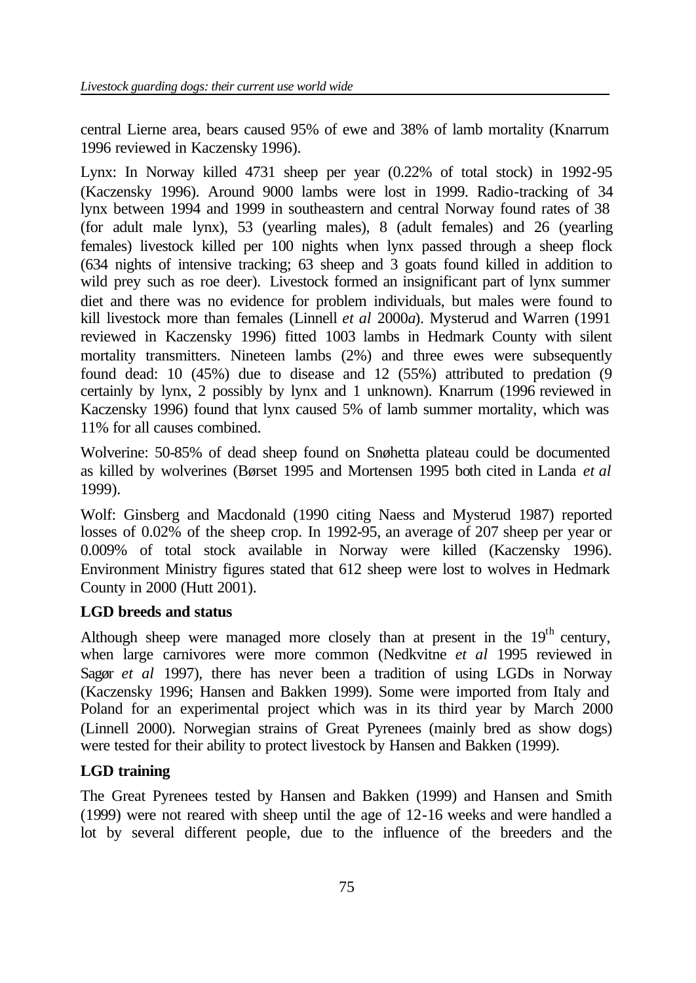central Lierne area, bears caused 95% of ewe and 38% of lamb mortality (Knarrum 1996 reviewed in Kaczensky 1996).

Lynx: In Norway killed 4731 sheep per year (0.22% of total stock) in 1992-95 (Kaczensky 1996). Around 9000 lambs were lost in 1999. Radio-tracking of 34 lynx between 1994 and 1999 in southeastern and central Norway found rates of 38 (for adult male lynx), 53 (yearling males), 8 (adult females) and 26 (yearling females) livestock killed per 100 nights when lynx passed through a sheep flock (634 nights of intensive tracking; 63 sheep and 3 goats found killed in addition to wild prey such as roe deer). Livestock formed an insignificant part of lynx summer diet and there was no evidence for problem individuals, but males were found to kill livestock more than females (Linnell *et al* 2000*a*). Mysterud and Warren (1991 reviewed in Kaczensky 1996) fitted 1003 lambs in Hedmark County with silent mortality transmitters. Nineteen lambs (2%) and three ewes were subsequently found dead: 10 (45%) due to disease and 12 (55%) attributed to predation (9 certainly by lynx, 2 possibly by lynx and 1 unknown). Knarrum (1996 reviewed in Kaczensky 1996) found that lynx caused 5% of lamb summer mortality, which was 11% for all causes combined.

Wolverine: 50-85% of dead sheep found on Snøhetta plateau could be documented as killed by wolverines (Børset 1995 and Mortensen 1995 both cited in Landa *et al*  1999).

Wolf: Ginsberg and Macdonald (1990 citing Naess and Mysterud 1987) reported losses of 0.02% of the sheep crop. In 1992-95, an average of 207 sheep per year or 0.009% of total stock available in Norway were killed (Kaczensky 1996). Environment Ministry figures stated that 612 sheep were lost to wolves in Hedmark County in 2000 (Hutt 2001).

## **LGD breeds and status**

Although sheep were managed more closely than at present in the  $19<sup>th</sup>$  century, when large carnivores were more common (Nedkvitne *et al* 1995 reviewed in Sagør *et al* 1997), there has never been a tradition of using LGDs in Norway (Kaczensky 1996; Hansen and Bakken 1999). Some were imported from Italy and Poland for an experimental project which was in its third year by March 2000 (Linnell 2000). Norwegian strains of Great Pyrenees (mainly bred as show dogs) were tested for their ability to protect livestock by Hansen and Bakken (1999).

## **LGD training**

The Great Pyrenees tested by Hansen and Bakken (1999) and Hansen and Smith (1999) were not reared with sheep until the age of 12-16 weeks and were handled a lot by several different people, due to the influence of the breeders and the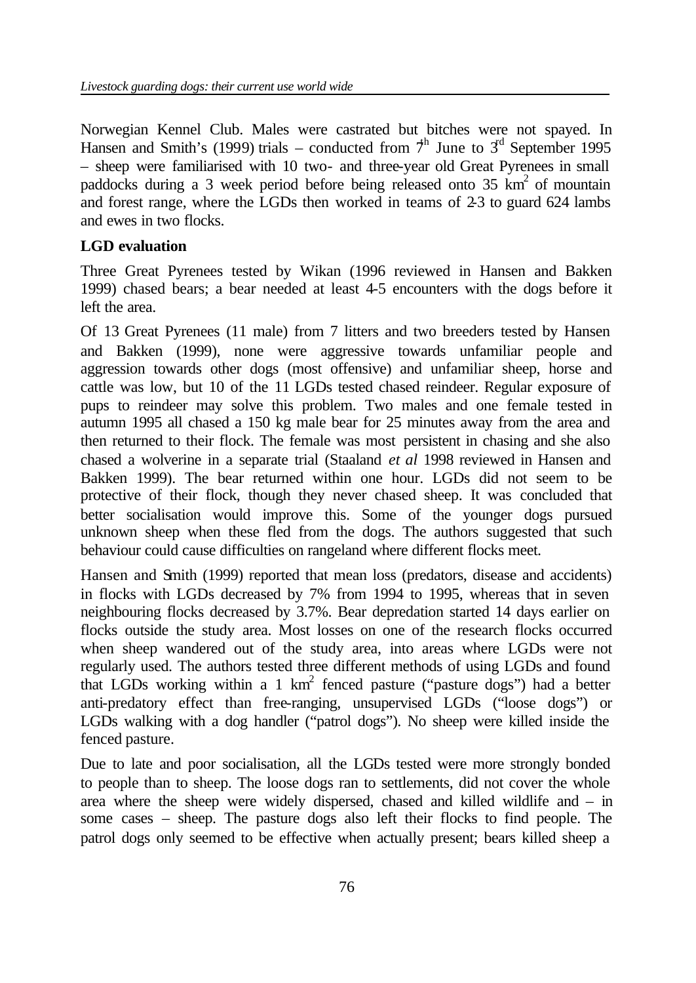Norwegian Kennel Club. Males were castrated but bitches were not spayed. In Hansen and Smith's (1999) trials – conducted from  $\hat{\tau}^h$  June to  $\hat{3}^d$  September 1995 – sheep were familiarised with 10 two- and three-year old Great Pyrenees in small paddocks during a 3 week period before being released onto  $35 \text{ km}^2$  of mountain and forest range, where the LGDs then worked in teams of 2-3 to guard 624 lambs and ewes in two flocks.

## **LGD evaluation**

Three Great Pyrenees tested by Wikan (1996 reviewed in Hansen and Bakken 1999) chased bears; a bear needed at least 4-5 encounters with the dogs before it left the area.

Of 13 Great Pyrenees (11 male) from 7 litters and two breeders tested by Hansen and Bakken (1999), none were aggressive towards unfamiliar people and aggression towards other dogs (most offensive) and unfamiliar sheep, horse and cattle was low, but 10 of the 11 LGDs tested chased reindeer. Regular exposure of pups to reindeer may solve this problem. Two males and one female tested in autumn 1995 all chased a 150 kg male bear for 25 minutes away from the area and then returned to their flock. The female was most persistent in chasing and she also chased a wolverine in a separate trial (Staaland *et al* 1998 reviewed in Hansen and Bakken 1999). The bear returned within one hour. LGDs did not seem to be protective of their flock, though they never chased sheep. It was concluded that better socialisation would improve this. Some of the younger dogs pursued unknown sheep when these fled from the dogs. The authors suggested that such behaviour could cause difficulties on rangeland where different flocks meet.

Hansen and Smith (1999) reported that mean loss (predators, disease and accidents) in flocks with LGDs decreased by 7% from 1994 to 1995, whereas that in seven neighbouring flocks decreased by 3.7%. Bear depredation started 14 days earlier on flocks outside the study area. Most losses on one of the research flocks occurred when sheep wandered out of the study area, into areas where LGDs were not regularly used. The authors tested three different methods of using LGDs and found that LGDs working within a 1  $km^2$  fenced pasture ("pasture dogs") had a better anti-predatory effect than free-ranging, unsupervised LGDs ("loose dogs") or LGDs walking with a dog handler ("patrol dogs"). No sheep were killed inside the fenced pasture.

Due to late and poor socialisation, all the LGDs tested were more strongly bonded to people than to sheep. The loose dogs ran to settlements, did not cover the whole area where the sheep were widely dispersed, chased and killed wildlife and – in some cases – sheep. The pasture dogs also left their flocks to find people. The patrol dogs only seemed to be effective when actually present; bears killed sheep a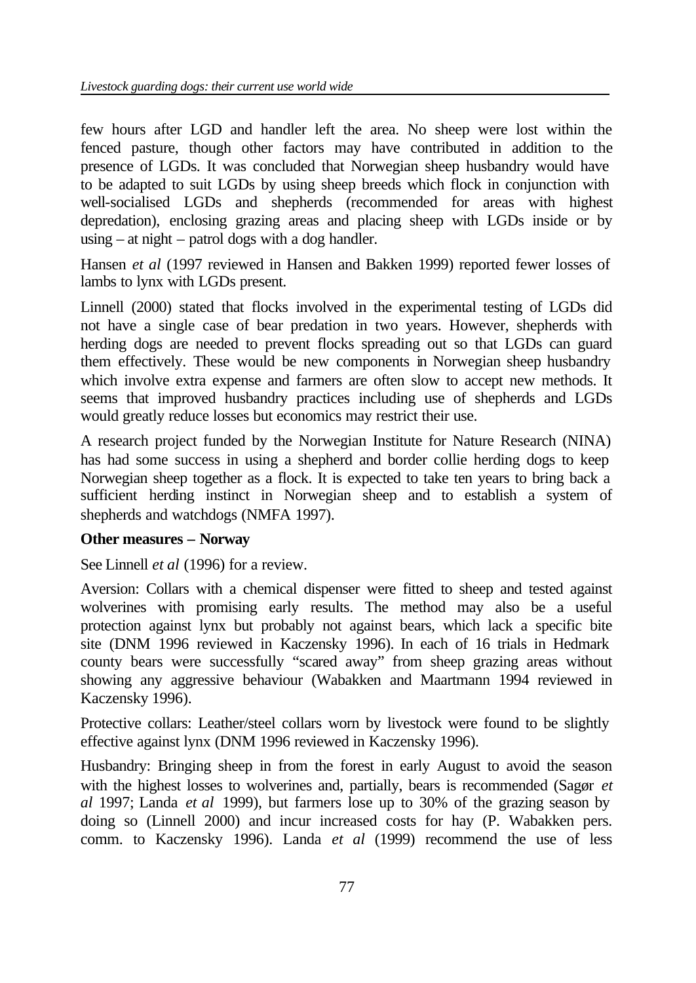few hours after LGD and handler left the area. No sheep were lost within the fenced pasture, though other factors may have contributed in addition to the presence of LGDs. It was concluded that Norwegian sheep husbandry would have to be adapted to suit LGDs by using sheep breeds which flock in conjunction with well-socialised LGDs and shepherds (recommended for areas with highest depredation), enclosing grazing areas and placing sheep with LGDs inside or by using – at night – patrol dogs with a dog handler.

Hansen *et al* (1997 reviewed in Hansen and Bakken 1999) reported fewer losses of lambs to lynx with LGDs present.

Linnell (2000) stated that flocks involved in the experimental testing of LGDs did not have a single case of bear predation in two years. However, shepherds with herding dogs are needed to prevent flocks spreading out so that LGDs can guard them effectively. These would be new components in Norwegian sheep husbandry which involve extra expense and farmers are often slow to accept new methods. It seems that improved husbandry practices including use of shepherds and LGDs would greatly reduce losses but economics may restrict their use.

A research project funded by the Norwegian Institute for Nature Research (NINA) has had some success in using a shepherd and border collie herding dogs to keep Norwegian sheep together as a flock. It is expected to take ten years to bring back a sufficient herding instinct in Norwegian sheep and to establish a system of shepherds and watchdogs (NMFA 1997).

## **Other measures – Norway**

See Linnell *et al* (1996) for a review.

Aversion: Collars with a chemical dispenser were fitted to sheep and tested against wolverines with promising early results. The method may also be a useful protection against lynx but probably not against bears, which lack a specific bite site (DNM 1996 reviewed in Kaczensky 1996). In each of 16 trials in Hedmark county bears were successfully "scared away" from sheep grazing areas without showing any aggressive behaviour (Wabakken and Maartmann 1994 reviewed in Kaczensky 1996).

Protective collars: Leather/steel collars worn by livestock were found to be slightly effective against lynx (DNM 1996 reviewed in Kaczensky 1996).

Husbandry: Bringing sheep in from the forest in early August to avoid the season with the highest losses to wolverines and, partially, bears is recommended (Sagør *et al* 1997; Landa *et al* 1999), but farmers lose up to 30% of the grazing season by doing so (Linnell 2000) and incur increased costs for hay (P. Wabakken pers. comm. to Kaczensky 1996). Landa *et al* (1999) recommend the use of less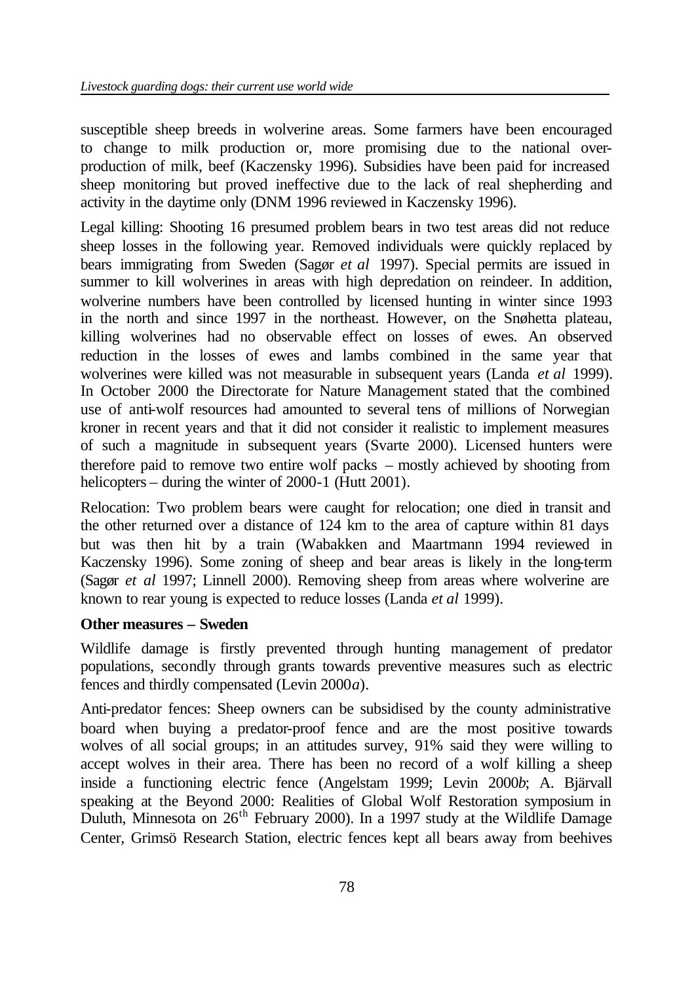susceptible sheep breeds in wolverine areas. Some farmers have been encouraged to change to milk production or, more promising due to the national overproduction of milk, beef (Kaczensky 1996). Subsidies have been paid for increased sheep monitoring but proved ineffective due to the lack of real shepherding and activity in the daytime only (DNM 1996 reviewed in Kaczensky 1996).

Legal killing: Shooting 16 presumed problem bears in two test areas did not reduce sheep losses in the following year. Removed individuals were quickly replaced by bears immigrating from Sweden (Sagør *et al* 1997). Special permits are issued in summer to kill wolverines in areas with high depredation on reindeer. In addition, wolverine numbers have been controlled by licensed hunting in winter since 1993 in the north and since 1997 in the northeast. However, on the Snøhetta plateau, killing wolverines had no observable effect on losses of ewes. An observed reduction in the losses of ewes and lambs combined in the same year that wolverines were killed was not measurable in subsequent years (Landa *et al* 1999). In October 2000 the Directorate for Nature Management stated that the combined use of anti-wolf resources had amounted to several tens of millions of Norwegian kroner in recent years and that it did not consider it realistic to implement measures of such a magnitude in subsequent years (Svarte 2000). Licensed hunters were therefore paid to remove two entire wolf packs – mostly achieved by shooting from helicopters – during the winter of 2000-1 (Hutt 2001).

Relocation: Two problem bears were caught for relocation; one died in transit and the other returned over a distance of 124 km to the area of capture within 81 days but was then hit by a train (Wabakken and Maartmann 1994 reviewed in Kaczensky 1996). Some zoning of sheep and bear areas is likely in the long-term (Sagør *et al* 1997; Linnell 2000). Removing sheep from areas where wolverine are known to rear young is expected to reduce losses (Landa *et al* 1999).

## **Other measures – Sweden**

Wildlife damage is firstly prevented through hunting management of predator populations, secondly through grants towards preventive measures such as electric fences and thirdly compensated (Levin 2000*a*).

Anti-predator fences: Sheep owners can be subsidised by the county administrative board when buying a predator-proof fence and are the most positive towards wolves of all social groups; in an attitudes survey, 91% said they were willing to accept wolves in their area. There has been no record of a wolf killing a sheep inside a functioning electric fence (Angelstam 1999; Levin 2000*b*; A. Bjärvall speaking at the Beyond 2000: Realities of Global Wolf Restoration symposium in Duluth, Minnesota on  $26<sup>th</sup>$  February 2000). In a 1997 study at the Wildlife Damage Center, Grimsö Research Station, electric fences kept all bears away from beehives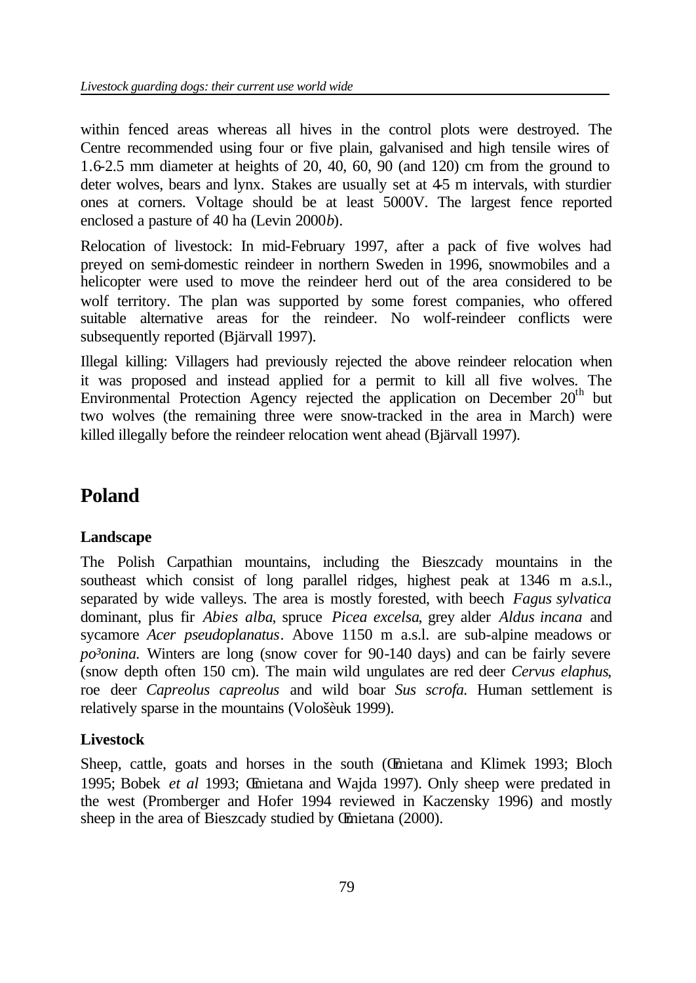within fenced areas whereas all hives in the control plots were destroyed. The Centre recommended using four or five plain, galvanised and high tensile wires of 1.6-2.5 mm diameter at heights of 20, 40, 60, 90 (and 120) cm from the ground to deter wolves, bears and lynx. Stakes are usually set at 45 m intervals, with sturdier ones at corners. Voltage should be at least 5000V. The largest fence reported enclosed a pasture of 40 ha (Levin 2000*b*).

Relocation of livestock: In mid-February 1997, after a pack of five wolves had preyed on semi-domestic reindeer in northern Sweden in 1996, snowmobiles and a helicopter were used to move the reindeer herd out of the area considered to be wolf territory. The plan was supported by some forest companies, who offered suitable alternative areas for the reindeer. No wolf-reindeer conflicts were subsequently reported (Bjärvall 1997).

Illegal killing: Villagers had previously rejected the above reindeer relocation when it was proposed and instead applied for a permit to kill all five wolves. The Environmental Protection Agency rejected the application on December  $20<sup>th</sup>$  but two wolves (the remaining three were snow-tracked in the area in March) were killed illegally before the reindeer relocation went ahead (Bjärvall 1997).

# **Poland**

## **Landscape**

The Polish Carpathian mountains, including the Bieszcady mountains in the southeast which consist of long parallel ridges, highest peak at 1346 m a.s.l., separated by wide valleys. The area is mostly forested, with beech *Fagus sylvatica*  dominant, plus fir *Abies alba*, spruce *Picea excelsa*, grey alder *Aldus incana* and sycamore *Acer pseudoplanatus*. Above 1150 m a.s.l. are sub-alpine meadows or *po³onina.* Winters are long (snow cover for 90-140 days) and can be fairly severe (snow depth often 150 cm). The main wild ungulates are red deer *Cervus elaphus*, roe deer *Capreolus capreolus* and wild boar *Sus scrofa.* Human settlement is relatively sparse in the mountains (Vološèuk 1999).

## **Livestock**

Sheep, cattle, goats and horses in the south (Œmietana and Klimek 1993; Bloch 1995; Bobek *et al* 1993; Œmietana and Wajda 1997). Only sheep were predated in the west (Promberger and Hofer 1994 reviewed in Kaczensky 1996) and mostly sheep in the area of Bieszcady studied by Œmietana (2000).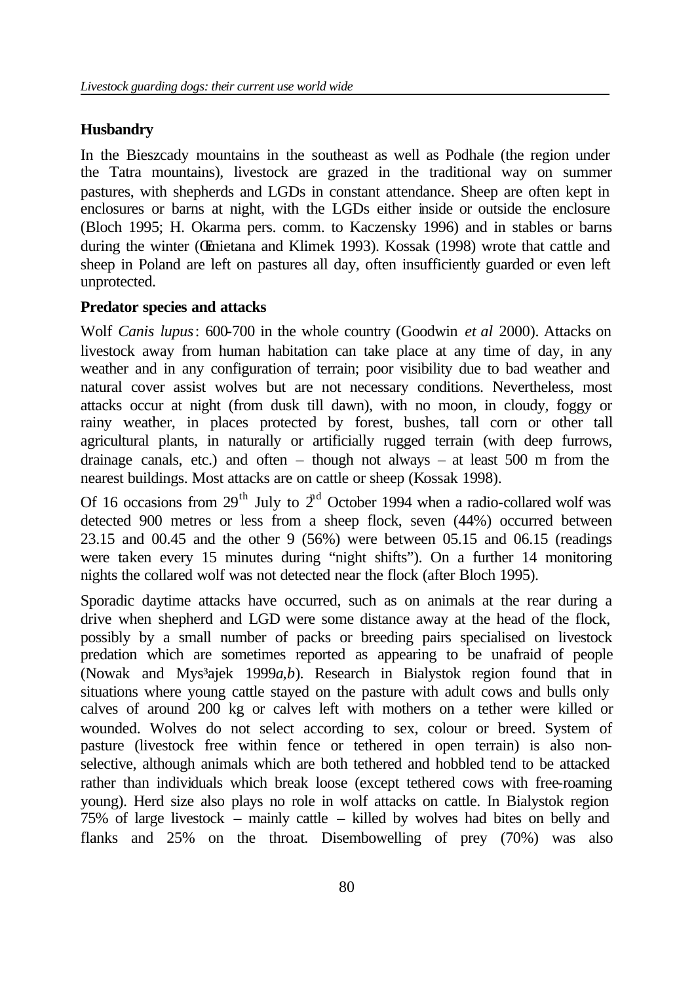#### **Husbandry**

In the Bieszcady mountains in the southeast as well as Podhale (the region under the Tatra mountains), livestock are grazed in the traditional way on summer pastures, with shepherds and LGDs in constant attendance. Sheep are often kept in enclosures or barns at night, with the LGDs either inside or outside the enclosure (Bloch 1995; H. Okarma pers. comm. to Kaczensky 1996) and in stables or barns during the winter (Œmietana and Klimek 1993). Kossak (1998) wrote that cattle and sheep in Poland are left on pastures all day, often insufficiently guarded or even left unprotected.

#### **Predator species and attacks**

Wolf *Canis lupus*: 600-700 in the whole country (Goodwin *et al* 2000). Attacks on livestock away from human habitation can take place at any time of day, in any weather and in any configuration of terrain; poor visibility due to bad weather and natural cover assist wolves but are not necessary conditions. Nevertheless, most attacks occur at night (from dusk till dawn), with no moon, in cloudy, foggy or rainy weather, in places protected by forest, bushes, tall corn or other tall agricultural plants, in naturally or artificially rugged terrain (with deep furrows, drainage canals, etc.) and often – though not always – at least  $500$  m from the nearest buildings. Most attacks are on cattle or sheep (Kossak 1998).

Of 16 occasions from  $29<sup>th</sup>$  July to  $2<sup>nd</sup>$  October 1994 when a radio-collared wolf was detected 900 metres or less from a sheep flock, seven (44%) occurred between 23.15 and 00.45 and the other 9 (56%) were between 05.15 and 06.15 (readings were taken every 15 minutes during "night shifts"). On a further 14 monitoring nights the collared wolf was not detected near the flock (after Bloch 1995).

Sporadic daytime attacks have occurred, such as on animals at the rear during a drive when shepherd and LGD were some distance away at the head of the flock, possibly by a small number of packs or breeding pairs specialised on livestock predation which are sometimes reported as appearing to be unafraid of people (Nowak and Mys³ajek 1999*a*,*b*). Research in Bialystok region found that in situations where young cattle stayed on the pasture with adult cows and bulls only calves of around 200 kg or calves left with mothers on a tether were killed or wounded. Wolves do not select according to sex, colour or breed. System of pasture (livestock free within fence or tethered in open terrain) is also nonselective, although animals which are both tethered and hobbled tend to be attacked rather than individuals which break loose (except tethered cows with free-roaming young). Herd size also plays no role in wolf attacks on cattle. In Bialystok region 75% of large livestock – mainly cattle – killed by wolves had bites on belly and flanks and 25% on the throat. Disembowelling of prey (70%) was also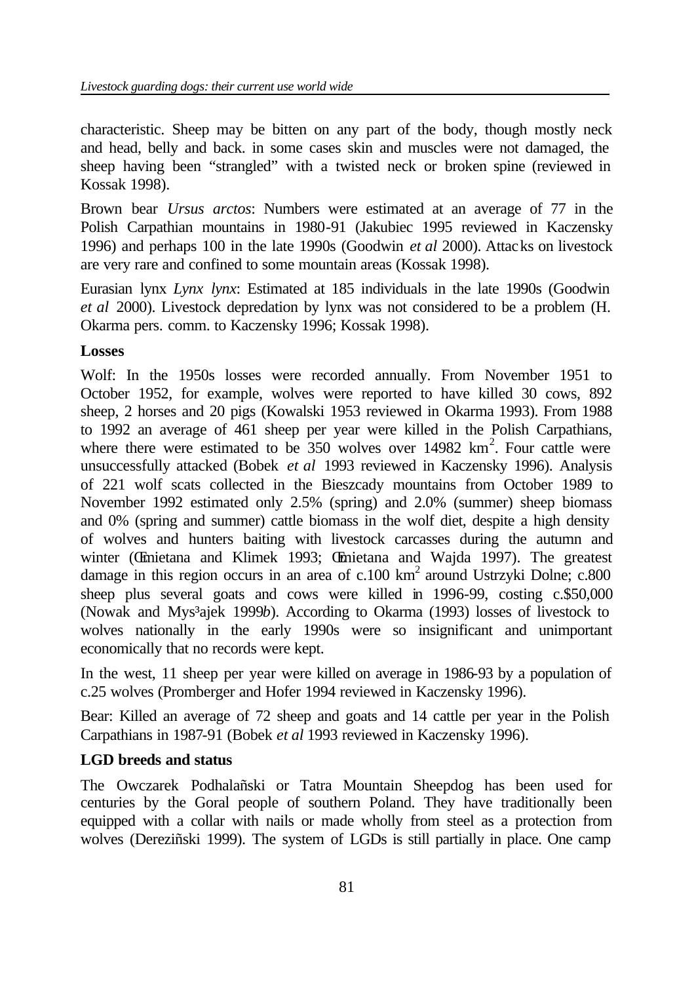characteristic. Sheep may be bitten on any part of the body, though mostly neck and head, belly and back. in some cases skin and muscles were not damaged, the sheep having been "strangled" with a twisted neck or broken spine (reviewed in Kossak 1998).

Brown bear *Ursus arctos*: Numbers were estimated at an average of 77 in the Polish Carpathian mountains in 1980-91 (Jakubiec 1995 reviewed in Kaczensky 1996) and perhaps 100 in the late 1990s (Goodwin *et al* 2000). Attacks on livestock are very rare and confined to some mountain areas (Kossak 1998).

Eurasian lynx *Lynx lynx*: Estimated at 185 individuals in the late 1990s (Goodwin *et al* 2000). Livestock depredation by lynx was not considered to be a problem (H. Okarma pers. comm. to Kaczensky 1996; Kossak 1998).

#### **Losses**

Wolf: In the 1950s losses were recorded annually. From November 1951 to October 1952, for example, wolves were reported to have killed 30 cows, 892 sheep, 2 horses and 20 pigs (Kowalski 1953 reviewed in Okarma 1993). From 1988 to 1992 an average of 461 sheep per year were killed in the Polish Carpathians, where there were estimated to be  $350$  wolves over 14982 km<sup>2</sup>. Four cattle were unsuccessfully attacked (Bobek *et al* 1993 reviewed in Kaczensky 1996). Analysis of 221 wolf scats collected in the Bieszcady mountains from October 1989 to November 1992 estimated only 2.5% (spring) and 2.0% (summer) sheep biomass and 0% (spring and summer) cattle biomass in the wolf diet, despite a high density of wolves and hunters baiting with livestock carcasses during the autumn and winter (Œmietana and Klimek 1993; Œmietana and Wajda 1997). The greatest damage in this region occurs in an area of  $c.100 \text{ km}^2$  around Ustrzyki Dolne;  $c.800$ sheep plus several goats and cows were killed in 1996-99, costing c.\$50,000 (Nowak and Mys³ajek 1999*b*). According to Okarma (1993) losses of livestock to wolves nationally in the early 1990s were so insignificant and unimportant economically that no records were kept.

In the west, 11 sheep per year were killed on average in 1986-93 by a population of c.25 wolves (Promberger and Hofer 1994 reviewed in Kaczensky 1996).

Bear: Killed an average of 72 sheep and goats and 14 cattle per year in the Polish Carpathians in 1987-91 (Bobek *et al* 1993 reviewed in Kaczensky 1996).

## **LGD breeds and status**

The Owczarek Podhalañski or Tatra Mountain Sheepdog has been used for centuries by the Goral people of southern Poland. They have traditionally been equipped with a collar with nails or made wholly from steel as a protection from wolves (Dereziñski 1999). The system of LGDs is still partially in place. One camp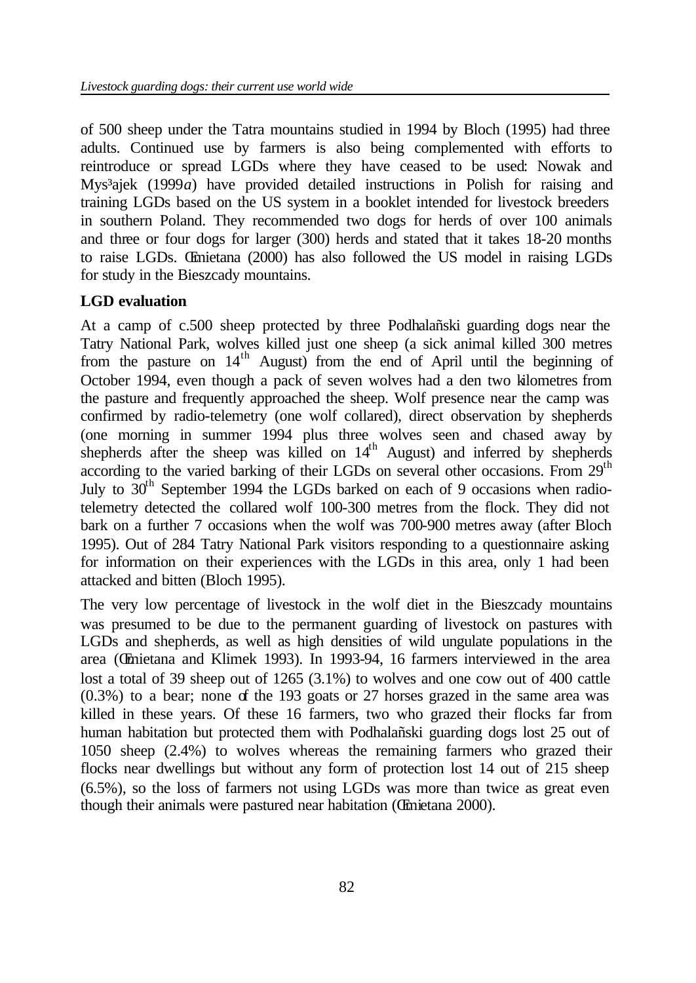of 500 sheep under the Tatra mountains studied in 1994 by Bloch (1995) had three adults. Continued use by farmers is also being complemented with efforts to reintroduce or spread LGDs where they have ceased to be used: Nowak and Mys³ajek (1999*a*) have provided detailed instructions in Polish for raising and training LGDs based on the US system in a booklet intended for livestock breeders in southern Poland. They recommended two dogs for herds of over 100 animals and three or four dogs for larger (300) herds and stated that it takes 18-20 months to raise LGDs. Œmietana (2000) has also followed the US model in raising LGDs for study in the Bieszcady mountains.

## **LGD evaluation**

At a camp of c.500 sheep protected by three Podhalañski guarding dogs near the Tatry National Park, wolves killed just one sheep (a sick animal killed 300 metres from the pasture on 14<sup>th</sup> August) from the end of April until the beginning of October 1994, even though a pack of seven wolves had a den two kilometres from the pasture and frequently approached the sheep. Wolf presence near the camp was confirmed by radio-telemetry (one wolf collared), direct observation by shepherds (one morning in summer 1994 plus three wolves seen and chased away by shepherds after the sheep was killed on  $14<sup>th</sup>$  August) and inferred by shepherds according to the varied barking of their LGDs on several other occasions. From 29<sup>th</sup> July to  $30<sup>th</sup>$  September 1994 the LGDs barked on each of 9 occasions when radiotelemetry detected the collared wolf 100-300 metres from the flock. They did not bark on a further 7 occasions when the wolf was 700-900 metres away (after Bloch 1995). Out of 284 Tatry National Park visitors responding to a questionnaire asking for information on their experiences with the LGDs in this area, only 1 had been attacked and bitten (Bloch 1995).

The very low percentage of livestock in the wolf diet in the Bieszcady mountains was presumed to be due to the permanent guarding of livestock on pastures with LGDs and shepherds, as well as high densities of wild ungulate populations in the area (Œmietana and Klimek 1993). In 1993-94, 16 farmers interviewed in the area lost a total of 39 sheep out of 1265 (3.1%) to wolves and one cow out of 400 cattle (0.3%) to a bear; none of the 193 goats or 27 horses grazed in the same area was killed in these years. Of these 16 farmers, two who grazed their flocks far from human habitation but protected them with Podhalañski guarding dogs lost 25 out of 1050 sheep (2.4%) to wolves whereas the remaining farmers who grazed their flocks near dwellings but without any form of protection lost 14 out of 215 sheep (6.5%), so the loss of farmers not using LGDs was more than twice as great even though their animals were pastured near habitation (Œmietana 2000).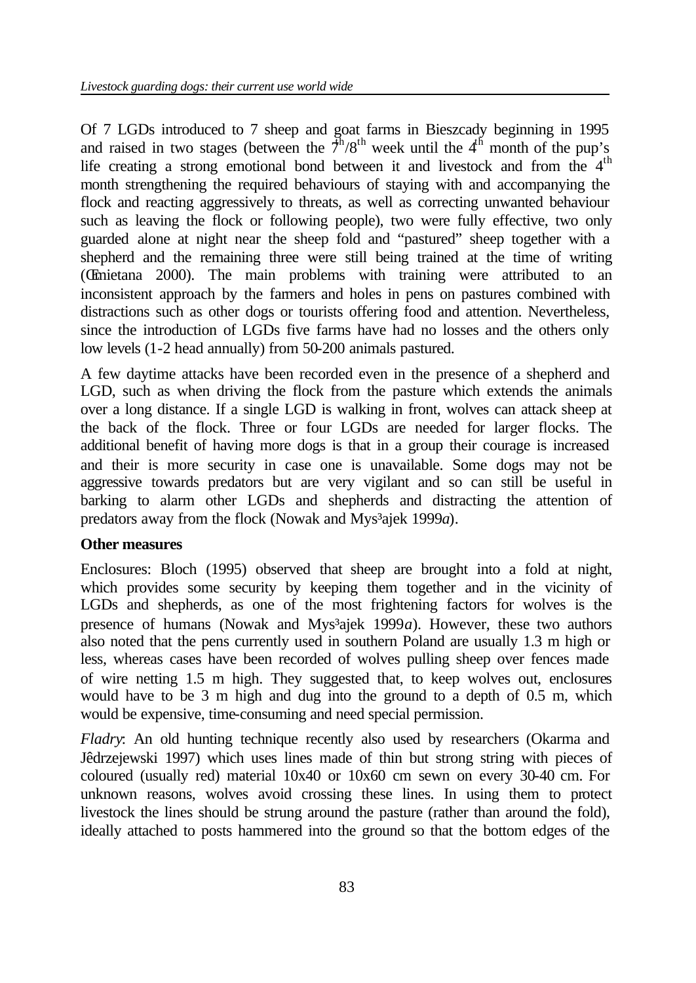Of 7 LGDs introduced to 7 sheep and goat farms in Bieszcady beginning in 1995 and raised in two stages (between the  $\overline{\tau}^h/8^{th}$  week until the 4<sup>th</sup> month of the pup's life creating a strong emotional bond between it and livestock and from the 4<sup>th</sup> month strengthening the required behaviours of staying with and accompanying the flock and reacting aggressively to threats, as well as correcting unwanted behaviour such as leaving the flock or following people), two were fully effective, two only guarded alone at night near the sheep fold and "pastured" sheep together with a shepherd and the remaining three were still being trained at the time of writing (Œmietana 2000). The main problems with training were attributed to an inconsistent approach by the farmers and holes in pens on pastures combined with distractions such as other dogs or tourists offering food and attention. Nevertheless, since the introduction of LGDs five farms have had no losses and the others only low levels (1-2 head annually) from 50-200 animals pastured.

A few daytime attacks have been recorded even in the presence of a shepherd and LGD, such as when driving the flock from the pasture which extends the animals over a long distance. If a single LGD is walking in front, wolves can attack sheep at the back of the flock. Three or four LGDs are needed for larger flocks. The additional benefit of having more dogs is that in a group their courage is increased and their is more security in case one is unavailable. Some dogs may not be aggressive towards predators but are very vigilant and so can still be useful in barking to alarm other LGDs and shepherds and distracting the attention of predators away from the flock (Nowak and Mys<sup>3</sup>ajek 1999*a*).

## **Other measures**

Enclosures: Bloch (1995) observed that sheep are brought into a fold at night, which provides some security by keeping them together and in the vicinity of LGDs and shepherds, as one of the most frightening factors for wolves is the presence of humans (Nowak and Mys<sup>3</sup>ajek 1999*a*). However, these two authors also noted that the pens currently used in southern Poland are usually 1.3 m high or less, whereas cases have been recorded of wolves pulling sheep over fences made of wire netting 1.5 m high. They suggested that, to keep wolves out, enclosures would have to be 3 m high and dug into the ground to a depth of 0.5 m, which would be expensive, time-consuming and need special permission.

*Fladry*: An old hunting technique recently also used by researchers (Okarma and Jêdrzejewski 1997) which uses lines made of thin but strong string with pieces of coloured (usually red) material 10x40 or 10x60 cm sewn on every 30-40 cm. For unknown reasons, wolves avoid crossing these lines. In using them to protect livestock the lines should be strung around the pasture (rather than around the fold), ideally attached to posts hammered into the ground so that the bottom edges of the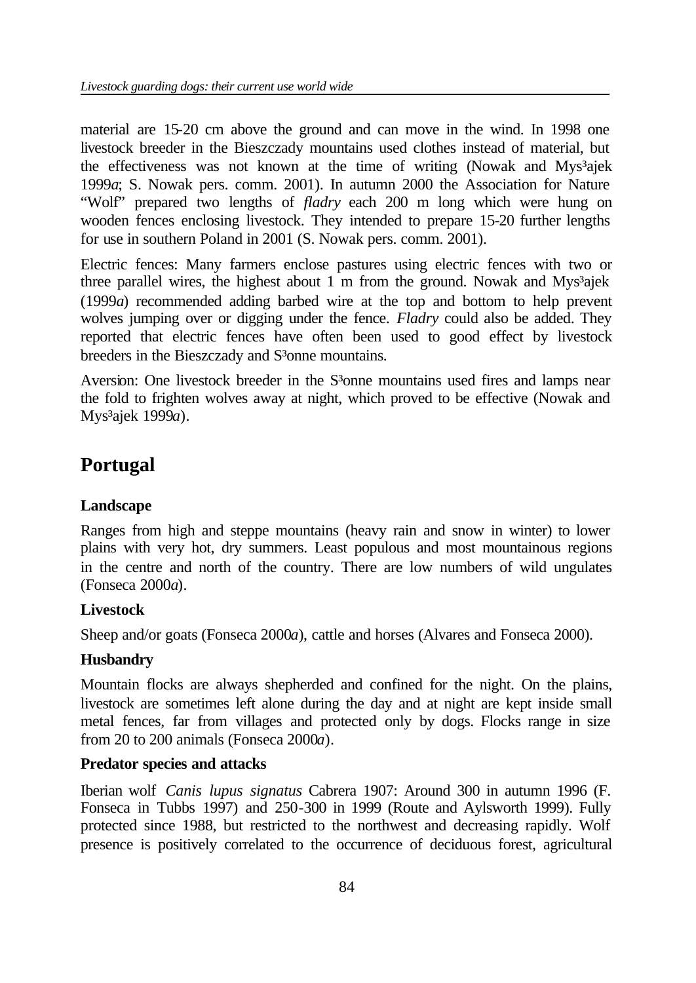material are 15-20 cm above the ground and can move in the wind. In 1998 one livestock breeder in the Bieszczady mountains used clothes instead of material, but the effectiveness was not known at the time of writing (Nowak and Mys<sup>3</sup>ajek 1999*a*; S. Nowak pers. comm. 2001). In autumn 2000 the Association for Nature "Wolf" prepared two lengths of *fladry* each 200 m long which were hung on wooden fences enclosing livestock. They intended to prepare 15-20 further lengths for use in southern Poland in 2001 (S. Nowak pers. comm. 2001).

Electric fences: Many farmers enclose pastures using electric fences with two or three parallel wires, the highest about 1 m from the ground. Nowak and Mys<sup>3</sup>ajek (1999*a*) recommended adding barbed wire at the top and bottom to help prevent wolves jumping over or digging under the fence. *Fladry* could also be added. They reported that electric fences have often been used to good effect by livestock breeders in the Bieszczady and S<sup>3</sup>onne mountains.

Aversion: One livestock breeder in the S<sup>3</sup>onne mountains used fires and lamps near the fold to frighten wolves away at night, which proved to be effective (Nowak and Mys³ajek 1999*a*).

# **Portugal**

## **Landscape**

Ranges from high and steppe mountains (heavy rain and snow in winter) to lower plains with very hot, dry summers. Least populous and most mountainous regions in the centre and north of the country. There are low numbers of wild ungulates (Fonseca 2000*a*).

## **Livestock**

Sheep and/or goats (Fonseca 2000*a*), cattle and horses (Alvares and Fonseca 2000).

## **Husbandry**

Mountain flocks are always shepherded and confined for the night. On the plains, livestock are sometimes left alone during the day and at night are kept inside small metal fences, far from villages and protected only by dogs. Flocks range in size from 20 to 200 animals (Fonseca 2000*a*).

## **Predator species and attacks**

Iberian wolf *Canis lupus signatus* Cabrera 1907: Around 300 in autumn 1996 (F. Fonseca in Tubbs 1997) and 250-300 in 1999 (Route and Aylsworth 1999). Fully protected since 1988, but restricted to the northwest and decreasing rapidly. Wolf presence is positively correlated to the occurrence of deciduous forest, agricultural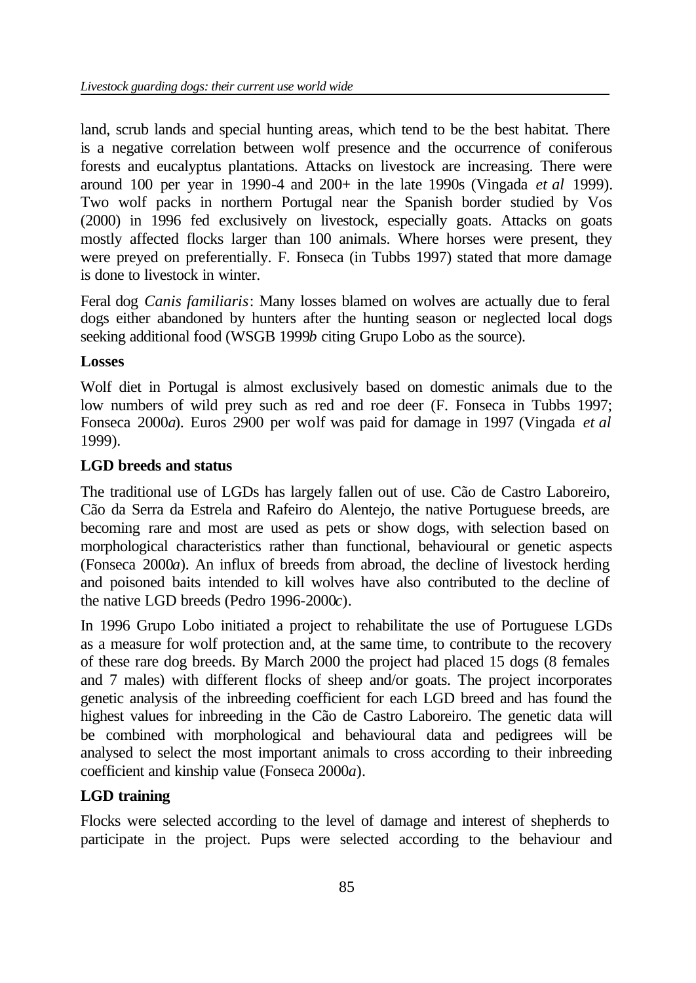land, scrub lands and special hunting areas, which tend to be the best habitat. There is a negative correlation between wolf presence and the occurrence of coniferous forests and eucalyptus plantations. Attacks on livestock are increasing. There were around 100 per year in 1990-4 and 200+ in the late 1990s (Vingada *et al* 1999). Two wolf packs in northern Portugal near the Spanish border studied by Vos (2000) in 1996 fed exclusively on livestock, especially goats. Attacks on goats mostly affected flocks larger than 100 animals. Where horses were present, they were preyed on preferentially. F. Fonseca (in Tubbs 1997) stated that more damage is done to livestock in winter.

Feral dog *Canis familiaris*: Many losses blamed on wolves are actually due to feral dogs either abandoned by hunters after the hunting season or neglected local dogs seeking additional food (WSGB 1999*b* citing Grupo Lobo as the source).

## **Losses**

Wolf diet in Portugal is almost exclusively based on domestic animals due to the low numbers of wild prey such as red and roe deer (F. Fonseca in Tubbs 1997; Fonseca 2000*a*). Euros 2900 per wolf was paid for damage in 1997 (Vingada *et al*  1999).

#### **LGD breeds and status**

The traditional use of LGDs has largely fallen out of use. Cão de Castro Laboreiro, Cão da Serra da Estrela and Rafeiro do Alentejo, the native Portuguese breeds, are becoming rare and most are used as pets or show dogs, with selection based on morphological characteristics rather than functional, behavioural or genetic aspects (Fonseca 2000*a*). An influx of breeds from abroad, the decline of livestock herding and poisoned baits intended to kill wolves have also contributed to the decline of the native LGD breeds (Pedro 1996-2000*c*).

In 1996 Grupo Lobo initiated a project to rehabilitate the use of Portuguese LGDs as a measure for wolf protection and, at the same time, to contribute to the recovery of these rare dog breeds. By March 2000 the project had placed 15 dogs (8 females and 7 males) with different flocks of sheep and/or goats. The project incorporates genetic analysis of the inbreeding coefficient for each LGD breed and has found the highest values for inbreeding in the Cão de Castro Laboreiro. The genetic data will be combined with morphological and behavioural data and pedigrees will be analysed to select the most important animals to cross according to their inbreeding coefficient and kinship value (Fonseca 2000*a*).

## **LGD training**

Flocks were selected according to the level of damage and interest of shepherds to participate in the project. Pups were selected according to the behaviour and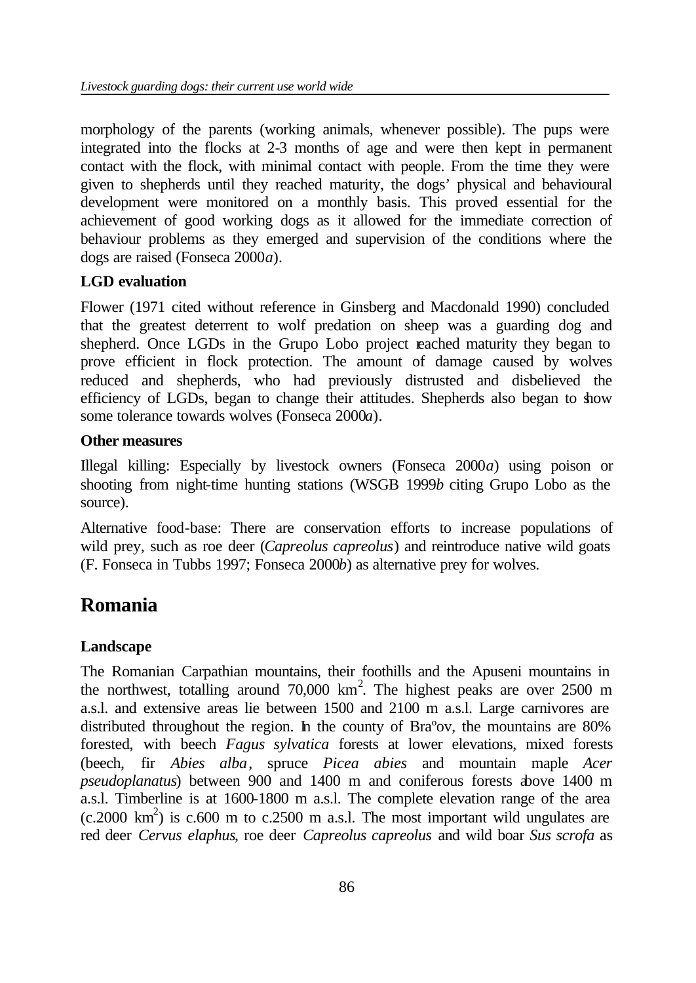morphology of the parents (working animals, whenever possible). The pups were integrated into the flocks at 2-3 months of age and were then kept in permanent contact with the flock, with minimal contact with people. From the time they were given to shepherds until they reached maturity, the dogs' physical and behavioural development were monitored on a monthly basis. This proved essential for the achievement of good working dogs as it allowed for the immediate correction of behaviour problems as they emerged and supervision of the conditions where the dogs are raised (Fonseca 2000*a*).

## **LGD evaluation**

Flower (1971 cited without reference in Ginsberg and Macdonald 1990) concluded that the greatest deterrent to wolf predation on sheep was a guarding dog and shepherd. Once LGDs in the Grupo Lobo project reached maturity they began to prove efficient in flock protection. The amount of damage caused by wolves reduced and shepherds, who had previously distrusted and disbelieved the efficiency of LGDs, began to change their attitudes. Shepherds also began to show some tolerance towards wolves (Fonseca 2000*a*).

#### **Other measures**

Illegal killing: Especially by livestock owners (Fonseca 2000*a*) using poison or shooting from night-time hunting stations (WSGB 1999*b* citing Grupo Lobo as the source).

Alternative food-base: There are conservation efforts to increase populations of wild prey, such as roe deer (*Capreolus capreolus*) and reintroduce native wild goats (F. Fonseca in Tubbs 1997; Fonseca 2000*b*) as alternative prey for wolves.

## **Romania**

## **Landscape**

The Romanian Carpathian mountains, their foothills and the Apuseni mountains in the northwest, totalling around  $70,000 \text{ km}^2$ . The highest peaks are over 2500 m a.s.l. and extensive areas lie between 1500 and 2100 m a.s.l. Large carnivores are distributed throughout the region. In the county of Braºov, the mountains are 80% forested, with beech *Fagus sylvatica* forests at lower elevations, mixed forests (beech, fir *Abies alba*, spruce *Picea abies* and mountain maple *Acer pseudoplanatus*) between 900 and 1400 m and coniferous forests above 1400 m a.s.l. Timberline is at 1600-1800 m a.s.l. The complete elevation range of the area  $(c.2000 \text{ km}^2)$  is  $c.600 \text{ m}$  to  $c.2500 \text{ m}$  a.s.l. The most important wild ungulates are red deer *Cervus elaphus*, roe deer *Capreolus capreolus* and wild boar *Sus scrofa* as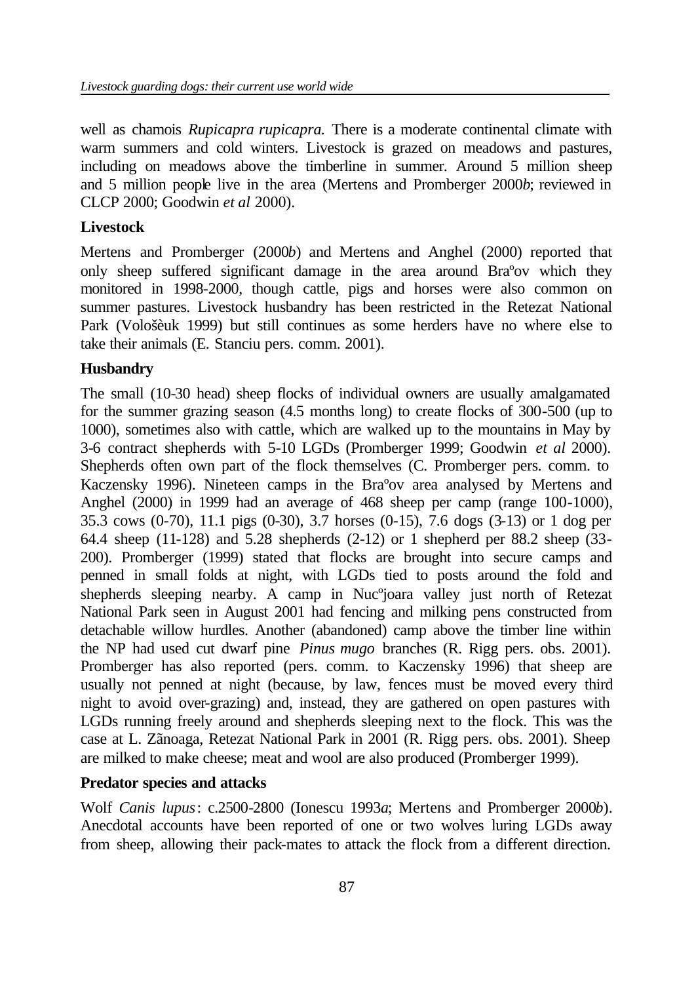well as chamois *Rupicapra rupicapra.* There is a moderate continental climate with warm summers and cold winters. Livestock is grazed on meadows and pastures, including on meadows above the timberline in summer. Around 5 million sheep and 5 million people live in the area (Mertens and Promberger 2000*b*; reviewed in CLCP 2000; Goodwin *et al* 2000).

## **Livestock**

Mertens and Promberger (2000*b*) and Mertens and Anghel (2000) reported that only sheep suffered significant damage in the area around Braºov which they monitored in 1998-2000, though cattle, pigs and horses were also common on summer pastures. Livestock husbandry has been restricted in the Retezat National Park (Vološèuk 1999) but still continues as some herders have no where else to take their animals (E. Stanciu pers. comm. 2001).

## **Husbandry**

The small (10-30 head) sheep flocks of individual owners are usually amalgamated for the summer grazing season (4.5 months long) to create flocks of 300-500 (up to 1000), sometimes also with cattle, which are walked up to the mountains in May by 3-6 contract shepherds with 5-10 LGDs (Promberger 1999; Goodwin *et al* 2000). Shepherds often own part of the flock themselves (C. Promberger pers. comm. to Kaczensky 1996). Nineteen camps in the Braºov area analysed by Mertens and Anghel (2000) in 1999 had an average of 468 sheep per camp (range 100-1000), 35.3 cows (0-70), 11.1 pigs (0-30), 3.7 horses (0-15), 7.6 dogs (3-13) or 1 dog per 64.4 sheep (11-128) and 5.28 shepherds (2-12) or 1 shepherd per 88.2 sheep (33- 200). Promberger (1999) stated that flocks are brought into secure camps and penned in small folds at night, with LGDs tied to posts around the fold and shepherds sleeping nearby. A camp in Nucºjoara valley just north of Retezat National Park seen in August 2001 had fencing and milking pens constructed from detachable willow hurdles. Another (abandoned) camp above the timber line within the NP had used cut dwarf pine *Pinus mugo* branches (R. Rigg pers. obs. 2001). Promberger has also reported (pers. comm. to Kaczensky 1996) that sheep are usually not penned at night (because, by law, fences must be moved every third night to avoid over-grazing) and, instead, they are gathered on open pastures with LGDs running freely around and shepherds sleeping next to the flock. This was the case at L. Zãnoaga, Retezat National Park in 2001 (R. Rigg pers. obs. 2001). Sheep are milked to make cheese; meat and wool are also produced (Promberger 1999).

## **Predator species and attacks**

Wolf *Canis lupus*: c.2500-2800 (Ionescu 1993*a*; Mertens and Promberger 2000*b*). Anecdotal accounts have been reported of one or two wolves luring LGDs away from sheep, allowing their pack-mates to attack the flock from a different direction.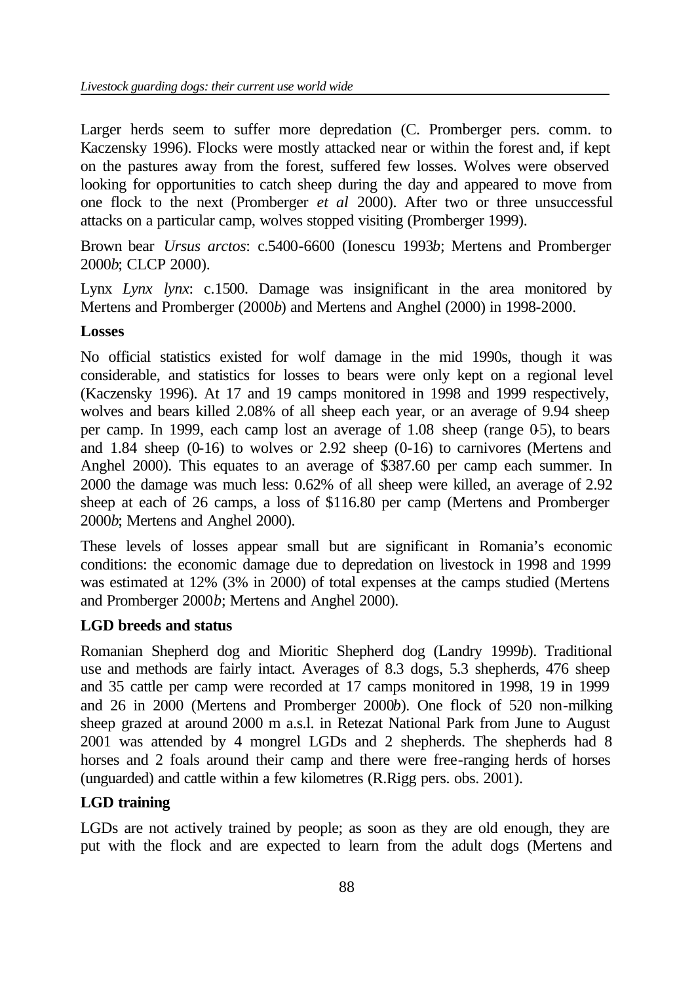Larger herds seem to suffer more depredation (C. Promberger pers. comm. to Kaczensky 1996). Flocks were mostly attacked near or within the forest and, if kept on the pastures away from the forest, suffered few losses. Wolves were observed looking for opportunities to catch sheep during the day and appeared to move from one flock to the next (Promberger *et al* 2000). After two or three unsuccessful attacks on a particular camp, wolves stopped visiting (Promberger 1999).

Brown bear *Ursus arctos*: c.5400-6600 (Ionescu 1993*b*; Mertens and Promberger 2000*b*; CLCP 2000).

Lynx *Lynx lynx*: c.1500. Damage was insignificant in the area monitored by Mertens and Promberger (2000*b*) and Mertens and Anghel (2000) in 1998-2000.

#### **Losses**

No official statistics existed for wolf damage in the mid 1990s, though it was considerable, and statistics for losses to bears were only kept on a regional level (Kaczensky 1996). At 17 and 19 camps monitored in 1998 and 1999 respectively, wolves and bears killed 2.08% of all sheep each year, or an average of 9.94 sheep per camp. In 1999, each camp lost an average of  $1.08$  sheep (range  $0.5$ ), to bears and  $1.84$  sheep (0-16) to wolves or  $2.92$  sheep (0-16) to carnivores (Mertens and Anghel 2000). This equates to an average of \$387.60 per camp each summer. In 2000 the damage was much less: 0.62% of all sheep were killed, an average of 2.92 sheep at each of 26 camps, a loss of \$116.80 per camp (Mertens and Promberger 2000*b*; Mertens and Anghel 2000).

These levels of losses appear small but are significant in Romania's economic conditions: the economic damage due to depredation on livestock in 1998 and 1999 was estimated at 12% (3% in 2000) of total expenses at the camps studied (Mertens and Promberger 2000*b*; Mertens and Anghel 2000).

## **LGD breeds and status**

Romanian Shepherd dog and Mioritic Shepherd dog (Landry 1999*b*). Traditional use and methods are fairly intact. Averages of 8.3 dogs, 5.3 shepherds, 476 sheep and 35 cattle per camp were recorded at 17 camps monitored in 1998, 19 in 1999 and 26 in 2000 (Mertens and Promberger 2000*b*). One flock of 520 non-milking sheep grazed at around 2000 m a.s.l. in Retezat National Park from June to August 2001 was attended by 4 mongrel LGDs and 2 shepherds. The shepherds had 8 horses and 2 foals around their camp and there were free-ranging herds of horses (unguarded) and cattle within a few kilometres (R.Rigg pers. obs. 2001).

## **LGD training**

LGDs are not actively trained by people; as soon as they are old enough, they are put with the flock and are expected to learn from the adult dogs (Mertens and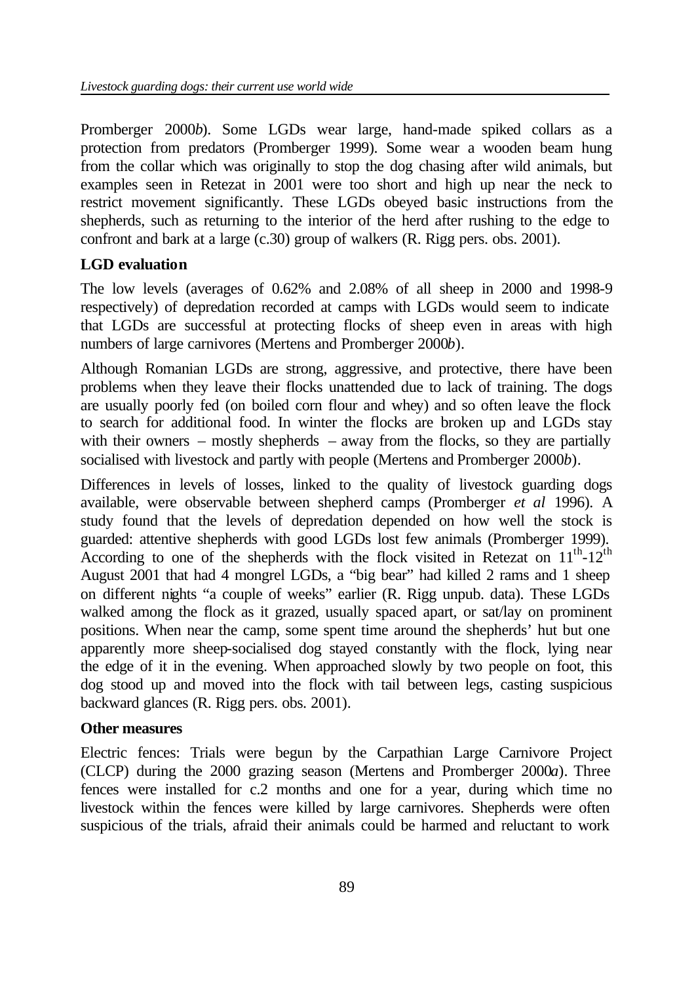Promberger 2000*b*). Some LGDs wear large, hand-made spiked collars as a protection from predators (Promberger 1999). Some wear a wooden beam hung from the collar which was originally to stop the dog chasing after wild animals, but examples seen in Retezat in 2001 were too short and high up near the neck to restrict movement significantly. These LGDs obeyed basic instructions from the shepherds, such as returning to the interior of the herd after rushing to the edge to confront and bark at a large (c.30) group of walkers (R. Rigg pers. obs. 2001).

## **LGD evaluation**

The low levels (averages of 0.62% and 2.08% of all sheep in 2000 and 1998-9 respectively) of depredation recorded at camps with LGDs would seem to indicate that LGDs are successful at protecting flocks of sheep even in areas with high numbers of large carnivores (Mertens and Promberger 2000*b*).

Although Romanian LGDs are strong, aggressive, and protective, there have been problems when they leave their flocks unattended due to lack of training. The dogs are usually poorly fed (on boiled corn flour and whey) and so often leave the flock to search for additional food. In winter the flocks are broken up and LGDs stay with their owners – mostly shepherds – away from the flocks, so they are partially socialised with livestock and partly with people (Mertens and Promberger 2000*b*).

Differences in levels of losses, linked to the quality of livestock guarding dogs available, were observable between shepherd camps (Promberger *et al* 1996). A study found that the levels of depredation depended on how well the stock is guarded: attentive shepherds with good LGDs lost few animals (Promberger 1999). According to one of the shepherds with the flock visited in Retezat on  $11^{th}$ - $12^{th}$ August 2001 that had 4 mongrel LGDs, a "big bear" had killed 2 rams and 1 sheep on different nights "a couple of weeks" earlier (R. Rigg unpub. data). These LGDs walked among the flock as it grazed, usually spaced apart, or sat/lay on prominent positions. When near the camp, some spent time around the shepherds' hut but one apparently more sheep-socialised dog stayed constantly with the flock, lying near the edge of it in the evening. When approached slowly by two people on foot, this dog stood up and moved into the flock with tail between legs, casting suspicious backward glances (R. Rigg pers. obs. 2001).

## **Other measures**

Electric fences: Trials were begun by the Carpathian Large Carnivore Project (CLCP) during the 2000 grazing season (Mertens and Promberger 2000*a*). Three fences were installed for c.2 months and one for a year, during which time no livestock within the fences were killed by large carnivores. Shepherds were often suspicious of the trials, afraid their animals could be harmed and reluctant to work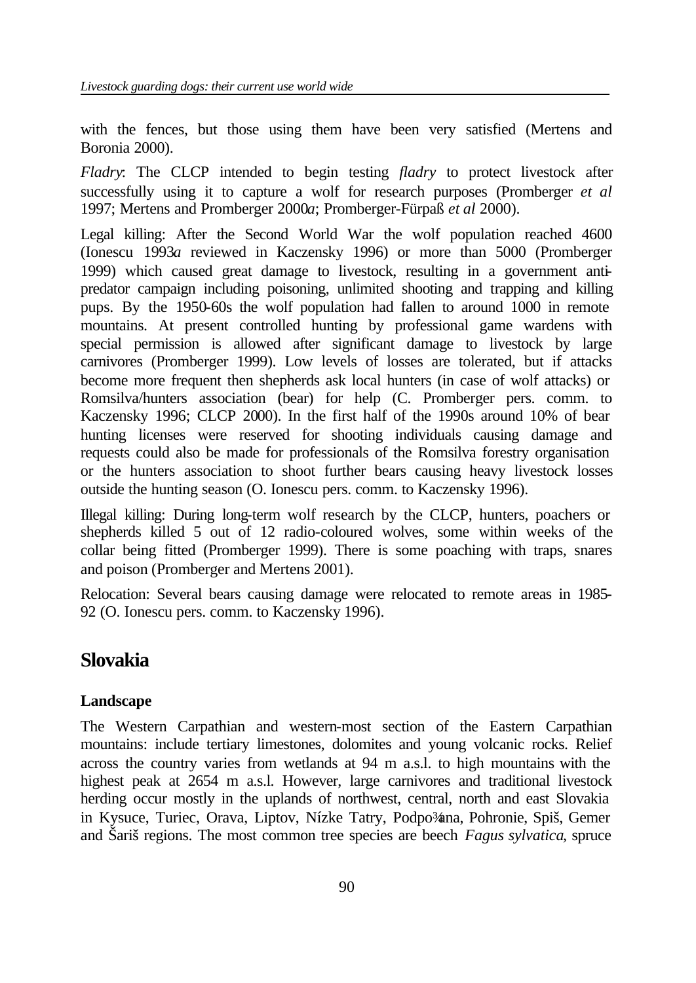with the fences, but those using them have been very satisfied (Mertens and Boronia 2000).

*Fladry*: The CLCP intended to begin testing *fladry* to protect livestock after successfully using it to capture a wolf for research purposes (Promberger *et al* 1997; Mertens and Promberger 2000*a*; Promberger-Fürpaß *et al* 2000).

Legal killing: After the Second World War the wolf population reached 4600 (Ionescu 1993*a* reviewed in Kaczensky 1996) or more than 5000 (Promberger 1999) which caused great damage to livestock, resulting in a government antipredator campaign including poisoning, unlimited shooting and trapping and killing pups. By the 1950-60s the wolf population had fallen to around 1000 in remote mountains. At present controlled hunting by professional game wardens with special permission is allowed after significant damage to livestock by large carnivores (Promberger 1999). Low levels of losses are tolerated, but if attacks become more frequent then shepherds ask local hunters (in case of wolf attacks) or Romsilva/hunters association (bear) for help (C. Promberger pers. comm. to Kaczensky 1996; CLCP 2000). In the first half of the 1990s around 10% of bear hunting licenses were reserved for shooting individuals causing damage and requests could also be made for professionals of the Romsilva forestry organisation or the hunters association to shoot further bears causing heavy livestock losses outside the hunting season (O. Ionescu pers. comm. to Kaczensky 1996).

Illegal killing: During long-term wolf research by the CLCP, hunters, poachers or shepherds killed 5 out of 12 radio-coloured wolves, some within weeks of the collar being fitted (Promberger 1999). There is some poaching with traps, snares and poison (Promberger and Mertens 2001).

Relocation: Several bears causing damage were relocated to remote areas in 1985- 92 (O. Ionescu pers. comm. to Kaczensky 1996).

## **Slovakia**

## **Landscape**

The Western Carpathian and western-most section of the Eastern Carpathian mountains: include tertiary limestones, dolomites and young volcanic rocks. Relief across the country varies from wetlands at 94 m a.s.l. to high mountains with the highest peak at 2654 m a.s.l. However, large carnivores and traditional livestock herding occur mostly in the uplands of northwest, central, north and east Slovakia in Kysuce, Turiec, Orava, Liptov, Nízke Tatry, Podpo¾na, Pohronie, Spiš, Gemer and Šariš regions. The most common tree species are beech *Fagus sylvatica*, spruce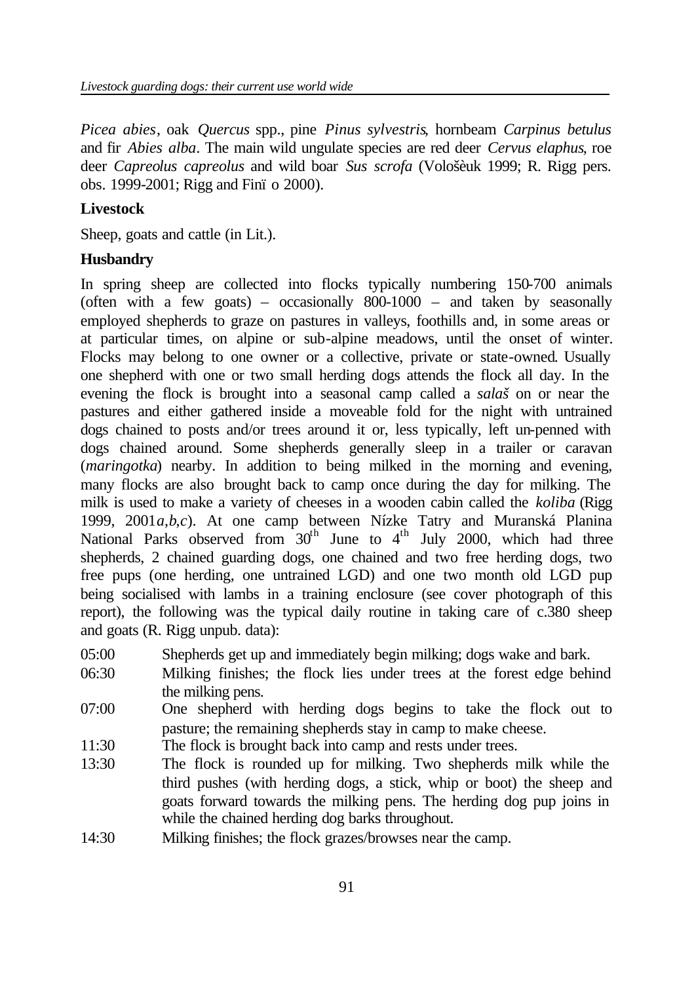*Picea abies*, oak *Quercus* spp., pine *Pinus sylvestris*, hornbeam *Carpinus betulus* and fir *Abies alba*. The main wild ungulate species are red deer *Cervus elaphus*, roe deer *Capreolus capreolus* and wild boar *Sus scrofa* (Vološèuk 1999; R. Rigg pers. obs. 1999-2001; Rigg and Finï o 2000).

#### **Livestock**

Sheep, goats and cattle (in Lit.).

#### **Husbandry**

In spring sheep are collected into flocks typically numbering 150-700 animals (often with a few goats) – occasionally  $800-1000$  – and taken by seasonally employed shepherds to graze on pastures in valleys, foothills and, in some areas or at particular times, on alpine or sub-alpine meadows, until the onset of winter. Flocks may belong to one owner or a collective, private or state-owned. Usually one shepherd with one or two small herding dogs attends the flock all day. In the evening the flock is brought into a seasonal camp called a *salaš* on or near the pastures and either gathered inside a moveable fold for the night with untrained dogs chained to posts and/or trees around it or, less typically, left un-penned with dogs chained around. Some shepherds generally sleep in a trailer or caravan (*maringotka*) nearby. In addition to being milked in the morning and evening, many flocks are also brought back to camp once during the day for milking. The milk is used to make a variety of cheeses in a wooden cabin called the *koliba* (Rigg 1999, 2001*a*,*b*,*c*). At one camp between Nízke Tatry and Muranská Planina National Parks observed from  $30<sup>th</sup>$  June to  $4<sup>th</sup>$  July 2000, which had three shepherds, 2 chained guarding dogs, one chained and two free herding dogs, two free pups (one herding, one untrained LGD) and one two month old LGD pup being socialised with lambs in a training enclosure (see cover photograph of this report), the following was the typical daily routine in taking care of c.380 sheep and goats (R. Rigg unpub. data):

- 05:00 Shepherds get up and immediately begin milking; dogs wake and bark.
- 06:30 Milking finishes; the flock lies under trees at the forest edge behind the milking pens.
- 07:00 One shepherd with herding dogs begins to take the flock out to pasture; the remaining shepherds stay in camp to make cheese.
- 11:30 The flock is brought back into camp and rests under trees.
- 13:30 The flock is rounded up for milking. Two shepherds milk while the third pushes (with herding dogs, a stick, whip or boot) the sheep and goats forward towards the milking pens. The herding dog pup joins in while the chained herding dog barks throughout.
- 14:30 Milking finishes; the flock grazes/browses near the camp.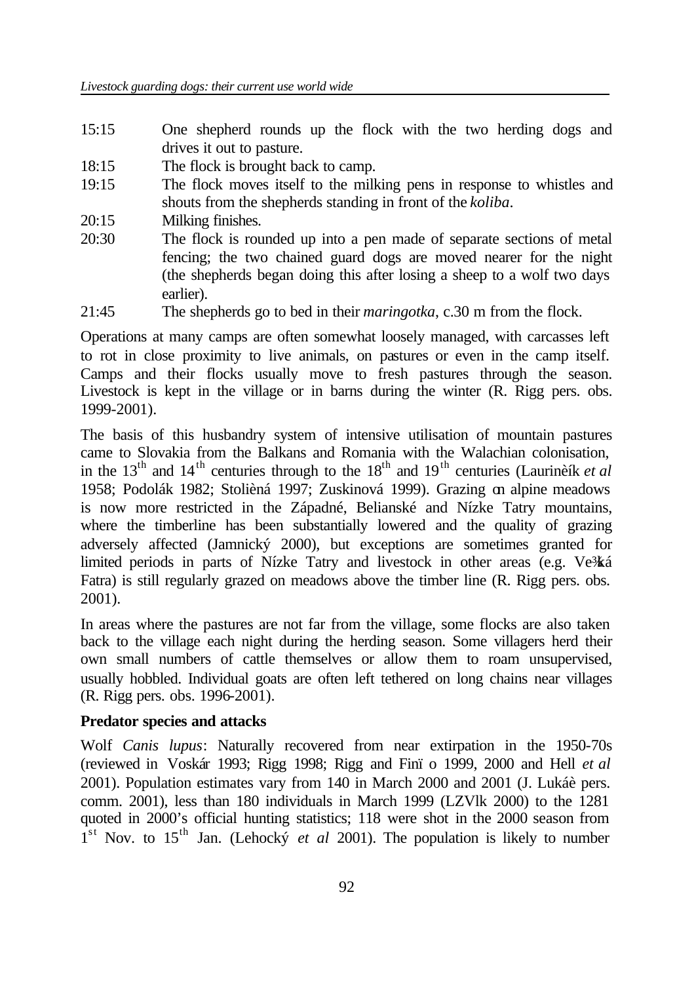- 15:15 One shepherd rounds up the flock with the two herding dogs and drives it out to pasture.
- 18:15 The flock is brought back to camp.
- 19:15 The flock moves itself to the milking pens in response to whistles and shouts from the shepherds standing in front of the *koliba*.
- 20:15 Milking finishes.
- 20:30 The flock is rounded up into a pen made of separate sections of metal fencing; the two chained guard dogs are moved nearer for the night (the shepherds began doing this after losing a sheep to a wolf two days earlier).
- 21:45 The shepherds go to bed in their *maringotka*, c.30 m from the flock.

Operations at many camps are often somewhat loosely managed, with carcasses left to rot in close proximity to live animals, on pastures or even in the camp itself. Camps and their flocks usually move to fresh pastures through the season. Livestock is kept in the village or in barns during the winter (R. Rigg pers. obs. 1999-2001).

The basis of this husbandry system of intensive utilisation of mountain pastures came to Slovakia from the Balkans and Romania with the Walachian colonisation, in the  $13<sup>th</sup>$  and  $14<sup>th</sup>$  centuries through to the  $18<sup>th</sup>$  and  $19<sup>th</sup>$  centuries (Laurinèík *et al* 1958; Podolák 1982; Stolièná 1997; Zuskinová 1999). Grazing on alpine meadows is now more restricted in the Západné, Belianské and Nízke Tatry mountains, where the timberline has been substantially lowered and the quality of grazing adversely affected (Jamnický 2000), but exceptions are sometimes granted for limited periods in parts of Nízke Tatry and livestock in other areas (e.g. Ve<sup>3</sup>/ká Fatra) is still regularly grazed on meadows above the timber line (R. Rigg pers. obs. 2001).

In areas where the pastures are not far from the village, some flocks are also taken back to the village each night during the herding season. Some villagers herd their own small numbers of cattle themselves or allow them to roam unsupervised, usually hobbled. Individual goats are often left tethered on long chains near villages (R. Rigg pers. obs. 1996-2001).

#### **Predator species and attacks**

Wolf *Canis lupus*: Naturally recovered from near extirpation in the 1950-70s (reviewed in Voskár 1993; Rigg 1998; Rigg and Finï o 1999, 2000 and Hell *et al*  2001). Population estimates vary from 140 in March 2000 and 2001 (J. Lukáè pers. comm. 2001), less than 180 individuals in March 1999 (LZVlk 2000) to the 1281 quoted in 2000's official hunting statistics; 118 were shot in the 2000 season from  $1<sup>st</sup>$  Nov. to 15<sup>th</sup> Jan. (Lehocky *et al* 2001). The population is likely to number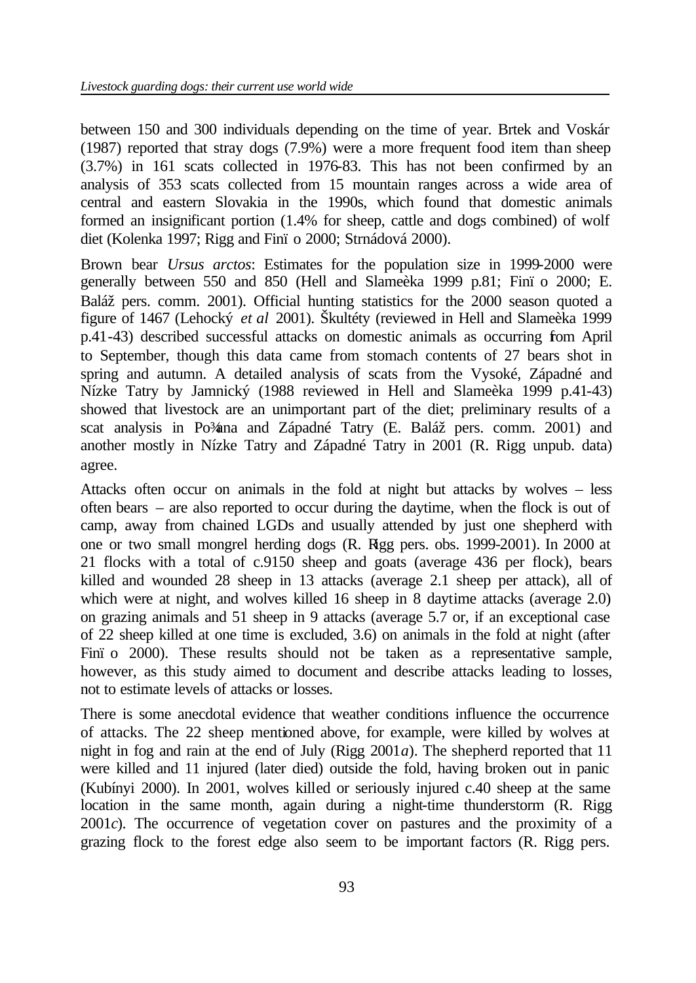between 150 and 300 individuals depending on the time of year. Brtek and Voskár (1987) reported that stray dogs (7.9%) were a more frequent food item than sheep (3.7%) in 161 scats collected in 1976-83. This has not been confirmed by an analysis of 353 scats collected from 15 mountain ranges across a wide area of central and eastern Slovakia in the 1990s, which found that domestic animals formed an insignificant portion (1.4% for sheep, cattle and dogs combined) of wolf diet (Kolenka 1997; Rigg and Finï o 2000; Strnádová 2000).

Brown bear *Ursus arctos*: Estimates for the population size in 1999-2000 were generally between 550 and 850 (Hell and Slameèka 1999 p.81; Finï o 2000; E. Baláž pers. comm. 2001). Official hunting statistics for the 2000 season quoted a figure of 1467 (Lehocký *et al* 2001). Škultéty (reviewed in Hell and Slameèka 1999 p.41-43) described successful attacks on domestic animals as occurring from April to September, though this data came from stomach contents of 27 bears shot in spring and autumn. A detailed analysis of scats from the Vysoké, Západné and Nízke Tatry by Jamnický (1988 reviewed in Hell and Slameèka 1999 p.41-43) showed that livestock are an unimportant part of the diet; preliminary results of a scat analysis in Po¾ana and Západné Tatry (E. Baláž pers. comm. 2001) and another mostly in Nízke Tatry and Západné Tatry in 2001 (R. Rigg unpub. data) agree.

Attacks often occur on animals in the fold at night but attacks by wolves – less often bears – are also reported to occur during the daytime, when the flock is out of camp, away from chained LGDs and usually attended by just one shepherd with one or two small mongrel herding dogs (R. Rigg pers. obs. 1999-2001). In 2000 at 21 flocks with a total of c.9150 sheep and goats (average 436 per flock), bears killed and wounded 28 sheep in 13 attacks (average 2.1 sheep per attack), all of which were at night, and wolves killed 16 sheep in 8 daytime attacks (average 2.0) on grazing animals and 51 sheep in 9 attacks (average 5.7 or, if an exceptional case of 22 sheep killed at one time is excluded, 3.6) on animals in the fold at night (after Finï o 2000). These results should not be taken as a representative sample, however, as this study aimed to document and describe attacks leading to losses, not to estimate levels of attacks or losses.

There is some anecdotal evidence that weather conditions influence the occurrence of attacks. The 22 sheep mentioned above, for example, were killed by wolves at night in fog and rain at the end of July (Rigg 2001*a*). The shepherd reported that 11 were killed and 11 injured (later died) outside the fold, having broken out in panic (Kubínyi 2000). In 2001, wolves killed or seriously injured c.40 sheep at the same location in the same month, again during a night-time thunderstorm (R. Rigg 2001*c*). The occurrence of vegetation cover on pastures and the proximity of a grazing flock to the forest edge also seem to be important factors (R. Rigg pers.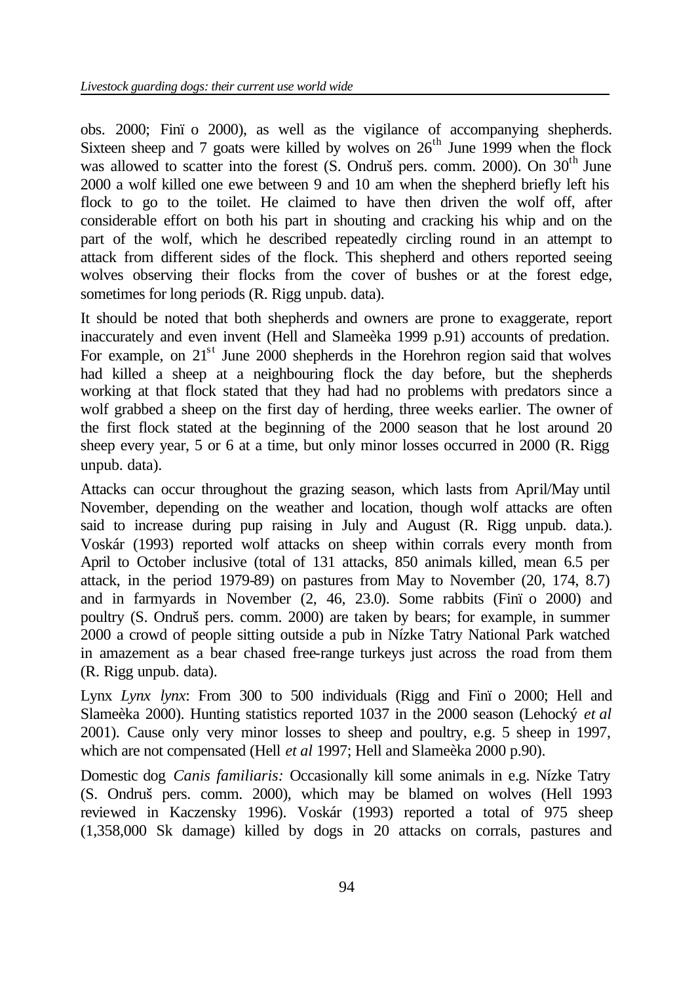obs. 2000; Finï o 2000), as well as the vigilance of accompanying shepherds. Sixteen sheep and 7 goats were killed by wolves on  $26<sup>th</sup>$  June 1999 when the flock was allowed to scatter into the forest  $(S.$  Ondruš pers. comm. 2000). On  $30<sup>th</sup>$  June 2000 a wolf killed one ewe between 9 and 10 am when the shepherd briefly left his flock to go to the toilet. He claimed to have then driven the wolf off, after considerable effort on both his part in shouting and cracking his whip and on the part of the wolf, which he described repeatedly circling round in an attempt to attack from different sides of the flock. This shepherd and others reported seeing wolves observing their flocks from the cover of bushes or at the forest edge, sometimes for long periods (R. Rigg unpub. data).

It should be noted that both shepherds and owners are prone to exaggerate, report inaccurately and even invent (Hell and Slameèka 1999 p.91) accounts of predation. For example, on  $21<sup>st</sup>$  June 2000 shepherds in the Horehron region said that wolves had killed a sheep at a neighbouring flock the day before, but the shepherds working at that flock stated that they had had no problems with predators since a wolf grabbed a sheep on the first day of herding, three weeks earlier. The owner of the first flock stated at the beginning of the 2000 season that he lost around 20 sheep every year, 5 or 6 at a time, but only minor losses occurred in 2000 (R. Rigg unpub. data).

Attacks can occur throughout the grazing season, which lasts from April/May until November, depending on the weather and location, though wolf attacks are often said to increase during pup raising in July and August (R. Rigg unpub. data.). Voskár (1993) reported wolf attacks on sheep within corrals every month from April to October inclusive (total of 131 attacks, 850 animals killed, mean 6.5 per attack, in the period 1979-89) on pastures from May to November (20, 174, 8.7) and in farmyards in November (2, 46, 23.0). Some rabbits (Finï o 2000) and poultry (S. Ondruš pers. comm. 2000) are taken by bears; for example, in summer 2000 a crowd of people sitting outside a pub in Nízke Tatry National Park watched in amazement as a bear chased free-range turkeys just across the road from them (R. Rigg unpub. data).

Lynx *Lynx lynx*: From 300 to 500 individuals (Rigg and Finï o 2000; Hell and Slameèka 2000). Hunting statistics reported 1037 in the 2000 season (Lehocký *et al*  2001). Cause only very minor losses to sheep and poultry, e.g. 5 sheep in 1997, which are not compensated (Hell *et al* 1997; Hell and Slameèka 2000 p.90).

Domestic dog *Canis familiaris:* Occasionally kill some animals in e.g. Nízke Tatry (S. Ondruš pers. comm. 2000), which may be blamed on wolves (Hell 1993 reviewed in Kaczensky 1996). Voskár (1993) reported a total of 975 sheep (1,358,000 Sk damage) killed by dogs in 20 attacks on corrals, pastures and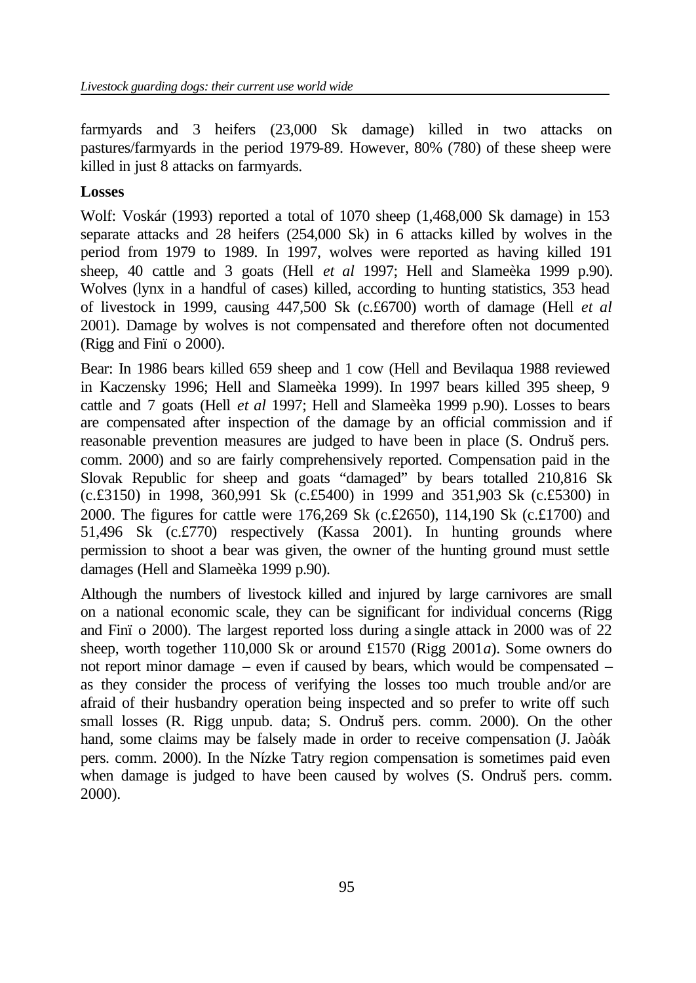farmyards and 3 heifers (23,000 Sk damage) killed in two attacks on pastures/farmyards in the period 1979-89. However, 80% (780) of these sheep were killed in just 8 attacks on farmyards.

#### **Losses**

Wolf: Voskár (1993) reported a total of 1070 sheep (1,468,000 Sk damage) in 153 separate attacks and 28 heifers (254,000 Sk) in 6 attacks killed by wolves in the period from 1979 to 1989. In 1997, wolves were reported as having killed 191 sheep, 40 cattle and 3 goats (Hell *et al* 1997; Hell and Slameèka 1999 p.90). Wolves (lynx in a handful of cases) killed, according to hunting statistics, 353 head of livestock in 1999, causing 447,500 Sk (c.£6700) worth of damage (Hell *et al* 2001). Damage by wolves is not compensated and therefore often not documented (Rigg and Finï o 2000).

Bear: In 1986 bears killed 659 sheep and 1 cow (Hell and Bevilaqua 1988 reviewed in Kaczensky 1996; Hell and Slameèka 1999). In 1997 bears killed 395 sheep, 9 cattle and 7 goats (Hell *et al* 1997; Hell and Slameèka 1999 p.90). Losses to bears are compensated after inspection of the damage by an official commission and if reasonable prevention measures are judged to have been in place (S. Ondruš pers. comm. 2000) and so are fairly comprehensively reported. Compensation paid in the Slovak Republic for sheep and goats "damaged" by bears totalled 210,816 Sk (c.£3150) in 1998, 360,991 Sk (c.£5400) in 1999 and 351,903 Sk (c.£5300) in 2000. The figures for cattle were 176,269 Sk (c.£2650), 114,190 Sk (c.£1700) and 51,496 Sk (c.£770) respectively (Kassa 2001). In hunting grounds where permission to shoot a bear was given, the owner of the hunting ground must settle damages (Hell and Slameèka 1999 p.90).

Although the numbers of livestock killed and injured by large carnivores are small on a national economic scale, they can be significant for individual concerns (Rigg and Finï o 2000). The largest reported loss during a single attack in 2000 was of 22 sheep, worth together 110,000 Sk or around £1570 (Rigg 2001*a*). Some owners do not report minor damage – even if caused by bears, which would be compensated – as they consider the process of verifying the losses too much trouble and/or are afraid of their husbandry operation being inspected and so prefer to write off such small losses (R. Rigg unpub. data; S. Ondruš pers. comm. 2000). On the other hand, some claims may be falsely made in order to receive compensation (J. Jaòák pers. comm. 2000). In the Nízke Tatry region compensation is sometimes paid even when damage is judged to have been caused by wolves (S. Ondruš pers. comm. 2000).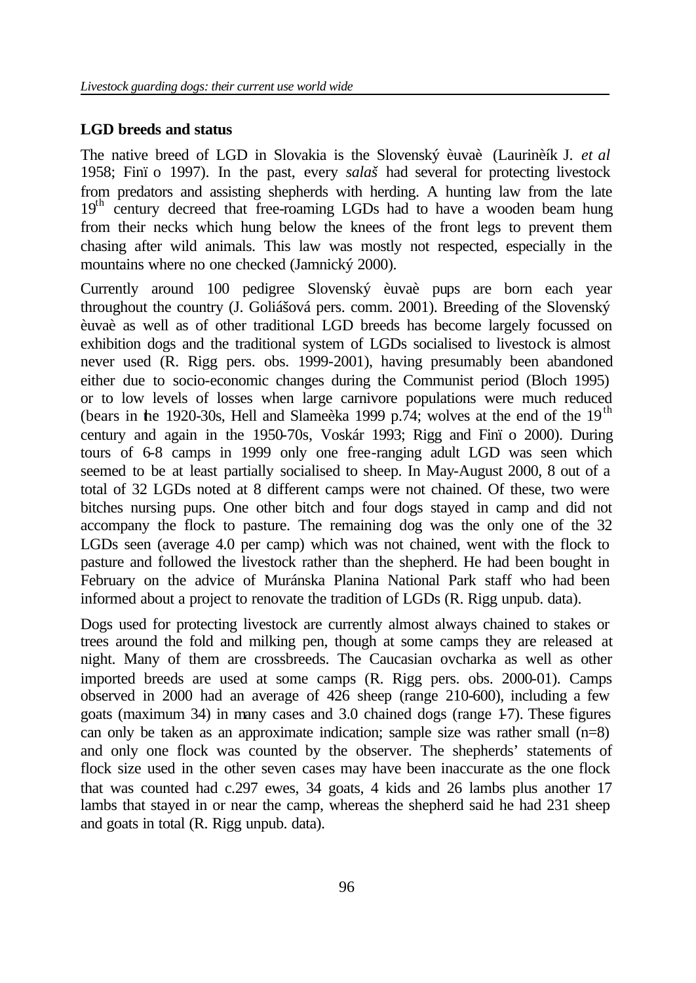#### **LGD breeds and status**

The native breed of LGD in Slovakia is the Slovenský èuvaè (Laurinèík J. *et al*  1958; Finï o 1997). In the past, every *salaš* had several for protecting livestock from predators and assisting shepherds with herding. A hunting law from the late  $19<sup>th</sup>$  century decreed that free-roaming LGDs had to have a wooden beam hung from their necks which hung below the knees of the front legs to prevent them chasing after wild animals. This law was mostly not respected, especially in the mountains where no one checked (Jamnický 2000).

Currently around 100 pedigree Slovenský èuvaè pups are born each year throughout the country (J. Goliášová pers. comm. 2001). Breeding of the Slovenský èuvaè as well as of other traditional LGD breeds has become largely focussed on exhibition dogs and the traditional system of LGDs socialised to livestock is almost never used (R. Rigg pers. obs. 1999-2001), having presumably been abandoned either due to socio-economic changes during the Communist period (Bloch 1995) or to low levels of losses when large carnivore populations were much reduced (bears in the 1920-30s, Hell and Slame`eka 1999 p.74; wolves at the end of the  $19<sup>th</sup>$ century and again in the 1950-70s, Voskár 1993; Rigg and Finï o 2000). During tours of 6-8 camps in 1999 only one free-ranging adult LGD was seen which seemed to be at least partially socialised to sheep. In May-August 2000, 8 out of a total of 32 LGDs noted at 8 different camps were not chained. Of these, two were bitches nursing pups. One other bitch and four dogs stayed in camp and did not accompany the flock to pasture. The remaining dog was the only one of the 32 LGDs seen (average 4.0 per camp) which was not chained, went with the flock to pasture and followed the livestock rather than the shepherd. He had been bought in February on the advice of Muránska Planina National Park staff who had been informed about a project to renovate the tradition of LGDs (R. Rigg unpub. data).

Dogs used for protecting livestock are currently almost always chained to stakes or trees around the fold and milking pen, though at some camps they are released at night. Many of them are crossbreeds. The Caucasian ovcharka as well as other imported breeds are used at some camps (R. Rigg pers. obs. 2000-01). Camps observed in 2000 had an average of 426 sheep (range 210-600), including a few goats (maximum 34) in many cases and 3.0 chained dogs (range 1-7). These figures can only be taken as an approximate indication; sample size was rather small (n=8) and only one flock was counted by the observer. The shepherds' statements of flock size used in the other seven cases may have been inaccurate as the one flock that was counted had c.297 ewes, 34 goats, 4 kids and 26 lambs plus another 17 lambs that stayed in or near the camp, whereas the shepherd said he had 231 sheep and goats in total (R. Rigg unpub. data).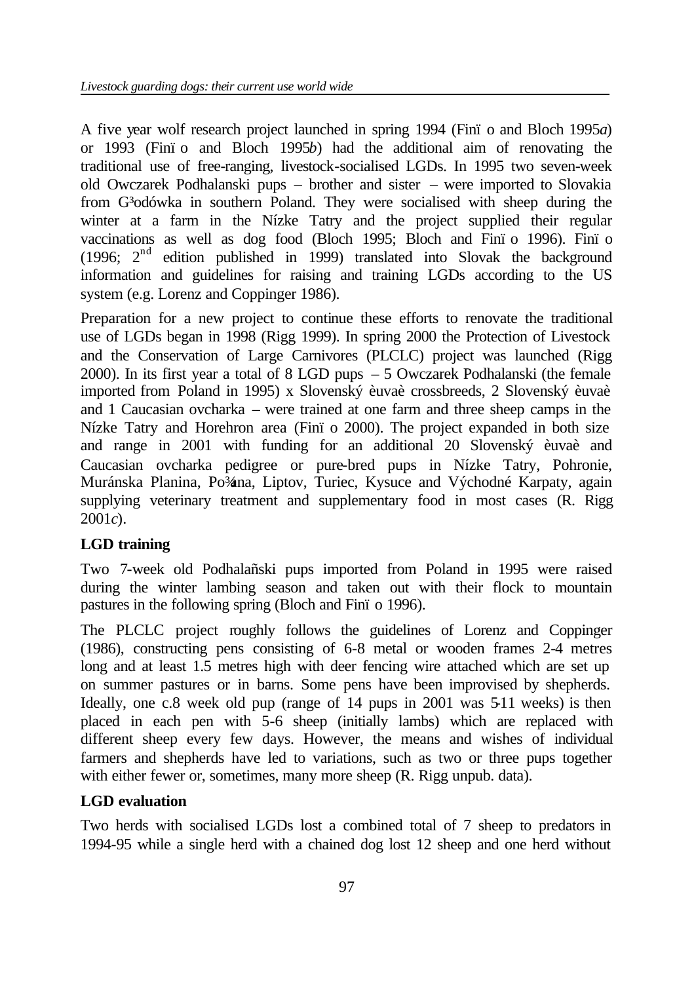A five year wolf research project launched in spring 1994 (Finï o and Bloch 1995*a*) or 1993 (Finï o and Bloch 1995*b*) had the additional aim of renovating the traditional use of free-ranging, livestock-socialised LGDs. In 1995 two seven-week old Owczarek Podhalanski pups – brother and sister – were imported to Slovakia from G<sup>3</sup>odówka in southern Poland. They were socialised with sheep during the winter at a farm in the Nízke Tatry and the project supplied their regular vaccinations as well as dog food (Bloch 1995; Bloch and Finï o 1996). Finï o (1996;  $2<sup>nd</sup>$  edition published in 1999) translated into Slovak the background information and guidelines for raising and training LGDs according to the US system (e.g. Lorenz and Coppinger 1986).

Preparation for a new project to continue these efforts to renovate the traditional use of LGDs began in 1998 (Rigg 1999). In spring 2000 the Protection of Livestock and the Conservation of Large Carnivores (PLCLC) project was launched (Rigg 2000). In its first year a total of 8 LGD pups – 5 Owczarek Podhalanski (the female imported from Poland in 1995) x Slovenský èuvaè crossbreeds, 2 Slovenský èuvaè and 1 Caucasian ovcharka – were trained at one farm and three sheep camps in the Nízke Tatry and Horehron area (Finï o 2000). The project expanded in both size and range in 2001 with funding for an additional 20 Slovenský èuvaè and Caucasian ovcharka pedigree or pure-bred pups in Nízke Tatry, Pohronie, Muránska Planina, Po¾na, Liptov, Turiec, Kysuce and Východné Karpaty, again supplying veterinary treatment and supplementary food in most cases (R. Rigg 2001*c*).

## **LGD training**

Two 7-week old Podhalañski pups imported from Poland in 1995 were raised during the winter lambing season and taken out with their flock to mountain pastures in the following spring (Bloch and Finï o 1996).

The PLCLC project roughly follows the guidelines of Lorenz and Coppinger (1986), constructing pens consisting of 6-8 metal or wooden frames 2-4 metres long and at least 1.5 metres high with deer fencing wire attached which are set up on summer pastures or in barns. Some pens have been improvised by shepherds. Ideally, one c.8 week old pup (range of 14 pups in 2001 was 511 weeks) is then placed in each pen with 5-6 sheep (initially lambs) which are replaced with different sheep every few days. However, the means and wishes of individual farmers and shepherds have led to variations, such as two or three pups together with either fewer or, sometimes, many more sheep (R. Rigg unpub. data).

## **LGD evaluation**

Two herds with socialised LGDs lost a combined total of 7 sheep to predators in 1994-95 while a single herd with a chained dog lost 12 sheep and one herd without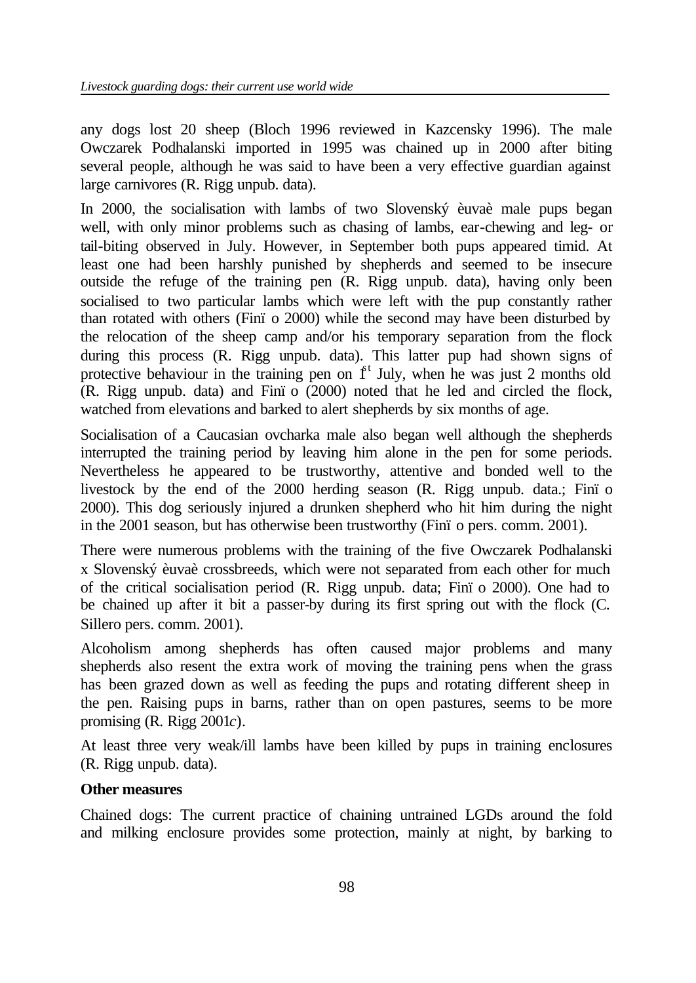any dogs lost 20 sheep (Bloch 1996 reviewed in Kazcensky 1996). The male Owczarek Podhalanski imported in 1995 was chained up in 2000 after biting several people, although he was said to have been a very effective guardian against large carnivores (R. Rigg unpub. data).

In 2000, the socialisation with lambs of two Slovenský èuvaè male pups began well, with only minor problems such as chasing of lambs, ear-chewing and leg- or tail-biting observed in July. However, in September both pups appeared timid. At least one had been harshly punished by shepherds and seemed to be insecure outside the refuge of the training pen (R. Rigg unpub. data), having only been socialised to two particular lambs which were left with the pup constantly rather than rotated with others (Finï o 2000) while the second may have been disturbed by the relocation of the sheep camp and/or his temporary separation from the flock during this process (R. Rigg unpub. data). This latter pup had shown signs of protective behaviour in the training pen on  $\mathbf{f}^t$  July, when he was just 2 months old (R. Rigg unpub. data) and Finï o (2000) noted that he led and circled the flock, watched from elevations and barked to alert shepherds by six months of age.

Socialisation of a Caucasian ovcharka male also began well although the shepherds interrupted the training period by leaving him alone in the pen for some periods. Nevertheless he appeared to be trustworthy, attentive and bonded well to the livestock by the end of the 2000 herding season (R. Rigg unpub. data.; Finï o 2000). This dog seriously injured a drunken shepherd who hit him during the night in the 2001 season, but has otherwise been trustworthy (Finï o pers. comm. 2001).

There were numerous problems with the training of the five Owczarek Podhalanski x Slovenský èuvaè crossbreeds, which were not separated from each other for much of the critical socialisation period (R. Rigg unpub. data; Finï o 2000). One had to be chained up after it bit a passer-by during its first spring out with the flock (C. Sillero pers. comm. 2001).

Alcoholism among shepherds has often caused major problems and many shepherds also resent the extra work of moving the training pens when the grass has been grazed down as well as feeding the pups and rotating different sheep in the pen. Raising pups in barns, rather than on open pastures, seems to be more promising (R. Rigg 2001*c*).

At least three very weak/ill lambs have been killed by pups in training enclosures (R. Rigg unpub. data).

## **Other measures**

Chained dogs: The current practice of chaining untrained LGDs around the fold and milking enclosure provides some protection, mainly at night, by barking to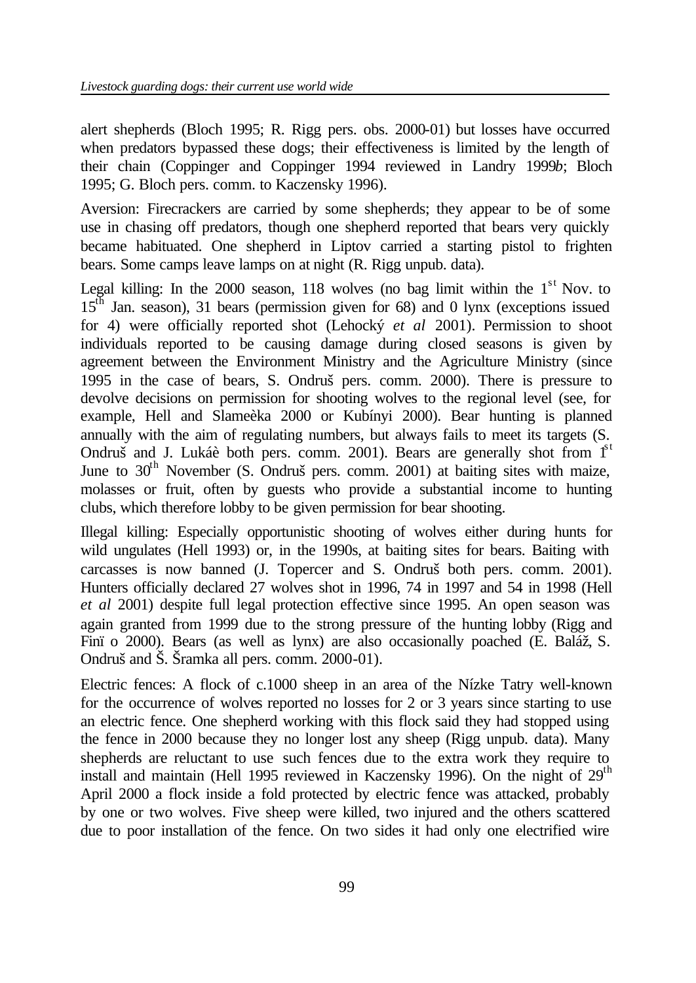alert shepherds (Bloch 1995; R. Rigg pers. obs. 2000-01) but losses have occurred when predators bypassed these dogs; their effectiveness is limited by the length of their chain (Coppinger and Coppinger 1994 reviewed in Landry 1999*b*; Bloch 1995; G. Bloch pers. comm. to Kaczensky 1996).

Aversion: Firecrackers are carried by some shepherds; they appear to be of some use in chasing off predators, though one shepherd reported that bears very quickly became habituated. One shepherd in Liptov carried a starting pistol to frighten bears. Some camps leave lamps on at night (R. Rigg unpub. data).

Legal killing: In the 2000 season, 118 wolves (no bag limit within the  $1<sup>st</sup>$  Nov. to 15th Jan. season), 31 bears (permission given for 68) and 0 lynx (exceptions issued for 4) were officially reported shot (Lehocký *et al* 2001). Permission to shoot individuals reported to be causing damage during closed seasons is given by agreement between the Environment Ministry and the Agriculture Ministry (since 1995 in the case of bears, S. Ondruš pers. comm. 2000). There is pressure to devolve decisions on permission for shooting wolves to the regional level (see, for example, Hell and Slameèka 2000 or Kubínyi 2000). Bear hunting is planned annually with the aim of regulating numbers, but always fails to meet its targets (S. Ondruš and J. Lukáè both pers. comm. 2001). Bears are generally shot from  $1<sup>st</sup>$ June to  $30<sup>th</sup>$  November (S. Ondruš pers. comm. 2001) at baiting sites with maize, molasses or fruit, often by guests who provide a substantial income to hunting clubs, which therefore lobby to be given permission for bear shooting.

Illegal killing: Especially opportunistic shooting of wolves either during hunts for wild ungulates (Hell 1993) or, in the 1990s, at baiting sites for bears. Baiting with carcasses is now banned (J. Topercer and S. Ondruš both pers. comm. 2001). Hunters officially declared 27 wolves shot in 1996, 74 in 1997 and 54 in 1998 (Hell *et al* 2001) despite full legal protection effective since 1995. An open season was again granted from 1999 due to the strong pressure of the hunting lobby (Rigg and Finï o 2000). Bears (as well as lynx) are also occasionally poached (E. Baláž, S. Ondruš and Š. Šramka all pers. comm. 2000-01).

Electric fences: A flock of c.1000 sheep in an area of the Nízke Tatry well-known for the occurrence of wolves reported no losses for 2 or 3 years since starting to use an electric fence. One shepherd working with this flock said they had stopped using the fence in 2000 because they no longer lost any sheep (Rigg unpub. data). Many shepherds are reluctant to use such fences due to the extra work they require to install and maintain (Hell 1995 reviewed in Kaczensky 1996). On the night of  $29<sup>th</sup>$ April 2000 a flock inside a fold protected by electric fence was attacked, probably by one or two wolves. Five sheep were killed, two injured and the others scattered due to poor installation of the fence. On two sides it had only one electrified wire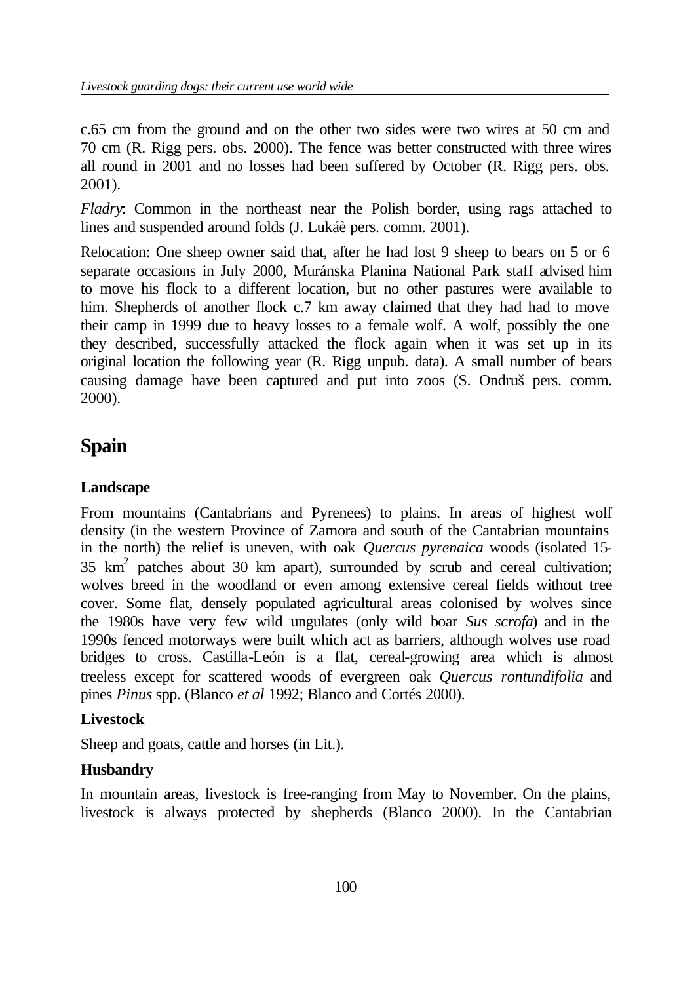c.65 cm from the ground and on the other two sides were two wires at 50 cm and 70 cm (R. Rigg pers. obs. 2000). The fence was better constructed with three wires all round in 2001 and no losses had been suffered by October (R. Rigg pers. obs. 2001).

*Fladry*: Common in the northeast near the Polish border, using rags attached to lines and suspended around folds (J. Lukáè pers. comm. 2001).

Relocation: One sheep owner said that, after he had lost 9 sheep to bears on 5 or 6 separate occasions in July 2000, Muránska Planina National Park staff advised him to move his flock to a different location, but no other pastures were available to him. Shepherds of another flock c.7 km away claimed that they had had to move their camp in 1999 due to heavy losses to a female wolf. A wolf, possibly the one they described, successfully attacked the flock again when it was set up in its original location the following year (R. Rigg unpub. data). A small number of bears causing damage have been captured and put into zoos (S. Ondruš pers. comm. 2000).

## **Spain**

## **Landscape**

From mountains (Cantabrians and Pyrenees) to plains. In areas of highest wolf density (in the western Province of Zamora and south of the Cantabrian mountains in the north) the relief is uneven, with oak *Quercus pyrenaica* woods (isolated 15-  $35 \text{ km}^2$  patches about 30 km apart), surrounded by scrub and cereal cultivation; wolves breed in the woodland or even among extensive cereal fields without tree cover. Some flat, densely populated agricultural areas colonised by wolves since the 1980s have very few wild ungulates (only wild boar *Sus scrofa*) and in the 1990s fenced motorways were built which act as barriers, although wolves use road bridges to cross. Castilla-León is a flat, cereal-growing area which is almost treeless except for scattered woods of evergreen oak *Quercus rontundifolia* and pines *Pinus* spp. (Blanco *et al* 1992; Blanco and Cortés 2000).

## **Livestock**

Sheep and goats, cattle and horses (in Lit.).

## **Husbandry**

In mountain areas, livestock is free-ranging from May to November. On the plains, livestock is always protected by shepherds (Blanco 2000). In the Cantabrian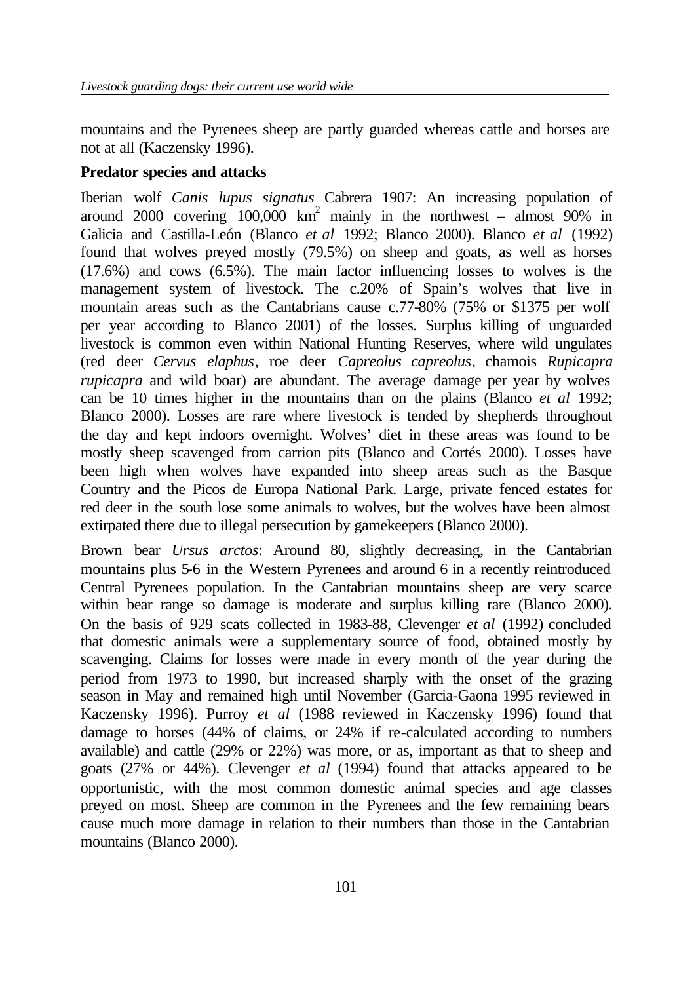mountains and the Pyrenees sheep are partly guarded whereas cattle and horses are not at all (Kaczensky 1996).

## **Predator species and attacks**

Iberian wolf *Canis lupus signatus* Cabrera 1907: An increasing population of around 2000 covering  $100,000$  km<sup>2</sup> mainly in the northwest – almost 90% in Galicia and Castilla-León (Blanco *et al* 1992; Blanco 2000). Blanco *et al* (1992) found that wolves preyed mostly (79.5%) on sheep and goats, as well as horses (17.6%) and cows (6.5%). The main factor influencing losses to wolves is the management system of livestock. The c.20% of Spain's wolves that live in mountain areas such as the Cantabrians cause c.77-80% (75% or \$1375 per wolf per year according to Blanco 2001) of the losses. Surplus killing of unguarded livestock is common even within National Hunting Reserves, where wild ungulates (red deer *Cervus elaphus*, roe deer *Capreolus capreolus*, chamois *Rupicapra rupicapra* and wild boar) are abundant. The average damage per year by wolves can be 10 times higher in the mountains than on the plains (Blanco *et al* 1992; Blanco 2000). Losses are rare where livestock is tended by shepherds throughout the day and kept indoors overnight. Wolves' diet in these areas was found to be mostly sheep scavenged from carrion pits (Blanco and Cortés 2000). Losses have been high when wolves have expanded into sheep areas such as the Basque Country and the Picos de Europa National Park. Large, private fenced estates for red deer in the south lose some animals to wolves, but the wolves have been almost extirpated there due to illegal persecution by gamekeepers (Blanco 2000).

Brown bear *Ursus arctos*: Around 80, slightly decreasing, in the Cantabrian mountains plus 5-6 in the Western Pyrenees and around 6 in a recently reintroduced Central Pyrenees population. In the Cantabrian mountains sheep are very scarce within bear range so damage is moderate and surplus killing rare (Blanco 2000). On the basis of 929 scats collected in 1983-88, Clevenger *et al* (1992) concluded that domestic animals were a supplementary source of food, obtained mostly by scavenging. Claims for losses were made in every month of the year during the period from 1973 to 1990, but increased sharply with the onset of the grazing season in May and remained high until November (Garcia-Gaona 1995 reviewed in Kaczensky 1996). Purroy *et al* (1988 reviewed in Kaczensky 1996) found that damage to horses (44% of claims, or 24% if re-calculated according to numbers available) and cattle (29% or 22%) was more, or as, important as that to sheep and goats (27% or 44%). Clevenger *et al* (1994) found that attacks appeared to be opportunistic, with the most common domestic animal species and age classes preyed on most. Sheep are common in the Pyrenees and the few remaining bears cause much more damage in relation to their numbers than those in the Cantabrian mountains (Blanco 2000).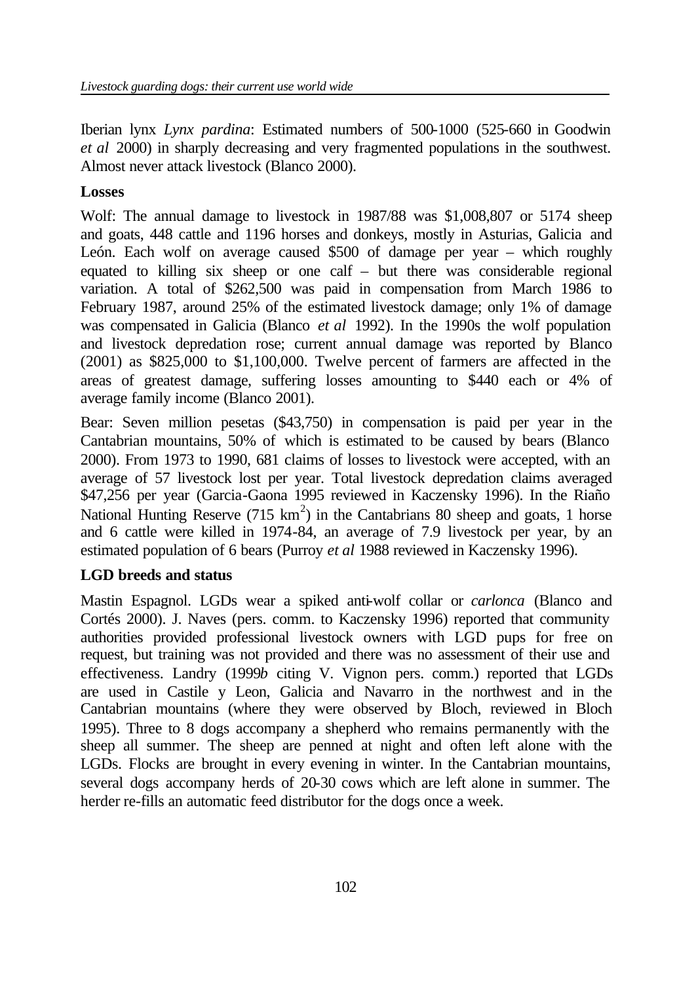Iberian lynx *Lynx pardina*: Estimated numbers of 500-1000 (525-660 in Goodwin *et al* 2000) in sharply decreasing and very fragmented populations in the southwest. Almost never attack livestock (Blanco 2000).

## **Losses**

Wolf: The annual damage to livestock in 1987/88 was \$1,008,807 or 5174 sheep and goats, 448 cattle and 1196 horses and donkeys, mostly in Asturias, Galicia and León. Each wolf on average caused \$500 of damage per year – which roughly equated to killing six sheep or one calf – but there was considerable regional variation. A total of \$262,500 was paid in compensation from March 1986 to February 1987, around 25% of the estimated livestock damage; only 1% of damage was compensated in Galicia (Blanco *et al* 1992). In the 1990s the wolf population and livestock depredation rose; current annual damage was reported by Blanco (2001) as \$825,000 to \$1,100,000. Twelve percent of farmers are affected in the areas of greatest damage, suffering losses amounting to \$440 each or 4% of average family income (Blanco 2001).

Bear: Seven million pesetas (\$43,750) in compensation is paid per year in the Cantabrian mountains, 50% of which is estimated to be caused by bears (Blanco 2000). From 1973 to 1990, 681 claims of losses to livestock were accepted, with an average of 57 livestock lost per year. Total livestock depredation claims averaged \$47,256 per year (Garcia-Gaona 1995 reviewed in Kaczensky 1996). In the Riaño National Hunting Reserve (715  $km^2$ ) in the Cantabrians 80 sheep and goats, 1 horse and 6 cattle were killed in 1974-84, an average of 7.9 livestock per year, by an estimated population of 6 bears (Purroy *et al* 1988 reviewed in Kaczensky 1996).

## **LGD breeds and status**

Mastin Espagnol. LGDs wear a spiked anti-wolf collar or *carlonca* (Blanco and Cortés 2000). J. Naves (pers. comm. to Kaczensky 1996) reported that community authorities provided professional livestock owners with LGD pups for free on request, but training was not provided and there was no assessment of their use and effectiveness. Landry (1999*b* citing V. Vignon pers. comm.) reported that LGDs are used in Castile y Leon, Galicia and Navarro in the northwest and in the Cantabrian mountains (where they were observed by Bloch, reviewed in Bloch 1995). Three to 8 dogs accompany a shepherd who remains permanently with the sheep all summer. The sheep are penned at night and often left alone with the LGDs. Flocks are brought in every evening in winter. In the Cantabrian mountains, several dogs accompany herds of 20-30 cows which are left alone in summer. The herder re-fills an automatic feed distributor for the dogs once a week.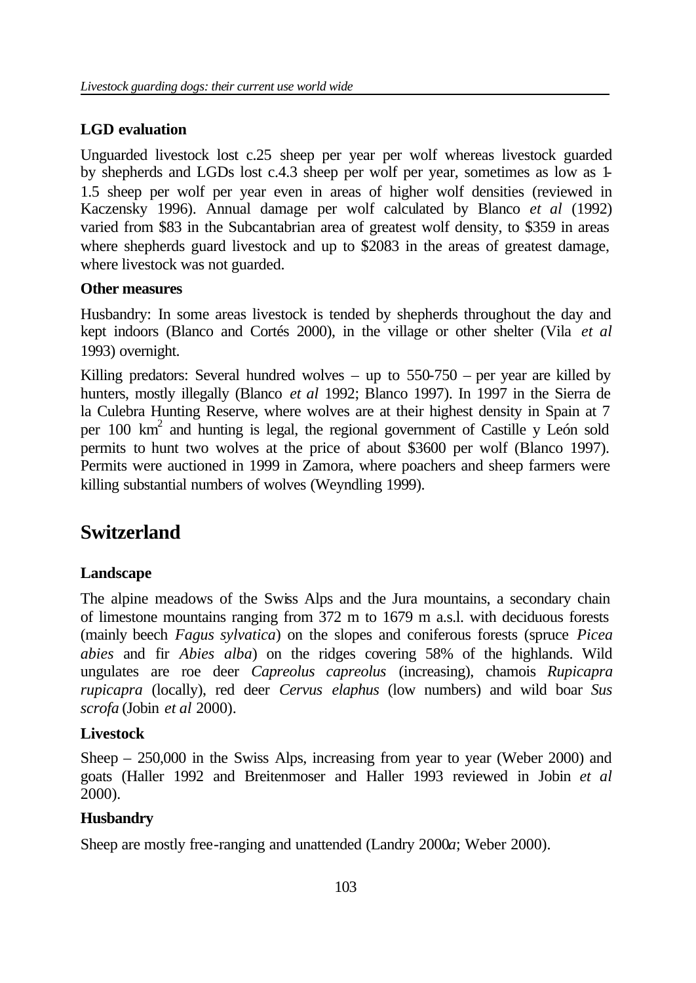## **LGD evaluation**

Unguarded livestock lost c.25 sheep per year per wolf whereas livestock guarded by shepherds and LGDs lost c.4.3 sheep per wolf per year, sometimes as low as 1- 1.5 sheep per wolf per year even in areas of higher wolf densities (reviewed in Kaczensky 1996). Annual damage per wolf calculated by Blanco *et al* (1992) varied from \$83 in the Subcantabrian area of greatest wolf density, to \$359 in areas where shepherds guard livestock and up to \$2083 in the areas of greatest damage, where livestock was not guarded.

## **Other measures**

Husbandry: In some areas livestock is tended by shepherds throughout the day and kept indoors (Blanco and Cortés 2000), in the village or other shelter (Vila *et al* 1993) overnight.

Killing predators: Several hundred wolves – up to  $550-750$  – per year are killed by hunters, mostly illegally (Blanco *et al* 1992; Blanco 1997). In 1997 in the Sierra de la Culebra Hunting Reserve, where wolves are at their highest density in Spain at 7 per 100 km<sup>2</sup> and hunting is legal, the regional government of Castille y León sold permits to hunt two wolves at the price of about \$3600 per wolf (Blanco 1997). Permits were auctioned in 1999 in Zamora, where poachers and sheep farmers were killing substantial numbers of wolves (Weyndling 1999).

# **Switzerland**

## **Landscape**

The alpine meadows of the Swiss Alps and the Jura mountains, a secondary chain of limestone mountains ranging from 372 m to 1679 m a.s.l. with deciduous forests (mainly beech *Fagus sylvatica*) on the slopes and coniferous forests (spruce *Picea abies* and fir *Abies alba*) on the ridges covering 58% of the highlands. Wild ungulates are roe deer *Capreolus capreolus* (increasing), chamois *Rupicapra rupicapra* (locally), red deer *Cervus elaphus* (low numbers) and wild boar *Sus scrofa* (Jobin *et al* 2000).

## **Livestock**

Sheep – 250,000 in the Swiss Alps, increasing from year to year (Weber 2000) and goats (Haller 1992 and Breitenmoser and Haller 1993 reviewed in Jobin *et al* 2000).

## **Husbandry**

Sheep are mostly free-ranging and unattended (Landry 2000*a*; Weber 2000).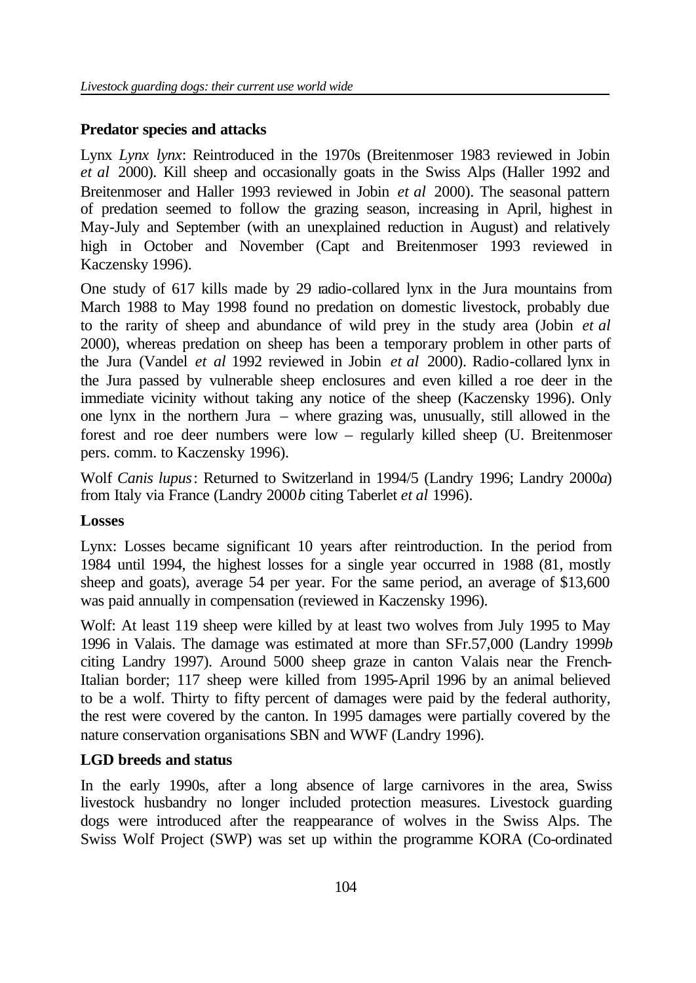## **Predator species and attacks**

Lynx *Lynx lynx*: Reintroduced in the 1970s (Breitenmoser 1983 reviewed in Jobin *et al* 2000). Kill sheep and occasionally goats in the Swiss Alps (Haller 1992 and Breitenmoser and Haller 1993 reviewed in Jobin *et al* 2000). The seasonal pattern of predation seemed to follow the grazing season, increasing in April, highest in May-July and September (with an unexplained reduction in August) and relatively high in October and November (Capt and Breitenmoser 1993 reviewed in Kaczensky 1996).

One study of 617 kills made by 29 radio-collared lynx in the Jura mountains from March 1988 to May 1998 found no predation on domestic livestock, probably due to the rarity of sheep and abundance of wild prey in the study area (Jobin *et al*  2000), whereas predation on sheep has been a temporary problem in other parts of the Jura (Vandel *et al* 1992 reviewed in Jobin *et al* 2000). Radio-collared lynx in the Jura passed by vulnerable sheep enclosures and even killed a roe deer in the immediate vicinity without taking any notice of the sheep (Kaczensky 1996). Only one lynx in the northern Jura – where grazing was, unusually, still allowed in the forest and roe deer numbers were low – regularly killed sheep (U. Breitenmoser pers. comm. to Kaczensky 1996).

Wolf *Canis lupus*: Returned to Switzerland in 1994/5 (Landry 1996; Landry 2000*a*) from Italy via France (Landry 2000*b* citing Taberlet *et al* 1996).

## **Losses**

Lynx: Losses became significant 10 years after reintroduction. In the period from 1984 until 1994, the highest losses for a single year occurred in 1988 (81, mostly sheep and goats), average 54 per year. For the same period, an average of \$13,600 was paid annually in compensation (reviewed in Kaczensky 1996).

Wolf: At least 119 sheep were killed by at least two wolves from July 1995 to May 1996 in Valais. The damage was estimated at more than SFr.57,000 (Landry 1999*b* citing Landry 1997). Around 5000 sheep graze in canton Valais near the French-Italian border; 117 sheep were killed from 1995-April 1996 by an animal believed to be a wolf. Thirty to fifty percent of damages were paid by the federal authority, the rest were covered by the canton. In 1995 damages were partially covered by the nature conservation organisations SBN and WWF (Landry 1996).

## **LGD breeds and status**

In the early 1990s, after a long absence of large carnivores in the area, Swiss livestock husbandry no longer included protection measures. Livestock guarding dogs were introduced after the reappearance of wolves in the Swiss Alps. The Swiss Wolf Project (SWP) was set up within the programme KORA (Co-ordinated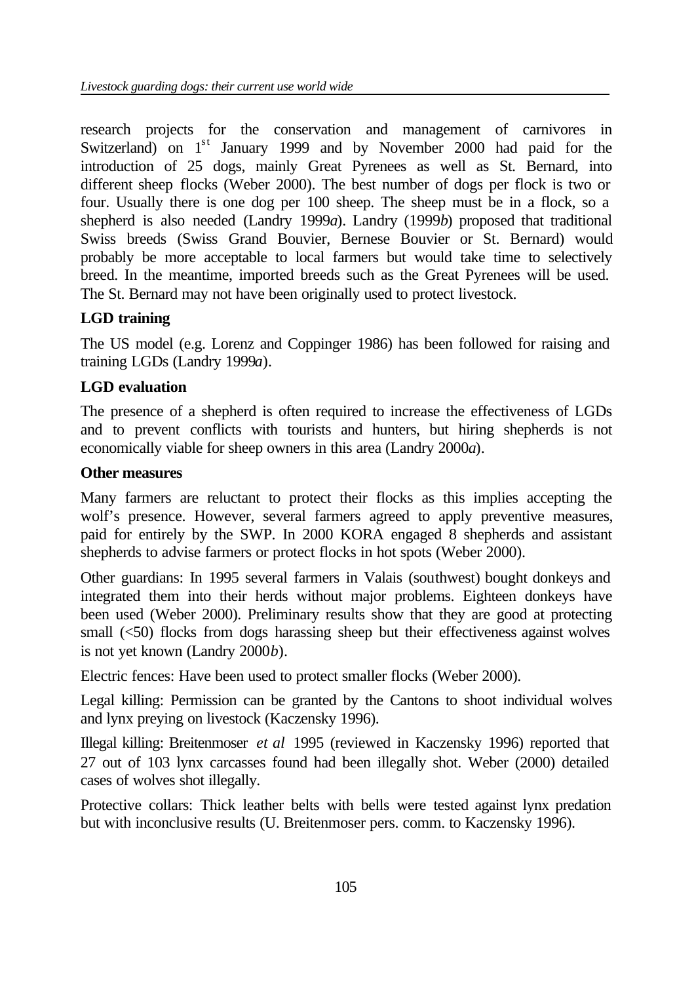research projects for the conservation and management of carnivores in Switzerland) on 1<sup>st</sup> January 1999 and by November 2000 had paid for the introduction of 25 dogs, mainly Great Pyrenees as well as St. Bernard, into different sheep flocks (Weber 2000). The best number of dogs per flock is two or four. Usually there is one dog per 100 sheep. The sheep must be in a flock, so a shepherd is also needed (Landry 1999*a*). Landry (1999*b*) proposed that traditional Swiss breeds (Swiss Grand Bouvier, Bernese Bouvier or St. Bernard) would probably be more acceptable to local farmers but would take time to selectively breed. In the meantime, imported breeds such as the Great Pyrenees will be used. The St. Bernard may not have been originally used to protect livestock.

## **LGD training**

The US model (e.g. Lorenz and Coppinger 1986) has been followed for raising and training LGDs (Landry 1999*a*).

## **LGD evaluation**

The presence of a shepherd is often required to increase the effectiveness of LGDs and to prevent conflicts with tourists and hunters, but hiring shepherds is not economically viable for sheep owners in this area (Landry 2000*a*).

## **Other measures**

Many farmers are reluctant to protect their flocks as this implies accepting the wolf's presence. However, several farmers agreed to apply preventive measures, paid for entirely by the SWP. In 2000 KORA engaged 8 shepherds and assistant shepherds to advise farmers or protect flocks in hot spots (Weber 2000).

Other guardians: In 1995 several farmers in Valais (southwest) bought donkeys and integrated them into their herds without major problems. Eighteen donkeys have been used (Weber 2000). Preliminary results show that they are good at protecting small (<50) flocks from dogs harassing sheep but their effectiveness against wolves is not yet known (Landry 2000*b*).

Electric fences: Have been used to protect smaller flocks (Weber 2000).

Legal killing: Permission can be granted by the Cantons to shoot individual wolves and lynx preying on livestock (Kaczensky 1996).

Illegal killing: Breitenmoser *et al* 1995 (reviewed in Kaczensky 1996) reported that 27 out of 103 lynx carcasses found had been illegally shot. Weber (2000) detailed cases of wolves shot illegally.

Protective collars: Thick leather belts with bells were tested against lynx predation but with inconclusive results (U. Breitenmoser pers. comm. to Kaczensky 1996).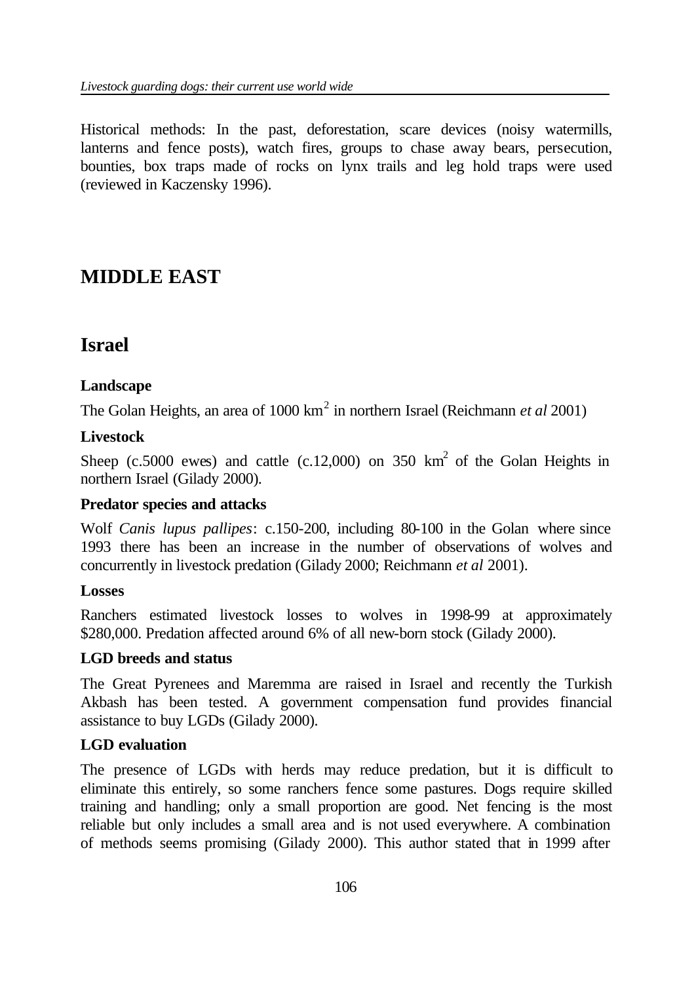Historical methods: In the past, deforestation, scare devices (noisy watermills, lanterns and fence posts), watch fires, groups to chase away bears, persecution, bounties, box traps made of rocks on lynx trails and leg hold traps were used (reviewed in Kaczensky 1996).

# **MIDDLE EAST**

## **Israel**

## **Landscape**

The Golan Heights, an area of 1000 km<sup>2</sup> in northern Israel (Reichmann *et al* 2001)

## **Livestock**

Sheep (c.5000 ewes) and cattle (c.12,000) on 350  $km^2$  of the Golan Heights in northern Israel (Gilady 2000).

## **Predator species and attacks**

Wolf *Canis lupus pallipes*: c.150-200, including 80-100 in the Golan where since 1993 there has been an increase in the number of observations of wolves and concurrently in livestock predation (Gilady 2000; Reichmann *et al* 2001).

## **Losses**

Ranchers estimated livestock losses to wolves in 1998-99 at approximately \$280,000. Predation affected around 6% of all new-born stock (Gilady 2000).

## **LGD breeds and status**

The Great Pyrenees and Maremma are raised in Israel and recently the Turkish Akbash has been tested. A government compensation fund provides financial assistance to buy LGDs (Gilady 2000).

## **LGD evaluation**

The presence of LGDs with herds may reduce predation, but it is difficult to eliminate this entirely, so some ranchers fence some pastures. Dogs require skilled training and handling; only a small proportion are good. Net fencing is the most reliable but only includes a small area and is not used everywhere. A combination of methods seems promising (Gilady 2000). This author stated that in 1999 after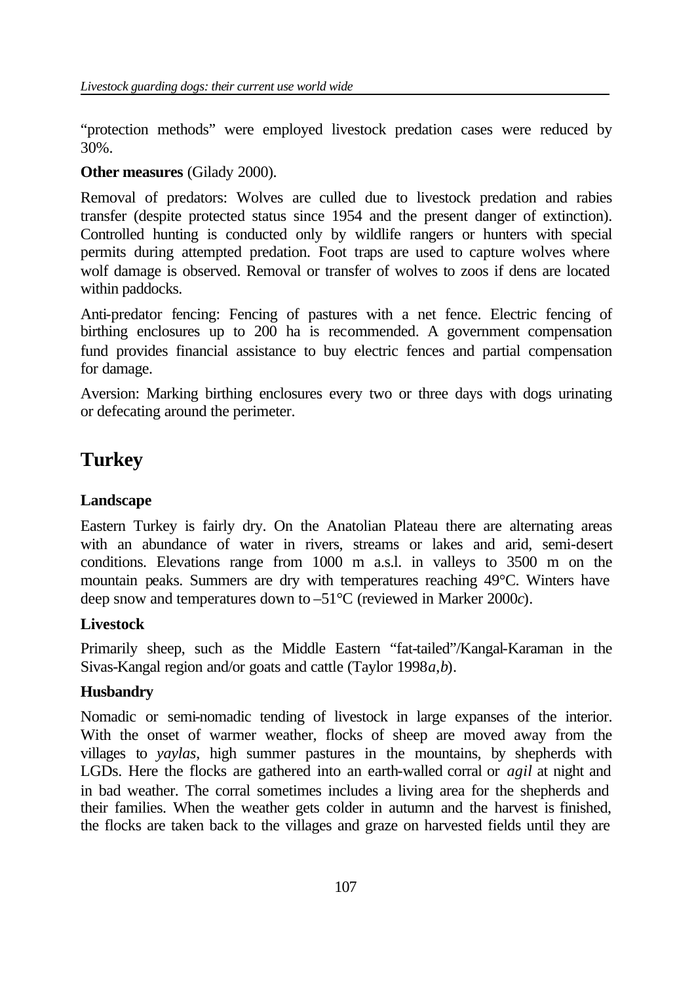"protection methods" were employed livestock predation cases were reduced by 30%.

## **Other measures** (Gilady 2000).

Removal of predators: Wolves are culled due to livestock predation and rabies transfer (despite protected status since 1954 and the present danger of extinction). Controlled hunting is conducted only by wildlife rangers or hunters with special permits during attempted predation. Foot traps are used to capture wolves where wolf damage is observed. Removal or transfer of wolves to zoos if dens are located within paddocks.

Anti-predator fencing: Fencing of pastures with a net fence. Electric fencing of birthing enclosures up to 200 ha is recommended. A government compensation fund provides financial assistance to buy electric fences and partial compensation for damage.

Aversion: Marking birthing enclosures every two or three days with dogs urinating or defecating around the perimeter.

# **Turkey**

## **Landscape**

Eastern Turkey is fairly dry. On the Anatolian Plateau there are alternating areas with an abundance of water in rivers, streams or lakes and arid, semi-desert conditions. Elevations range from 1000 m a.s.l. in valleys to 3500 m on the mountain peaks. Summers are dry with temperatures reaching 49°C. Winters have deep snow and temperatures down to –51°C (reviewed in Marker 2000*c*).

## **Livestock**

Primarily sheep, such as the Middle Eastern "fat-tailed"/Kangal-Karaman in the Sivas-Kangal region and/or goats and cattle (Taylor 1998*a*,*b*).

## **Husbandry**

Nomadic or semi-nomadic tending of livestock in large expanses of the interior. With the onset of warmer weather, flocks of sheep are moved away from the villages to *yaylas*, high summer pastures in the mountains, by shepherds with LGDs. Here the flocks are gathered into an earth-walled corral or *agil* at night and in bad weather. The corral sometimes includes a living area for the shepherds and their families. When the weather gets colder in autumn and the harvest is finished, the flocks are taken back to the villages and graze on harvested fields until they are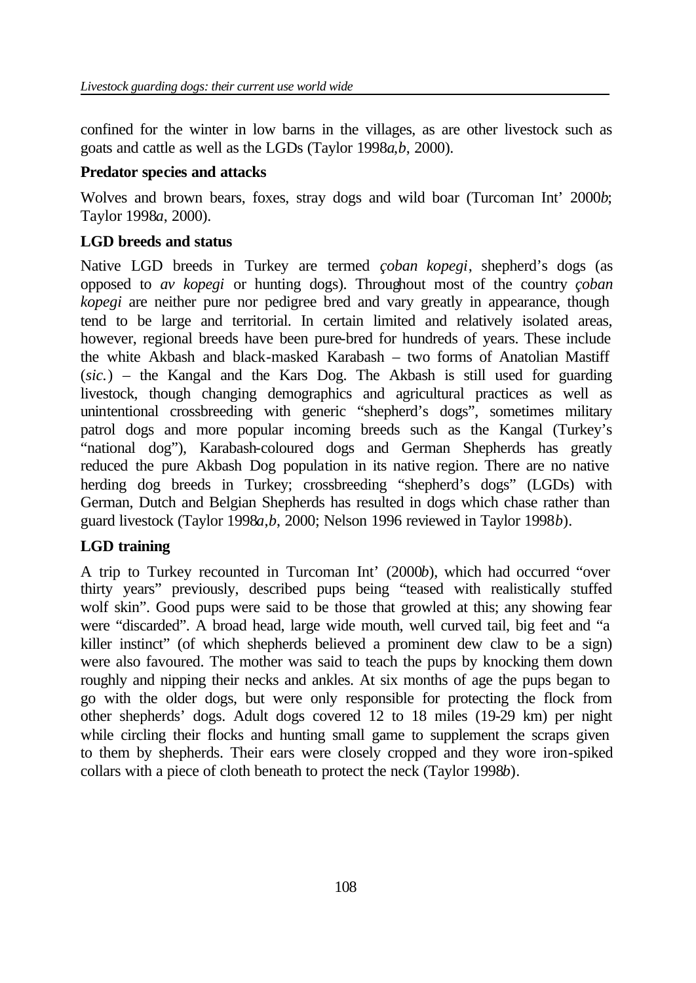confined for the winter in low barns in the villages, as are other livestock such as goats and cattle as well as the LGDs (Taylor 1998*a*,*b*, 2000).

## **Predator species and attacks**

Wolves and brown bears, foxes, stray dogs and wild boar (Turcoman Int' 2000*b*; Taylor 1998*a*, 2000).

## **LGD breeds and status**

Native LGD breeds in Turkey are termed *çoban kopegi*, shepherd's dogs (as opposed to *av kopegi* or hunting dogs). Throughout most of the country *çoban kopegi* are neither pure nor pedigree bred and vary greatly in appearance, though tend to be large and territorial. In certain limited and relatively isolated areas, however, regional breeds have been pure-bred for hundreds of years. These include the white Akbash and black-masked Karabash – two forms of Anatolian Mastiff (*sic.*) – the Kangal and the Kars Dog. The Akbash is still used for guarding livestock, though changing demographics and agricultural practices as well as unintentional crossbreeding with generic "shepherd's dogs", sometimes military patrol dogs and more popular incoming breeds such as the Kangal (Turkey's "national dog"), Karabash-coloured dogs and German Shepherds has greatly reduced the pure Akbash Dog population in its native region. There are no native herding dog breeds in Turkey; crossbreeding "shepherd's dogs" (LGDs) with German, Dutch and Belgian Shepherds has resulted in dogs which chase rather than guard livestock (Taylor 1998*a*,*b*, 2000; Nelson 1996 reviewed in Taylor 1998*b*).

## **LGD training**

A trip to Turkey recounted in Turcoman Int' (2000*b*), which had occurred "over thirty years" previously, described pups being "teased with realistically stuffed wolf skin". Good pups were said to be those that growled at this; any showing fear were "discarded". A broad head, large wide mouth, well curved tail, big feet and "a killer instinct" (of which shepherds believed a prominent dew claw to be a sign) were also favoured. The mother was said to teach the pups by knocking them down roughly and nipping their necks and ankles. At six months of age the pups began to go with the older dogs, but were only responsible for protecting the flock from other shepherds' dogs. Adult dogs covered 12 to 18 miles (19-29 km) per night while circling their flocks and hunting small game to supplement the scraps given to them by shepherds. Their ears were closely cropped and they wore iron-spiked collars with a piece of cloth beneath to protect the neck (Taylor 1998*b*).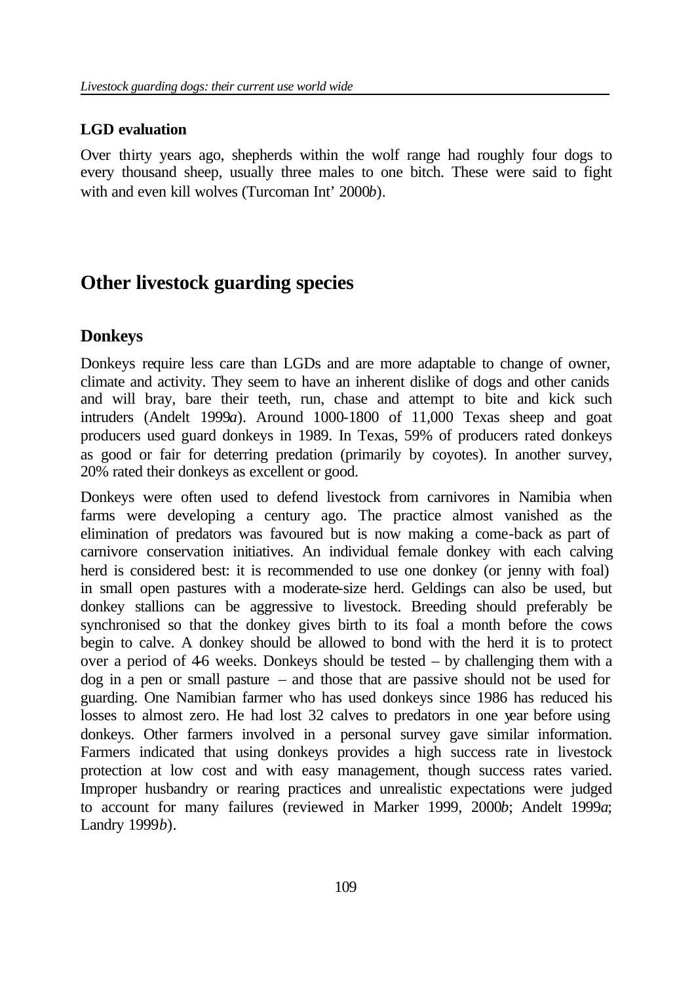### **LGD evaluation**

Over thirty years ago, shepherds within the wolf range had roughly four dogs to every thousand sheep, usually three males to one bitch. These were said to fight with and even kill wolves (Turcoman Int' 2000*b*).

# **Other livestock guarding species**

## **Donkeys**

Donkeys require less care than LGDs and are more adaptable to change of owner, climate and activity. They seem to have an inherent dislike of dogs and other canids and will bray, bare their teeth, run, chase and attempt to bite and kick such intruders (Andelt 1999*a*). Around 1000-1800 of 11,000 Texas sheep and goat producers used guard donkeys in 1989. In Texas, 59% of producers rated donkeys as good or fair for deterring predation (primarily by coyotes). In another survey, 20% rated their donkeys as excellent or good.

Donkeys were often used to defend livestock from carnivores in Namibia when farms were developing a century ago. The practice almost vanished as the elimination of predators was favoured but is now making a come-back as part of carnivore conservation initiatives. An individual female donkey with each calving herd is considered best: it is recommended to use one donkey (or jenny with foal) in small open pastures with a moderate-size herd. Geldings can also be used, but donkey stallions can be aggressive to livestock. Breeding should preferably be synchronised so that the donkey gives birth to its foal a month before the cows begin to calve. A donkey should be allowed to bond with the herd it is to protect over a period of 46 weeks. Donkeys should be tested  $-$  by challenging them with a dog in a pen or small pasture – and those that are passive should not be used for guarding. One Namibian farmer who has used donkeys since 1986 has reduced his losses to almost zero. He had lost 32 calves to predators in one year before using donkeys. Other farmers involved in a personal survey gave similar information. Farmers indicated that using donkeys provides a high success rate in livestock protection at low cost and with easy management, though success rates varied. Improper husbandry or rearing practices and unrealistic expectations were judged to account for many failures (reviewed in Marker 1999, 2000*b*; Andelt 1999*a*; Landry 1999*b*).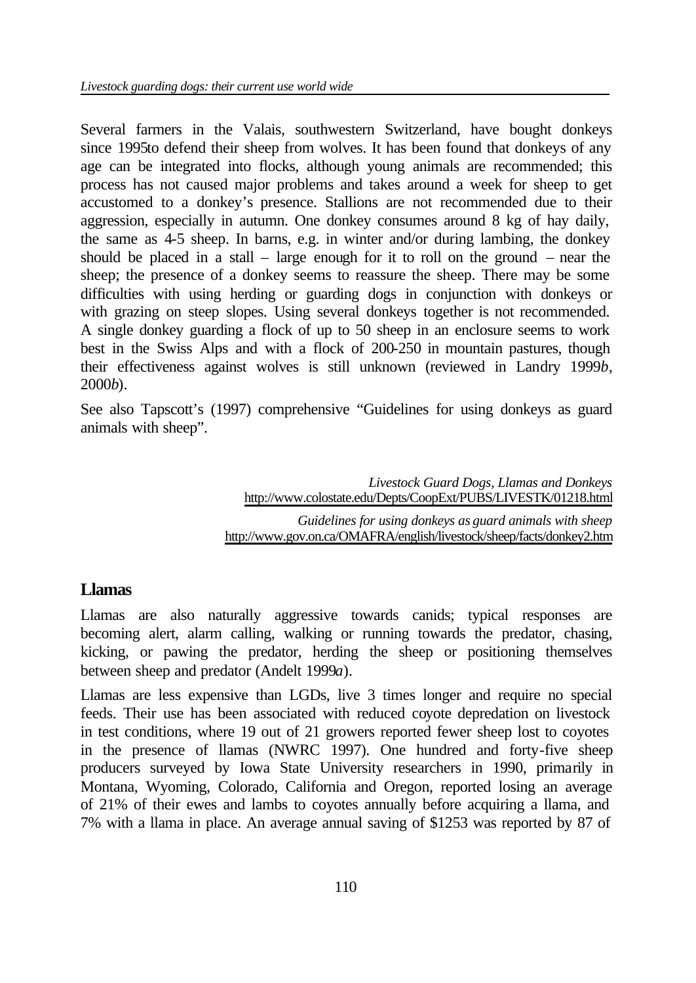Several farmers in the Valais, southwestern Switzerland, have bought donkeys since 1995to defend their sheep from wolves. It has been found that donkeys of any age can be integrated into flocks, although young animals are recommended; this process has not caused major problems and takes around a week for sheep to get accustomed to a donkey's presence. Stallions are not recommended due to their aggression, especially in autumn. One donkey consumes around 8 kg of hay daily, the same as 4-5 sheep. In barns, e.g. in winter and/or during lambing, the donkey should be placed in a stall – large enough for it to roll on the ground – near the sheep; the presence of a donkey seems to reassure the sheep. There may be some difficulties with using herding or guarding dogs in conjunction with donkeys or with grazing on steep slopes. Using several donkeys together is not recommended. A single donkey guarding a flock of up to 50 sheep in an enclosure seems to work best in the Swiss Alps and with a flock of 200-250 in mountain pastures, though their effectiveness against wolves is still unknown (reviewed in Landry 1999*b,* 2000*b*).

See also Tapscott's (1997) comprehensive "Guidelines for using donkeys as guard animals with sheep".

> *Livestock Guard Dogs, Llamas and Donkeys* http://www.colostate.edu/Depts/CoopExt/PUBS/LIVESTK/01218.html

*Guidelines for using donkeys as guard animals with sheep* http://www.gov.on.ca/OMAFRA/english/livestock/sheep/facts/donkey2.htm

### **Llamas**

Llamas are also naturally aggressive towards canids; typical responses are becoming alert, alarm calling, walking or running towards the predator, chasing, kicking, or pawing the predator, herding the sheep or positioning themselves between sheep and predator (Andelt 1999*a*).

Llamas are less expensive than LGDs, live 3 times longer and require no special feeds. Their use has been associated with reduced coyote depredation on livestock in test conditions, where 19 out of 21 growers reported fewer sheep lost to coyotes in the presence of llamas (NWRC 1997). One hundred and forty-five sheep producers surveyed by Iowa State University researchers in 1990, primarily in Montana, Wyoming, Colorado, California and Oregon, reported losing an average of 21% of their ewes and lambs to coyotes annually before acquiring a llama, and 7% with a llama in place. An average annual saving of \$1253 was reported by 87 of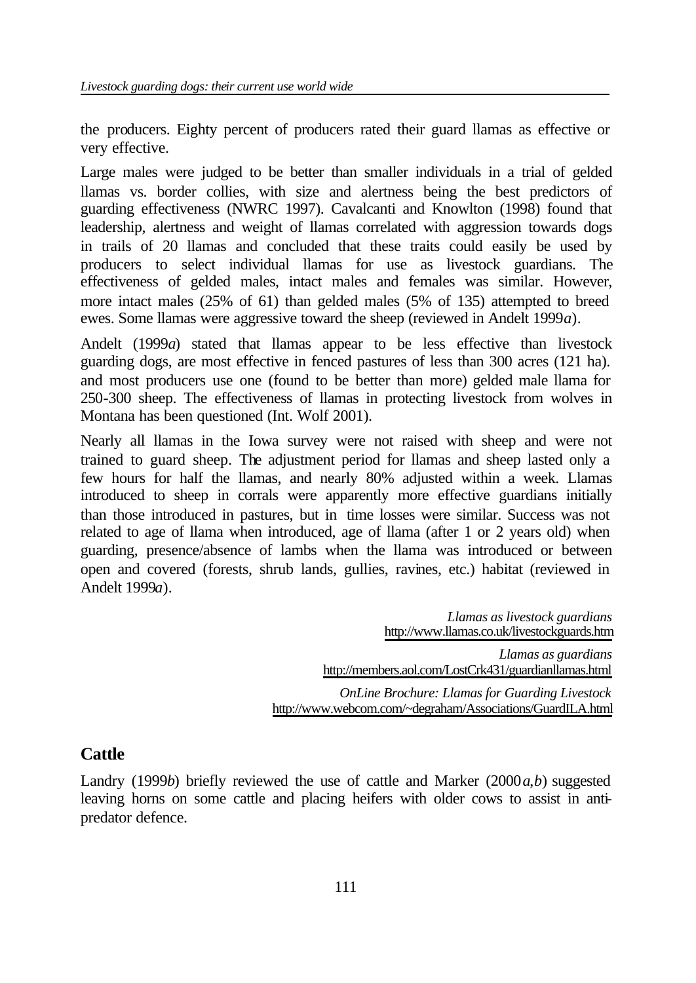the producers. Eighty percent of producers rated their guard llamas as effective or very effective.

Large males were judged to be better than smaller individuals in a trial of gelded llamas vs. border collies, with size and alertness being the best predictors of guarding effectiveness (NWRC 1997). Cavalcanti and Knowlton (1998) found that leadership, alertness and weight of llamas correlated with aggression towards dogs in trails of 20 llamas and concluded that these traits could easily be used by producers to select individual llamas for use as livestock guardians. The effectiveness of gelded males, intact males and females was similar. However, more intact males (25% of 61) than gelded males (5% of 135) attempted to breed ewes. Some llamas were aggressive toward the sheep (reviewed in Andelt 1999*a*).

Andelt (1999*a*) stated that llamas appear to be less effective than livestock guarding dogs, are most effective in fenced pastures of less than 300 acres (121 ha). and most producers use one (found to be better than more) gelded male llama for 250-300 sheep. The effectiveness of llamas in protecting livestock from wolves in Montana has been questioned (Int. Wolf 2001).

Nearly all llamas in the Iowa survey were not raised with sheep and were not trained to guard sheep. The adjustment period for llamas and sheep lasted only a few hours for half the llamas, and nearly 80% adjusted within a week. Llamas introduced to sheep in corrals were apparently more effective guardians initially than those introduced in pastures, but in time losses were similar. Success was not related to age of llama when introduced, age of llama (after 1 or 2 years old) when guarding, presence/absence of lambs when the llama was introduced or between open and covered (forests, shrub lands, gullies, ravines, etc.) habitat (reviewed in Andelt 1999*a*).

> *Llamas as livestock guardians* http://www.llamas.co.uk/livestockguards.htm *Llamas as guardians* http://members.aol.com/LostCrk431/guardianllamas.html *OnLine Brochure: Llamas for Guarding Livestock* http://www.webcom.com/~degraham/Associations/GuardILA.html

### **Cattle**

Landry (1999*b*) briefly reviewed the use of cattle and Marker (2000*a*,*b*) suggested leaving horns on some cattle and placing heifers with older cows to assist in antipredator defence.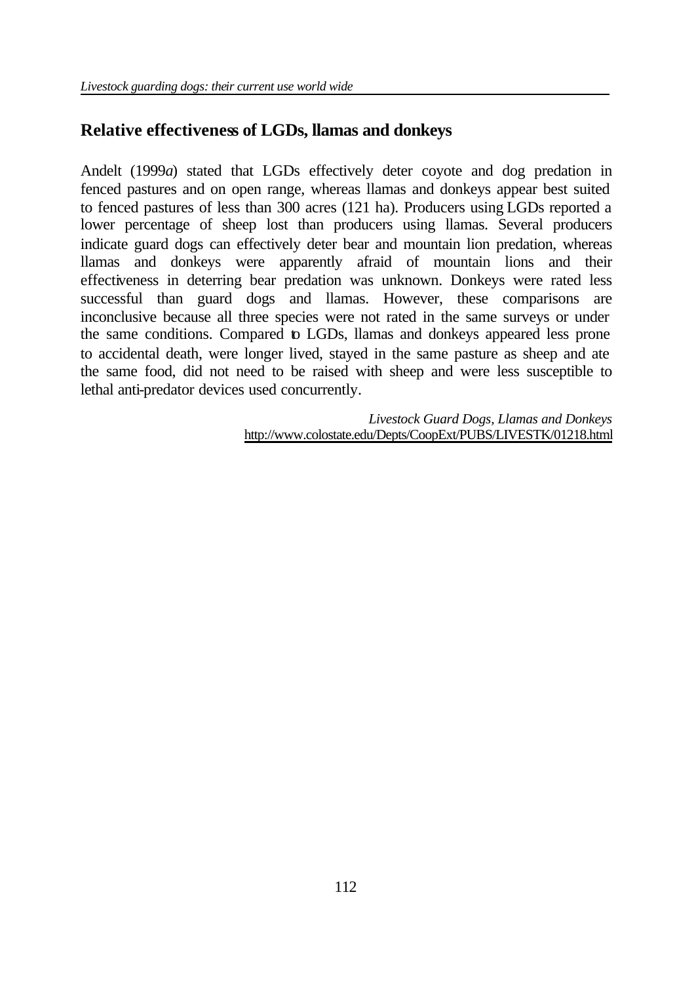## **Relative effectiveness of LGDs, llamas and donkeys**

Andelt (1999*a*) stated that LGDs effectively deter coyote and dog predation in fenced pastures and on open range, whereas llamas and donkeys appear best suited to fenced pastures of less than 300 acres (121 ha). Producers using LGDs reported a lower percentage of sheep lost than producers using llamas. Several producers indicate guard dogs can effectively deter bear and mountain lion predation, whereas llamas and donkeys were apparently afraid of mountain lions and their effectiveness in deterring bear predation was unknown. Donkeys were rated less successful than guard dogs and llamas. However, these comparisons are inconclusive because all three species were not rated in the same surveys or under the same conditions. Compared to LGDs, llamas and donkeys appeared less prone to accidental death, were longer lived, stayed in the same pasture as sheep and ate the same food, did not need to be raised with sheep and were less susceptible to lethal anti-predator devices used concurrently.

> *Livestock Guard Dogs, Llamas and Donkeys* http://www.colostate.edu/Depts/CoopExt/PUBS/LIVESTK/01218.html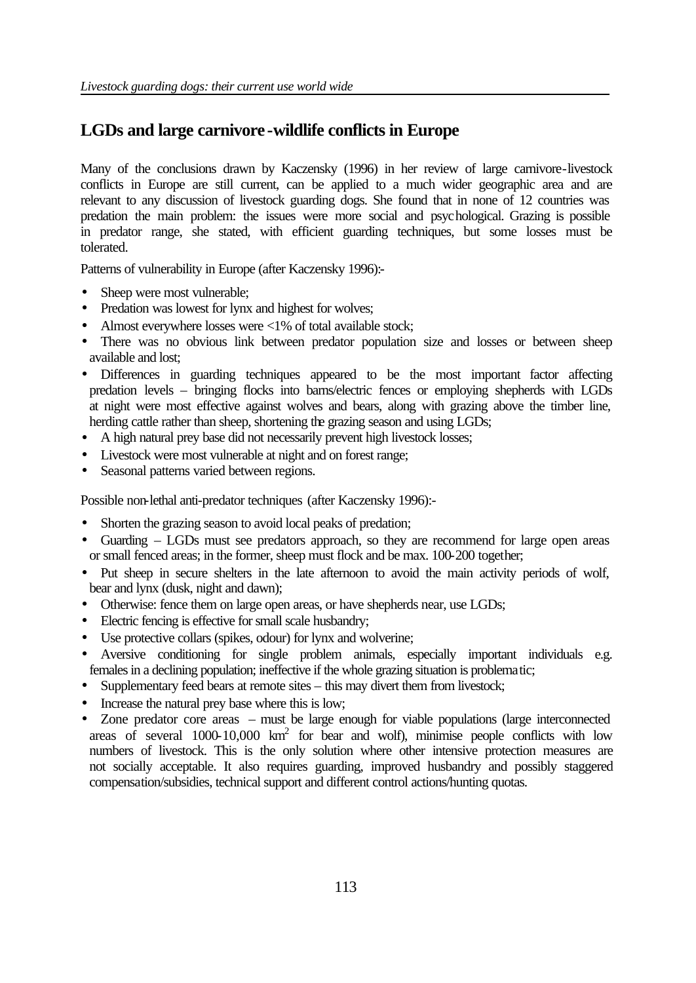## **LGDs and large carnivore -wildlife conflicts in Europe**

Many of the conclusions drawn by Kaczensky (1996) in her review of large carnivore-livestock conflicts in Europe are still current, can be applied to a much wider geographic area and are relevant to any discussion of livestock guarding dogs. She found that in none of 12 countries was predation the main problem: the issues were more social and psychological. Grazing is possible in predator range, she stated, with efficient guarding techniques, but some losses must be tolerated.

Patterns of vulnerability in Europe (after Kaczensky 1996):-

- Sheep were most vulnerable;
- Predation was lowest for lynx and highest for wolves;
- Almost everywhere losses were  $\langle 1\% \rangle$  of total available stock;
- There was no obvious link between predator population size and losses or between sheep available and lost;
- Differences in guarding techniques appeared to be the most important factor affecting predation levels – bringing flocks into barns/electric fences or employing shepherds with LGDs at night were most effective against wolves and bears, along with grazing above the timber line, herding cattle rather than sheep, shortening the grazing season and using LGDs;
- A high natural prey base did not necessarily prevent high livestock losses;
- Livestock were most vulnerable at night and on forest range;
- Seasonal patterns varied between regions.

Possible non-lethal anti-predator techniques (after Kaczensky 1996):-

- Shorten the grazing season to avoid local peaks of predation;
- Guarding LGDs must see predators approach, so they are recommend for large open areas or small fenced areas; in the former, sheep must flock and be max. 100-200 together;
- Put sheep in secure shelters in the late afternoon to avoid the main activity periods of wolf, bear and lynx (dusk, night and dawn);
- Otherwise: fence them on large open areas, or have shepherds near, use LGDs;
- Electric fencing is effective for small scale husbandry;
- Use protective collars (spikes, odour) for lynx and wolverine;
- Aversive conditioning for single problem animals, especially important individuals e.g. females in a declining population; ineffective if the whole grazing situation is problematic;
- Supplementary feed bears at remote sites this may divert them from livestock;
- Increase the natural prey base where this is low;
- Zone predator core areas must be large enough for viable populations (large interconnected areas of several  $1000-10,000$  km<sup>2</sup> for bear and wolf), minimise people conflicts with low numbers of livestock. This is the only solution where other intensive protection measures are not socially acceptable. It also requires guarding, improved husbandry and possibly staggered compensation/subsidies, technical support and different control actions/hunting quotas.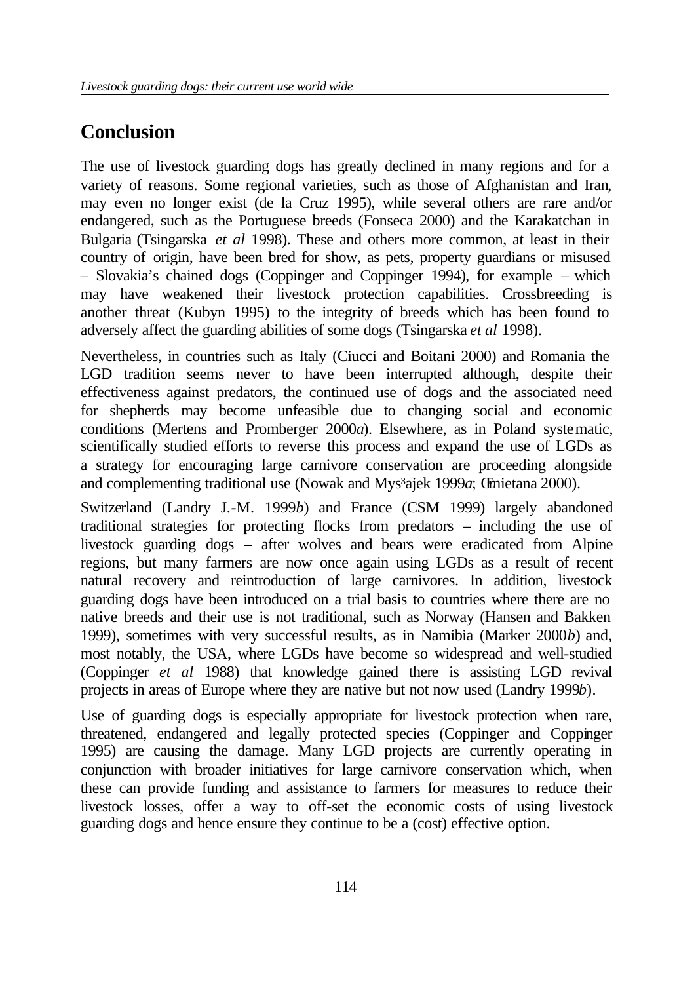# **Conclusion**

The use of livestock guarding dogs has greatly declined in many regions and for a variety of reasons. Some regional varieties, such as those of Afghanistan and Iran, may even no longer exist (de la Cruz 1995), while several others are rare and/or endangered, such as the Portuguese breeds (Fonseca 2000) and the Karakatchan in Bulgaria (Tsingarska *et al* 1998). These and others more common, at least in their country of origin, have been bred for show, as pets, property guardians or misused – Slovakia's chained dogs (Coppinger and Coppinger 1994), for example – which may have weakened their livestock protection capabilities. Crossbreeding is another threat (Kubyn 1995) to the integrity of breeds which has been found to adversely affect the guarding abilities of some dogs (Tsingarska *et al* 1998).

Nevertheless, in countries such as Italy (Ciucci and Boitani 2000) and Romania the LGD tradition seems never to have been interrupted although, despite their effectiveness against predators, the continued use of dogs and the associated need for shepherds may become unfeasible due to changing social and economic conditions (Mertens and Promberger 2000*a*). Elsewhere, as in Poland systematic, scientifically studied efforts to reverse this process and expand the use of LGDs as a strategy for encouraging large carnivore conservation are proceeding alongside and complementing traditional use (Nowak and Mys³ajek 1999*a*; Œmietana 2000).

Switzerland (Landry J.-M. 1999*b*) and France (CSM 1999) largely abandoned traditional strategies for protecting flocks from predators – including the use of livestock guarding dogs – after wolves and bears were eradicated from Alpine regions, but many farmers are now once again using LGDs as a result of recent natural recovery and reintroduction of large carnivores. In addition, livestock guarding dogs have been introduced on a trial basis to countries where there are no native breeds and their use is not traditional, such as Norway (Hansen and Bakken 1999), sometimes with very successful results, as in Namibia (Marker 2000*b*) and, most notably, the USA, where LGDs have become so widespread and well-studied (Coppinger *et al* 1988) that knowledge gained there is assisting LGD revival projects in areas of Europe where they are native but not now used (Landry 1999*b*).

Use of guarding dogs is especially appropriate for livestock protection when rare, threatened, endangered and legally protected species (Coppinger and Coppinger 1995) are causing the damage. Many LGD projects are currently operating in conjunction with broader initiatives for large carnivore conservation which, when these can provide funding and assistance to farmers for measures to reduce their livestock losses, offer a way to off-set the economic costs of using livestock guarding dogs and hence ensure they continue to be a (cost) effective option.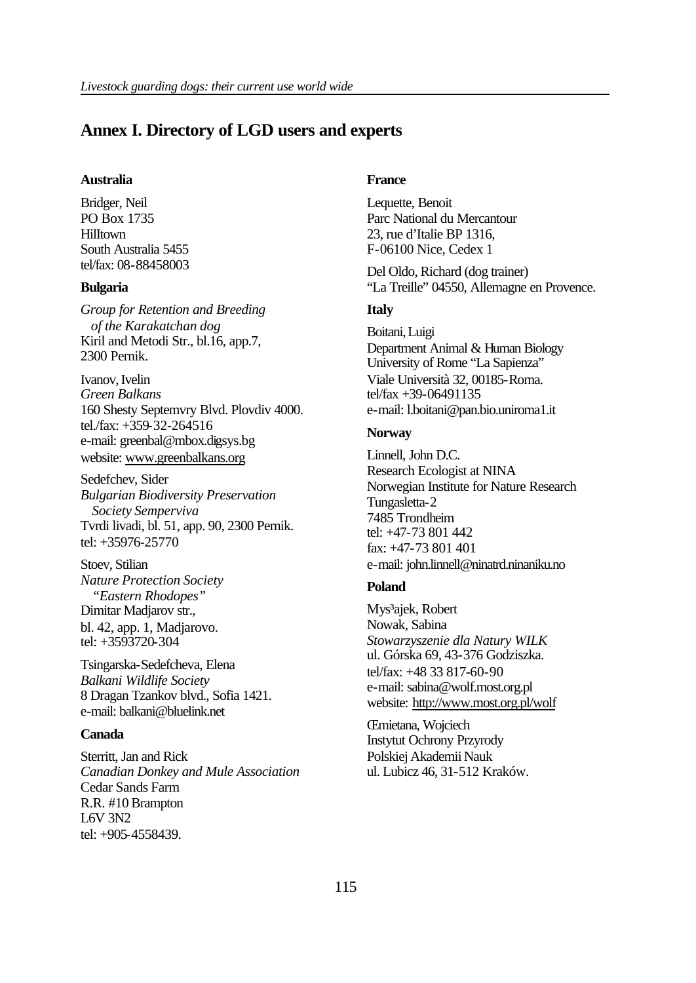### **Annex I. Directory of LGD users and experts**

#### **Australia**

Bridger, Neil PO Box 1735 **Hilltown** South Australia 5455 tel/fax: 08-88458003

#### **Bulgaria**

*Group for Retention and Breeding of the Karakatchan dog* Kiril and Metodi Str., bl.16, app.7, 2300 Pernik.

Ivanov, Ivelin *Green Balkans* 160 Shesty Septemvry Blvd. Plovdiv 4000. tel./fax: +359-32-264516 e-mail: greenbal@mbox.digsys.bg website: www.greenbalkans.org

Sedefchev, Sider *Bulgarian Biodiversity Preservation Society Semperviva* Tvrdi livadi, bl. 51, app. 90, 2300 Pernik. tel: +35976-25770

Stoev, Stilian *Nature Protection Society "Eastern Rhodopes"* Dimitar Madjarov str., bl. 42, app. 1, Madjarovo. tel: +3593720-304

Tsingarska-Sedefcheva, Elena *Balkani Wildlife Society* 8 Dragan Tzankov blvd., Sofia 1421. e-mail: balkani@bluelink.net

#### **Canada**

Sterritt, Jan and Rick *Canadian Donkey and Mule Association* Cedar Sands Farm R.R. #10 Brampton L6V 3N2 tel: +905-4558439.

#### **France**

Lequette, Benoit Parc National du Mercantour 23, rue d'Italie BP 1316, F-06100 Nice, Cedex 1

Del Oldo, Richard (dog trainer) "La Treille" 04550, Allemagne en Provence.

#### **Italy**

Boitani, Luigi Department Animal & Human Biology University of Rome "La Sapienza" Viale Università 32, 00185-Roma. tel/fax +39-06491135 e-mail: l.boitani@pan.bio.uniroma1.it

#### **Norway**

Linnell, John D.C. Research Ecologist at NINA Norwegian Institute for Nature Research Tungasletta-2 7485 Trondheim tel: +47-73 801 442 fax: +47-73 801 401 e-mail: john.linnell@ninatrd.ninaniku.no

#### **Poland**

Mys<sup>3</sup>ajek, Robert Nowak, Sabina *Stowarzyszenie dla Natury WILK* ul. Górska 69, 43-376 Godziszka. tel/fax: +48 33 817-60-90 e-mail: sabina@wolf.most.org.pl website: http://www.most.org.pl/wolf

Œmietana, Wojciech Instytut Ochrony Przyrody Polskiej Akademii Nauk ul. Lubicz 46, 31-512 Kraków.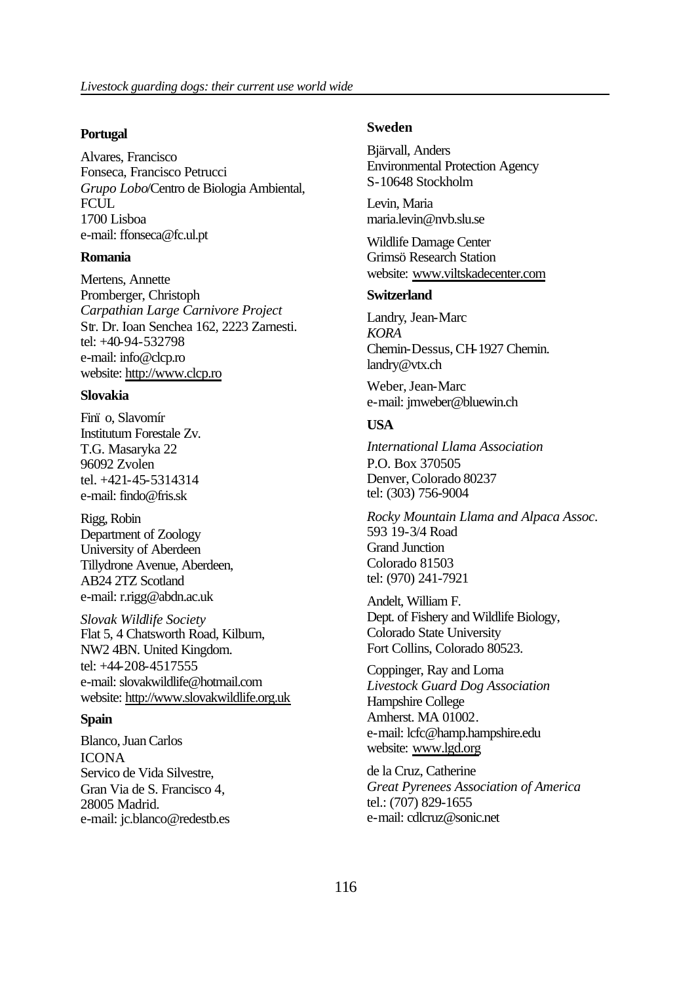#### **Portugal**

Alvares, Francisco Fonseca, Francisco Petrucci *Grupo Lobo*/Centro de Biologia Ambiental, FCUL. 1700 Lisboa e-mail: ffonseca@fc.ul.pt

#### **Romania**

Mertens, Annette Promberger, Christoph *Carpathian Large Carnivore Project* Str. Dr. Ioan Senchea 162, 2223 Zarnesti. tel: +40-94-532798 e-mail: info@clcp.ro website: http://www.clcp.ro

#### **Slovakia**

Finï o, Slavomír Institutum Forestale Zv. T.G. Masaryka 22 96092 Zvolen tel. +421-45-5314314 e-mail: findo@fris.sk

Rigg, Robin Department of Zoology University of Aberdeen Tillydrone Avenue, Aberdeen, AB24 2TZ Scotland e-mail: r.rigg@abdn.ac.uk

*Slovak Wildlife Society* Flat 5, 4 Chatsworth Road, Kilburn, NW2 4BN. United Kingdom. tel: +44-208-4517555 e-mail: slovakwildlife@hotmail.com website: http://www.slovakwildlife.org.uk

#### **Spain**

Blanco, Juan Carlos ICONA Servico de Vida Silvestre, Gran Via de S. Francisco 4, 28005 Madrid. e-mail: jc.blanco@redestb.es

#### **Sweden**

Bjärvall, Anders Environmental Protection Agency S-10648 Stockholm

Levin, Maria maria.levin@nvb.slu.se

Wildlife Damage Center Grimsö Research Station website: www.viltskadecenter.com

#### **Switzerland**

Landry, Jean-Marc *KORA* Chemin-Dessus, CH-1927 Chemin. landry@vtx.ch

Weber, Jean-Marc e-mail: jmweber@bluewin.ch

#### **USA**

*International Llama Association* P.O. Box 370505 Denver, Colorado 80237 tel: (303) 756-9004

*Rocky Mountain Llama and Alpaca Assoc*. 593 19-3/4 Road Grand Junction Colorado 81503 tel: (970) 241-7921

Andelt, William F. Dept. of Fishery and Wildlife Biology, Colorado State University Fort Collins, Colorado 80523.

Coppinger, Ray and Lorna *Livestock Guard Dog Association* Hampshire College Amherst. MA 01002. e-mail: lcfc@hamp.hampshire.edu website: www.lgd.org

de la Cruz, Catherine *Great Pyrenees Association of America* tel.: (707) 829-1655 e-mail: cdlcruz@sonic.net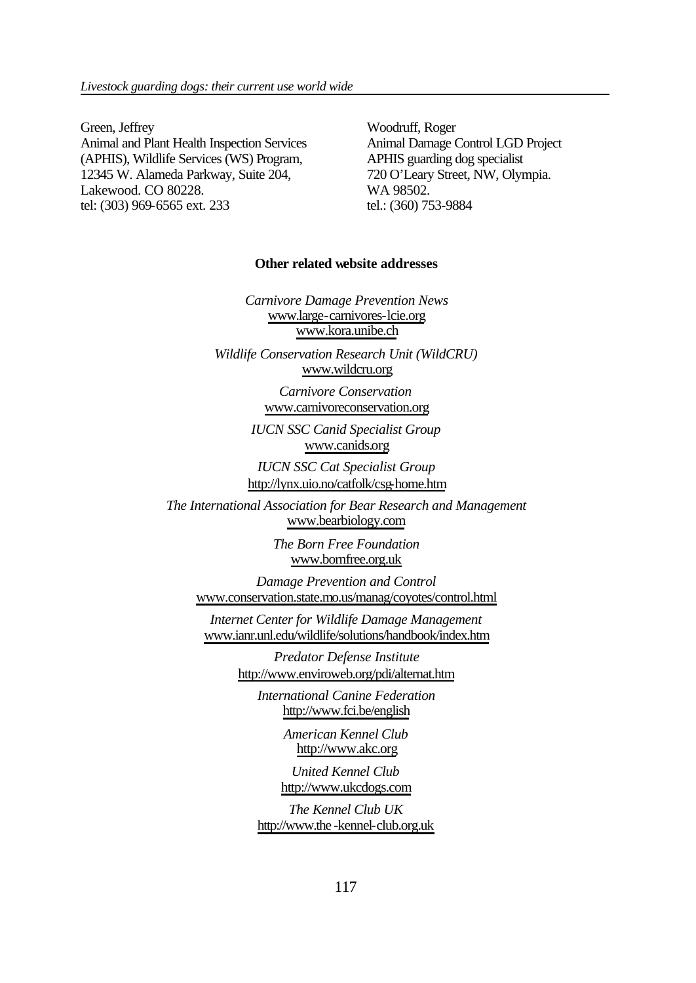Green, Jeffrey Animal and Plant Health Inspection Services (APHIS), Wildlife Services (WS) Program, 12345 W. Alameda Parkway, Suite 204, Lakewood. CO 80228. tel: (303) 969-6565 ext. 233

Woodruff, Roger Animal Damage Control LGD Project APHIS guarding dog specialist 720 O'Leary Street, NW, Olympia. WA 98502. tel.: (360) 753-9884

#### **Other related website addresses**

*Carnivore Damage Prevention News* www.large-carnivores-lcie.org www.kora.unibe.ch

*Wildlife Conservation Research Unit (WildCRU)* www.wildcru.org

> *Carnivore Conservation* www.carnivoreconservation.org

*IUCN SSC Canid Specialist Group* www.canids.org

*IUCN SSC Cat Specialist Group* http://lynx.uio.no/catfolk/csg-home.htm

*The International Association for Bear Research and Management* www.bearbiology.com

> *The Born Free Foundation* www.bornfree.org.uk

*Damage Prevention and Control* www.conservation.state.mo.us/manag/coyotes/control.html

*Internet Center for Wildlife Damage Management* www.ianr.unl.edu/wildlife/solutions/handbook/index.htm

> *Predator Defense Institute* http://www.enviroweb.org/pdi/alternat.htm

*International Canine Federation* http://www.fci.be/english

> *American Kennel Club* http://www.akc.org

*United Kennel Club* http://www.ukcdogs.com

*The Kennel Club UK* http://www.the -kennel-club.org.uk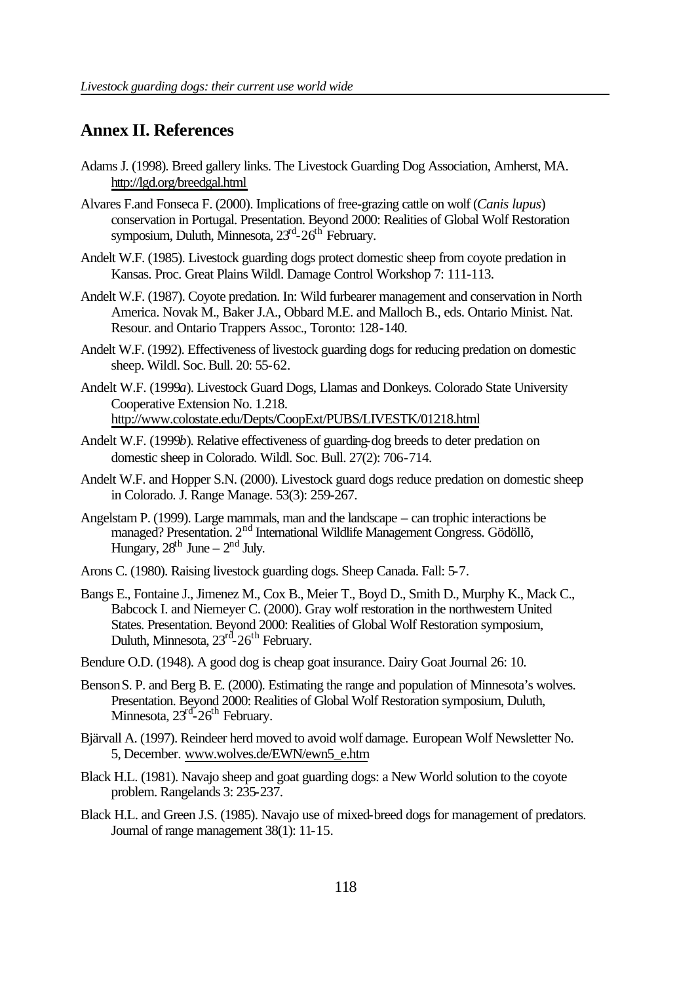### **Annex II. References**

- Adams J. (1998). Breed gallery links. The Livestock Guarding Dog Association, Amherst, MA. http://lgd.org/breedgal.html
- Alvares F.and Fonseca F. (2000). Implications of free-grazing cattle on wolf (*Canis lupus*) conservation in Portugal. Presentation. Beyond 2000: Realities of Global Wolf Restoration symposium, Duluth, Minnesota, 23<sup>rd</sup>-26<sup>th</sup> February.
- Andelt W.F. (1985). Livestock guarding dogs protect domestic sheep from coyote predation in Kansas. Proc. Great Plains Wildl. Damage Control Workshop 7: 111-113.
- Andelt W.F. (1987). Coyote predation. In: Wild furbearer management and conservation in North America. Novak M., Baker J.A., Obbard M.E. and Malloch B., eds. Ontario Minist. Nat. Resour. and Ontario Trappers Assoc., Toronto: 128-140.
- Andelt W.F. (1992). Effectiveness of livestock guarding dogs for reducing predation on domestic sheep. Wildl. Soc. Bull. 20: 55-62.
- Andelt W.F. (1999*a*). Livestock Guard Dogs, Llamas and Donkeys. Colorado State University Cooperative Extension No. 1.218. http://www.colostate.edu/Depts/CoopExt/PUBS/LIVESTK/01218.html
- Andelt W.F. (1999*b*). Relative effectiveness of guarding-dog breeds to deter predation on domestic sheep in Colorado. Wildl. Soc. Bull. 27(2): 706-714.
- Andelt W.F. and Hopper S.N. (2000). Livestock guard dogs reduce predation on domestic sheep in Colorado. J. Range Manage. 53(3): 259-267.
- Angelstam P. (1999). Large mammals, man and the landscape can trophic interactions be managed? Presentation. 2<sup>nd</sup> International Wildlife Management Congress. Gödöllõ, Hungary,  $28<sup>th</sup>$  June –  $2<sup>nd</sup>$  July.
- Arons C. (1980). Raising livestock guarding dogs. Sheep Canada. Fall: 5-7.
- Bangs E., Fontaine J., Jimenez M., Cox B., Meier T., Boyd D., Smith D., Murphy K., Mack C., Babcock I. and Niemeyer C. (2000). Gray wolf restoration in the northwestern United States. Presentation. Beyond 2000: Realities of Global Wolf Restoration symposium, Duluth, Minnesota, 23<sup>rd</sup>-26<sup>th</sup> February.
- Bendure O.D. (1948). A good dog is cheap goat insurance. Dairy Goat Journal 26: 10.
- Benson S. P. and Berg B. E. (2000). Estimating the range and population of Minnesota's wolves. Presentation. Beyond 2000: Realities of Global Wolf Restoration symposium, Duluth, Minnesota, 23<sup>rd-</sup>26<sup>th</sup> February.
- Bjärvall A. (1997). Reindeer herd moved to avoid wolf damage. European Wolf Newsletter No. 5, December. www.wolves.de/EWN/ewn5\_e.htm
- Black H.L. (1981). Navajo sheep and goat guarding dogs: a New World solution to the coyote problem. Rangelands 3: 235-237.
- Black H.L. and Green J.S. (1985). Navajo use of mixed-breed dogs for management of predators. Journal of range management 38(1): 11-15.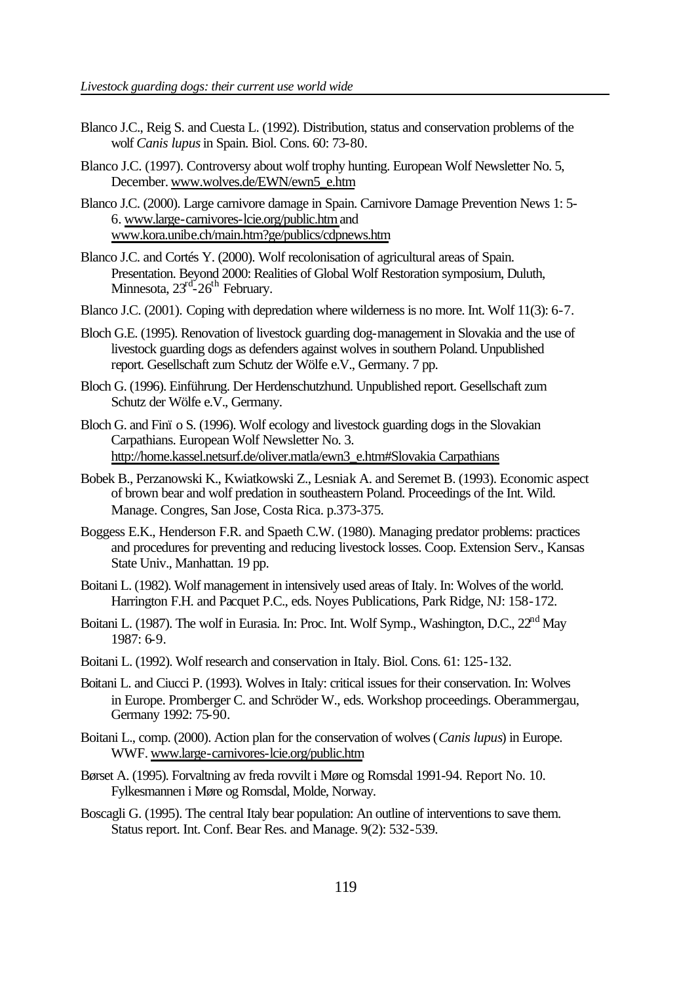- Blanco J.C., Reig S. and Cuesta L. (1992). Distribution, status and conservation problems of the wolf *Canis lupus* in Spain. Biol. Cons. 60: 73-80.
- Blanco J.C. (1997). Controversy about wolf trophy hunting. European Wolf Newsletter No. 5, December. www.wolves.de/EWN/ewn5\_e.htm
- Blanco J.C. (2000). Large carnivore damage in Spain. Carnivore Damage Prevention News 1: 5- 6. www.large-carnivores-lcie.org/public.htm and www.kora.unibe.ch/main.htm?ge/publics/cdpnews.htm
- Blanco J.C. and Cortés Y. (2000). Wolf recolonisation of agricultural areas of Spain. Presentation. Beyond 2000: Realities of Global Wolf Restoration symposium, Duluth, Minnesota, 23<sup>rd-</sup>26<sup>th</sup> February.
- Blanco J.C. (2001). Coping with depredation where wilderness is no more. Int. Wolf 11(3): 6-7.
- Bloch G.E. (1995). Renovation of livestock guarding dog-management in Slovakia and the use of livestock guarding dogs as defenders against wolves in southern Poland. Unpublished report. Gesellschaft zum Schutz der Wölfe e.V., Germany. 7 pp.
- Bloch G. (1996). Einführung. Der Herdenschutzhund. Unpublished report. Gesellschaft zum Schutz der Wölfe e.V., Germany.
- Bloch G. and Finï o S. (1996). Wolf ecology and livestock guarding dogs in the Slovakian Carpathians. European Wolf Newsletter No. 3. http://home.kassel.netsurf.de/oliver.matla/ewn3\_e.htm#Slovakia Carpathians
- Bobek B., Perzanowski K., Kwiatkowski Z., Lesniak A. and Seremet B. (1993). Economic aspect of brown bear and wolf predation in southeastern Poland. Proceedings of the Int. Wild. Manage. Congres, San Jose, Costa Rica. p.373-375.
- Boggess E.K., Henderson F.R. and Spaeth C.W. (1980). Managing predator problems: practices and procedures for preventing and reducing livestock losses. Coop. Extension Serv., Kansas State Univ., Manhattan. 19 pp.
- Boitani L. (1982). Wolf management in intensively used areas of Italy. In: Wolves of the world. Harrington F.H. and Pacquet P.C., eds. Noyes Publications, Park Ridge, NJ: 158-172.
- Boitani L. (1987). The wolf in Eurasia. In: Proc. Int. Wolf Symp., Washington, D.C., 22<sup>nd</sup> May 1987: 6-9.
- Boitani L. (1992). Wolf research and conservation in Italy. Biol. Cons. 61: 125-132.
- Boitani L. and Ciucci P. (1993). Wolves in Italy: critical issues for their conservation. In: Wolves in Europe. Promberger C. and Schröder W., eds. Workshop proceedings. Oberammergau, Germany 1992: 75-90.
- Boitani L., comp. (2000). Action plan for the conservation of wolves (*Canis lupus*) in Europe. WWF. www.large-carnivores-lcie.org/public.htm
- Børset A. (1995). Forvaltning av freda rovvilt i Møre og Romsdal 1991-94. Report No. 10. Fylkesmannen i Møre og Romsdal, Molde, Norway.
- Boscagli G. (1995). The central Italy bear population: An outline of interventions to save them. Status report. Int. Conf. Bear Res. and Manage. 9(2): 532-539.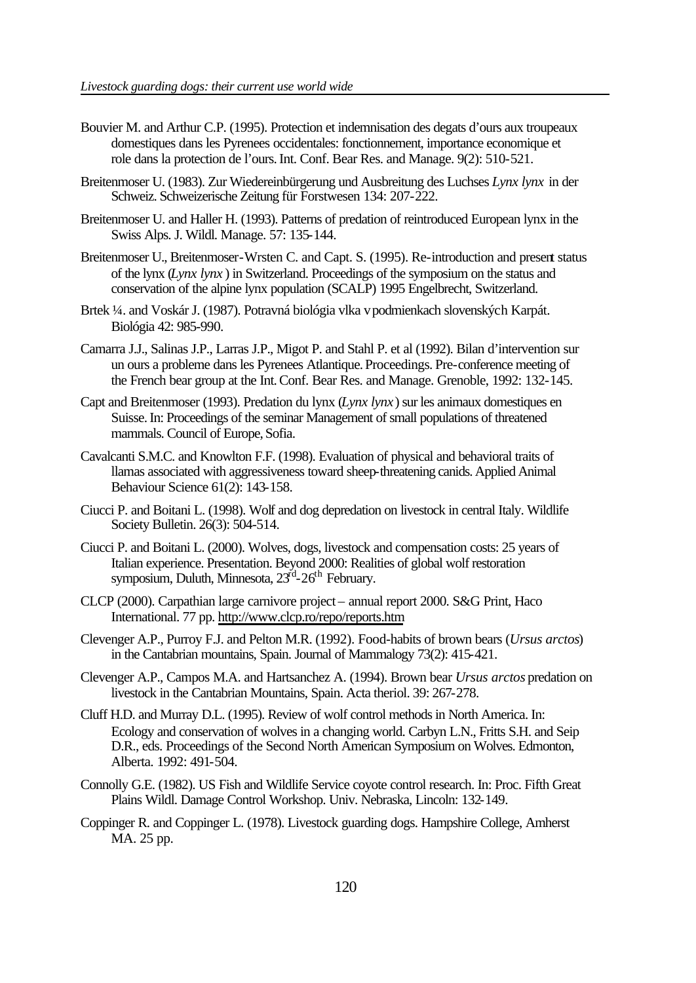- Bouvier M. and Arthur C.P. (1995). Protection et indemnisation des degats d'ours aux troupeaux domestiques dans les Pyrenees occidentales: fonctionnement, importance economique et role dans la protection de l'ours. Int. Conf. Bear Res. and Manage. 9(2): 510-521.
- Breitenmoser U. (1983). Zur Wiedereinbürgerung und Ausbreitung des Luchses *Lynx lynx* in der Schweiz. Schweizerische Zeitung für Forstwesen 134: 207-222.
- Breitenmoser U. and Haller H. (1993). Patterns of predation of reintroduced European lynx in the Swiss Alps. J. Wildl. Manage. 57: 135-144.
- Breitenmoser U., Breitenmoser-Wrsten C. and Capt. S. (1995). Re-introduction and present status of the lynx (*Lynx lynx* ) in Switzerland. Proceedings of the symposium on the status and conservation of the alpine lynx population (SCALP) 1995 Engelbrecht, Switzerland.
- Brtek ¼. and Voskár J. (1987). Potravná biológia vlka vpodmienkach slovenských Karpát. Biológia 42: 985-990.
- Camarra J.J., Salinas J.P., Larras J.P., Migot P. and Stahl P. et al (1992). Bilan d'intervention sur un ours a probleme dans les Pyrenees Atlantique. Proceedings. Pre-conference meeting of the French bear group at the Int. Conf. Bear Res. and Manage. Grenoble, 1992: 132-145.
- Capt and Breitenmoser (1993). Predation du lynx (*Lynx lynx*) sur les animaux domestiques en Suisse. In: Proceedings of the seminar Management of small populations of threatened mammals. Council of Europe, Sofia.
- Cavalcanti S.M.C. and Knowlton F.F. (1998). Evaluation of physical and behavioral traits of llamas associated with aggressiveness toward sheep-threatening canids. Applied Animal Behaviour Science 61(2): 143-158.
- Ciucci P. and Boitani L. (1998). Wolf and dog depredation on livestock in central Italy. Wildlife Society Bulletin. 26(3): 504-514.
- Ciucci P. and Boitani L. (2000). Wolves, dogs, livestock and compensation costs: 25 years of Italian experience. Presentation. Beyond 2000: Realities of global wolf restoration symposium, Duluth, Minnesota, 23<sup>rd</sup>-26<sup>th</sup> February.
- CLCP (2000). Carpathian large carnivore project annual report 2000. S&G Print, Haco International. 77 pp. http://www.clcp.ro/repo/reports.htm
- Clevenger A.P., Purroy F.J. and Pelton M.R. (1992). Food-habits of brown bears (*Ursus arctos*) in the Cantabrian mountains, Spain. Journal of Mammalogy 73(2): 415-421.
- Clevenger A.P., Campos M.A. and Hartsanchez A. (1994). Brown bear *Ursus arctos* predation on livestock in the Cantabrian Mountains, Spain. Acta theriol. 39: 267-278.
- Cluff H.D. and Murray D.L. (1995). Review of wolf control methods in North America. In: Ecology and conservation of wolves in a changing world. Carbyn L.N., Fritts S.H. and Seip D.R., eds. Proceedings of the Second North American Symposium on Wolves. Edmonton, Alberta. 1992: 491-504.
- Connolly G.E. (1982). US Fish and Wildlife Service coyote control research. In: Proc. Fifth Great Plains Wildl. Damage Control Workshop. Univ. Nebraska, Lincoln: 132-149.
- Coppinger R. and Coppinger L. (1978). Livestock guarding dogs. Hampshire College, Amherst MA. 25 pp.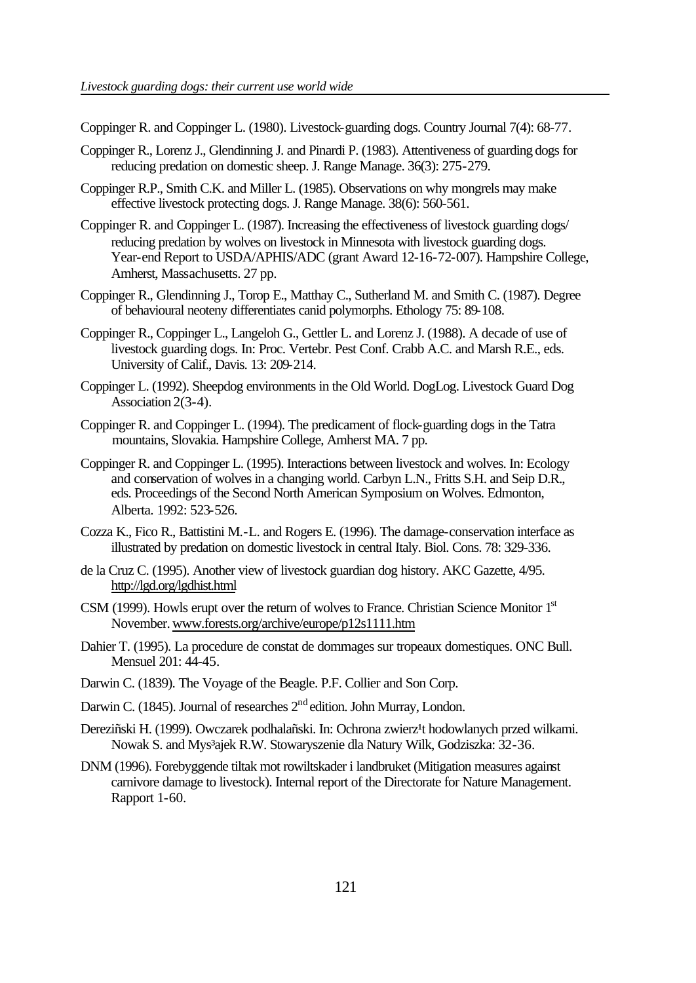Coppinger R. and Coppinger L. (1980). Livestock-guarding dogs. Country Journal 7(4): 68-77.

- Coppinger R., Lorenz J., Glendinning J. and Pinardi P. (1983). Attentiveness of guarding dogs for reducing predation on domestic sheep. J. Range Manage. 36(3): 275-279.
- Coppinger R.P., Smith C.K. and Miller L. (1985). Observations on why mongrels may make effective livestock protecting dogs. J. Range Manage. 38(6): 560-561.
- Coppinger R. and Coppinger L. (1987). Increasing the effectiveness of livestock guarding dogs/ reducing predation by wolves on livestock in Minnesota with livestock guarding dogs. Year-end Report to USDA/APHIS/ADC (grant Award 12-16-72-007). Hampshire College, Amherst, Massachusetts. 27 pp.
- Coppinger R., Glendinning J., Torop E., Matthay C., Sutherland M. and Smith C. (1987). Degree of behavioural neoteny differentiates canid polymorphs. Ethology 75: 89-108.
- Coppinger R., Coppinger L., Langeloh G., Gettler L. and Lorenz J. (1988). A decade of use of livestock guarding dogs. In: Proc. Vertebr. Pest Conf. Crabb A.C. and Marsh R.E., eds. University of Calif., Davis. 13: 209-214.
- Coppinger L. (1992). Sheepdog environments in the Old World. DogLog. Livestock Guard Dog Association 2(3-4).
- Coppinger R. and Coppinger L. (1994). The predicament of flock-guarding dogs in the Tatra mountains, Slovakia. Hampshire College, Amherst MA. 7 pp.
- Coppinger R. and Coppinger L. (1995). Interactions between livestock and wolves. In: Ecology and conservation of wolves in a changing world. Carbyn L.N., Fritts S.H. and Seip D.R., eds. Proceedings of the Second North American Symposium on Wolves. Edmonton, Alberta. 1992: 523-526.
- Cozza K., Fico R., Battistini M.-L. and Rogers E. (1996). The damage-conservation interface as illustrated by predation on domestic livestock in central Italy. Biol. Cons. 78: 329-336.
- de la Cruz C. (1995). Another view of livestock guardian dog history. AKC Gazette, 4/95. http://lgd.org/lgdhist.html
- CSM (1999). Howls erupt over the return of wolves to France. Christian Science Monitor 1<sup>st</sup> November. www.forests.org/archive/europe/p12s1111.htm
- Dahier T. (1995). La procedure de constat de dommages sur tropeaux domestiques. ONC Bull. Mensuel 201: 44-45.
- Darwin C. (1839). The Voyage of the Beagle. P.F. Collier and Son Corp.
- Darwin C. (1845). Journal of researches 2<sup>nd</sup> edition. John Murray, London.
- Dereziñski H. (1999). Owczarek podhalañski. In: Ochrona zwierz<sup>1</sup>t hodowlanych przed wilkami. Nowak S. and Mys³ajek R.W. Stowaryszenie dla Natury Wilk, Godziszka: 32-36.
- DNM (1996). Forebyggende tiltak mot rowiltskader i landbruket (Mitigation measures against carnivore damage to livestock). Internal report of the Directorate for Nature Management. Rapport 1-60.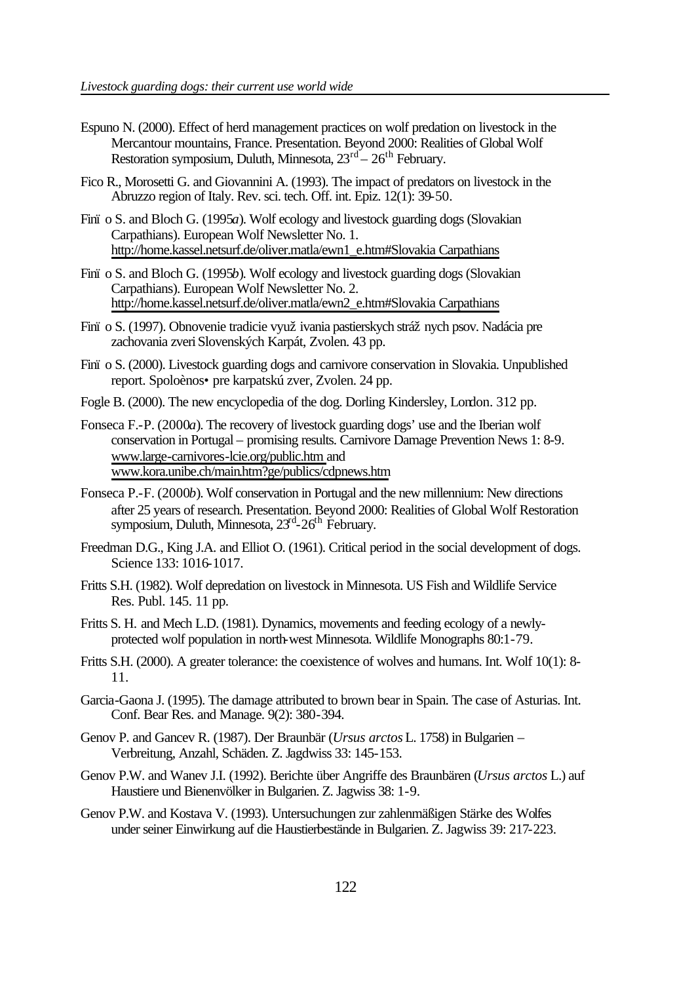- Espuno N. (2000). Effect of herd management practices on wolf predation on livestock in the Mercantour mountains, France. Presentation. Beyond 2000: Realities of Global Wolf Restoration symposium, Duluth, Minnesota, 23<sup>rd</sup> – 26<sup>th</sup> February.
- Fico R., Morosetti G. and Giovannini A. (1993). The impact of predators on livestock in the Abruzzo region of Italy. Rev. sci. tech. Off. int. Epiz. 12(1): 39-50.
- Finï o S. and Bloch G. (1995*a*). Wolf ecology and livestock guarding dogs (Slovakian Carpathians). European Wolf Newsletter No. 1. http://home.kassel.netsurf.de/oliver.matla/ewn1\_e.htm#Slovakia Carpathians
- Finï o S. and Bloch G. (1995*b*). Wolf ecology and livestock guarding dogs (Slovakian Carpathians). European Wolf Newsletter No. 2. http://home.kassel.netsurf.de/oliver.matla/ewn2\_e.htm#Slovakia Carpathians
- Fini o S. (1997). Obnovenie tradicie využ ivania pastierskych strážnych psov. Nadácia pre zachovania zveri Slovenských Karpát, Zvolen. 43 pp.
- Finï o S. (2000). Livestock guarding dogs and carnivore conservation in Slovakia. Unpublished report. Spoloènos• pre karpatskú zver, Zvolen. 24 pp.
- Fogle B. (2000). The new encyclopedia of the dog. Dorling Kindersley, London. 312 pp.
- Fonseca F.-P. (2000*a*). The recovery of livestock guarding dogs' use and the Iberian wolf conservation in Portugal – promising results. Carnivore Damage Prevention News 1: 8-9. www.large-carnivores-lcie.org/public.htm and www.kora.unibe.ch/main.htm?ge/publics/cdpnews.htm
- Fonseca P.-F. (2000*b*). Wolf conservation in Portugal and the new millennium: New directions after 25 years of research. Presentation. Beyond 2000: Realities of Global Wolf Restoration symposium, Duluth, Minnesota, 23<sup>rd</sup>-26<sup>th</sup> February.
- Freedman D.G., King J.A. and Elliot O. (1961). Critical period in the social development of dogs. Science 133: 1016-1017.
- Fritts S.H. (1982). Wolf depredation on livestock in Minnesota. US Fish and Wildlife Service Res. Publ. 145. 11 pp.
- Fritts S. H. and Mech L.D. (1981). Dynamics, movements and feeding ecology of a newlyprotected wolf population in north-west Minnesota. Wildlife Monographs 80:1-79.
- Fritts S.H. (2000). A greater tolerance: the coexistence of wolves and humans. Int. Wolf 10(1): 8- 11.
- Garcia-Gaona J. (1995). The damage attributed to brown bear in Spain. The case of Asturias. Int. Conf. Bear Res. and Manage. 9(2): 380-394.
- Genov P. and Gancev R. (1987). Der Braunbär (*Ursus arctos* L. 1758) in Bulgarien Verbreitung, Anzahl, Schäden. Z. Jagdwiss 33: 145-153.
- Genov P.W. and Wanev J.I. (1992). Berichte über Angriffe des Braunbären (*Ursus arctos* L.) auf Haustiere und Bienenvölker in Bulgarien. Z. Jagwiss 38: 1-9.
- Genov P.W. and Kostava V. (1993). Untersuchungen zur zahlenmäßigen Stärke des Wolfes under seiner Einwirkung auf die Haustierbestände in Bulgarien. Z. Jagwiss 39: 217-223.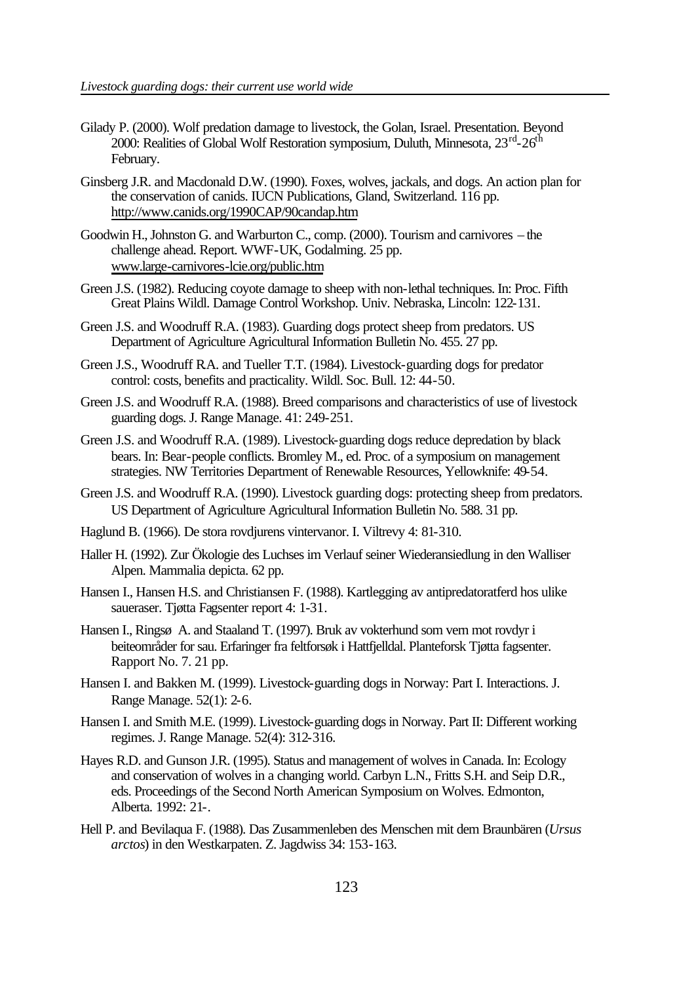- Gilady P. (2000). Wolf predation damage to livestock, the Golan, Israel. Presentation. Beyond 2000: Realities of Global Wolf Restoration symposium, Duluth, Minnesota, 23<sup>rd</sup>-26<sup>th</sup> February.
- Ginsberg J.R. and Macdonald D.W. (1990). Foxes, wolves, jackals, and dogs. An action plan for the conservation of canids. IUCN Publications, Gland, Switzerland. 116 pp. http://www.canids.org/1990CAP/90candap.htm
- Goodwin H., Johnston G. and Warburton C., comp. (2000). Tourism and carnivores the challenge ahead. Report. WWF-UK, Godalming. 25 pp. www.large-carnivores-lcie.org/public.htm
- Green J.S. (1982). Reducing coyote damage to sheep with non-lethal techniques. In: Proc. Fifth Great Plains Wildl. Damage Control Workshop. Univ. Nebraska, Lincoln: 122-131.
- Green J.S. and Woodruff R.A. (1983). Guarding dogs protect sheep from predators. US Department of Agriculture Agricultural Information Bulletin No. 455. 27 pp.
- Green J.S., Woodruff R.A. and Tueller T.T. (1984). Livestock-guarding dogs for predator control: costs, benefits and practicality. Wildl. Soc. Bull. 12: 44-50.
- Green J.S. and Woodruff R.A. (1988). Breed comparisons and characteristics of use of livestock guarding dogs. J. Range Manage. 41: 249-251.
- Green J.S. and Woodruff R.A. (1989). Livestock-guarding dogs reduce depredation by black bears. In: Bear-people conflicts. Bromley M., ed. Proc. of a symposium on management strategies. NW Territories Department of Renewable Resources, Yellowknife: 49-54.
- Green J.S. and Woodruff R.A. (1990). Livestock guarding dogs: protecting sheep from predators. US Department of Agriculture Agricultural Information Bulletin No. 588. 31 pp.
- Haglund B. (1966). De stora rovdjurens vintervanor. I. Viltrevy 4: 81-310.
- Haller H. (1992). Zur Ökologie des Luchses im Verlauf seiner Wiederansiedlung in den Walliser Alpen. Mammalia depicta. 62 pp.
- Hansen I., Hansen H.S. and Christiansen F. (1988). Kartlegging av antipredatoratferd hos ulike saueraser. Tjøtta Fagsenter report 4: 1-31.
- Hansen I., Ringsø A. and Staaland T. (1997). Bruk av vokterhund som vern mot rovdyr i beiteområder for sau. Erfaringer fra feltforsøk i Hattfjelldal. Planteforsk Tjøtta fagsenter. Rapport No. 7. 21 pp.
- Hansen I. and Bakken M. (1999). Livestock-guarding dogs in Norway: Part I. Interactions. J. Range Manage. 52(1): 2-6.
- Hansen I. and Smith M.E. (1999). Livestock-guarding dogs in Norway. Part II: Different working regimes. J. Range Manage. 52(4): 312-316.
- Hayes R.D. and Gunson J.R. (1995). Status and management of wolves in Canada. In: Ecology and conservation of wolves in a changing world. Carbyn L.N., Fritts S.H. and Seip D.R., eds. Proceedings of the Second North American Symposium on Wolves. Edmonton, Alberta. 1992: 21-.
- Hell P. and Bevilaqua F. (1988). Das Zusammenleben des Menschen mit dem Braunbären (*Ursus arctos*) in den Westkarpaten. Z. Jagdwiss 34: 153-163.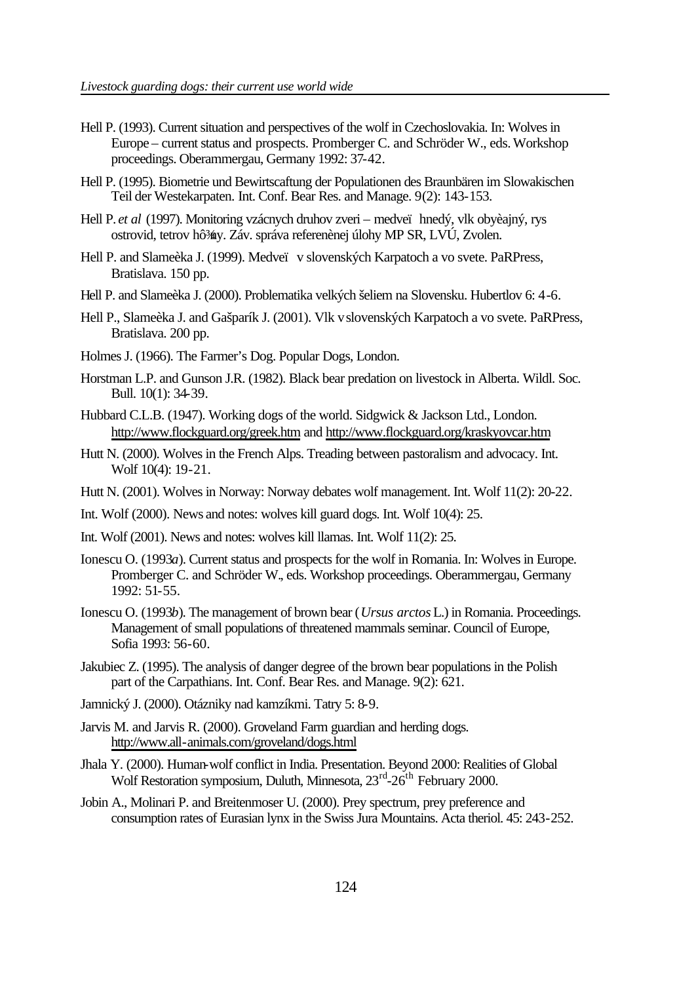- Hell P. (1993). Current situation and perspectives of the wolf in Czechoslovakia. In: Wolves in Europe – current status and prospects. Promberger C. and Schröder W., eds. Workshop proceedings. Oberammergau, Germany 1992: 37-42.
- Hell P. (1995). Biometrie und Bewirtscaftung der Populationen des Braunbären im Slowakischen Teil der Westekarpaten. Int. Conf. Bear Res. and Manage. 9(2): 143-153.
- Hell P. *et al* (1997). Monitoring vzácnych druhov zveri medveï hnedý, vlk obyèajný, rys ostrovid, tetrov hô¾y. Záv. správa referenènej úlohy MP SR, LVÚ, Zvolen.
- Hell P. and Slameèka J. (1999). Medveï v slovenských Karpatoch a vo svete. PaRPress, Bratislava. 150 pp.
- Hell P. and Slameèka J. (2000). Problematika velkých šeliem na Slovensku. Hubertlov 6: 4-6.
- Hell P., Slameèka J. and Gašparík J. (2001). Vlk vslovenských Karpatoch a vo svete. PaRPress, Bratislava. 200 pp.
- Holmes J. (1966). The Farmer's Dog. Popular Dogs, London.
- Horstman L.P. and Gunson J.R. (1982). Black bear predation on livestock in Alberta. Wildl. Soc. Bull. 10(1): 34-39.
- Hubbard C.L.B. (1947). Working dogs of the world. Sidgwick & Jackson Ltd., London. http://www.flockguard.org/greek.htm and http://www.flockguard.org/kraskyovcar.htm
- Hutt N. (2000). Wolves in the French Alps. Treading between pastoralism and advocacy. Int. Wolf 10(4): 19-21.
- Hutt N. (2001). Wolves in Norway: Norway debates wolf management. Int. Wolf 11(2): 20-22.
- Int. Wolf (2000). News and notes: wolves kill guard dogs. Int. Wolf 10(4): 25.
- Int. Wolf (2001). News and notes: wolves kill llamas. Int. Wolf 11(2): 25.
- Ionescu O. (1993*a*). Current status and prospects for the wolf in Romania. In: Wolves in Europe. Promberger C. and Schröder W., eds. Workshop proceedings. Oberammergau, Germany 1992: 51-55.
- Ionescu O. (1993*b*). The management of brown bear (*Ursus arctos* L.) in Romania. Proceedings. Management of small populations of threatened mammals seminar. Council of Europe, Sofia 1993: 56-60.
- Jakubiec Z. (1995). The analysis of danger degree of the brown bear populations in the Polish part of the Carpathians. Int. Conf. Bear Res. and Manage. 9(2): 621.
- Jamnický J. (2000). Otázniky nad kamzíkmi. Tatry 5: 8-9.
- Jarvis M. and Jarvis R. (2000). Groveland Farm guardian and herding dogs. http://www.all-animals.com/groveland/dogs.html
- Jhala Y. (2000). Human-wolf conflict in India. Presentation. Beyond 2000: Realities of Global Wolf Restoration symposium, Duluth, Minnesota, 23<sup>rd</sup>-26<sup>th</sup> February 2000.
- Jobin A., Molinari P. and Breitenmoser U. (2000). Prey spectrum, prey preference and consumption rates of Eurasian lynx in the Swiss Jura Mountains. Acta theriol. 45: 243-252.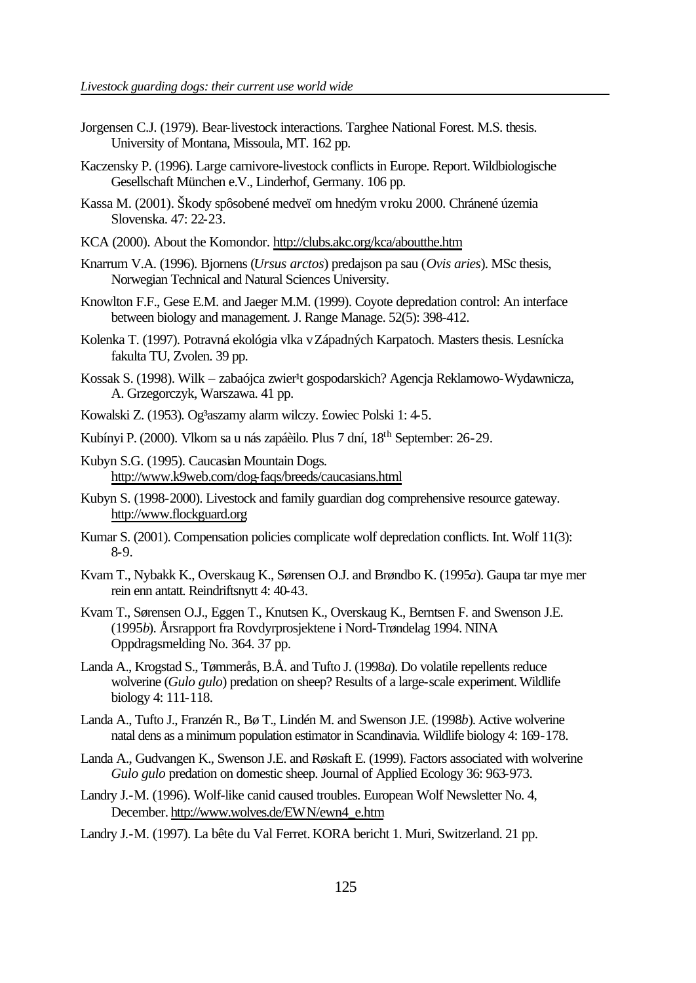- Jorgensen C.J. (1979). Bear-livestock interactions. Targhee National Forest. M.S. thesis. University of Montana, Missoula, MT. 162 pp.
- Kaczensky P. (1996). Large carnivore-livestock conflicts in Europe. Report. Wildbiologische Gesellschaft München e.V., Linderhof, Germany. 106 pp.
- Kassa M. (2001). Škody spôsobené medveï om hnedým vroku 2000. Chránené územia Slovenska. 47: 22-23.
- KCA (2000). About the Komondor. http://clubs.akc.org/kca/aboutthe.htm
- Knarrum V.A. (1996). Bjornens (*Ursus arctos*) predajson pa sau (*Ovis aries*). MSc thesis, Norwegian Technical and Natural Sciences University.
- Knowlton F.F., Gese E.M. and Jaeger M.M. (1999). Coyote depredation control: An interface between biology and management. J. Range Manage. 52(5): 398-412.
- Kolenka T. (1997). Potravná ekológia vlka vZápadných Karpatoch. Masters thesis. Lesnícka fakulta TU, Zvolen. 39 pp.
- Kossak S. (1998). Wilk zabaójca zwier<sup>1</sup>t gospodarskich? Agencja Reklamowo-Wydawnicza, A. Grzegorczyk, Warszawa. 41 pp.
- Kowalski Z. (1953). Og<sup>3</sup>aszamy alarm wilczy. £owiec Polski 1: 4-5.
- Kubínyi P. (2000). Vlkom sa u nás zapáèilo. Plus 7 dní, 18th September: 26-29.
- Kubyn S.G. (1995). Caucasian Mountain Dogs. http://www.k9web.com/dog-faqs/breeds/caucasians.html
- Kubyn S. (1998-2000). Livestock and family guardian dog comprehensive resource gateway. http://www.flockguard.org
- Kumar S. (2001). Compensation policies complicate wolf depredation conflicts. Int. Wolf 11(3): 8-9.
- Kvam T., Nybakk K., Overskaug K., Sørensen O.J. and Brøndbo K. (1995*a*). Gaupa tar mye mer rein enn antatt. Reindriftsnytt 4: 40-43.
- Kvam T., Sørensen O.J., Eggen T., Knutsen K., Overskaug K., Berntsen F. and Swenson J.E. (1995*b*). Årsrapport fra Rovdyrprosjektene i Nord-Trøndelag 1994. NINA Oppdragsmelding No. 364. 37 pp.
- Landa A., Krogstad S., Tømmerås, B.Å. and Tufto J. (1998*a*). Do volatile repellents reduce wolverine (*Gulo gulo*) predation on sheep? Results of a large-scale experiment. Wildlife biology 4: 111-118.
- Landa A., Tufto J., Franzén R., Bø T., Lindén M. and Swenson J.E. (1998*b*). Active wolverine natal dens as a minimum population estimator in Scandinavia. Wildlife biology 4: 169-178.
- Landa A., Gudvangen K., Swenson J.E. and Røskaft E. (1999). Factors associated with wolverine *Gulo gulo* predation on domestic sheep. Journal of Applied Ecology 36: 963-973.
- Landry J.-M. (1996). Wolf-like canid caused troubles. European Wolf Newsletter No. 4, December. http://www.wolves.de/EWN/ewn4\_e.htm
- Landry J.-M. (1997). La bête du Val Ferret. KORA bericht 1. Muri, Switzerland. 21 pp.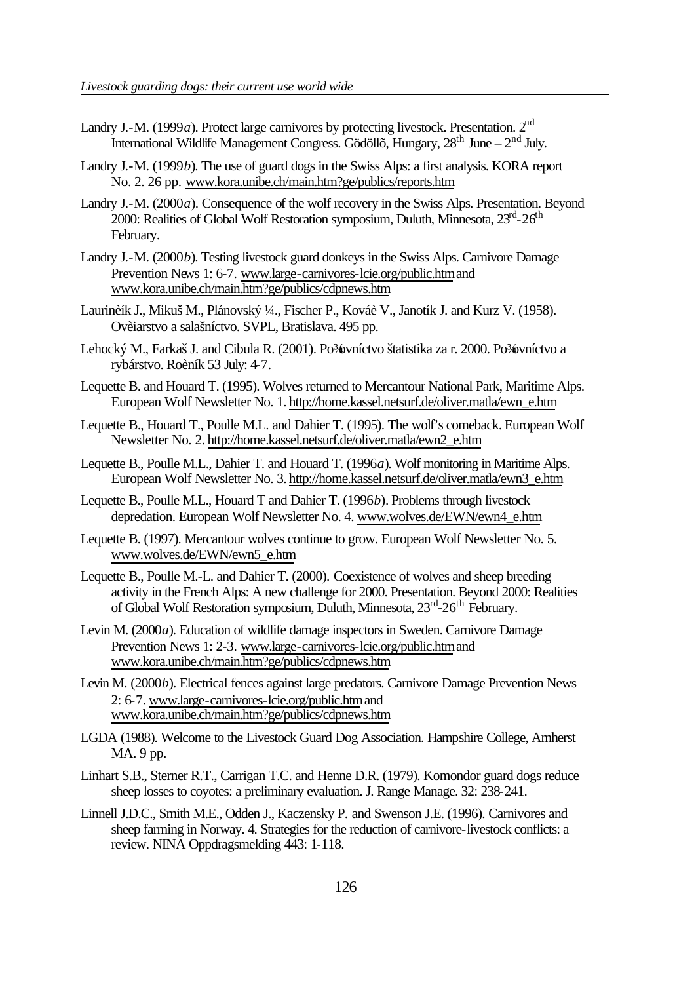- Landry J.-M. (1999*a*). Protect large carnivores by protecting livestock. Presentation. 2<sup>nd</sup> International Wildlife Management Congress. Gödöllõ, Hungary,  $28<sup>th</sup>$  June –  $2<sup>nd</sup>$  July.
- Landry J.-M. (1999*b*). The use of guard dogs in the Swiss Alps: a first analysis. KORA report No. 2. 26 pp. www.kora.unibe.ch/main.htm?ge/publics/reports.htm
- Landry J.-M. (2000*a*). Consequence of the wolf recovery in the Swiss Alps. Presentation. Beyond 2000: Realities of Global Wolf Restoration symposium, Duluth, Minnesota, 23<sup>rd</sup>-26<sup>th</sup> February.
- Landry J.-M. (2000*b*). Testing livestock guard donkeys in the Swiss Alps. Carnivore Damage Prevention News 1: 6-7. www.large-carnivores-lcie.org/public.htm and www.kora.unibe.ch/main.htm?ge/publics/cdpnews.htm
- Laurinèík J., Mikuš M., Plánovský ¼., Fischer P., Kováè V., Janotík J. and Kurz V. (1958). Ovèiarstvo a salašníctvo. SVPL, Bratislava. 495 pp.
- Lehocký M., Farkaš J. and Cibula R. (2001). Po¾ovníctvo štatistika za r. 2000. Po¾ovníctvo a rybárstvo. Roèník 53 July: 4-7.
- Lequette B. and Houard T. (1995). Wolves returned to Mercantour National Park, Maritime Alps. European Wolf Newsletter No. 1. http://home.kassel.netsurf.de/oliver.matla/ewn\_e.htm
- Lequette B., Houard T., Poulle M.L. and Dahier T. (1995). The wolf's comeback. European Wolf Newsletter No. 2. http://home.kassel.netsurf.de/oliver.matla/ewn2\_e.htm
- Lequette B., Poulle M.L., Dahier T. and Houard T. (1996*a*). Wolf monitoring in Maritime Alps. European Wolf Newsletter No. 3. http://home.kassel.netsurf.de/oliver.matla/ewn3\_e.htm
- Lequette B., Poulle M.L., Houard T and Dahier T. (1996*b*). Problems through livestock depredation. European Wolf Newsletter No. 4. www.wolves.de/EWN/ewn4\_e.htm
- Lequette B. (1997). Mercantour wolves continue to grow. European Wolf Newsletter No. 5. www.wolves.de/EWN/ewn5\_e.htm
- Lequette B., Poulle M.-L. and Dahier T. (2000). Coexistence of wolves and sheep breeding activity in the French Alps: A new challenge for 2000. Presentation. Beyond 2000: Realities of Global Wolf Restoration symposium, Duluth, Minnesota, 23<sup>rd</sup>-26<sup>th</sup> February.
- Levin M. (2000*a*). Education of wildlife damage inspectors in Sweden. Carnivore Damage Prevention News 1: 2-3. www.large-carnivores-lcie.org/public.htm and www.kora.unibe.ch/main.htm?ge/publics/cdpnews.htm
- Levin M. (2000*b*). Electrical fences against large predators. Carnivore Damage Prevention News 2: 6-7. www.large-carnivores-lcie.org/public.htm and www.kora.unibe.ch/main.htm?ge/publics/cdpnews.htm
- LGDA (1988). Welcome to the Livestock Guard Dog Association. Hampshire College, Amherst MA. 9 pp.
- Linhart S.B., Sterner R.T., Carrigan T.C. and Henne D.R. (1979). Komondor guard dogs reduce sheep losses to coyotes: a preliminary evaluation. J. Range Manage. 32: 238-241.
- Linnell J.D.C., Smith M.E., Odden J., Kaczensky P. and Swenson J.E. (1996). Carnivores and sheep farming in Norway. 4. Strategies for the reduction of carnivore-livestock conflicts: a review. NINA Oppdragsmelding 443: 1-118.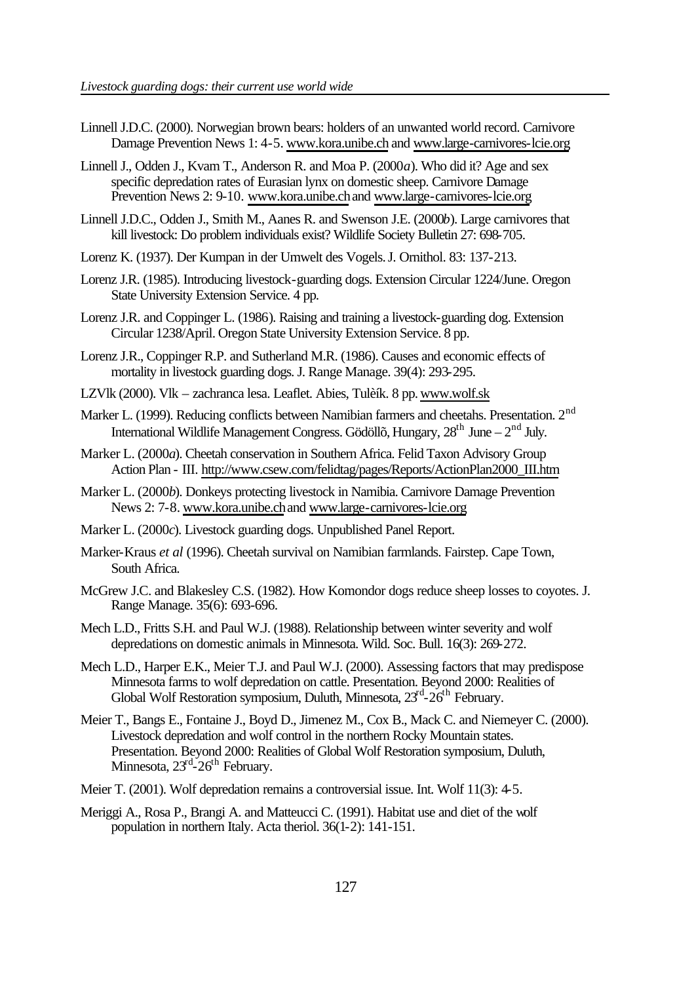- Linnell J.D.C. (2000). Norwegian brown bears: holders of an unwanted world record. Carnivore Damage Prevention News 1: 4-5. www.kora.unibe.ch and www.large-carnivores-lcie.org
- Linnell J., Odden J., Kvam T., Anderson R. and Moa P. (2000*a*). Who did it? Age and sex specific depredation rates of Eurasian lynx on domestic sheep. Carnivore Damage Prevention News 2: 9-10. www.kora.unibe.ch and www.large-carnivores-lcie.org
- Linnell J.D.C., Odden J., Smith M., Aanes R. and Swenson J.E. (2000*b*). Large carnivores that kill livestock: Do problem individuals exist? Wildlife Society Bulletin 27: 698-705.
- Lorenz K. (1937). Der Kumpan in der Umwelt des Vogels. J. Ornithol. 83: 137-213.
- Lorenz J.R. (1985). Introducing livestock-guarding dogs. Extension Circular 1224/June. Oregon State University Extension Service. 4 pp.
- Lorenz J.R. and Coppinger L. (1986). Raising and training a livestock-guarding dog. Extension Circular 1238/April. Oregon State University Extension Service. 8 pp.
- Lorenz J.R., Coppinger R.P. and Sutherland M.R. (1986). Causes and economic effects of mortality in livestock guarding dogs. J. Range Manage. 39(4): 293-295.
- LZVlk (2000). Vlk zachranca lesa. Leaflet. Abies, Tulèík. 8 pp. www.wolf.sk
- Marker L. (1999). Reducing conflicts between Namibian farmers and cheetahs. Presentation. 2<sup>nd</sup> International Wildlife Management Congress. Gödöllõ, Hungary,  $28<sup>th</sup>$  June –  $2<sup>nd</sup>$  July.
- Marker L. (2000*a*). Cheetah conservation in Southern Africa. Felid Taxon Advisory Group Action Plan - III. http://www.csew.com/felidtag/pages/Reports/ActionPlan2000\_III.htm
- Marker L. (2000*b*). Donkeys protecting livestock in Namibia. Carnivore Damage Prevention News 2: 7-8. www.kora.unibe.ch and www.large-carnivores-lcie.org
- Marker L. (2000*c*). Livestock guarding dogs. Unpublished Panel Report.
- Marker-Kraus *et al* (1996). Cheetah survival on Namibian farmlands. Fairstep. Cape Town, South Africa.
- McGrew J.C. and Blakesley C.S. (1982). How Komondor dogs reduce sheep losses to coyotes. J. Range Manage. 35(6): 693-696.
- Mech L.D., Fritts S.H. and Paul W.J. (1988). Relationship between winter severity and wolf depredations on domestic animals in Minnesota. Wild. Soc. Bull. 16(3): 269-272.
- Mech L.D., Harper E.K., Meier T.J. and Paul W.J. (2000). Assessing factors that may predispose Minnesota farms to wolf depredation on cattle. Presentation. Beyond 2000: Realities of Global Wolf Restoration symposium, Duluth, Minnesota, 23<sup>rd</sup>-26<sup>th</sup> February.
- Meier T., Bangs E., Fontaine J., Boyd D., Jimenez M., Cox B., Mack C. and Niemeyer C. (2000). Livestock depredation and wolf control in the northern Rocky Mountain states. Presentation. Beyond 2000: Realities of Global Wolf Restoration symposium, Duluth, Minnesota, 23<sup>rd</sup>-26<sup>th</sup> February.
- Meier T. (2001). Wolf depredation remains a controversial issue. Int. Wolf 11(3): 4-5.
- Meriggi A., Rosa P., Brangi A. and Matteucci C. (1991). Habitat use and diet of the wolf population in northern Italy. Acta theriol. 36(1-2): 141-151.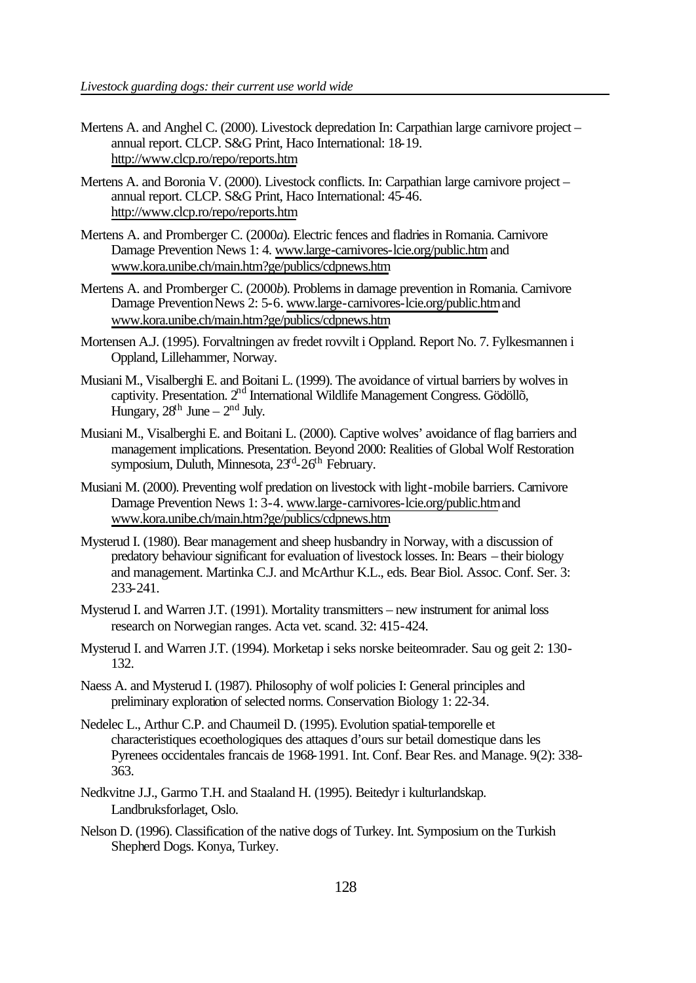- Mertens A. and Anghel C. (2000). Livestock depredation In: Carpathian large carnivore project annual report. CLCP. S&G Print, Haco International: 18-19. http://www.clcp.ro/repo/reports.htm
- Mertens A. and Boronia V. (2000). Livestock conflicts. In: Carpathian large carnivore project annual report. CLCP. S&G Print, Haco International: 45-46. http://www.clcp.ro/repo/reports.htm
- Mertens A. and Promberger C. (2000*a*). Electric fences and fladries in Romania. Carnivore Damage Prevention News 1: 4. www.large-carnivores-lcie.org/public.htm and www.kora.unibe.ch/main.htm?ge/publics/cdpnews.htm
- Mertens A. and Promberger C. (2000*b*). Problems in damage prevention in Romania. Carnivore Damage Prevention News 2: 5-6. www.large-carnivores-lcie.org/public.htm and www.kora.unibe.ch/main.htm?ge/publics/cdpnews.htm
- Mortensen A.J. (1995). Forvaltningen av fredet rovvilt i Oppland. Report No. 7. Fylkesmannen i Oppland, Lillehammer, Norway.
- Musiani M., Visalberghi E. and Boitani L. (1999). The avoidance of virtual barriers by wolves in captivity. Presentation. 2nd International Wildlife Management Congress. Gödöllõ, Hungary,  $28<sup>th</sup>$  June –  $2<sup>nd</sup>$  July.
- Musiani M., Visalberghi E. and Boitani L. (2000). Captive wolves' avoidance of flag barriers and management implications. Presentation. Beyond 2000: Realities of Global Wolf Restoration symposium, Duluth, Minnesota, 23<sup>rd</sup>-26<sup>th</sup> February.
- Musiani M. (2000). Preventing wolf predation on livestock with light-mobile barriers. Carnivore Damage Prevention News 1: 3-4. www.large-carnivores-lcie.org/public.htm and www.kora.unibe.ch/main.htm?ge/publics/cdpnews.htm
- Mysterud I. (1980). Bear management and sheep husbandry in Norway, with a discussion of predatory behaviour significant for evaluation of livestock losses. In: Bears – their biology and management. Martinka C.J. and McArthur K.L., eds. Bear Biol. Assoc. Conf. Ser. 3: 233-241.
- Mysterud I. and Warren J.T. (1991). Mortality transmitters new instrument for animal loss research on Norwegian ranges. Acta vet. scand. 32: 415-424.
- Mysterud I. and Warren J.T. (1994). Morketap i seks norske beiteomrader. Sau og geit 2: 130- 132.
- Naess A. and Mysterud I. (1987). Philosophy of wolf policies I: General principles and preliminary exploration of selected norms. Conservation Biology 1: 22-34.
- Nedelec L., Arthur C.P. and Chaumeil D. (1995). Evolution spatial-temporelle et characteristiques ecoethologiques des attaques d'ours sur betail domestique dans les Pyrenees occidentales francais de 1968-1991. Int. Conf. Bear Res. and Manage. 9(2): 338- 363.
- Nedkvitne J.J., Garmo T.H. and Staaland H. (1995). Beitedyr i kulturlandskap. Landbruksforlaget, Oslo.
- Nelson D. (1996). Classification of the native dogs of Turkey. Int. Symposium on the Turkish Shepherd Dogs. Konya, Turkey.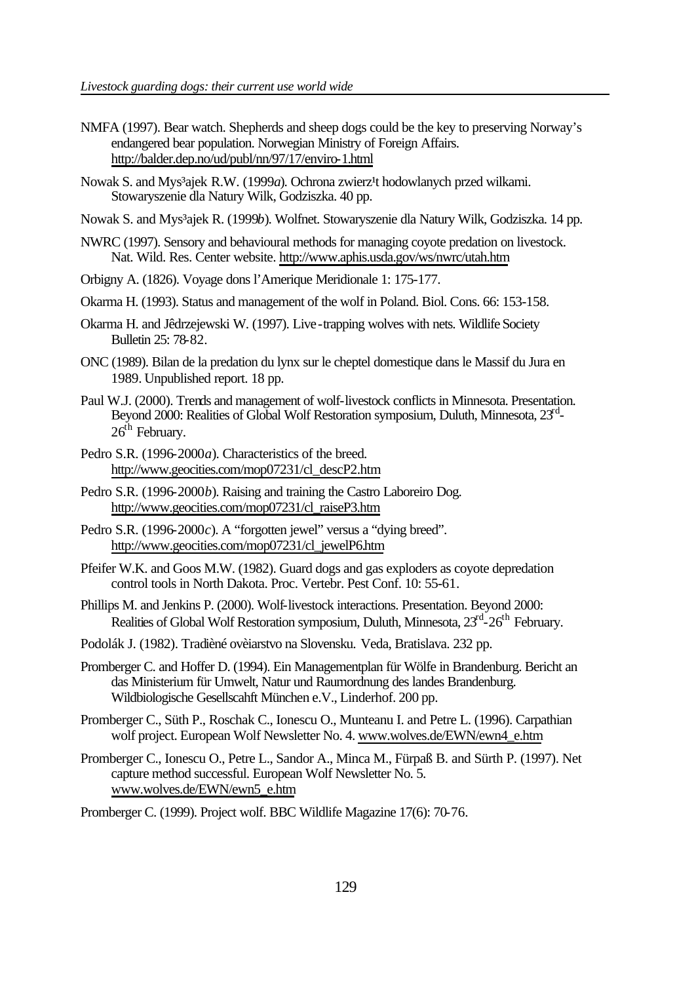- NMFA (1997). Bear watch. Shepherds and sheep dogs could be the key to preserving Norway's endangered bear population. Norwegian Ministry of Foreign Affairs. http://balder.dep.no/ud/publ/nn/97/17/enviro-1.html
- Nowak S. and Mys<sup>3</sup>ajek R.W. (1999*a*). Ochrona zwierz<sup>1</sup>t hodowlanych przed wilkami. Stowaryszenie dla Natury Wilk, Godziszka. 40 pp.
- Nowak S. and Mys³ajek R. (1999*b*). Wolfnet. Stowaryszenie dla Natury Wilk, Godziszka. 14 pp.
- NWRC (1997). Sensory and behavioural methods for managing coyote predation on livestock. Nat. Wild. Res. Center website. http://www.aphis.usda.gov/ws/nwrc/utah.htm
- Orbigny A. (1826). Voyage dons l'Amerique Meridionale 1: 175-177.
- Okarma H. (1993). Status and management of the wolf in Poland. Biol. Cons. 66: 153-158.
- Okarma H. and Jêdrzejewski W. (1997). Live-trapping wolves with nets. Wildlife Society Bulletin 25: 78-82.
- ONC (1989). Bilan de la predation du lynx sur le cheptel domestique dans le Massif du Jura en 1989. Unpublished report. 18 pp.
- Paul W.J. (2000). Trends and management of wolf-livestock conflicts in Minnesota. Presentation. Beyond 2000: Realities of Global Wolf Restoration symposium, Duluth, Minnesota, 23<sup>rd</sup>- $26<sup>th</sup>$  February.
- Pedro S.R. (1996-2000*a*). Characteristics of the breed. http://www.geocities.com/mop07231/cl\_descP2.htm
- Pedro S.R. (1996-2000*b*). Raising and training the Castro Laboreiro Dog. http://www.geocities.com/mop07231/cl\_raiseP3.htm
- Pedro S.R. (1996-2000*c*). A "forgotten jewel" versus a "dying breed". http://www.geocities.com/mop07231/cl\_jewelP6.htm
- Pfeifer W.K. and Goos M.W. (1982). Guard dogs and gas exploders as coyote depredation control tools in North Dakota. Proc. Vertebr. Pest Conf. 10: 55-61.
- Phillips M. and Jenkins P. (2000). Wolf-livestock interactions. Presentation. Beyond 2000: Realities of Global Wolf Restoration symposium, Duluth, Minnesota, 23<sup>rd</sup>-26<sup>th</sup> February.
- Podolák J. (1982). Tradièné ovèiarstvo na Slovensku. Veda, Bratislava. 232 pp.
- Promberger C. and Hoffer D. (1994). Ein Managementplan für Wölfe in Brandenburg. Bericht an das Ministerium für Umwelt, Natur und Raumordnung des landes Brandenburg. Wildbiologische Gesellscahft München e.V., Linderhof. 200 pp.
- Promberger C., Süth P., Roschak C., Ionescu O., Munteanu I. and Petre L. (1996). Carpathian wolf project. European Wolf Newsletter No. 4. www.wolves.de/EWN/ewn4\_e.htm
- Promberger C., Ionescu O., Petre L., Sandor A., Minca M., Fürpaß B. and Sürth P. (1997). Net capture method successful. European Wolf Newsletter No. 5. www.wolves.de/EWN/ewn5\_e.htm

Promberger C. (1999). Project wolf. BBC Wildlife Magazine 17(6): 70-76.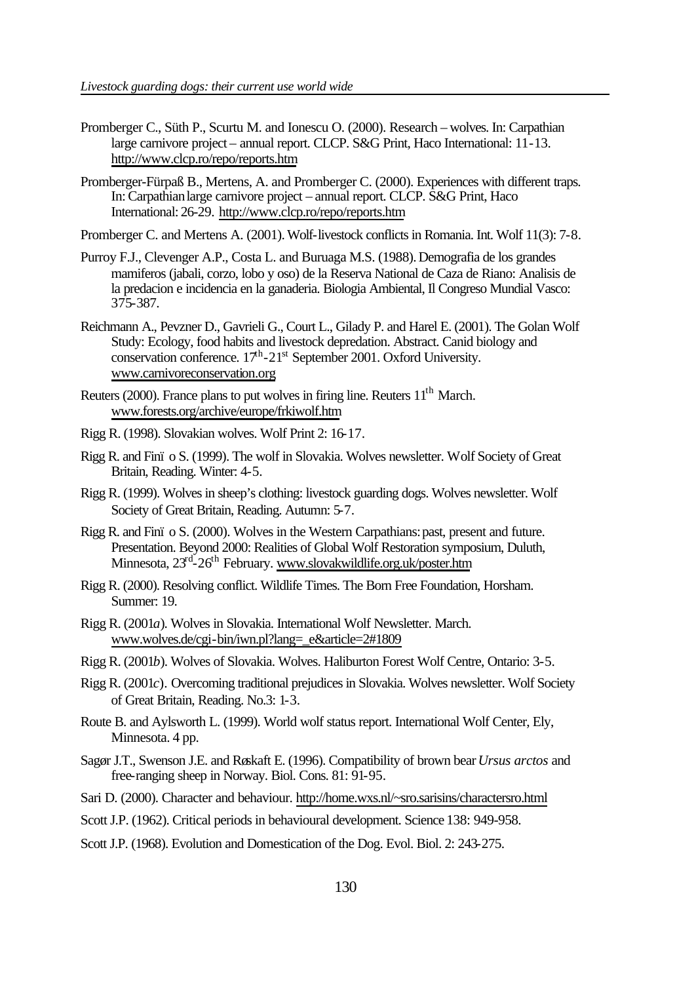- Promberger C., Süth P., Scurtu M. and Ionescu O. (2000). Research wolves. In: Carpathian large carnivore project – annual report. CLCP. S&G Print, Haco International: 11-13. http://www.clcp.ro/repo/reports.htm
- Promberger-Fürpaß B., Mertens, A. and Promberger C. (2000). Experiences with different traps. In: Carpathian large carnivore project – annual report. CLCP. S&G Print, Haco International: 26-29. http://www.clcp.ro/repo/reports.htm

Promberger C. and Mertens A. (2001). Wolf-livestock conflicts in Romania. Int. Wolf 11(3): 7-8.

- Purroy F.J., Clevenger A.P., Costa L. and Buruaga M.S. (1988). Demografia de los grandes mamiferos (jabali, corzo, lobo y oso) de la Reserva National de Caza de Riano: Analisis de la predacion e incidencia en la ganaderia. Biologia Ambiental, Il Congreso Mundial Vasco: 375-387.
- Reichmann A., Pevzner D., Gavrieli G., Court L., Gilady P. and Harel E. (2001). The Golan Wolf Study: Ecology, food habits and livestock depredation. Abstract. Canid biology and conservation conference.  $17^{\text{h}}$ -21st September 2001. Oxford University. www.carnivoreconservation.org
- Reuters (2000). France plans to put wolves in firing line. Reuters  $11<sup>th</sup>$  March. www.forests.org/archive/europe/frkiwolf.htm
- Rigg R. (1998). Slovakian wolves. Wolf Print 2: 16-17.
- Rigg R. and Finï o S. (1999). The wolf in Slovakia. Wolves newsletter. Wolf Society of Great Britain, Reading. Winter: 4-5.
- Rigg R. (1999). Wolves in sheep's clothing: livestock guarding dogs. Wolves newsletter. Wolf Society of Great Britain, Reading. Autumn: 5-7.
- Rigg R. and Finï o S. (2000). Wolves in the Western Carpathians: past, present and future. Presentation. Beyond 2000: Realities of Global Wolf Restoration symposium, Duluth, Minnesota, 23<sup>rd</sup>-26<sup>th</sup> February. www.slovakwildlife.org.uk/poster.htm
- Rigg R. (2000). Resolving conflict. Wildlife Times. The Born Free Foundation, Horsham. Summer: 19.
- Rigg R. (2001*a*). Wolves in Slovakia. International Wolf Newsletter. March. www.wolves.de/cgi-bin/iwn.pl?lang=\_e&article=2#1809
- Rigg R. (2001*b*). Wolves of Slovakia. Wolves. Haliburton Forest Wolf Centre, Ontario: 3-5.
- Rigg R. (2001*c*). Overcoming traditional prejudices in Slovakia. Wolves newsletter. Wolf Society of Great Britain, Reading. No.3: 1-3.
- Route B. and Aylsworth L. (1999). World wolf status report. International Wolf Center, Ely, Minnesota. 4 pp.
- Sagør J.T., Swenson J.E. and Røskaft E. (1996). Compatibility of brown bear *Ursus arctos* and free-ranging sheep in Norway. Biol. Cons. 81: 91-95.
- Sari D. (2000). Character and behaviour. http://home.wxs.nl/~sro.sarisins/charactersro.html
- Scott J.P. (1962). Critical periods in behavioural development. Science 138: 949-958.
- Scott J.P. (1968). Evolution and Domestication of the Dog. Evol. Biol. 2: 243-275.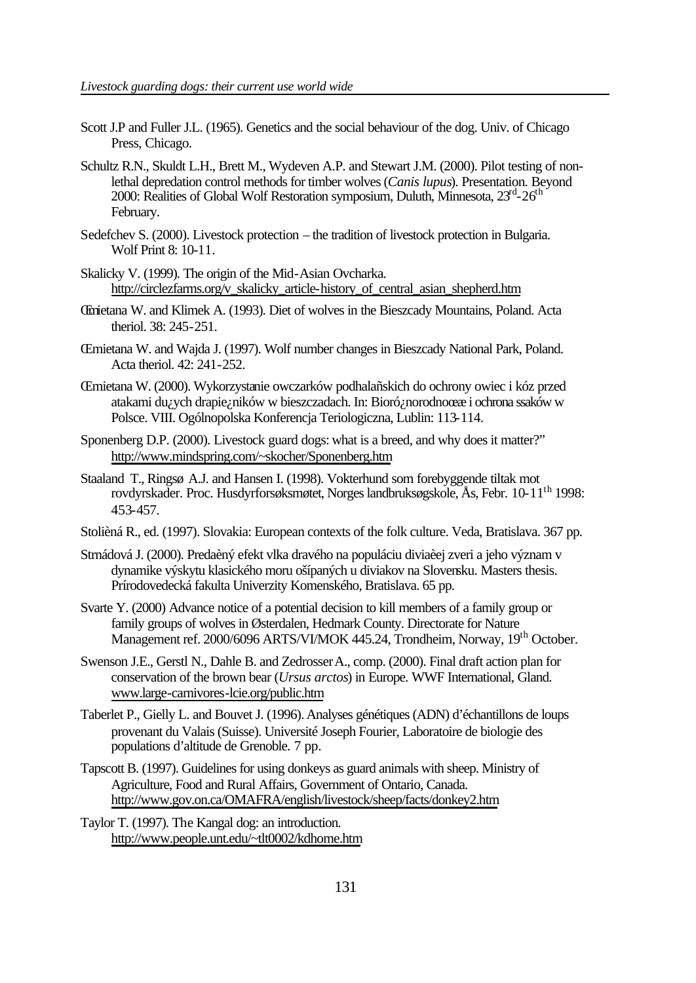- Scott J.P and Fuller J.L. (1965). Genetics and the social behaviour of the dog. Univ. of Chicago Press, Chicago.
- Schultz R.N., Skuldt L.H., Brett M., Wydeven A.P. and Stewart J.M. (2000). Pilot testing of nonlethal depredation control methods for timber wolves (*Canis lupus*). Presentation. Beyond 2000: Realities of Global Wolf Restoration symposium, Duluth, Minnesota, 23<sup>rd</sup>-26<sup>th</sup> February.
- Sedefchev S. (2000). Livestock protection the tradition of livestock protection in Bulgaria. Wolf Print 8: 10-11.
- Skalicky V. (1999). The origin of the Mid-Asian Ovcharka. http://circlezfarms.org/v\_skalicky\_article-history\_of\_central\_asian\_shepherd.htm
- Œmietana W. and Klimek A. (1993). Diet of wolves in the Bieszcady Mountains, Poland. Acta theriol. 38: 245-251.
- Œmietana W. and Wajda J. (1997). Wolf number changes in Bieszcady National Park, Poland. Acta theriol. 42: 241-252.
- Œmietana W. (2000). Wykorzystanie owczarków podhalañskich do ochrony owiec i kóz przed atakami du¿ych drapie¿ników w bieszczadach. In: Bioró¿norodnoœæ i ochrona ssaków w Polsce. VIII. Ogólnopolska Konferencja Teriologiczna, Lublin: 113-114.
- Sponenberg D.P. (2000). Livestock guard dogs: what is a breed, and why does it matter?" http://www.mindspring.com/~skocher/Sponenberg.htm
- Staaland T., Ringsø A.J. and Hansen I. (1998). Vokterhund som forebyggende tiltak mot rovdyrskader. Proc. Husdyrforsøksmøtet, Norges landbruksøgskole, Ås, Febr. 10-11th 1998: 453-457.
- Stolièná R., ed. (1997). Slovakia: European contexts of the folk culture. Veda, Bratislava. 367 pp.
- Strnádová J. (2000). Predaèný efekt vlka dravého na populáciu diviaèej zveri a jeho význam v dynamike výskytu klasického moru ošípaných u diviakov na Slovensku. Masters thesis. Prírodovedecká fakulta Univerzity Komenského, Bratislava. 65 pp.
- Svarte Y. (2000) Advance notice of a potential decision to kill members of a family group or family groups of wolves in Østerdalen, Hedmark County. Directorate for Nature Management ref. 2000/6096 ARTS/VI/MOK 445.24, Trondheim, Norway, 19<sup>th</sup> October.
- Swenson J.E., Gerstl N., Dahle B. and ZedrosserA., comp. (2000). Final draft action plan for conservation of the brown bear (*Ursus arctos*) in Europe. WWF International, Gland. www.large-carnivores-lcie.org/public.htm
- Taberlet P., Gielly L. and Bouvet J. (1996). Analyses génétiques (ADN) d'échantillons de loups provenant du Valais (Suisse). Université Joseph Fourier, Laboratoire de biologie des populations d'altitude de Grenoble. 7 pp.
- Tapscott B. (1997). Guidelines for using donkeys as guard animals with sheep. Ministry of Agriculture, Food and Rural Affairs, Government of Ontario, Canada. http://www.gov.on.ca/OMAFRA/english/livestock/sheep/facts/donkey2.htm
- Taylor T. (1997). The Kangal dog: an introduction. http://www.people.unt.edu/~tlt0002/kdhome.htm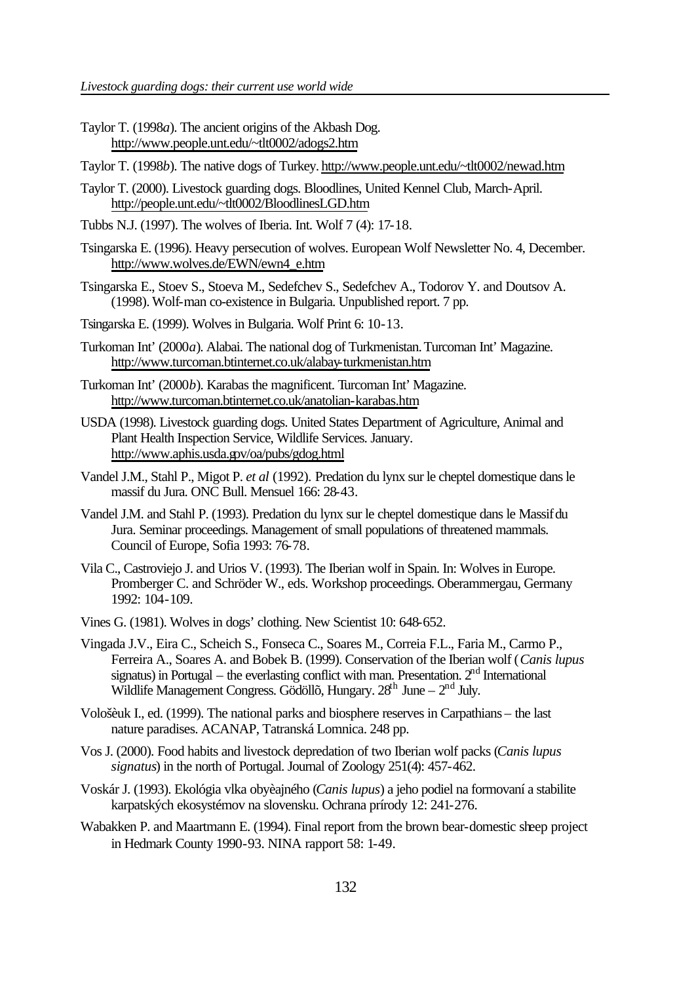- Taylor T. (1998*a*). The ancient origins of the Akbash Dog. http://www.people.unt.edu/~tlt0002/adogs2.htm
- Taylor T. (1998*b*). The native dogs of Turkey. http://www.people.unt.edu/~tlt0002/newad.htm
- Taylor T. (2000). Livestock guarding dogs. Bloodlines, United Kennel Club, March-April. http://people.unt.edu/~tlt0002/BloodlinesLGD.htm
- Tubbs N.J. (1997). The wolves of Iberia. Int. Wolf 7 (4): 17-18.
- Tsingarska E. (1996). Heavy persecution of wolves. European Wolf Newsletter No. 4, December. http://www.wolves.de/EWN/ewn4\_e.htm
- Tsingarska E., Stoev S., Stoeva M., Sedefchev S., Sedefchev A., Todorov Y. and Doutsov A. (1998). Wolf-man co-existence in Bulgaria. Unpublished report. 7 pp.
- Tsingarska E. (1999). Wolves in Bulgaria. Wolf Print 6: 10-13.
- Turkoman Int' (2000*a*). Alabai. The national dog of Turkmenistan. Turcoman Int' Magazine. http://www.turcoman.btinternet.co.uk/alabay-turkmenistan.htm
- Turkoman Int' (2000*b*). Karabas the magnificent. Turcoman Int' Magazine. http://www.turcoman.btinternet.co.uk/anatolian-karabas.htm
- USDA (1998). Livestock guarding dogs. United States Department of Agriculture, Animal and Plant Health Inspection Service, Wildlife Services. January. http://www.aphis.usda.gov/oa/pubs/gdog.html
- Vandel J.M., Stahl P., Migot P. *et al* (1992). Predation du lynx sur le cheptel domestique dans le massif du Jura. ONC Bull. Mensuel 166: 28-43.
- Vandel J.M. and Stahl P. (1993). Predation du lynx sur le cheptel domestique dans le Massif du Jura. Seminar proceedings. Management of small populations of threatened mammals. Council of Europe, Sofia 1993: 76-78.
- Vila C., Castroviejo J. and Urios V. (1993). The Iberian wolf in Spain. In: Wolves in Europe. Promberger C. and Schröder W., eds. Workshop proceedings. Oberammergau, Germany 1992: 104-109.
- Vines G. (1981). Wolves in dogs' clothing. New Scientist 10: 648-652.
- Vingada J.V., Eira C., Scheich S., Fonseca C., Soares M., Correia F.L., Faria M., Carmo P., Ferreira A., Soares A. and Bobek B. (1999). Conservation of the Iberian wolf (*Canis lupus* signatus) in Portugal – the everlasting conflict with man. Presentation.  $2<sup>nd</sup>$  International Wildlife Management Congress. Gödöllõ, Hungary.  $28<sup>th</sup>$  June –  $2<sup>nd</sup>$  July.
- Vološèuk I., ed. (1999). The national parks and biosphere reserves in Carpathians the last nature paradises. ACANAP, Tatranská Lomnica. 248 pp.
- Vos J. (2000). Food habits and livestock depredation of two Iberian wolf packs (*Canis lupus signatus*) in the north of Portugal. Journal of Zoology 251(4): 457-462.
- Voskár J. (1993). Ekológia vlka obyèajného (*Canis lupus*) a jeho podiel na formovaní a stabilite karpatských ekosystémov na slovensku. Ochrana prírody 12: 241-276.
- Wabakken P. and Maartmann E. (1994). Final report from the brown bear-domestic sheep project in Hedmark County 1990-93. NINA rapport 58: 1-49.